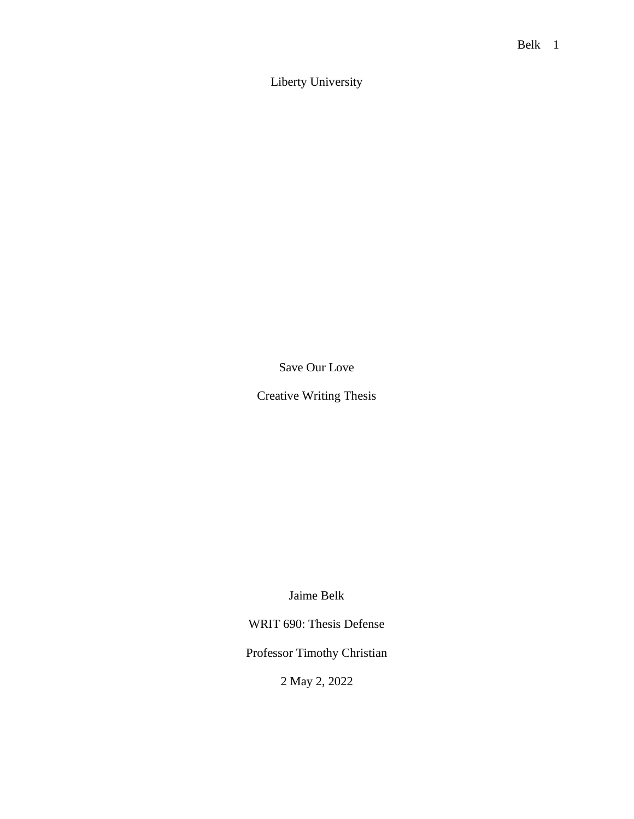Liberty University

Save Our Love

Creative Writing Thesis

Jaime Belk

WRIT 690: Thesis Defense

Professor Timothy Christian

2 May 2, 2022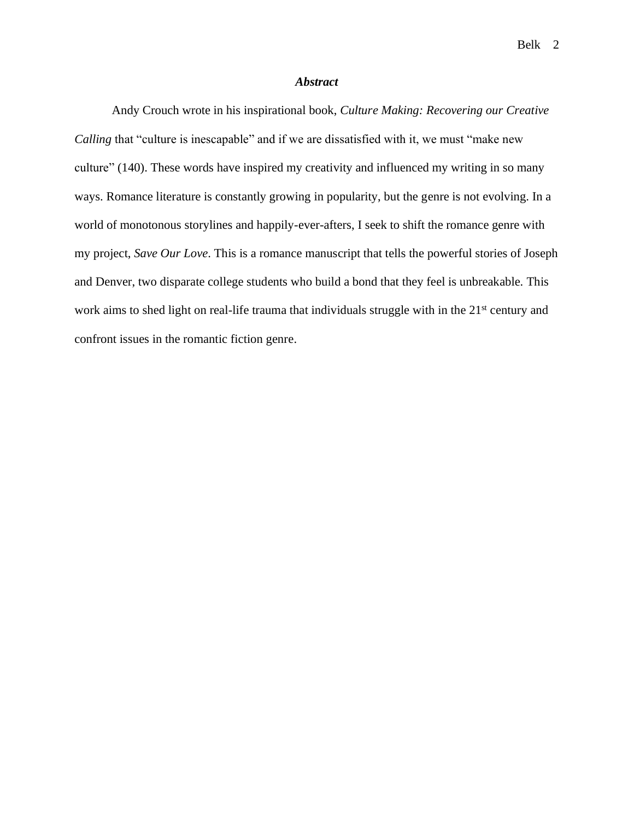#### *Abstract*

Andy Crouch wrote in his inspirational book, *Culture Making: Recovering our Creative Calling* that "culture is inescapable" and if we are dissatisfied with it, we must "make new culture" (140). These words have inspired my creativity and influenced my writing in so many ways. Romance literature is constantly growing in popularity, but the genre is not evolving. In a world of monotonous storylines and happily-ever-afters, I seek to shift the romance genre with my project, *Save Our Love*. This is a romance manuscript that tells the powerful stories of Joseph and Denver, two disparate college students who build a bond that they feel is unbreakable. This work aims to shed light on real-life trauma that individuals struggle with in the 21<sup>st</sup> century and confront issues in the romantic fiction genre.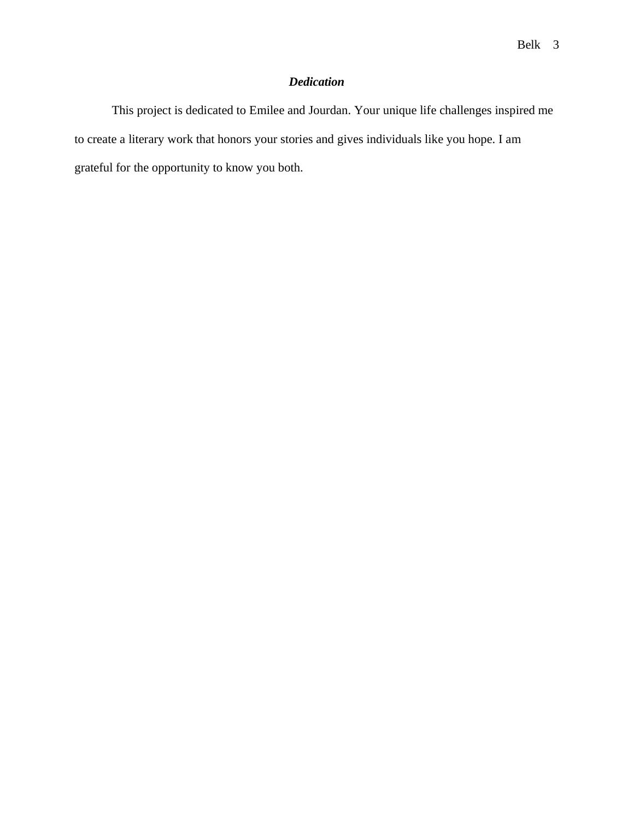# *Dedication*

This project is dedicated to Emilee and Jourdan. Your unique life challenges inspired me to create a literary work that honors your stories and gives individuals like you hope. I am grateful for the opportunity to know you both.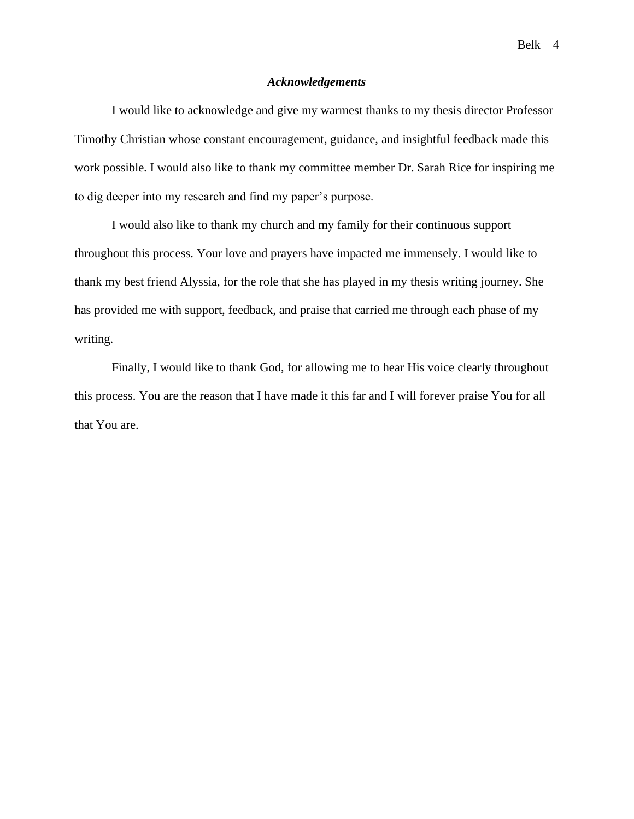#### *Acknowledgements*

I would like to acknowledge and give my warmest thanks to my thesis director Professor Timothy Christian whose constant encouragement, guidance, and insightful feedback made this work possible. I would also like to thank my committee member Dr. Sarah Rice for inspiring me to dig deeper into my research and find my paper's purpose.

I would also like to thank my church and my family for their continuous support throughout this process. Your love and prayers have impacted me immensely. I would like to thank my best friend Alyssia, for the role that she has played in my thesis writing journey. She has provided me with support, feedback, and praise that carried me through each phase of my writing.

Finally, I would like to thank God, for allowing me to hear His voice clearly throughout this process. You are the reason that I have made it this far and I will forever praise You for all that You are.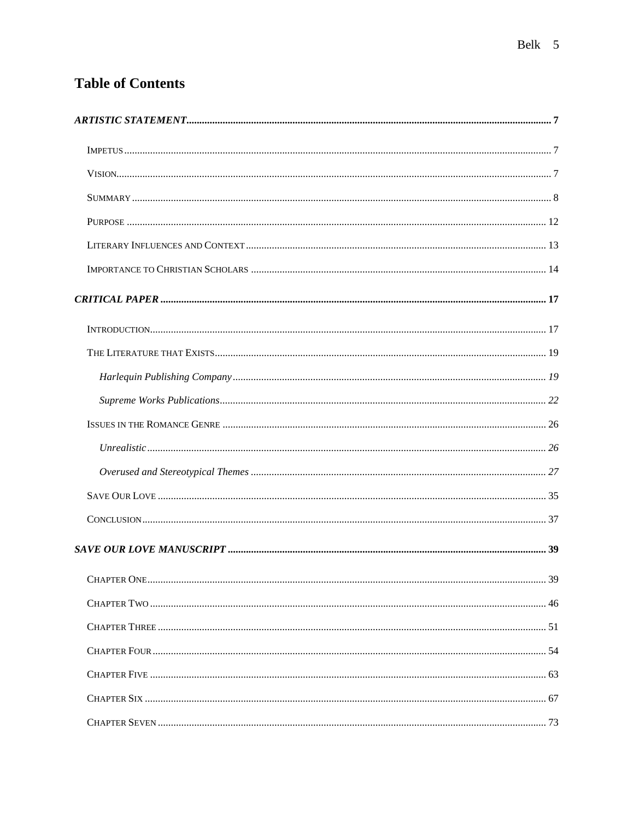# **Table of Contents**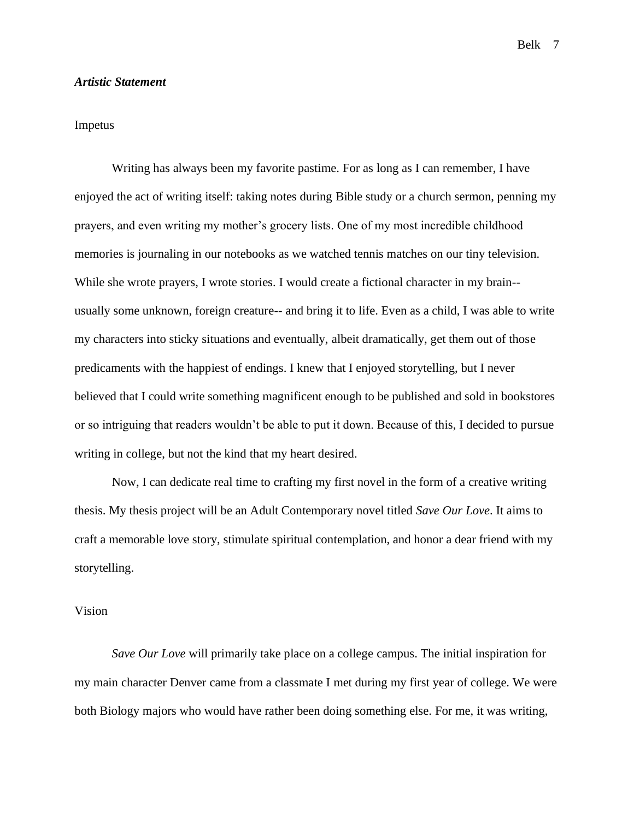#### <span id="page-6-0"></span>*Artistic Statement*

# <span id="page-6-1"></span>Impetus

Writing has always been my favorite pastime. For as long as I can remember, I have enjoyed the act of writing itself: taking notes during Bible study or a church sermon, penning my prayers, and even writing my mother's grocery lists. One of my most incredible childhood memories is journaling in our notebooks as we watched tennis matches on our tiny television. While she wrote prayers, I wrote stories. I would create a fictional character in my brain- usually some unknown, foreign creature-- and bring it to life. Even as a child, I was able to write my characters into sticky situations and eventually, albeit dramatically, get them out of those predicaments with the happiest of endings. I knew that I enjoyed storytelling, but I never believed that I could write something magnificent enough to be published and sold in bookstores or so intriguing that readers wouldn't be able to put it down. Because of this, I decided to pursue writing in college, but not the kind that my heart desired.

Now, I can dedicate real time to crafting my first novel in the form of a creative writing thesis. My thesis project will be an Adult Contemporary novel titled *Save Our Love*. It aims to craft a memorable love story, stimulate spiritual contemplation, and honor a dear friend with my storytelling.

# <span id="page-6-2"></span>Vision

*Save Our Love* will primarily take place on a college campus. The initial inspiration for my main character Denver came from a classmate I met during my first year of college. We were both Biology majors who would have rather been doing something else. For me, it was writing,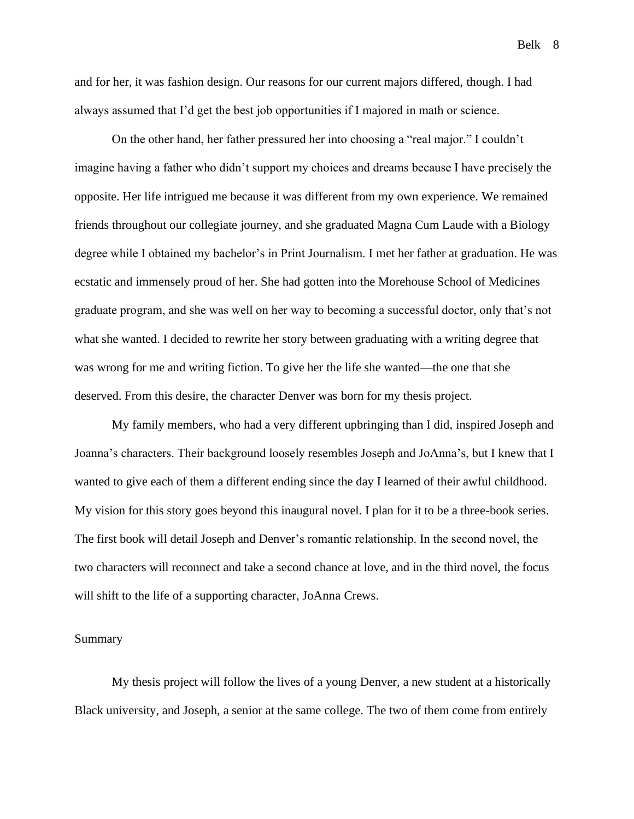and for her, it was fashion design. Our reasons for our current majors differed, though. I had always assumed that I'd get the best job opportunities if I majored in math or science.

On the other hand, her father pressured her into choosing a "real major." I couldn't imagine having a father who didn't support my choices and dreams because I have precisely the opposite. Her life intrigued me because it was different from my own experience. We remained friends throughout our collegiate journey, and she graduated Magna Cum Laude with a Biology degree while I obtained my bachelor's in Print Journalism. I met her father at graduation. He was ecstatic and immensely proud of her. She had gotten into the Morehouse School of Medicines graduate program, and she was well on her way to becoming a successful doctor, only that's not what she wanted. I decided to rewrite her story between graduating with a writing degree that was wrong for me and writing fiction. To give her the life she wanted—the one that she deserved. From this desire, the character Denver was born for my thesis project.

My family members, who had a very different upbringing than I did, inspired Joseph and Joanna's characters. Their background loosely resembles Joseph and JoAnna's, but I knew that I wanted to give each of them a different ending since the day I learned of their awful childhood. My vision for this story goes beyond this inaugural novel. I plan for it to be a three-book series. The first book will detail Joseph and Denver's romantic relationship. In the second novel, the two characters will reconnect and take a second chance at love, and in the third novel, the focus will shift to the life of a supporting character, JoAnna Crews.

# <span id="page-7-0"></span>Summary

My thesis project will follow the lives of a young Denver, a new student at a historically Black university, and Joseph, a senior at the same college. The two of them come from entirely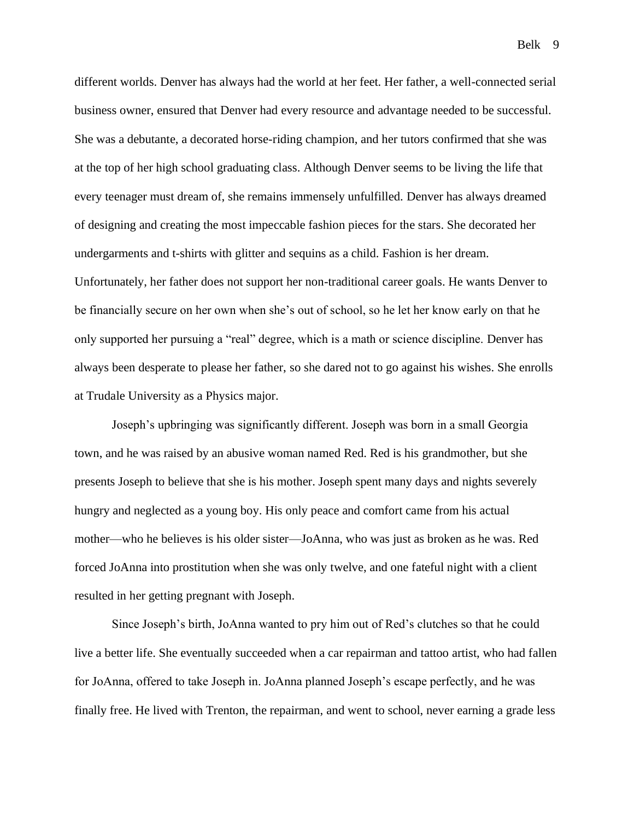different worlds. Denver has always had the world at her feet. Her father, a well-connected serial business owner, ensured that Denver had every resource and advantage needed to be successful. She was a debutante, a decorated horse-riding champion, and her tutors confirmed that she was at the top of her high school graduating class. Although Denver seems to be living the life that every teenager must dream of, she remains immensely unfulfilled. Denver has always dreamed of designing and creating the most impeccable fashion pieces for the stars. She decorated her undergarments and t-shirts with glitter and sequins as a child. Fashion is her dream. Unfortunately, her father does not support her non-traditional career goals. He wants Denver to be financially secure on her own when she's out of school, so he let her know early on that he only supported her pursuing a "real" degree, which is a math or science discipline. Denver has always been desperate to please her father, so she dared not to go against his wishes. She enrolls at Trudale University as a Physics major.

Joseph's upbringing was significantly different. Joseph was born in a small Georgia town, and he was raised by an abusive woman named Red. Red is his grandmother, but she presents Joseph to believe that she is his mother. Joseph spent many days and nights severely hungry and neglected as a young boy. His only peace and comfort came from his actual mother—who he believes is his older sister—JoAnna, who was just as broken as he was. Red forced JoAnna into prostitution when she was only twelve, and one fateful night with a client resulted in her getting pregnant with Joseph.

Since Joseph's birth, JoAnna wanted to pry him out of Red's clutches so that he could live a better life. She eventually succeeded when a car repairman and tattoo artist, who had fallen for JoAnna, offered to take Joseph in. JoAnna planned Joseph's escape perfectly, and he was finally free. He lived with Trenton, the repairman, and went to school, never earning a grade less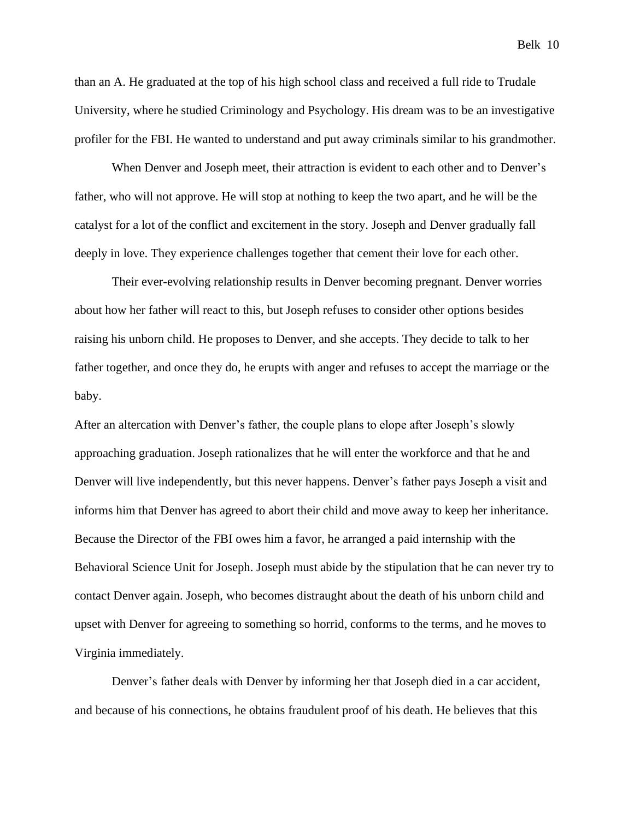than an A. He graduated at the top of his high school class and received a full ride to Trudale University, where he studied Criminology and Psychology. His dream was to be an investigative profiler for the FBI. He wanted to understand and put away criminals similar to his grandmother.

When Denver and Joseph meet, their attraction is evident to each other and to Denver's father, who will not approve. He will stop at nothing to keep the two apart, and he will be the catalyst for a lot of the conflict and excitement in the story. Joseph and Denver gradually fall deeply in love. They experience challenges together that cement their love for each other.

Their ever-evolving relationship results in Denver becoming pregnant. Denver worries about how her father will react to this, but Joseph refuses to consider other options besides raising his unborn child. He proposes to Denver, and she accepts. They decide to talk to her father together, and once they do, he erupts with anger and refuses to accept the marriage or the baby.

After an altercation with Denver's father, the couple plans to elope after Joseph's slowly approaching graduation. Joseph rationalizes that he will enter the workforce and that he and Denver will live independently, but this never happens. Denver's father pays Joseph a visit and informs him that Denver has agreed to abort their child and move away to keep her inheritance. Because the Director of the FBI owes him a favor, he arranged a paid internship with the Behavioral Science Unit for Joseph. Joseph must abide by the stipulation that he can never try to contact Denver again. Joseph, who becomes distraught about the death of his unborn child and upset with Denver for agreeing to something so horrid, conforms to the terms, and he moves to Virginia immediately.

Denver's father deals with Denver by informing her that Joseph died in a car accident, and because of his connections, he obtains fraudulent proof of his death. He believes that this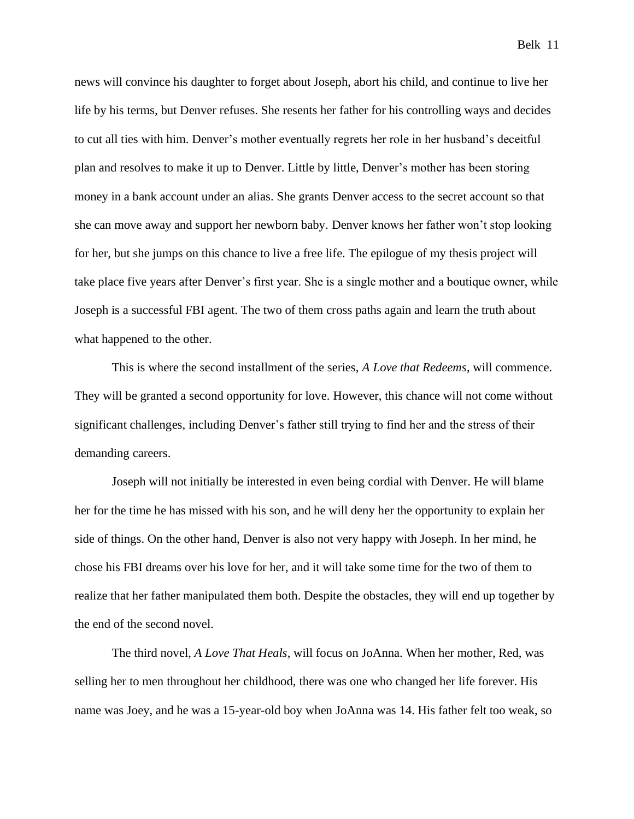news will convince his daughter to forget about Joseph, abort his child, and continue to live her life by his terms, but Denver refuses. She resents her father for his controlling ways and decides to cut all ties with him. Denver's mother eventually regrets her role in her husband's deceitful plan and resolves to make it up to Denver. Little by little, Denver's mother has been storing money in a bank account under an alias. She grants Denver access to the secret account so that she can move away and support her newborn baby. Denver knows her father won't stop looking for her, but she jumps on this chance to live a free life. The epilogue of my thesis project will take place five years after Denver's first year. She is a single mother and a boutique owner, while Joseph is a successful FBI agent. The two of them cross paths again and learn the truth about what happened to the other.

This is where the second installment of the series, *A Love that Redeems*, will commence. They will be granted a second opportunity for love. However, this chance will not come without significant challenges, including Denver's father still trying to find her and the stress of their demanding careers.

Joseph will not initially be interested in even being cordial with Denver. He will blame her for the time he has missed with his son, and he will deny her the opportunity to explain her side of things. On the other hand, Denver is also not very happy with Joseph. In her mind, he chose his FBI dreams over his love for her, and it will take some time for the two of them to realize that her father manipulated them both. Despite the obstacles, they will end up together by the end of the second novel.

The third novel, *A Love That Heals*, will focus on JoAnna. When her mother, Red, was selling her to men throughout her childhood, there was one who changed her life forever. His name was Joey, and he was a 15-year-old boy when JoAnna was 14. His father felt too weak, so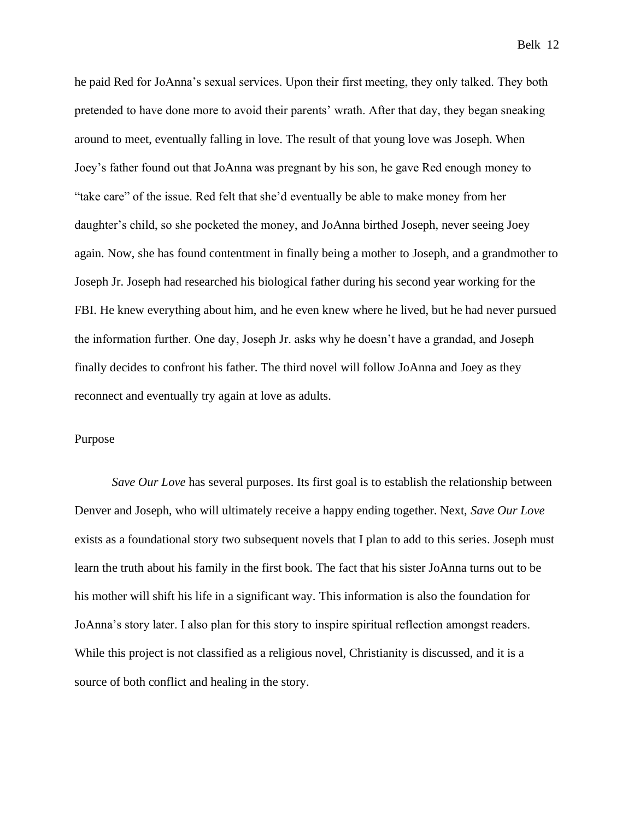he paid Red for JoAnna's sexual services. Upon their first meeting, they only talked. They both pretended to have done more to avoid their parents' wrath. After that day, they began sneaking around to meet, eventually falling in love. The result of that young love was Joseph. When Joey's father found out that JoAnna was pregnant by his son, he gave Red enough money to "take care" of the issue. Red felt that she'd eventually be able to make money from her daughter's child, so she pocketed the money, and JoAnna birthed Joseph, never seeing Joey again. Now, she has found contentment in finally being a mother to Joseph, and a grandmother to Joseph Jr. Joseph had researched his biological father during his second year working for the FBI. He knew everything about him, and he even knew where he lived, but he had never pursued the information further. One day, Joseph Jr. asks why he doesn't have a grandad, and Joseph finally decides to confront his father. The third novel will follow JoAnna and Joey as they reconnect and eventually try again at love as adults.

#### <span id="page-11-0"></span>Purpose

*Save Our Love* has several purposes. Its first goal is to establish the relationship between Denver and Joseph, who will ultimately receive a happy ending together. Next, *Save Our Love* exists as a foundational story two subsequent novels that I plan to add to this series. Joseph must learn the truth about his family in the first book. The fact that his sister JoAnna turns out to be his mother will shift his life in a significant way. This information is also the foundation for JoAnna's story later. I also plan for this story to inspire spiritual reflection amongst readers. While this project is not classified as a religious novel, Christianity is discussed, and it is a source of both conflict and healing in the story.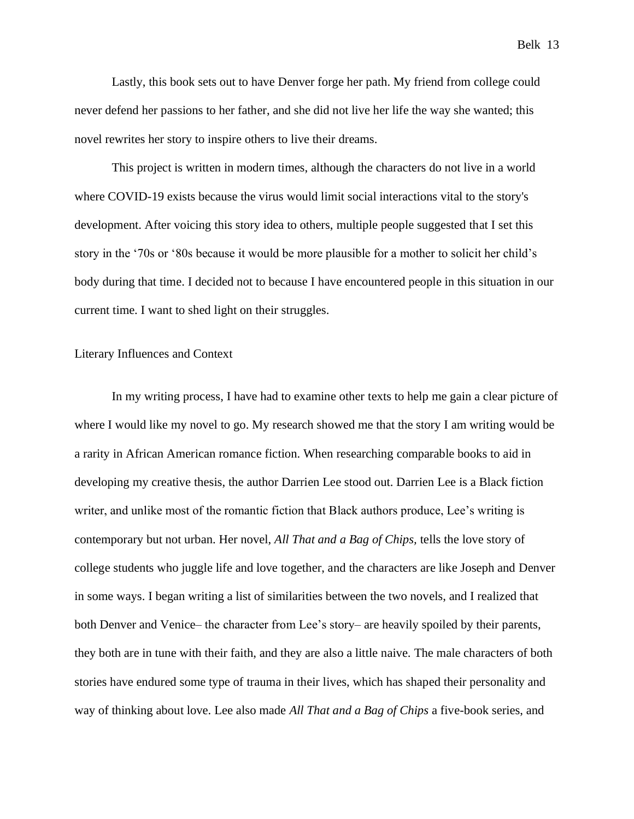Lastly, this book sets out to have Denver forge her path. My friend from college could never defend her passions to her father, and she did not live her life the way she wanted; this novel rewrites her story to inspire others to live their dreams.

This project is written in modern times, although the characters do not live in a world where COVID-19 exists because the virus would limit social interactions vital to the story's development. After voicing this story idea to others, multiple people suggested that I set this story in the '70s or '80s because it would be more plausible for a mother to solicit her child's body during that time. I decided not to because I have encountered people in this situation in our current time. I want to shed light on their struggles.

#### <span id="page-12-0"></span>Literary Influences and Context

In my writing process, I have had to examine other texts to help me gain a clear picture of where I would like my novel to go. My research showed me that the story I am writing would be a rarity in African American romance fiction. When researching comparable books to aid in developing my creative thesis, the author Darrien Lee stood out. Darrien Lee is a Black fiction writer, and unlike most of the romantic fiction that Black authors produce, Lee's writing is contemporary but not urban. Her novel, *All That and a Bag of Chips,* tells the love story of college students who juggle life and love together, and the characters are like Joseph and Denver in some ways. I began writing a list of similarities between the two novels, and I realized that both Denver and Venice– the character from Lee's story– are heavily spoiled by their parents, they both are in tune with their faith, and they are also a little naive. The male characters of both stories have endured some type of trauma in their lives, which has shaped their personality and way of thinking about love. Lee also made *All That and a Bag of Chips* a five-book series, and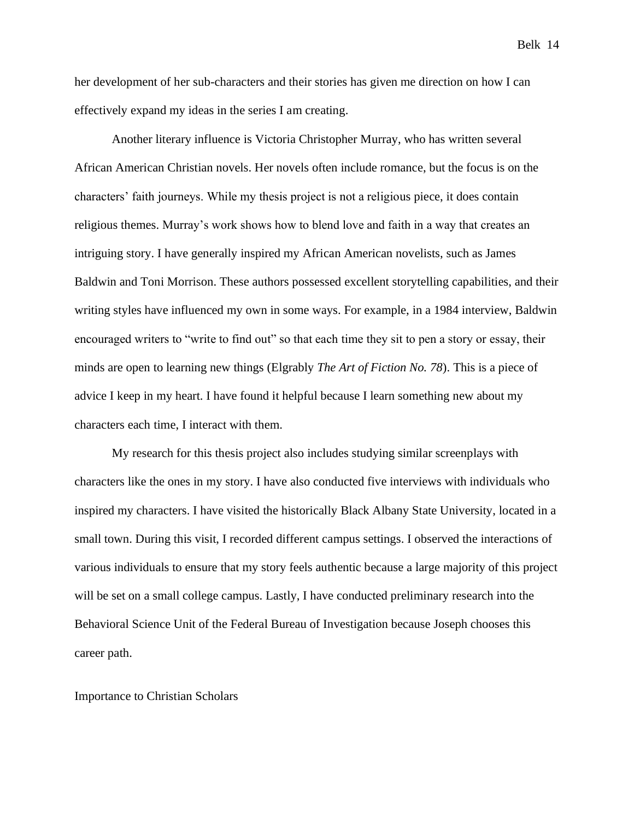her development of her sub-characters and their stories has given me direction on how I can effectively expand my ideas in the series I am creating.

Another literary influence is Victoria Christopher Murray, who has written several African American Christian novels. Her novels often include romance, but the focus is on the characters' faith journeys. While my thesis project is not a religious piece, it does contain religious themes. Murray's work shows how to blend love and faith in a way that creates an intriguing story. I have generally inspired my African American novelists, such as James Baldwin and Toni Morrison. These authors possessed excellent storytelling capabilities, and their writing styles have influenced my own in some ways. For example, in a 1984 interview, Baldwin encouraged writers to "write to find out" so that each time they sit to pen a story or essay, their minds are open to learning new things (Elgrably *The Art of Fiction No. 78*). This is a piece of advice I keep in my heart. I have found it helpful because I learn something new about my characters each time, I interact with them.

My research for this thesis project also includes studying similar screenplays with characters like the ones in my story. I have also conducted five interviews with individuals who inspired my characters. I have visited the historically Black Albany State University, located in a small town. During this visit, I recorded different campus settings. I observed the interactions of various individuals to ensure that my story feels authentic because a large majority of this project will be set on a small college campus. Lastly, I have conducted preliminary research into the Behavioral Science Unit of the Federal Bureau of Investigation because Joseph chooses this career path.

# <span id="page-13-0"></span>Importance to Christian Scholars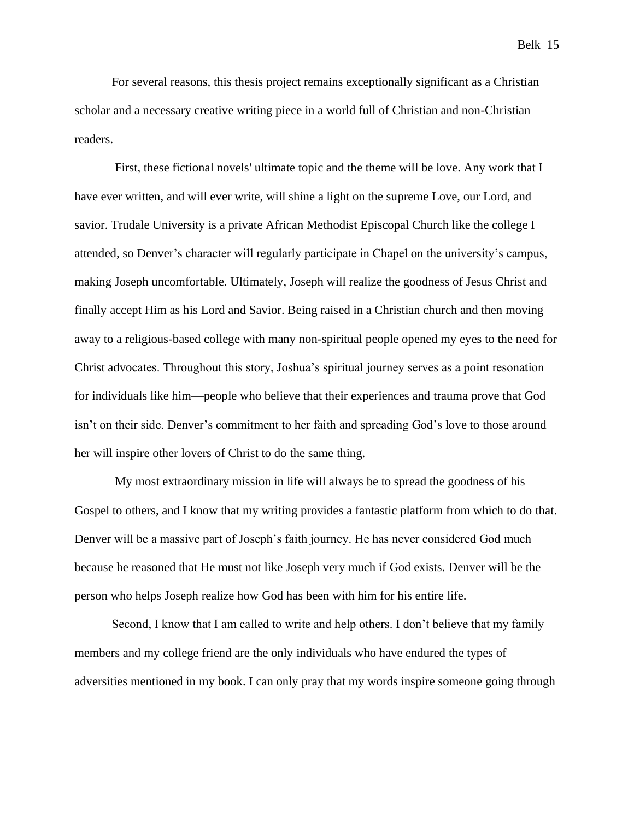For several reasons, this thesis project remains exceptionally significant as a Christian scholar and a necessary creative writing piece in a world full of Christian and non-Christian readers.

First, these fictional novels' ultimate topic and the theme will be love. Any work that I have ever written, and will ever write, will shine a light on the supreme Love, our Lord, and savior. Trudale University is a private African Methodist Episcopal Church like the college I attended, so Denver's character will regularly participate in Chapel on the university's campus, making Joseph uncomfortable. Ultimately, Joseph will realize the goodness of Jesus Christ and finally accept Him as his Lord and Savior. Being raised in a Christian church and then moving away to a religious-based college with many non-spiritual people opened my eyes to the need for Christ advocates. Throughout this story, Joshua's spiritual journey serves as a point resonation for individuals like him—people who believe that their experiences and trauma prove that God isn't on their side. Denver's commitment to her faith and spreading God's love to those around her will inspire other lovers of Christ to do the same thing.

My most extraordinary mission in life will always be to spread the goodness of his Gospel to others, and I know that my writing provides a fantastic platform from which to do that. Denver will be a massive part of Joseph's faith journey. He has never considered God much because he reasoned that He must not like Joseph very much if God exists. Denver will be the person who helps Joseph realize how God has been with him for his entire life.

Second, I know that I am called to write and help others. I don't believe that my family members and my college friend are the only individuals who have endured the types of adversities mentioned in my book. I can only pray that my words inspire someone going through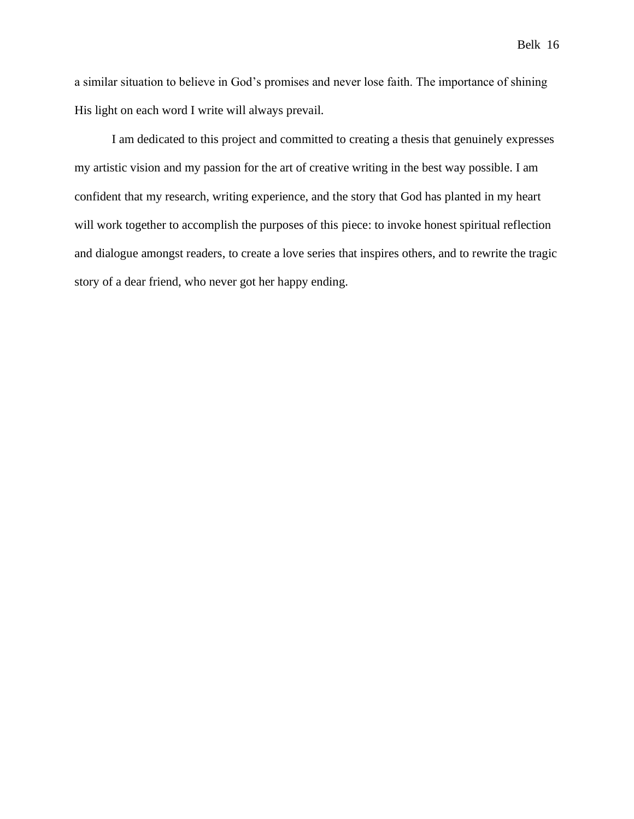a similar situation to believe in God's promises and never lose faith. The importance of shining His light on each word I write will always prevail.

I am dedicated to this project and committed to creating a thesis that genuinely expresses my artistic vision and my passion for the art of creative writing in the best way possible. I am confident that my research, writing experience, and the story that God has planted in my heart will work together to accomplish the purposes of this piece: to invoke honest spiritual reflection and dialogue amongst readers, to create a love series that inspires others, and to rewrite the tragic story of a dear friend, who never got her happy ending.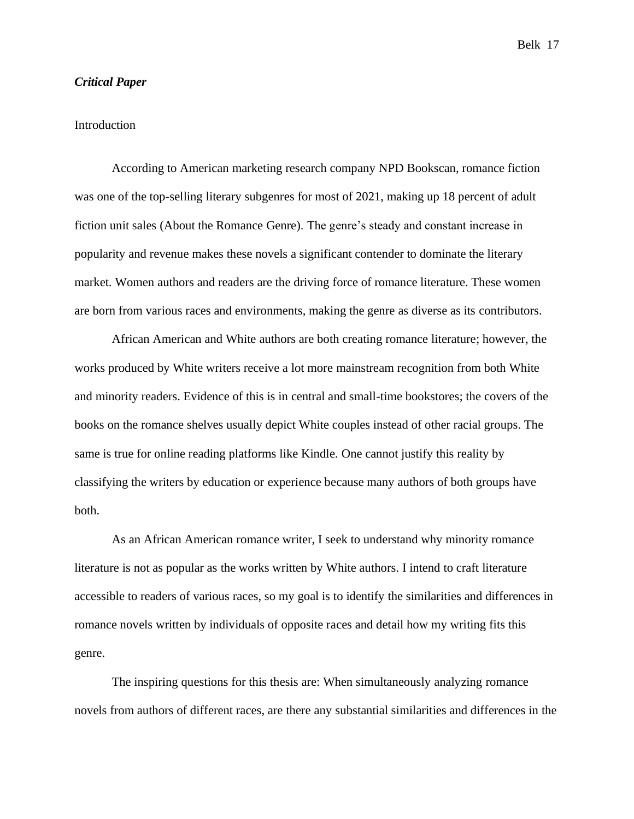# <span id="page-16-0"></span>*Critical Paper*

# <span id="page-16-1"></span>Introduction

According to American marketing research company NPD Bookscan, romance fiction was one of the top-selling literary subgenres for most of 2021, making up 18 percent of adult fiction unit sales (About the Romance Genre). The genre's steady and constant increase in popularity and revenue makes these novels a significant contender to dominate the literary market. Women authors and readers are the driving force of romance literature. These women are born from various races and environments, making the genre as diverse as its contributors.

African American and White authors are both creating romance literature; however, the works produced by White writers receive a lot more mainstream recognition from both White and minority readers. Evidence of this is in central and small-time bookstores; the covers of the books on the romance shelves usually depict White couples instead of other racial groups. The same is true for online reading platforms like Kindle. One cannot justify this reality by classifying the writers by education or experience because many authors of both groups have both.

As an African American romance writer, I seek to understand why minority romance literature is not as popular as the works written by White authors. I intend to craft literature accessible to readers of various races, so my goal is to identify the similarities and differences in romance novels written by individuals of opposite races and detail how my writing fits this genre.

The inspiring questions for this thesis are: When simultaneously analyzing romance novels from authors of different races, are there any substantial similarities and differences in the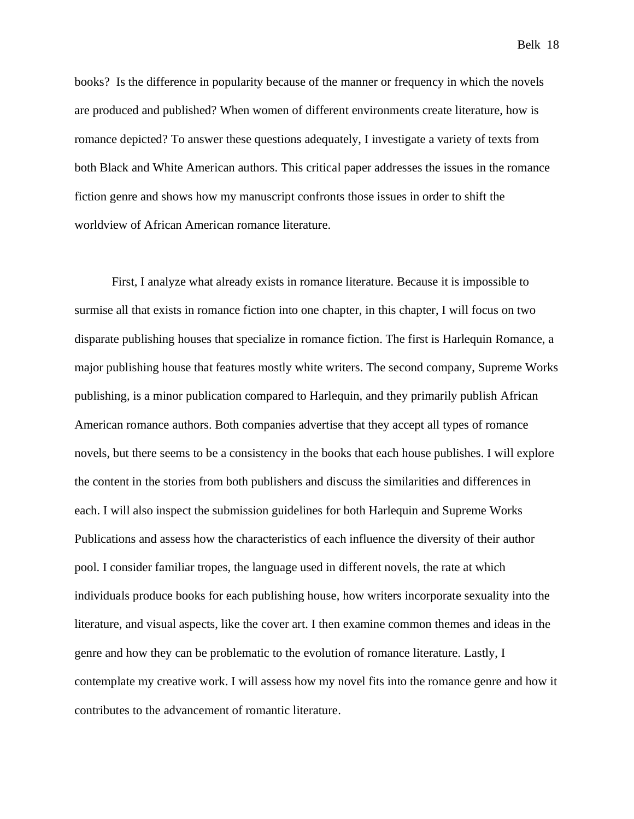books? Is the difference in popularity because of the manner or frequency in which the novels are produced and published? When women of different environments create literature, how is romance depicted? To answer these questions adequately, I investigate a variety of texts from both Black and White American authors. This critical paper addresses the issues in the romance fiction genre and shows how my manuscript confronts those issues in order to shift the worldview of African American romance literature.

First, I analyze what already exists in romance literature. Because it is impossible to surmise all that exists in romance fiction into one chapter, in this chapter, I will focus on two disparate publishing houses that specialize in romance fiction. The first is Harlequin Romance, a major publishing house that features mostly white writers. The second company, Supreme Works publishing, is a minor publication compared to Harlequin, and they primarily publish African American romance authors. Both companies advertise that they accept all types of romance novels, but there seems to be a consistency in the books that each house publishes. I will explore the content in the stories from both publishers and discuss the similarities and differences in each. I will also inspect the submission guidelines for both Harlequin and Supreme Works Publications and assess how the characteristics of each influence the diversity of their author pool. I consider familiar tropes, the language used in different novels, the rate at which individuals produce books for each publishing house, how writers incorporate sexuality into the literature, and visual aspects, like the cover art. I then examine common themes and ideas in the genre and how they can be problematic to the evolution of romance literature. Lastly, I contemplate my creative work. I will assess how my novel fits into the romance genre and how it contributes to the advancement of romantic literature.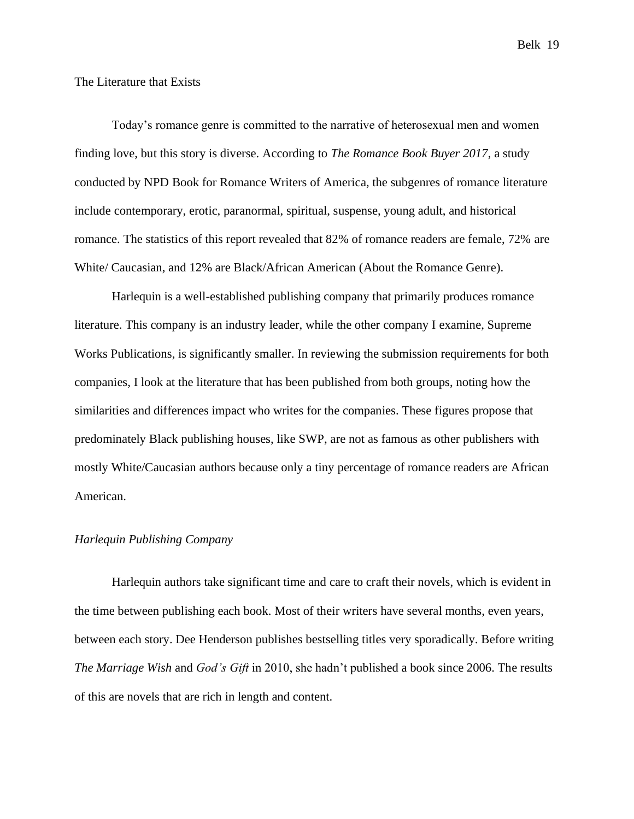### <span id="page-18-0"></span>The Literature that Exists

Today's romance genre is committed to the narrative of heterosexual men and women finding love, but this story is diverse. According to *The Romance Book Buyer 2017*, a study conducted by NPD Book for Romance Writers of America, the subgenres of romance literature include contemporary, erotic, paranormal, spiritual, suspense, young adult, and historical romance. The statistics of this report revealed that 82% of romance readers are female, 72% are White/ Caucasian, and 12% are Black/African American (About the Romance Genre).

Harlequin is a well-established publishing company that primarily produces romance literature. This company is an industry leader, while the other company I examine, Supreme Works Publications, is significantly smaller. In reviewing the submission requirements for both companies, I look at the literature that has been published from both groups, noting how the similarities and differences impact who writes for the companies. These figures propose that predominately Black publishing houses, like SWP, are not as famous as other publishers with mostly White/Caucasian authors because only a tiny percentage of romance readers are African American.

# <span id="page-18-1"></span>*Harlequin Publishing Company*

Harlequin authors take significant time and care to craft their novels, which is evident in the time between publishing each book. Most of their writers have several months, even years, between each story. Dee Henderson publishes bestselling titles very sporadically. Before writing *The Marriage Wish* and *God's Gift* in 2010, she hadn't published a book since 2006. The results of this are novels that are rich in length and content.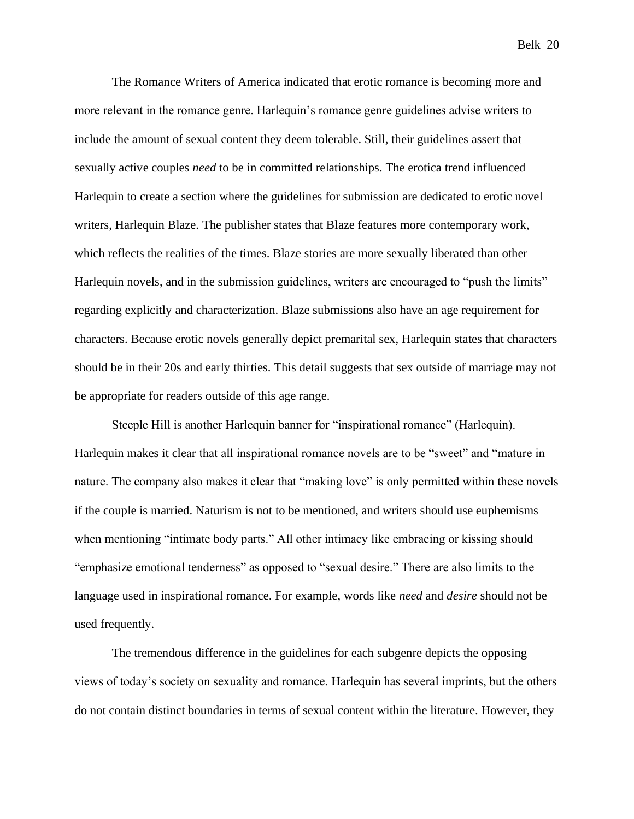The Romance Writers of America indicated that erotic romance is becoming more and more relevant in the romance genre. Harlequin's romance genre guidelines advise writers to include the amount of sexual content they deem tolerable. Still, their guidelines assert that sexually active couples *need* to be in committed relationships. The erotica trend influenced Harlequin to create a section where the guidelines for submission are dedicated to erotic novel writers, Harlequin Blaze. The publisher states that Blaze features more contemporary work, which reflects the realities of the times. Blaze stories are more sexually liberated than other Harlequin novels, and in the submission guidelines, writers are encouraged to "push the limits" regarding explicitly and characterization. Blaze submissions also have an age requirement for characters. Because erotic novels generally depict premarital sex, Harlequin states that characters should be in their 20s and early thirties. This detail suggests that sex outside of marriage may not

be appropriate for readers outside of this age range.

Steeple Hill is another Harlequin banner for "inspirational romance" (Harlequin). Harlequin makes it clear that all inspirational romance novels are to be "sweet" and "mature in nature. The company also makes it clear that "making love" is only permitted within these novels if the couple is married. Naturism is not to be mentioned, and writers should use euphemisms when mentioning "intimate body parts." All other intimacy like embracing or kissing should "emphasize emotional tenderness" as opposed to "sexual desire." There are also limits to the language used in inspirational romance. For example, words like *need* and *desire* should not be used frequently.

The tremendous difference in the guidelines for each subgenre depicts the opposing views of today's society on sexuality and romance. Harlequin has several imprints, but the others do not contain distinct boundaries in terms of sexual content within the literature. However, they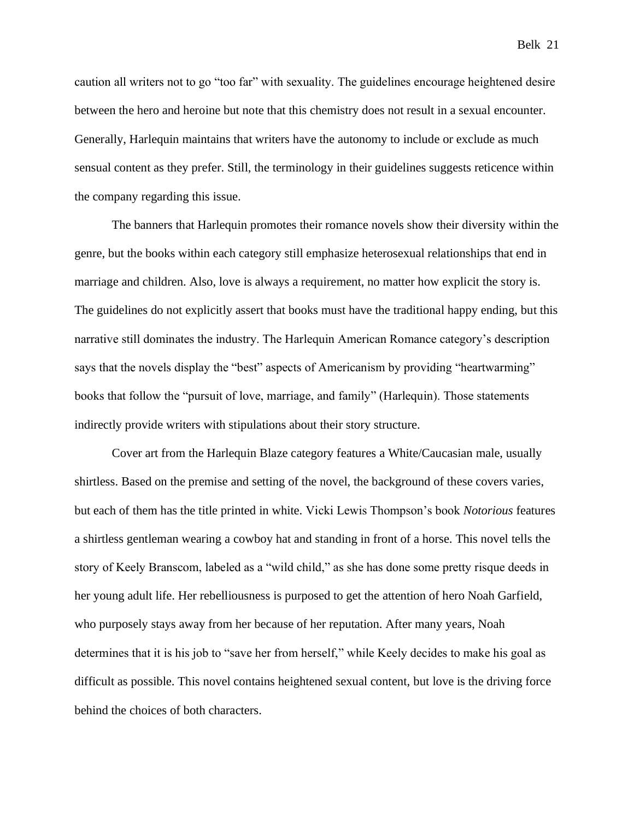caution all writers not to go "too far" with sexuality. The guidelines encourage heightened desire between the hero and heroine but note that this chemistry does not result in a sexual encounter. Generally, Harlequin maintains that writers have the autonomy to include or exclude as much sensual content as they prefer. Still, the terminology in their guidelines suggests reticence within the company regarding this issue.

The banners that Harlequin promotes their romance novels show their diversity within the genre, but the books within each category still emphasize heterosexual relationships that end in marriage and children. Also, love is always a requirement, no matter how explicit the story is. The guidelines do not explicitly assert that books must have the traditional happy ending, but this narrative still dominates the industry. The Harlequin American Romance category's description says that the novels display the "best" aspects of Americanism by providing "heartwarming" books that follow the "pursuit of love, marriage, and family" (Harlequin). Those statements indirectly provide writers with stipulations about their story structure.

Cover art from the Harlequin Blaze category features a White/Caucasian male, usually shirtless. Based on the premise and setting of the novel, the background of these covers varies, but each of them has the title printed in white. Vicki Lewis Thompson's book *Notorious* features a shirtless gentleman wearing a cowboy hat and standing in front of a horse. This novel tells the story of Keely Branscom, labeled as a "wild child," as she has done some pretty risque deeds in her young adult life. Her rebelliousness is purposed to get the attention of hero Noah Garfield, who purposely stays away from her because of her reputation. After many years, Noah determines that it is his job to "save her from herself," while Keely decides to make his goal as difficult as possible. This novel contains heightened sexual content, but love is the driving force behind the choices of both characters.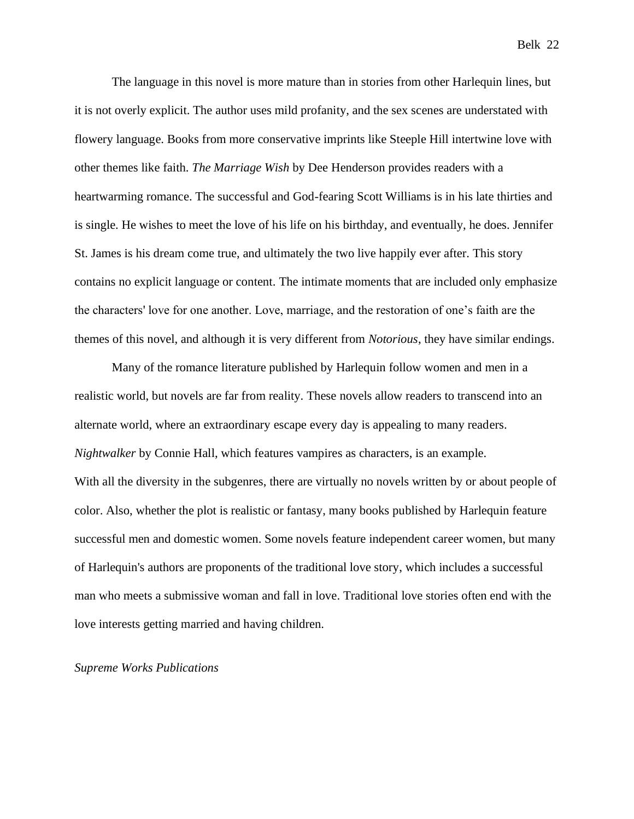The language in this novel is more mature than in stories from other Harlequin lines, but it is not overly explicit. The author uses mild profanity, and the sex scenes are understated with flowery language. Books from more conservative imprints like Steeple Hill intertwine love with other themes like faith. *The Marriage Wish* by Dee Henderson provides readers with a heartwarming romance. The successful and God-fearing Scott Williams is in his late thirties and

St. James is his dream come true, and ultimately the two live happily ever after. This story contains no explicit language or content. The intimate moments that are included only emphasize the characters' love for one another. Love, marriage, and the restoration of one's faith are the themes of this novel, and although it is very different from *Notorious*, they have similar endings.

is single. He wishes to meet the love of his life on his birthday, and eventually, he does. Jennifer

Many of the romance literature published by Harlequin follow women and men in a realistic world, but novels are far from reality. These novels allow readers to transcend into an alternate world, where an extraordinary escape every day is appealing to many readers. *Nightwalker* by Connie Hall, which features vampires as characters, is an example. With all the diversity in the subgenres, there are virtually no novels written by or about people of color. Also, whether the plot is realistic or fantasy, many books published by Harlequin feature successful men and domestic women. Some novels feature independent career women, but many of Harlequin's authors are proponents of the traditional love story, which includes a successful man who meets a submissive woman and fall in love. Traditional love stories often end with the love interests getting married and having children.

# <span id="page-21-0"></span>*Supreme Works Publications*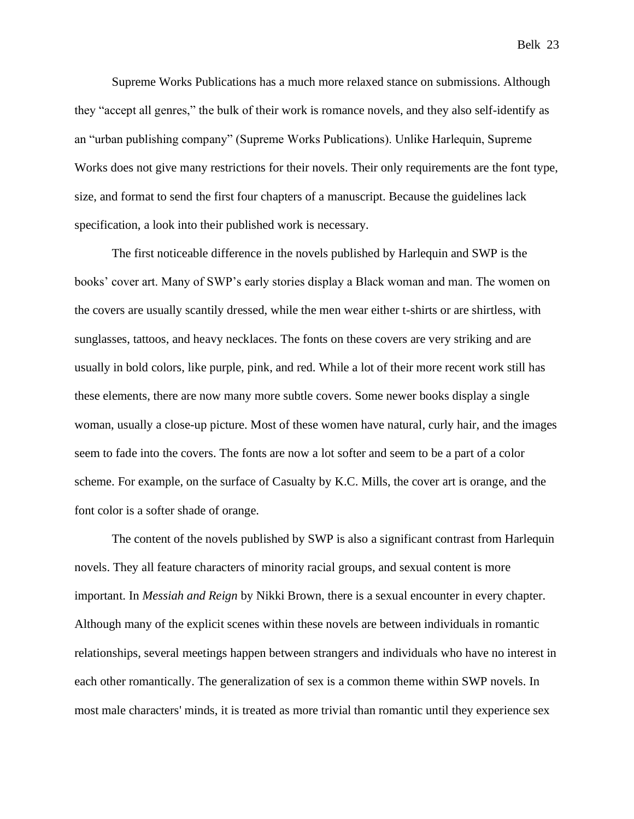Supreme Works Publications has a much more relaxed stance on submissions. Although they "accept all genres," the bulk of their work is romance novels, and they also self-identify as an "urban publishing company" (Supreme Works Publications). Unlike Harlequin, Supreme Works does not give many restrictions for their novels. Their only requirements are the font type, size, and format to send the first four chapters of a manuscript. Because the guidelines lack specification, a look into their published work is necessary.

The first noticeable difference in the novels published by Harlequin and SWP is the books' cover art. Many of SWP's early stories display a Black woman and man. The women on the covers are usually scantily dressed, while the men wear either t-shirts or are shirtless, with sunglasses, tattoos, and heavy necklaces. The fonts on these covers are very striking and are usually in bold colors, like purple, pink, and red. While a lot of their more recent work still has these elements, there are now many more subtle covers. Some newer books display a single woman, usually a close-up picture. Most of these women have natural, curly hair, and the images seem to fade into the covers. The fonts are now a lot softer and seem to be a part of a color scheme. For example, on the surface of Casualty by K.C. Mills, the cover art is orange, and the font color is a softer shade of orange.

The content of the novels published by SWP is also a significant contrast from Harlequin novels. They all feature characters of minority racial groups, and sexual content is more important. In *Messiah and Reign* by Nikki Brown, there is a sexual encounter in every chapter. Although many of the explicit scenes within these novels are between individuals in romantic relationships, several meetings happen between strangers and individuals who have no interest in each other romantically. The generalization of sex is a common theme within SWP novels. In most male characters' minds, it is treated as more trivial than romantic until they experience sex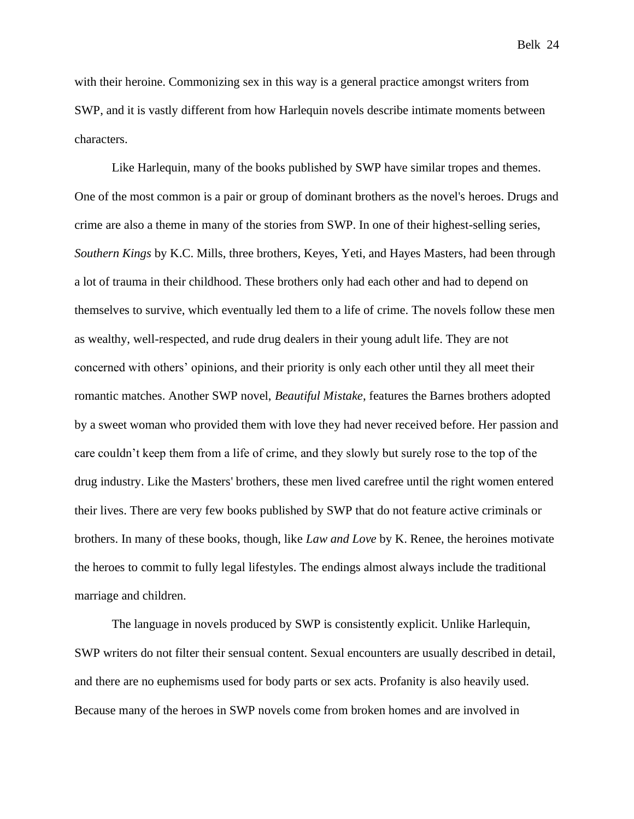with their heroine. Commonizing sex in this way is a general practice amongst writers from SWP, and it is vastly different from how Harlequin novels describe intimate moments between characters.

Like Harlequin, many of the books published by SWP have similar tropes and themes. One of the most common is a pair or group of dominant brothers as the novel's heroes. Drugs and crime are also a theme in many of the stories from SWP. In one of their highest-selling series, *Southern Kings* by K.C. Mills, three brothers, Keyes, Yeti, and Hayes Masters, had been through a lot of trauma in their childhood. These brothers only had each other and had to depend on themselves to survive, which eventually led them to a life of crime. The novels follow these men as wealthy, well-respected, and rude drug dealers in their young adult life. They are not concerned with others' opinions, and their priority is only each other until they all meet their romantic matches. Another SWP novel, *Beautiful Mistake*, features the Barnes brothers adopted by a sweet woman who provided them with love they had never received before. Her passion and care couldn't keep them from a life of crime, and they slowly but surely rose to the top of the drug industry. Like the Masters' brothers, these men lived carefree until the right women entered their lives. There are very few books published by SWP that do not feature active criminals or brothers. In many of these books, though, like *Law and Love* by K. Renee, the heroines motivate the heroes to commit to fully legal lifestyles. The endings almost always include the traditional marriage and children.

The language in novels produced by SWP is consistently explicit. Unlike Harlequin, SWP writers do not filter their sensual content. Sexual encounters are usually described in detail, and there are no euphemisms used for body parts or sex acts. Profanity is also heavily used. Because many of the heroes in SWP novels come from broken homes and are involved in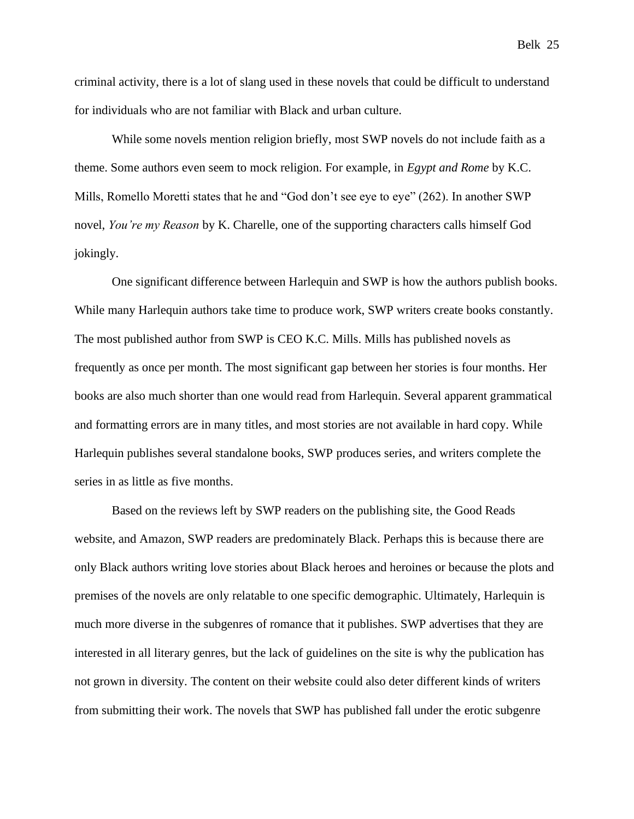criminal activity, there is a lot of slang used in these novels that could be difficult to understand for individuals who are not familiar with Black and urban culture.

While some novels mention religion briefly, most SWP novels do not include faith as a theme. Some authors even seem to mock religion. For example, in *Egypt and Rome* by K.C. Mills, Romello Moretti states that he and "God don't see eye to eye" (262). In another SWP novel, *You're my Reason* by K. Charelle, one of the supporting characters calls himself God jokingly.

One significant difference between Harlequin and SWP is how the authors publish books. While many Harlequin authors take time to produce work, SWP writers create books constantly. The most published author from SWP is CEO K.C. Mills. Mills has published novels as frequently as once per month. The most significant gap between her stories is four months. Her books are also much shorter than one would read from Harlequin. Several apparent grammatical and formatting errors are in many titles, and most stories are not available in hard copy. While Harlequin publishes several standalone books, SWP produces series, and writers complete the series in as little as five months.

Based on the reviews left by SWP readers on the publishing site, the Good Reads website, and Amazon, SWP readers are predominately Black. Perhaps this is because there are only Black authors writing love stories about Black heroes and heroines or because the plots and premises of the novels are only relatable to one specific demographic. Ultimately, Harlequin is much more diverse in the subgenres of romance that it publishes. SWP advertises that they are interested in all literary genres, but the lack of guidelines on the site is why the publication has not grown in diversity. The content on their website could also deter different kinds of writers from submitting their work. The novels that SWP has published fall under the erotic subgenre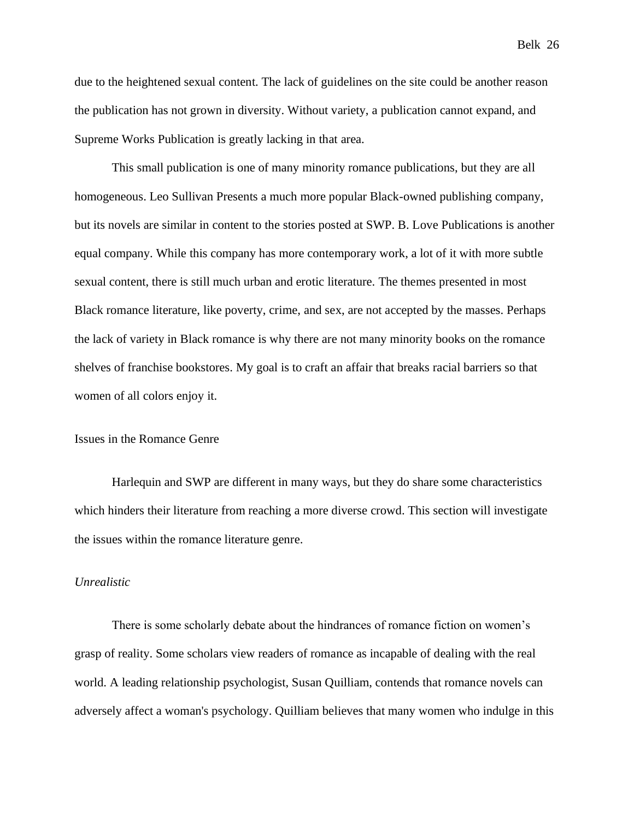due to the heightened sexual content. The lack of guidelines on the site could be another reason the publication has not grown in diversity. Without variety, a publication cannot expand, and Supreme Works Publication is greatly lacking in that area.

This small publication is one of many minority romance publications, but they are all homogeneous. Leo Sullivan Presents a much more popular Black-owned publishing company, but its novels are similar in content to the stories posted at SWP. B. Love Publications is another equal company. While this company has more contemporary work, a lot of it with more subtle sexual content, there is still much urban and erotic literature. The themes presented in most Black romance literature, like poverty, crime, and sex, are not accepted by the masses. Perhaps the lack of variety in Black romance is why there are not many minority books on the romance shelves of franchise bookstores. My goal is to craft an affair that breaks racial barriers so that women of all colors enjoy it.

# <span id="page-25-0"></span>Issues in the Romance Genre

Harlequin and SWP are different in many ways, but they do share some characteristics which hinders their literature from reaching a more diverse crowd. This section will investigate the issues within the romance literature genre.

#### <span id="page-25-1"></span>*Unrealistic*

There is some scholarly debate about the hindrances of romance fiction on women's grasp of reality. Some scholars view readers of romance as incapable of dealing with the real world. A leading relationship psychologist, Susan Quilliam, contends that romance novels can adversely affect a woman's psychology. Quilliam believes that many women who indulge in this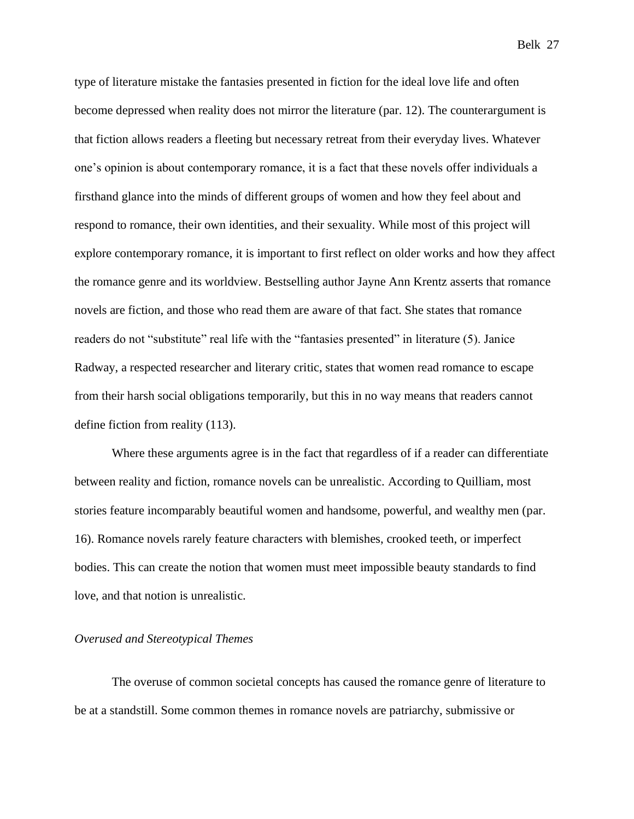type of literature mistake the fantasies presented in fiction for the ideal love life and often become depressed when reality does not mirror the literature (par. 12). The counterargument is that fiction allows readers a fleeting but necessary retreat from their everyday lives. Whatever one's opinion is about contemporary romance, it is a fact that these novels offer individuals a firsthand glance into the minds of different groups of women and how they feel about and respond to romance, their own identities, and their sexuality. While most of this project will explore contemporary romance, it is important to first reflect on older works and how they affect the romance genre and its worldview. Bestselling author Jayne Ann Krentz asserts that romance novels are fiction, and those who read them are aware of that fact. She states that romance readers do not "substitute" real life with the "fantasies presented" in literature (5). Janice Radway, a respected researcher and literary critic, states that women read romance to escape from their harsh social obligations temporarily, but this in no way means that readers cannot define fiction from reality (113).

Where these arguments agree is in the fact that regardless of if a reader can differentiate between reality and fiction, romance novels can be unrealistic. According to Quilliam, most stories feature incomparably beautiful women and handsome, powerful, and wealthy men (par. 16). Romance novels rarely feature characters with blemishes, crooked teeth, or imperfect bodies. This can create the notion that women must meet impossible beauty standards to find love, and that notion is unrealistic.

# <span id="page-26-0"></span>*Overused and Stereotypical Themes*

The overuse of common societal concepts has caused the romance genre of literature to be at a standstill. Some common themes in romance novels are patriarchy, submissive or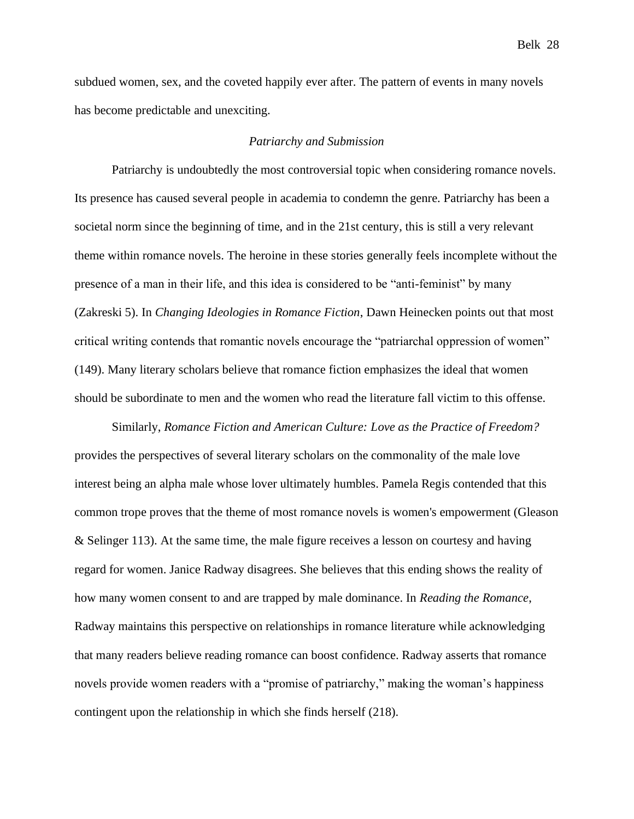subdued women, sex, and the coveted happily ever after. The pattern of events in many novels

has become predictable and unexciting.

# *Patriarchy and Submission*

Patriarchy is undoubtedly the most controversial topic when considering romance novels. Its presence has caused several people in academia to condemn the genre. Patriarchy has been a societal norm since the beginning of time, and in the 21st century, this is still a very relevant theme within romance novels. The heroine in these stories generally feels incomplete without the presence of a man in their life, and this idea is considered to be "anti-feminist" by many (Zakreski 5). In *Changing Ideologies in Romance Fiction*, Dawn Heinecken points out that most critical writing contends that romantic novels encourage the "patriarchal oppression of women" (149). Many literary scholars believe that romance fiction emphasizes the ideal that women should be subordinate to men and the women who read the literature fall victim to this offense.

Similarly, *Romance Fiction and American Culture: Love as the Practice of Freedom?* provides the perspectives of several literary scholars on the commonality of the male love interest being an alpha male whose lover ultimately humbles. Pamela Regis contended that this common trope proves that the theme of most romance novels is women's empowerment (Gleason & Selinger 113). At the same time, the male figure receives a lesson on courtesy and having regard for women. Janice Radway disagrees. She believes that this ending shows the reality of how many women consent to and are trapped by male dominance. In *Reading the Romance*, Radway maintains this perspective on relationships in romance literature while acknowledging that many readers believe reading romance can boost confidence. Radway asserts that romance novels provide women readers with a "promise of patriarchy," making the woman's happiness contingent upon the relationship in which she finds herself (218).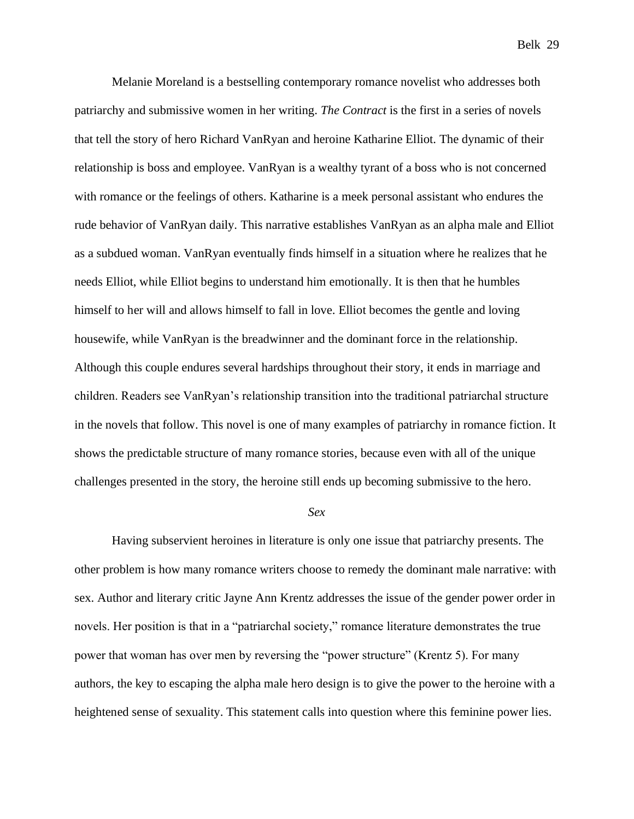Melanie Moreland is a bestselling contemporary romance novelist who addresses both patriarchy and submissive women in her writing. *The Contract* is the first in a series of novels that tell the story of hero Richard VanRyan and heroine Katharine Elliot. The dynamic of their relationship is boss and employee. VanRyan is a wealthy tyrant of a boss who is not concerned with romance or the feelings of others. Katharine is a meek personal assistant who endures the rude behavior of VanRyan daily. This narrative establishes VanRyan as an alpha male and Elliot as a subdued woman. VanRyan eventually finds himself in a situation where he realizes that he needs Elliot, while Elliot begins to understand him emotionally. It is then that he humbles himself to her will and allows himself to fall in love. Elliot becomes the gentle and loving housewife, while VanRyan is the breadwinner and the dominant force in the relationship. Although this couple endures several hardships throughout their story, it ends in marriage and children. Readers see VanRyan's relationship transition into the traditional patriarchal structure in the novels that follow. This novel is one of many examples of patriarchy in romance fiction. It shows the predictable structure of many romance stories, because even with all of the unique challenges presented in the story, the heroine still ends up becoming submissive to the hero.

#### *Sex*

Having subservient heroines in literature is only one issue that patriarchy presents. The other problem is how many romance writers choose to remedy the dominant male narrative: with sex. Author and literary critic Jayne Ann Krentz addresses the issue of the gender power order in novels. Her position is that in a "patriarchal society," romance literature demonstrates the true power that woman has over men by reversing the "power structure" (Krentz 5). For many authors, the key to escaping the alpha male hero design is to give the power to the heroine with a heightened sense of sexuality. This statement calls into question where this feminine power lies.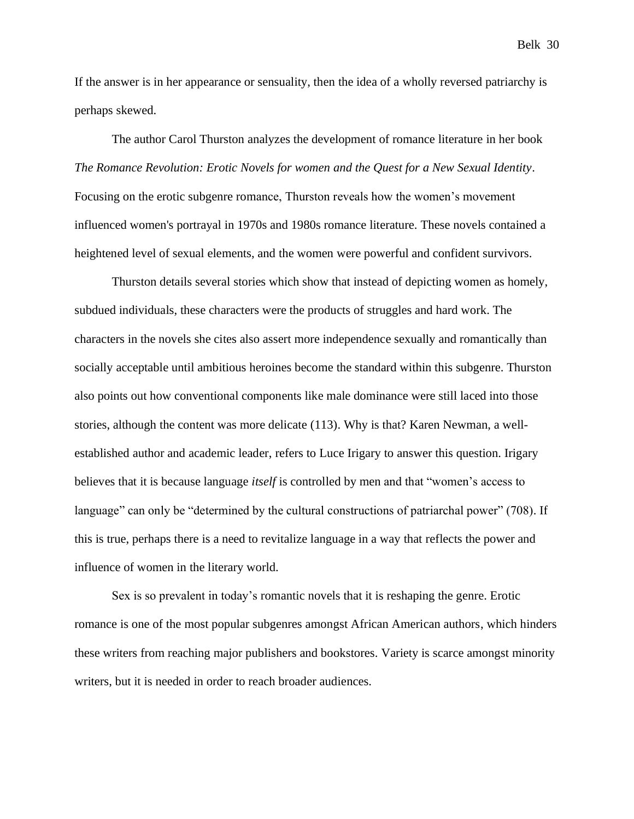If the answer is in her appearance or sensuality, then the idea of a wholly reversed patriarchy is perhaps skewed.

The author Carol Thurston analyzes the development of romance literature in her book *The Romance Revolution: Erotic Novels for women and the Quest for a New Sexual Identity*. Focusing on the erotic subgenre romance, Thurston reveals how the women's movement influenced women's portrayal in 1970s and 1980s romance literature. These novels contained a heightened level of sexual elements, and the women were powerful and confident survivors.

Thurston details several stories which show that instead of depicting women as homely, subdued individuals, these characters were the products of struggles and hard work. The characters in the novels she cites also assert more independence sexually and romantically than socially acceptable until ambitious heroines become the standard within this subgenre. Thurston also points out how conventional components like male dominance were still laced into those stories, although the content was more delicate (113). Why is that? Karen Newman, a wellestablished author and academic leader, refers to Luce Irigary to answer this question. Irigary believes that it is because language *itself* is controlled by men and that "women's access to language" can only be "determined by the cultural constructions of patriarchal power" (708). If this is true, perhaps there is a need to revitalize language in a way that reflects the power and influence of women in the literary world.

Sex is so prevalent in today's romantic novels that it is reshaping the genre. Erotic romance is one of the most popular subgenres amongst African American authors, which hinders these writers from reaching major publishers and bookstores. Variety is scarce amongst minority writers, but it is needed in order to reach broader audiences.

Belk 30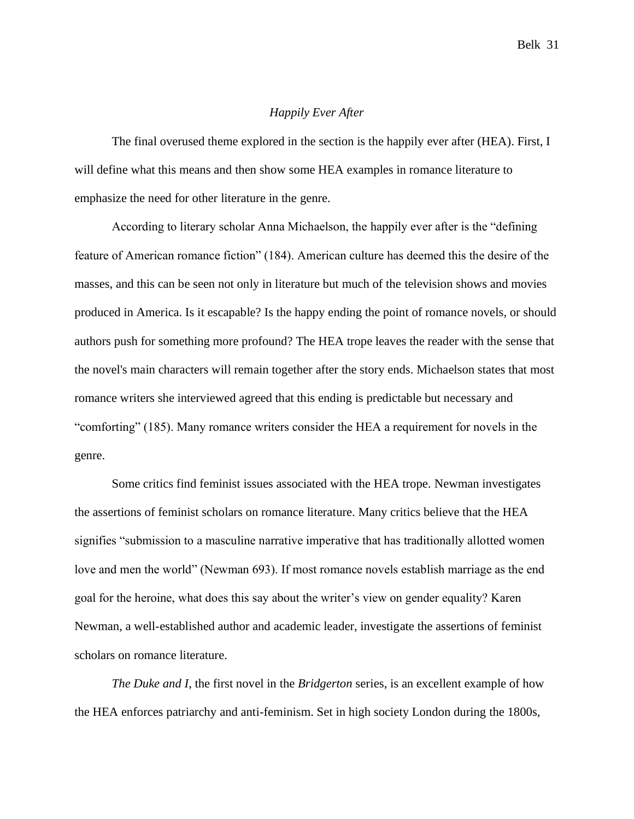# *Happily Ever After*

The final overused theme explored in the section is the happily ever after (HEA). First, I will define what this means and then show some HEA examples in romance literature to emphasize the need for other literature in the genre.

According to literary scholar Anna Michaelson, the happily ever after is the "defining feature of American romance fiction" (184). American culture has deemed this the desire of the masses, and this can be seen not only in literature but much of the television shows and movies produced in America. Is it escapable? Is the happy ending the point of romance novels, or should authors push for something more profound? The HEA trope leaves the reader with the sense that the novel's main characters will remain together after the story ends. Michaelson states that most romance writers she interviewed agreed that this ending is predictable but necessary and "comforting" (185). Many romance writers consider the HEA a requirement for novels in the genre.

Some critics find feminist issues associated with the HEA trope. Newman investigates the assertions of feminist scholars on romance literature. Many critics believe that the HEA signifies "submission to a masculine narrative imperative that has traditionally allotted women love and men the world" (Newman 693). If most romance novels establish marriage as the end goal for the heroine, what does this say about the writer's view on gender equality? Karen Newman, a well-established author and academic leader, investigate the assertions of feminist scholars on romance literature.

*The Duke and I*, the first novel in the *Bridgerton* series, is an excellent example of how the HEA enforces patriarchy and anti-feminism. Set in high society London during the 1800s,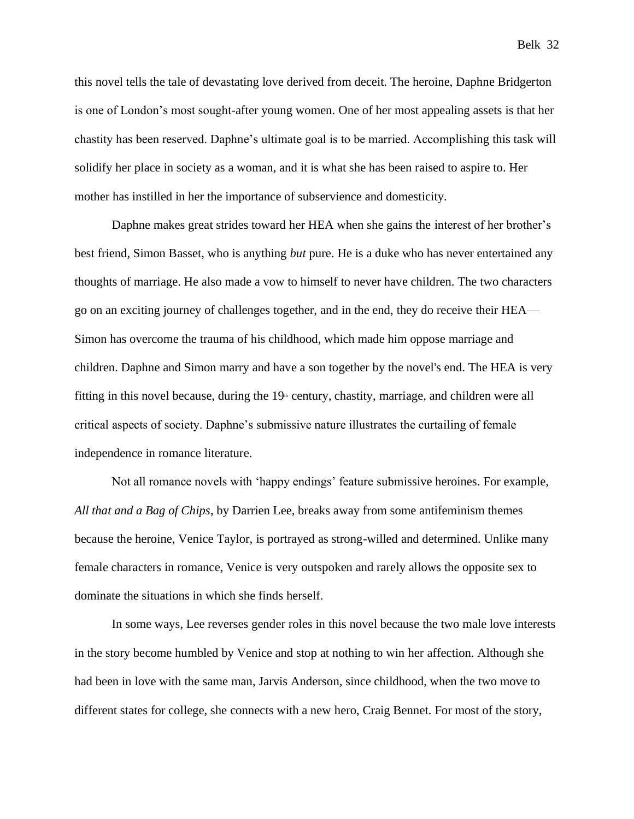this novel tells the tale of devastating love derived from deceit. The heroine, Daphne Bridgerton is one of London's most sought-after young women. One of her most appealing assets is that her chastity has been reserved. Daphne's ultimate goal is to be married. Accomplishing this task will solidify her place in society as a woman, and it is what she has been raised to aspire to. Her mother has instilled in her the importance of subservience and domesticity.

Daphne makes great strides toward her HEA when she gains the interest of her brother's best friend, Simon Basset, who is anything *but* pure. He is a duke who has never entertained any thoughts of marriage. He also made a vow to himself to never have children. The two characters go on an exciting journey of challenges together, and in the end, they do receive their HEA— Simon has overcome the trauma of his childhood, which made him oppose marriage and children. Daphne and Simon marry and have a son together by the novel's end. The HEA is very fitting in this novel because, during the  $19<sup>th</sup>$  century, chastity, marriage, and children were all critical aspects of society. Daphne's submissive nature illustrates the curtailing of female independence in romance literature.

Not all romance novels with 'happy endings' feature submissive heroines. For example, *All that and a Bag of Chips*, by Darrien Lee, breaks away from some antifeminism themes because the heroine, Venice Taylor, is portrayed as strong-willed and determined. Unlike many female characters in romance, Venice is very outspoken and rarely allows the opposite sex to dominate the situations in which she finds herself.

In some ways, Lee reverses gender roles in this novel because the two male love interests in the story become humbled by Venice and stop at nothing to win her affection. Although she had been in love with the same man, Jarvis Anderson, since childhood, when the two move to different states for college, she connects with a new hero, Craig Bennet. For most of the story,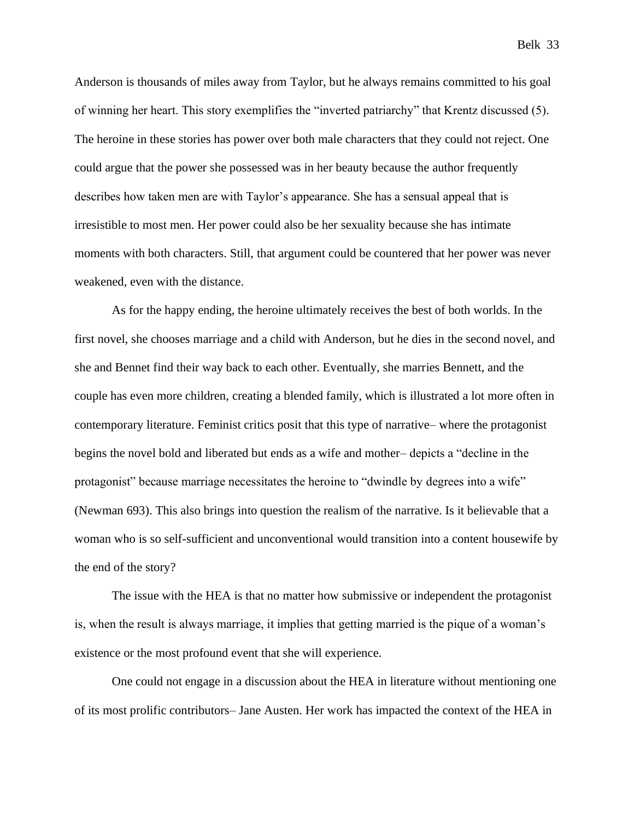Anderson is thousands of miles away from Taylor, but he always remains committed to his goal of winning her heart. This story exemplifies the "inverted patriarchy" that Krentz discussed (5). The heroine in these stories has power over both male characters that they could not reject. One could argue that the power she possessed was in her beauty because the author frequently describes how taken men are with Taylor's appearance. She has a sensual appeal that is irresistible to most men. Her power could also be her sexuality because she has intimate moments with both characters. Still, that argument could be countered that her power was never weakened, even with the distance.

As for the happy ending, the heroine ultimately receives the best of both worlds. In the first novel, she chooses marriage and a child with Anderson, but he dies in the second novel, and she and Bennet find their way back to each other. Eventually, she marries Bennett, and the couple has even more children, creating a blended family, which is illustrated a lot more often in contemporary literature. Feminist critics posit that this type of narrative– where the protagonist begins the novel bold and liberated but ends as a wife and mother– depicts a "decline in the protagonist" because marriage necessitates the heroine to "dwindle by degrees into a wife" (Newman 693). This also brings into question the realism of the narrative. Is it believable that a woman who is so self-sufficient and unconventional would transition into a content housewife by the end of the story?

The issue with the HEA is that no matter how submissive or independent the protagonist is, when the result is always marriage, it implies that getting married is the pique of a woman's existence or the most profound event that she will experience.

One could not engage in a discussion about the HEA in literature without mentioning one of its most prolific contributors– Jane Austen. Her work has impacted the context of the HEA in

Belk 33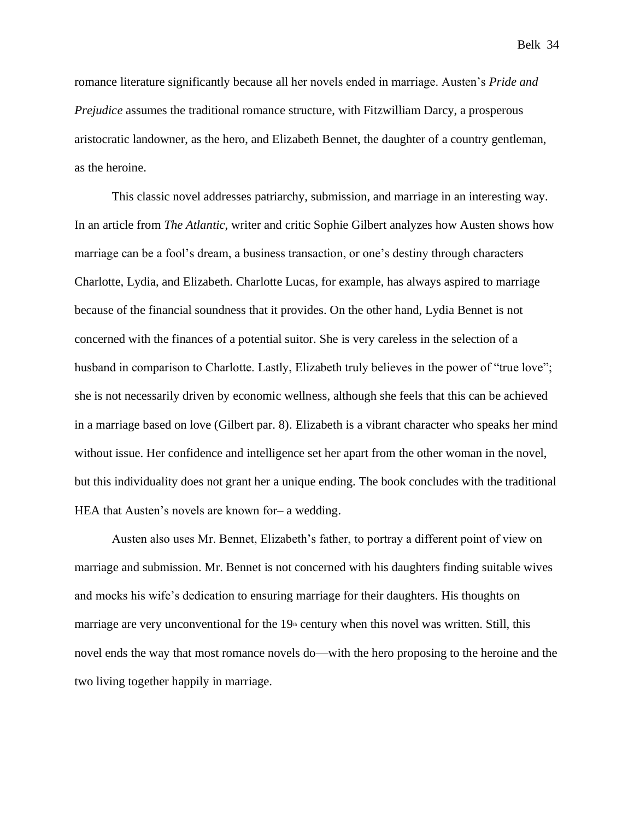romance literature significantly because all her novels ended in marriage. Austen's *Pride and Prejudice* assumes the traditional romance structure, with Fitzwilliam Darcy, a prosperous aristocratic landowner, as the hero, and Elizabeth Bennet, the daughter of a country gentleman, as the heroine.

This classic novel addresses patriarchy, submission, and marriage in an interesting way. In an article from *The Atlantic*, writer and critic Sophie Gilbert analyzes how Austen shows how marriage can be a fool's dream, a business transaction, or one's destiny through characters Charlotte, Lydia, and Elizabeth. Charlotte Lucas, for example, has always aspired to marriage because of the financial soundness that it provides. On the other hand, Lydia Bennet is not concerned with the finances of a potential suitor. She is very careless in the selection of a husband in comparison to Charlotte. Lastly, Elizabeth truly believes in the power of "true love"; she is not necessarily driven by economic wellness, although she feels that this can be achieved in a marriage based on love (Gilbert par. 8). Elizabeth is a vibrant character who speaks her mind without issue. Her confidence and intelligence set her apart from the other woman in the novel, but this individuality does not grant her a unique ending. The book concludes with the traditional HEA that Austen's novels are known for– a wedding.

Austen also uses Mr. Bennet, Elizabeth's father, to portray a different point of view on marriage and submission. Mr. Bennet is not concerned with his daughters finding suitable wives and mocks his wife's dedication to ensuring marriage for their daughters. His thoughts on marriage are very unconventional for the  $19<sup>th</sup>$  century when this novel was written. Still, this novel ends the way that most romance novels do—with the hero proposing to the heroine and the two living together happily in marriage.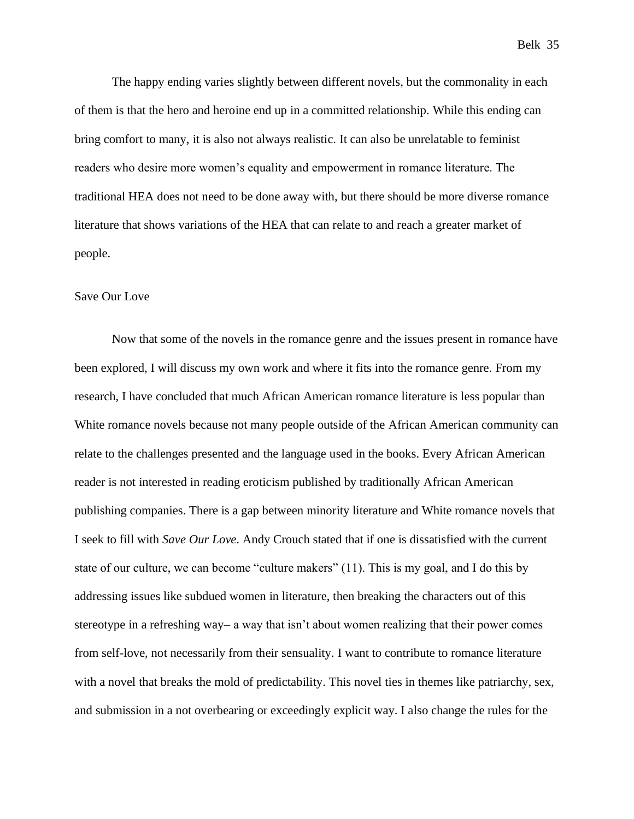The happy ending varies slightly between different novels, but the commonality in each of them is that the hero and heroine end up in a committed relationship. While this ending can bring comfort to many, it is also not always realistic. It can also be unrelatable to feminist readers who desire more women's equality and empowerment in romance literature. The traditional HEA does not need to be done away with, but there should be more diverse romance literature that shows variations of the HEA that can relate to and reach a greater market of people.

#### Save Our Love

Now that some of the novels in the romance genre and the issues present in romance have been explored, I will discuss my own work and where it fits into the romance genre. From my research, I have concluded that much African American romance literature is less popular than White romance novels because not many people outside of the African American community can relate to the challenges presented and the language used in the books. Every African American reader is not interested in reading eroticism published by traditionally African American publishing companies. There is a gap between minority literature and White romance novels that I seek to fill with *Save Our Love*. Andy Crouch stated that if one is dissatisfied with the current state of our culture, we can become "culture makers" (11). This is my goal, and I do this by addressing issues like subdued women in literature, then breaking the characters out of this stereotype in a refreshing way– a way that isn't about women realizing that their power comes from self-love, not necessarily from their sensuality. I want to contribute to romance literature with a novel that breaks the mold of predictability. This novel ties in themes like patriarchy, sex, and submission in a not overbearing or exceedingly explicit way. I also change the rules for the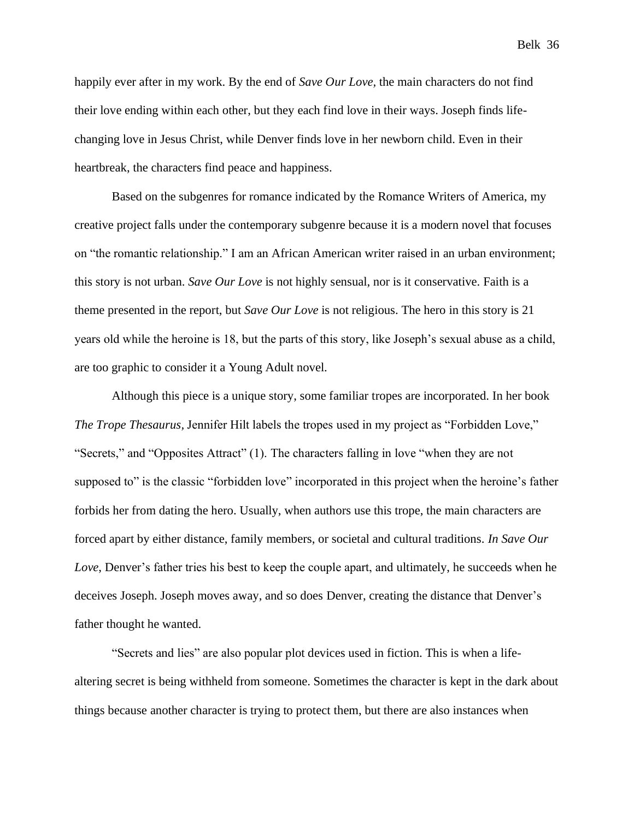happily ever after in my work. By the end of *Save Our Love,* the main characters do not find their love ending within each other, but they each find love in their ways. Joseph finds lifechanging love in Jesus Christ, while Denver finds love in her newborn child. Even in their heartbreak, the characters find peace and happiness.

Based on the subgenres for romance indicated by the Romance Writers of America, my creative project falls under the contemporary subgenre because it is a modern novel that focuses on "the romantic relationship." I am an African American writer raised in an urban environment; this story is not urban. *Save Our Love* is not highly sensual, nor is it conservative. Faith is a theme presented in the report, but *Save Our Love* is not religious. The hero in this story is 21 years old while the heroine is 18, but the parts of this story, like Joseph's sexual abuse as a child, are too graphic to consider it a Young Adult novel.

Although this piece is a unique story, some familiar tropes are incorporated. In her book *The Trope Thesaurus,* Jennifer Hilt labels the tropes used in my project as "Forbidden Love," "Secrets," and "Opposites Attract" (1). The characters falling in love "when they are not supposed to" is the classic "forbidden love" incorporated in this project when the heroine's father forbids her from dating the hero. Usually, when authors use this trope, the main characters are forced apart by either distance, family members, or societal and cultural traditions. *In Save Our Love*, Denver's father tries his best to keep the couple apart, and ultimately, he succeeds when he deceives Joseph. Joseph moves away, and so does Denver, creating the distance that Denver's father thought he wanted.

"Secrets and lies" are also popular plot devices used in fiction. This is when a lifealtering secret is being withheld from someone. Sometimes the character is kept in the dark about things because another character is trying to protect them, but there are also instances when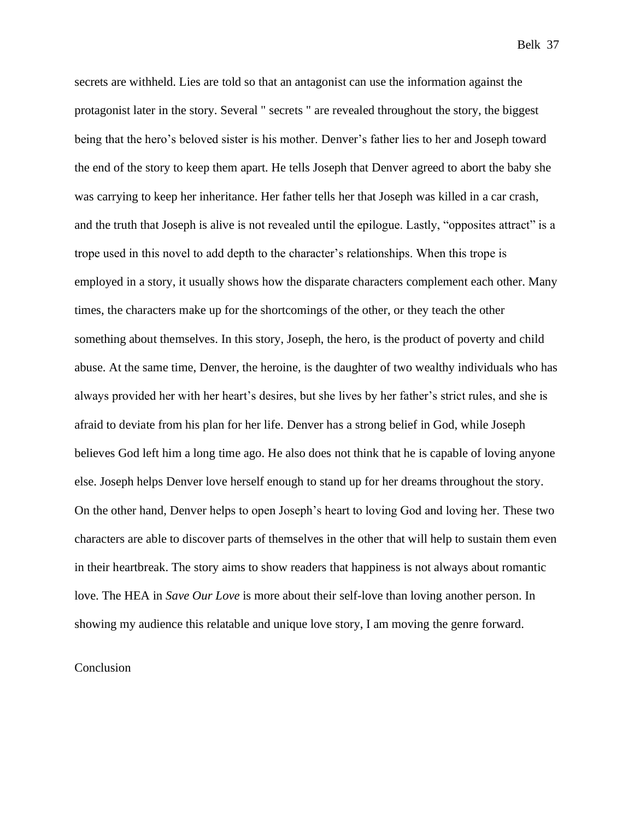secrets are withheld. Lies are told so that an antagonist can use the information against the protagonist later in the story. Several " secrets " are revealed throughout the story, the biggest being that the hero's beloved sister is his mother. Denver's father lies to her and Joseph toward the end of the story to keep them apart. He tells Joseph that Denver agreed to abort the baby she was carrying to keep her inheritance. Her father tells her that Joseph was killed in a car crash, and the truth that Joseph is alive is not revealed until the epilogue. Lastly, "opposites attract" is a trope used in this novel to add depth to the character's relationships. When this trope is employed in a story, it usually shows how the disparate characters complement each other. Many times, the characters make up for the shortcomings of the other, or they teach the other something about themselves. In this story, Joseph, the hero, is the product of poverty and child abuse. At the same time, Denver, the heroine, is the daughter of two wealthy individuals who has always provided her with her heart's desires, but she lives by her father's strict rules, and she is afraid to deviate from his plan for her life. Denver has a strong belief in God, while Joseph believes God left him a long time ago. He also does not think that he is capable of loving anyone else. Joseph helps Denver love herself enough to stand up for her dreams throughout the story. On the other hand, Denver helps to open Joseph's heart to loving God and loving her. These two characters are able to discover parts of themselves in the other that will help to sustain them even in their heartbreak. The story aims to show readers that happiness is not always about romantic love. The HEA in *Save Our Love* is more about their self-love than loving another person. In showing my audience this relatable and unique love story, I am moving the genre forward.

# Conclusion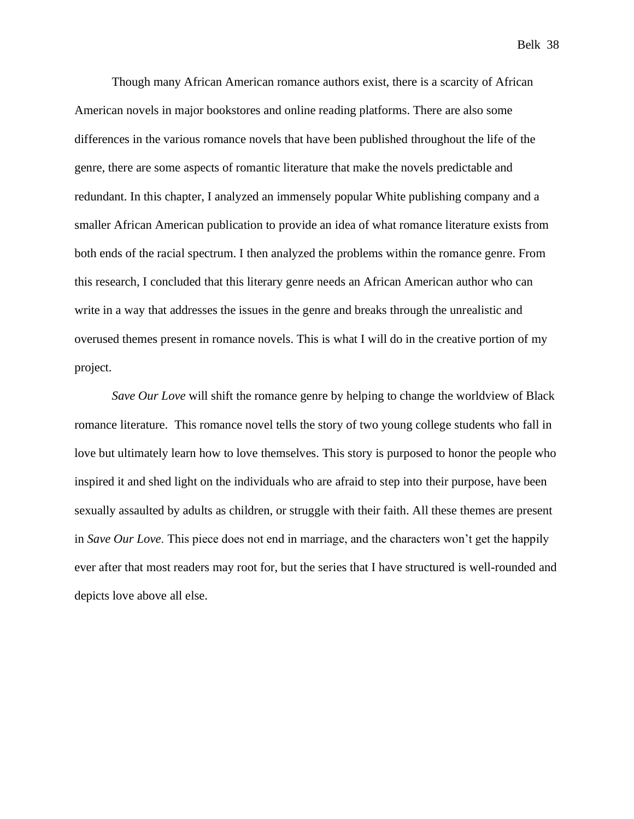Belk 38

Though many African American romance authors exist, there is a scarcity of African American novels in major bookstores and online reading platforms. There are also some differences in the various romance novels that have been published throughout the life of the genre, there are some aspects of romantic literature that make the novels predictable and redundant. In this chapter, I analyzed an immensely popular White publishing company and a smaller African American publication to provide an idea of what romance literature exists from both ends of the racial spectrum. I then analyzed the problems within the romance genre. From this research, I concluded that this literary genre needs an African American author who can write in a way that addresses the issues in the genre and breaks through the unrealistic and overused themes present in romance novels. This is what I will do in the creative portion of my project.

*Save Our Love* will shift the romance genre by helping to change the worldview of Black romance literature. This romance novel tells the story of two young college students who fall in love but ultimately learn how to love themselves. This story is purposed to honor the people who inspired it and shed light on the individuals who are afraid to step into their purpose, have been sexually assaulted by adults as children, or struggle with their faith. All these themes are present in *Save Our Love*. This piece does not end in marriage, and the characters won't get the happily ever after that most readers may root for, but the series that I have structured is well-rounded and depicts love above all else.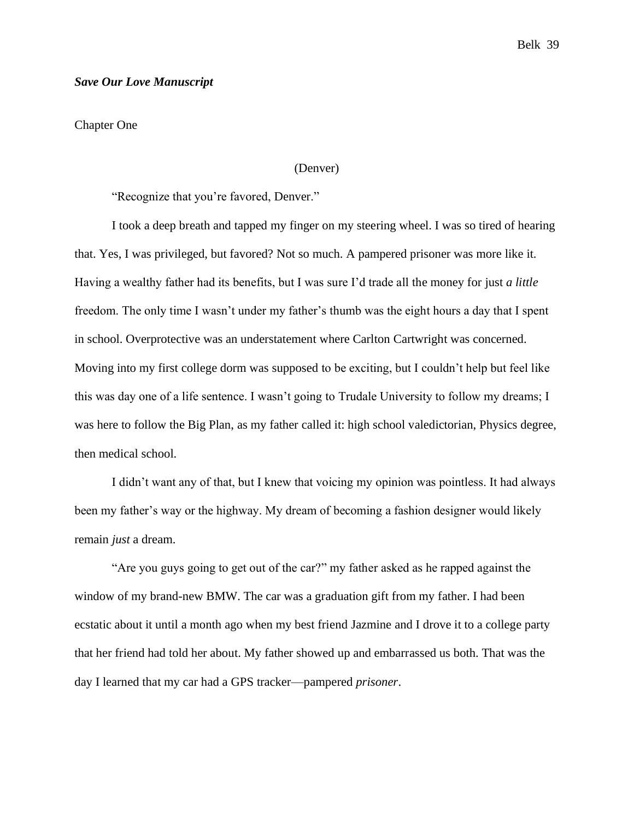#### *Save Our Love Manuscript*

Chapter One

# (Denver)

"Recognize that you're favored, Denver."

I took a deep breath and tapped my finger on my steering wheel. I was so tired of hearing that. Yes, I was privileged, but favored? Not so much. A pampered prisoner was more like it. Having a wealthy father had its benefits, but I was sure I'd trade all the money for just *a little* freedom. The only time I wasn't under my father's thumb was the eight hours a day that I spent in school. Overprotective was an understatement where Carlton Cartwright was concerned. Moving into my first college dorm was supposed to be exciting, but I couldn't help but feel like this was day one of a life sentence. I wasn't going to Trudale University to follow my dreams; I was here to follow the Big Plan, as my father called it: high school valedictorian, Physics degree, then medical school.

I didn't want any of that, but I knew that voicing my opinion was pointless. It had always been my father's way or the highway. My dream of becoming a fashion designer would likely remain *just* a dream.

"Are you guys going to get out of the car?" my father asked as he rapped against the window of my brand-new BMW. The car was a graduation gift from my father. I had been ecstatic about it until a month ago when my best friend Jazmine and I drove it to a college party that her friend had told her about. My father showed up and embarrassed us both. That was the day I learned that my car had a GPS tracker—pampered *prisoner*.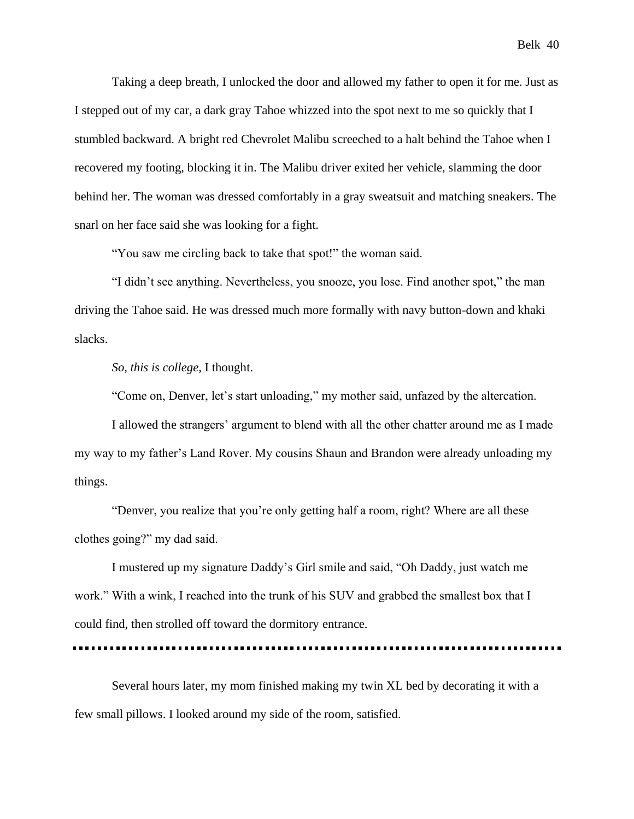Taking a deep breath, I unlocked the door and allowed my father to open it for me. Just as I stepped out of my car, a dark gray Tahoe whizzed into the spot next to me so quickly that I stumbled backward. A bright red Chevrolet Malibu screeched to a halt behind the Tahoe when I recovered my footing, blocking it in. The Malibu driver exited her vehicle, slamming the door behind her. The woman was dressed comfortably in a gray sweatsuit and matching sneakers. The snarl on her face said she was looking for a fight.

"You saw me circling back to take that spot!" the woman said.

"I didn't see anything. Nevertheless, you snooze, you lose. Find another spot," the man driving the Tahoe said. He was dressed much more formally with navy button-down and khaki slacks.

*So, this is college*, I thought.

"Come on, Denver, let's start unloading," my mother said, unfazed by the altercation.

I allowed the strangers' argument to blend with all the other chatter around me as I made my way to my father's Land Rover. My cousins Shaun and Brandon were already unloading my things.

"Denver, you realize that you're only getting half a room, right? Where are all these clothes going?" my dad said.

I mustered up my signature Daddy's Girl smile and said, "Oh Daddy, just watch me work." With a wink, I reached into the trunk of his SUV and grabbed the smallest box that I could find, then strolled off toward the dormitory entrance.

Several hours later, my mom finished making my twin XL bed by decorating it with a few small pillows. I looked around my side of the room, satisfied.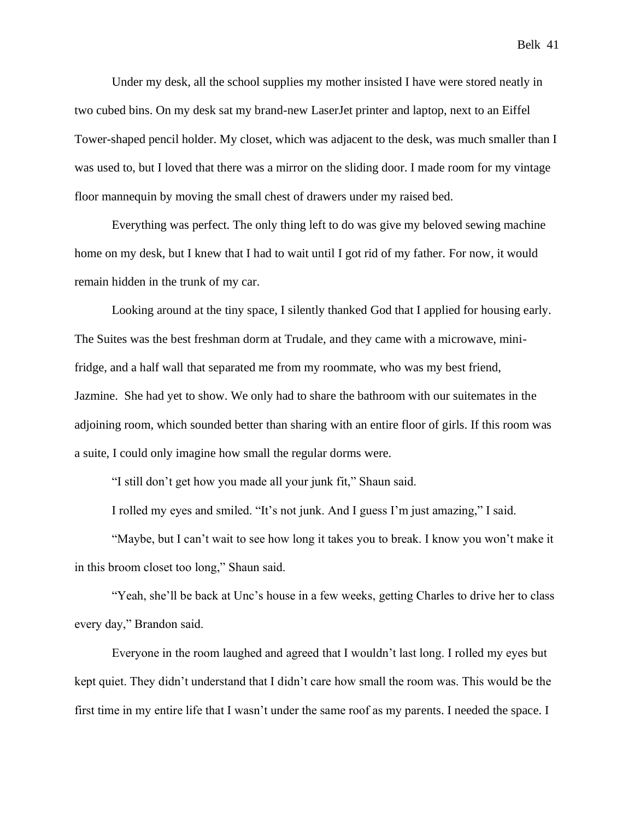Under my desk, all the school supplies my mother insisted I have were stored neatly in two cubed bins. On my desk sat my brand-new LaserJet printer and laptop, next to an Eiffel Tower-shaped pencil holder. My closet, which was adjacent to the desk, was much smaller than I was used to, but I loved that there was a mirror on the sliding door. I made room for my vintage floor mannequin by moving the small chest of drawers under my raised bed.

Everything was perfect. The only thing left to do was give my beloved sewing machine home on my desk, but I knew that I had to wait until I got rid of my father. For now, it would remain hidden in the trunk of my car.

Looking around at the tiny space, I silently thanked God that I applied for housing early. The Suites was the best freshman dorm at Trudale, and they came with a microwave, minifridge, and a half wall that separated me from my roommate, who was my best friend, Jazmine. She had yet to show. We only had to share the bathroom with our suitemates in the adjoining room, which sounded better than sharing with an entire floor of girls. If this room was a suite, I could only imagine how small the regular dorms were.

"I still don't get how you made all your junk fit," Shaun said.

I rolled my eyes and smiled. "It's not junk. And I guess I'm just amazing," I said.

"Maybe, but I can't wait to see how long it takes you to break. I know you won't make it in this broom closet too long," Shaun said.

"Yeah, she'll be back at Unc's house in a few weeks, getting Charles to drive her to class every day," Brandon said.

Everyone in the room laughed and agreed that I wouldn't last long. I rolled my eyes but kept quiet. They didn't understand that I didn't care how small the room was. This would be the first time in my entire life that I wasn't under the same roof as my parents. I needed the space. I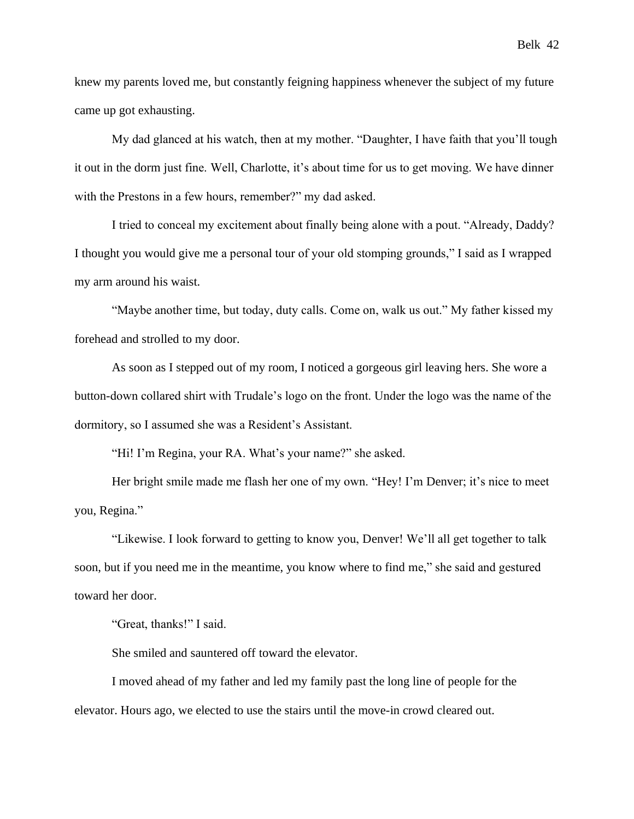knew my parents loved me, but constantly feigning happiness whenever the subject of my future came up got exhausting.

My dad glanced at his watch, then at my mother. "Daughter, I have faith that you'll tough it out in the dorm just fine. Well, Charlotte, it's about time for us to get moving. We have dinner with the Prestons in a few hours, remember?" my dad asked.

I tried to conceal my excitement about finally being alone with a pout. "Already, Daddy? I thought you would give me a personal tour of your old stomping grounds," I said as I wrapped my arm around his waist.

"Maybe another time, but today, duty calls. Come on, walk us out." My father kissed my forehead and strolled to my door.

As soon as I stepped out of my room, I noticed a gorgeous girl leaving hers. She wore a button-down collared shirt with Trudale's logo on the front. Under the logo was the name of the dormitory, so I assumed she was a Resident's Assistant.

"Hi! I'm Regina, your RA. What's your name?" she asked.

Her bright smile made me flash her one of my own. "Hey! I'm Denver; it's nice to meet you, Regina."

"Likewise. I look forward to getting to know you, Denver! We'll all get together to talk soon, but if you need me in the meantime, you know where to find me," she said and gestured toward her door.

"Great, thanks!" I said.

She smiled and sauntered off toward the elevator.

I moved ahead of my father and led my family past the long line of people for the elevator. Hours ago, we elected to use the stairs until the move-in crowd cleared out.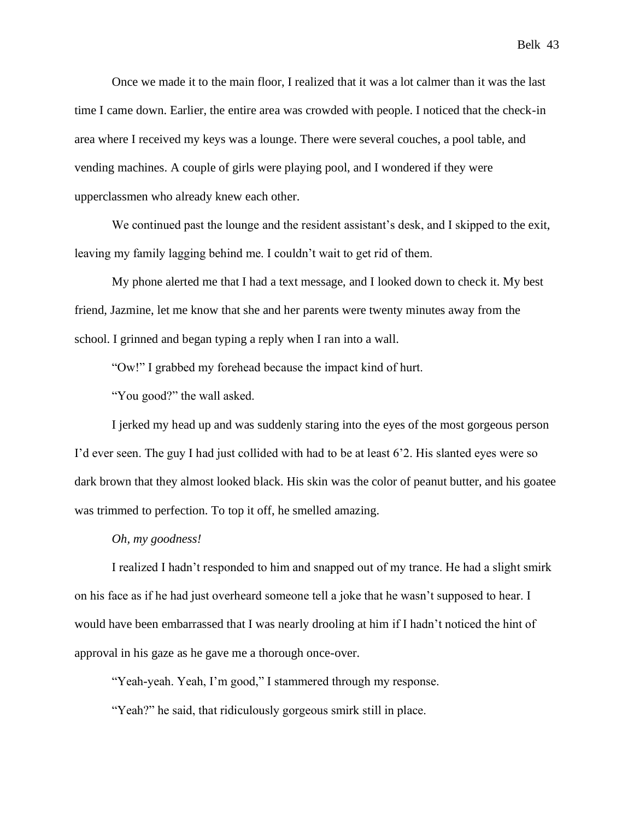Once we made it to the main floor, I realized that it was a lot calmer than it was the last time I came down. Earlier, the entire area was crowded with people. I noticed that the check-in area where I received my keys was a lounge. There were several couches, a pool table, and vending machines. A couple of girls were playing pool, and I wondered if they were upperclassmen who already knew each other.

We continued past the lounge and the resident assistant's desk, and I skipped to the exit, leaving my family lagging behind me. I couldn't wait to get rid of them.

My phone alerted me that I had a text message, and I looked down to check it. My best friend, Jazmine, let me know that she and her parents were twenty minutes away from the school. I grinned and began typing a reply when I ran into a wall.

"Ow!" I grabbed my forehead because the impact kind of hurt.

"You good?" the wall asked.

I jerked my head up and was suddenly staring into the eyes of the most gorgeous person I'd ever seen. The guy I had just collided with had to be at least 6'2. His slanted eyes were so dark brown that they almost looked black. His skin was the color of peanut butter, and his goatee was trimmed to perfection. To top it off, he smelled amazing.

#### *Oh, my goodness!*

I realized I hadn't responded to him and snapped out of my trance. He had a slight smirk on his face as if he had just overheard someone tell a joke that he wasn't supposed to hear. I would have been embarrassed that I was nearly drooling at him if I hadn't noticed the hint of approval in his gaze as he gave me a thorough once-over.

"Yeah-yeah. Yeah, I'm good," I stammered through my response.

"Yeah?" he said, that ridiculously gorgeous smirk still in place.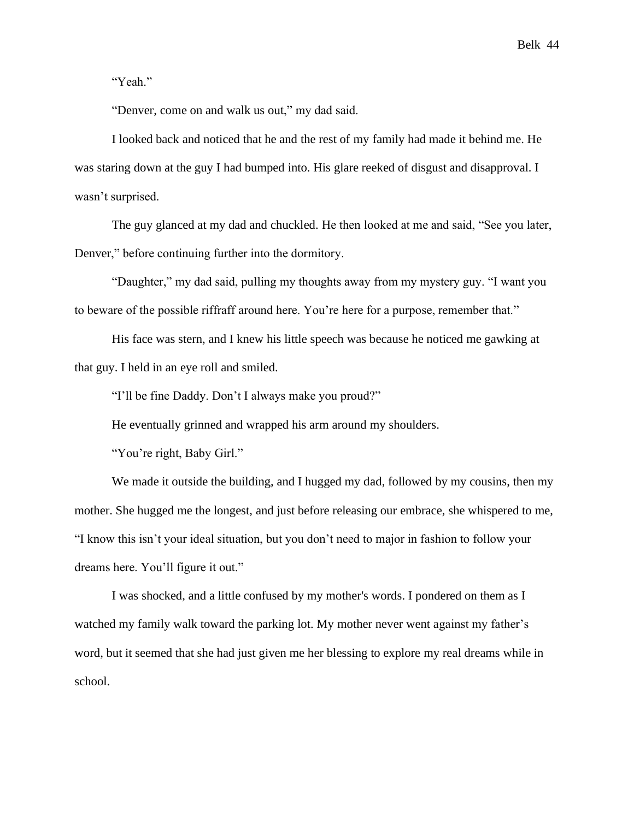"Yeah."

"Denver, come on and walk us out," my dad said.

I looked back and noticed that he and the rest of my family had made it behind me. He was staring down at the guy I had bumped into. His glare reeked of disgust and disapproval. I wasn't surprised.

The guy glanced at my dad and chuckled. He then looked at me and said, "See you later, Denver," before continuing further into the dormitory.

"Daughter," my dad said, pulling my thoughts away from my mystery guy. "I want you to beware of the possible riffraff around here. You're here for a purpose, remember that."

His face was stern, and I knew his little speech was because he noticed me gawking at that guy. I held in an eye roll and smiled.

"I'll be fine Daddy. Don't I always make you proud?"

He eventually grinned and wrapped his arm around my shoulders.

"You're right, Baby Girl."

We made it outside the building, and I hugged my dad, followed by my cousins, then my mother. She hugged me the longest, and just before releasing our embrace, she whispered to me, "I know this isn't your ideal situation, but you don't need to major in fashion to follow your dreams here. You'll figure it out."

I was shocked, and a little confused by my mother's words. I pondered on them as I watched my family walk toward the parking lot. My mother never went against my father's word, but it seemed that she had just given me her blessing to explore my real dreams while in school.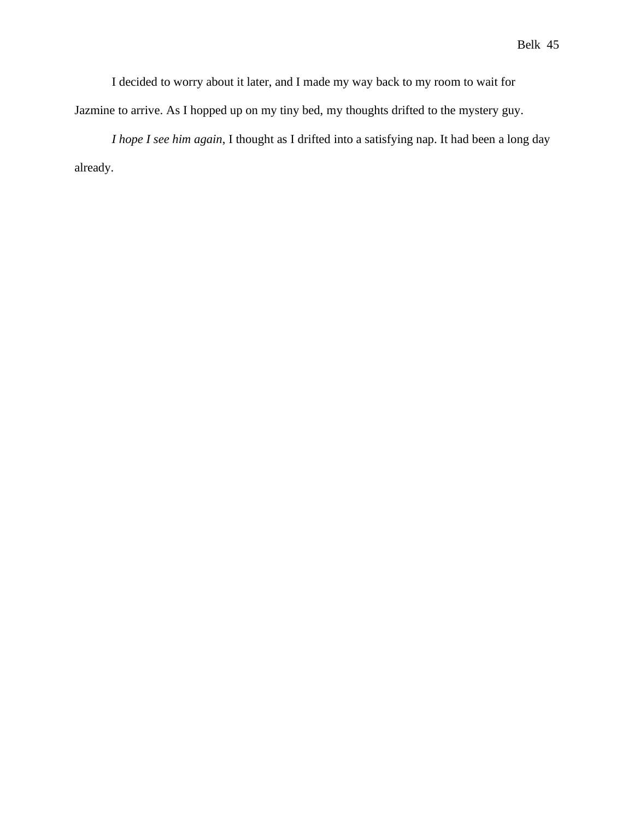I decided to worry about it later, and I made my way back to my room to wait for Jazmine to arrive. As I hopped up on my tiny bed, my thoughts drifted to the mystery guy.

*I hope I see him again*, I thought as I drifted into a satisfying nap. It had been a long day already.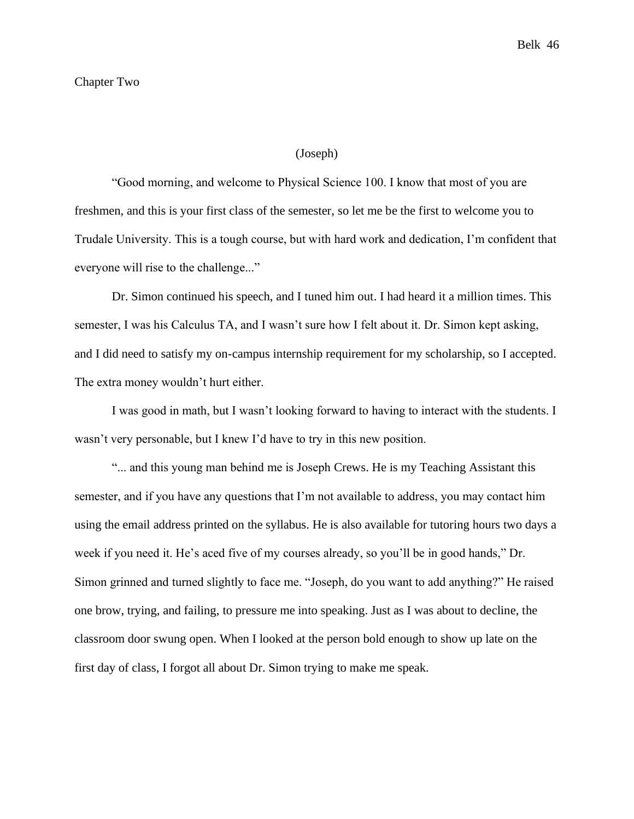## (Joseph)

"Good morning, and welcome to Physical Science 100. I know that most of you are freshmen, and this is your first class of the semester, so let me be the first to welcome you to Trudale University. This is a tough course, but with hard work and dedication, I'm confident that everyone will rise to the challenge..."

Dr. Simon continued his speech, and I tuned him out. I had heard it a million times. This semester, I was his Calculus TA, and I wasn't sure how I felt about it. Dr. Simon kept asking, and I did need to satisfy my on-campus internship requirement for my scholarship, so I accepted. The extra money wouldn't hurt either.

I was good in math, but I wasn't looking forward to having to interact with the students. I wasn't very personable, but I knew I'd have to try in this new position.

"... and this young man behind me is Joseph Crews. He is my Teaching Assistant this semester, and if you have any questions that I'm not available to address, you may contact him using the email address printed on the syllabus. He is also available for tutoring hours two days a week if you need it. He's aced five of my courses already, so you'll be in good hands," Dr. Simon grinned and turned slightly to face me. "Joseph, do you want to add anything?" He raised one brow, trying, and failing, to pressure me into speaking. Just as I was about to decline, the classroom door swung open. When I looked at the person bold enough to show up late on the first day of class, I forgot all about Dr. Simon trying to make me speak.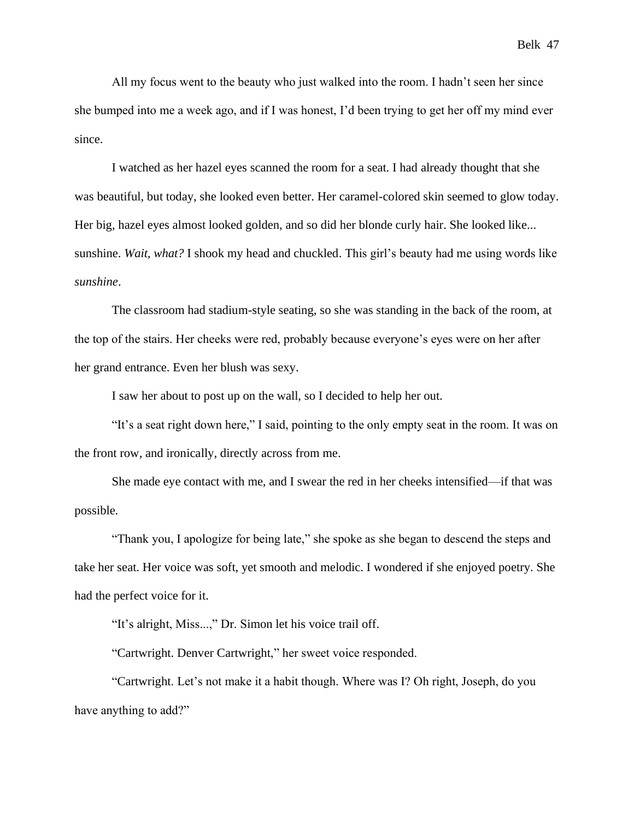All my focus went to the beauty who just walked into the room. I hadn't seen her since she bumped into me a week ago, and if I was honest, I'd been trying to get her off my mind ever since.

I watched as her hazel eyes scanned the room for a seat. I had already thought that she was beautiful, but today, she looked even better. Her caramel-colored skin seemed to glow today. Her big, hazel eyes almost looked golden, and so did her blonde curly hair. She looked like... sunshine. *Wait, what?* I shook my head and chuckled. This girl's beauty had me using words like *sunshine*.

The classroom had stadium-style seating, so she was standing in the back of the room, at the top of the stairs. Her cheeks were red, probably because everyone's eyes were on her after her grand entrance. Even her blush was sexy.

I saw her about to post up on the wall, so I decided to help her out.

"It's a seat right down here," I said, pointing to the only empty seat in the room. It was on the front row, and ironically, directly across from me.

She made eye contact with me, and I swear the red in her cheeks intensified—if that was possible.

"Thank you, I apologize for being late," she spoke as she began to descend the steps and take her seat. Her voice was soft, yet smooth and melodic. I wondered if she enjoyed poetry. She had the perfect voice for it.

"It's alright, Miss...," Dr. Simon let his voice trail off.

"Cartwright. Denver Cartwright," her sweet voice responded.

"Cartwright. Let's not make it a habit though. Where was I? Oh right, Joseph, do you have anything to add?"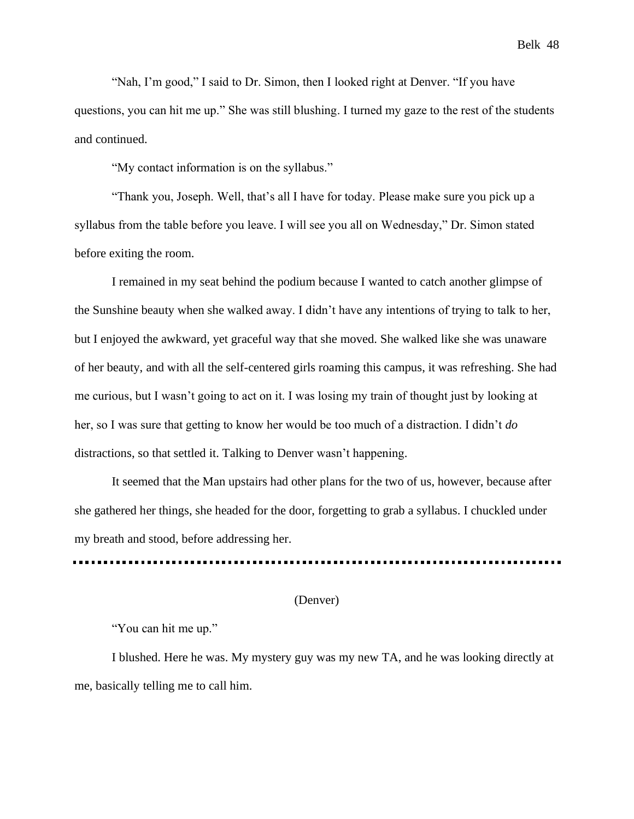Belk 48

"Nah, I'm good," I said to Dr. Simon, then I looked right at Denver. "If you have questions, you can hit me up." She was still blushing. I turned my gaze to the rest of the students and continued.

"My contact information is on the syllabus."

"Thank you, Joseph. Well, that's all I have for today. Please make sure you pick up a syllabus from the table before you leave. I will see you all on Wednesday," Dr. Simon stated before exiting the room.

I remained in my seat behind the podium because I wanted to catch another glimpse of the Sunshine beauty when she walked away. I didn't have any intentions of trying to talk to her, but I enjoyed the awkward, yet graceful way that she moved. She walked like she was unaware of her beauty, and with all the self-centered girls roaming this campus, it was refreshing. She had me curious, but I wasn't going to act on it. I was losing my train of thought just by looking at her, so I was sure that getting to know her would be too much of a distraction. I didn't *do* distractions, so that settled it. Talking to Denver wasn't happening.

It seemed that the Man upstairs had other plans for the two of us, however, because after she gathered her things, she headed for the door, forgetting to grab a syllabus. I chuckled under my breath and stood, before addressing her.

# (Denver)

"You can hit me up."

I blushed. Here he was. My mystery guy was my new TA, and he was looking directly at me, basically telling me to call him.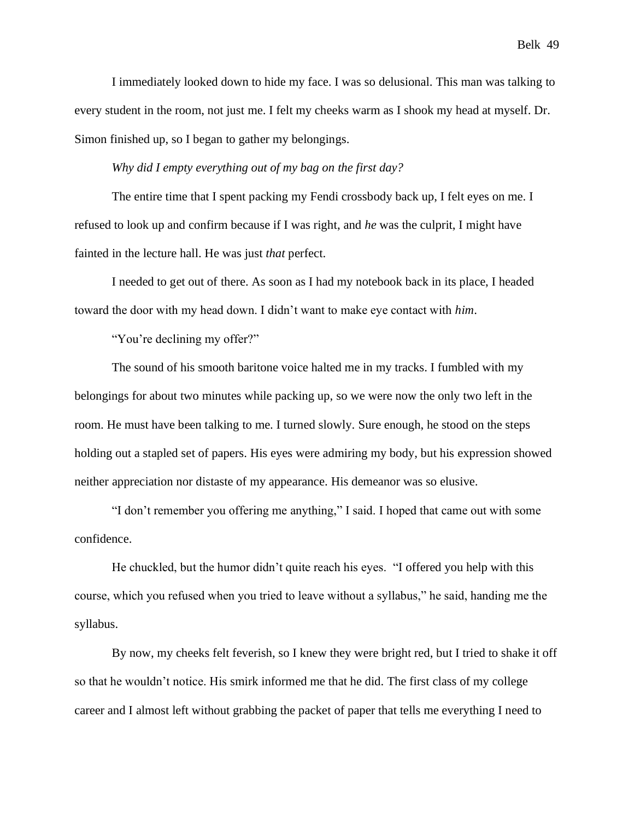I immediately looked down to hide my face. I was so delusional. This man was talking to every student in the room, not just me. I felt my cheeks warm as I shook my head at myself. Dr. Simon finished up, so I began to gather my belongings.

*Why did I empty everything out of my bag on the first day?*

The entire time that I spent packing my Fendi crossbody back up, I felt eyes on me. I refused to look up and confirm because if I was right, and *he* was the culprit, I might have fainted in the lecture hall. He was just *that* perfect.

I needed to get out of there. As soon as I had my notebook back in its place, I headed toward the door with my head down. I didn't want to make eye contact with *him*.

"You're declining my offer?"

The sound of his smooth baritone voice halted me in my tracks. I fumbled with my belongings for about two minutes while packing up, so we were now the only two left in the room. He must have been talking to me. I turned slowly. Sure enough, he stood on the steps holding out a stapled set of papers. His eyes were admiring my body, but his expression showed neither appreciation nor distaste of my appearance. His demeanor was so elusive.

"I don't remember you offering me anything," I said. I hoped that came out with some confidence.

He chuckled, but the humor didn't quite reach his eyes. "I offered you help with this course, which you refused when you tried to leave without a syllabus," he said, handing me the syllabus.

By now, my cheeks felt feverish, so I knew they were bright red, but I tried to shake it off so that he wouldn't notice. His smirk informed me that he did. The first class of my college career and I almost left without grabbing the packet of paper that tells me everything I need to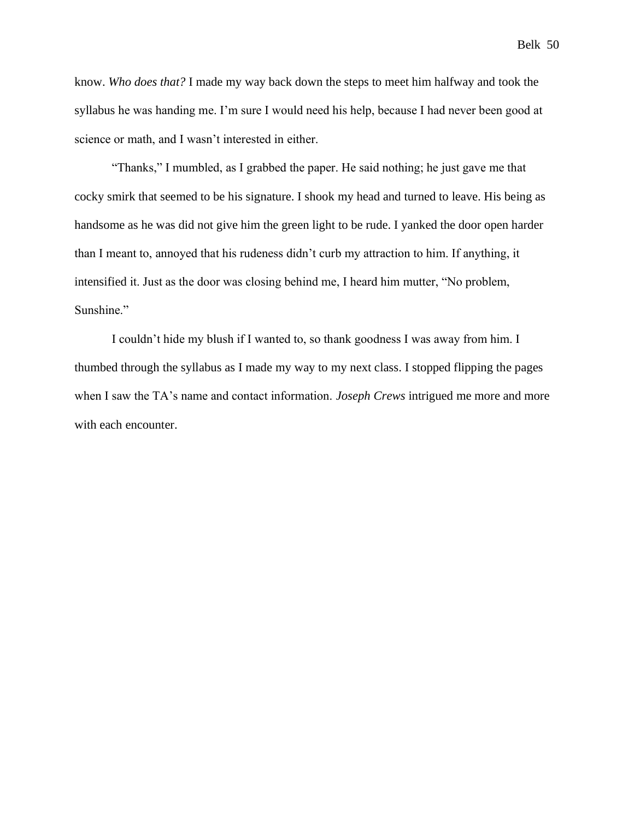Belk 50

know. *Who does that?* I made my way back down the steps to meet him halfway and took the syllabus he was handing me. I'm sure I would need his help, because I had never been good at science or math, and I wasn't interested in either.

"Thanks," I mumbled, as I grabbed the paper. He said nothing; he just gave me that cocky smirk that seemed to be his signature. I shook my head and turned to leave. His being as handsome as he was did not give him the green light to be rude. I yanked the door open harder than I meant to, annoyed that his rudeness didn't curb my attraction to him. If anything, it intensified it. Just as the door was closing behind me, I heard him mutter, "No problem, Sunshine."

I couldn't hide my blush if I wanted to, so thank goodness I was away from him. I thumbed through the syllabus as I made my way to my next class. I stopped flipping the pages when I saw the TA's name and contact information. *Joseph Crews* intrigued me more and more with each encounter.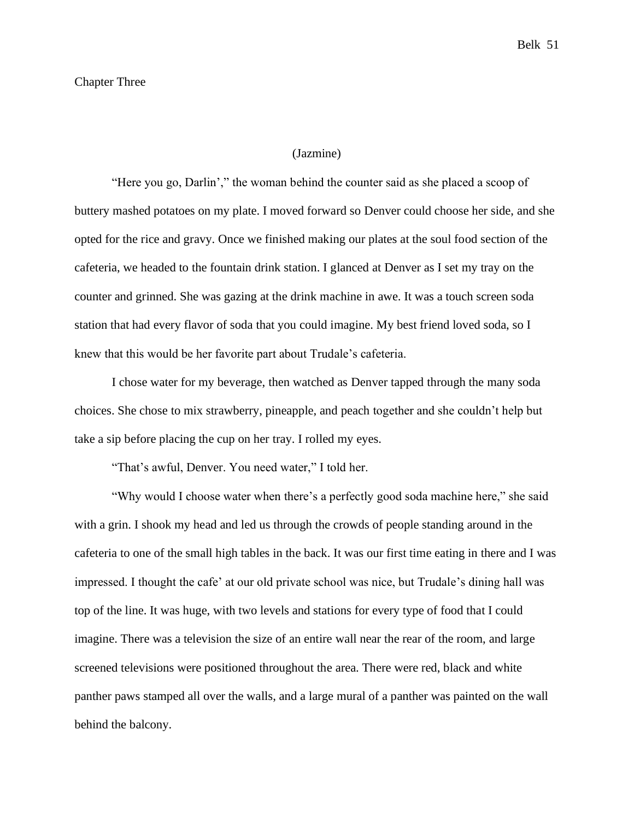## (Jazmine)

"Here you go, Darlin'," the woman behind the counter said as she placed a scoop of buttery mashed potatoes on my plate. I moved forward so Denver could choose her side, and she opted for the rice and gravy. Once we finished making our plates at the soul food section of the cafeteria, we headed to the fountain drink station. I glanced at Denver as I set my tray on the counter and grinned. She was gazing at the drink machine in awe. It was a touch screen soda station that had every flavor of soda that you could imagine. My best friend loved soda, so I knew that this would be her favorite part about Trudale's cafeteria.

I chose water for my beverage, then watched as Denver tapped through the many soda choices. She chose to mix strawberry, pineapple, and peach together and she couldn't help but take a sip before placing the cup on her tray. I rolled my eyes.

"That's awful, Denver. You need water," I told her.

"Why would I choose water when there's a perfectly good soda machine here," she said with a grin. I shook my head and led us through the crowds of people standing around in the cafeteria to one of the small high tables in the back. It was our first time eating in there and I was impressed. I thought the cafe' at our old private school was nice, but Trudale's dining hall was top of the line. It was huge, with two levels and stations for every type of food that I could imagine. There was a television the size of an entire wall near the rear of the room, and large screened televisions were positioned throughout the area. There were red, black and white panther paws stamped all over the walls, and a large mural of a panther was painted on the wall behind the balcony.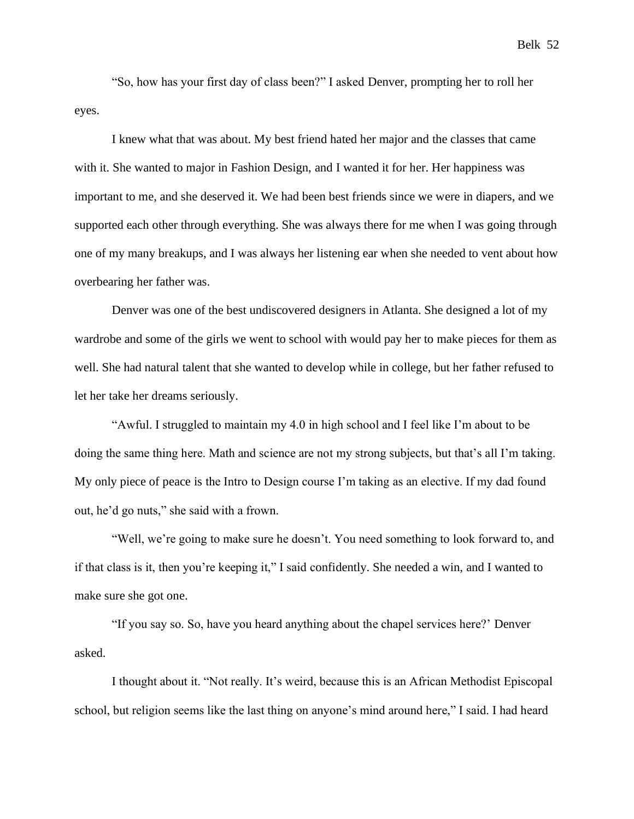"So, how has your first day of class been?" I asked Denver, prompting her to roll her eyes.

I knew what that was about. My best friend hated her major and the classes that came with it. She wanted to major in Fashion Design, and I wanted it for her. Her happiness was important to me, and she deserved it. We had been best friends since we were in diapers, and we supported each other through everything. She was always there for me when I was going through one of my many breakups, and I was always her listening ear when she needed to vent about how overbearing her father was.

Denver was one of the best undiscovered designers in Atlanta. She designed a lot of my wardrobe and some of the girls we went to school with would pay her to make pieces for them as well. She had natural talent that she wanted to develop while in college, but her father refused to let her take her dreams seriously.

"Awful. I struggled to maintain my 4.0 in high school and I feel like I'm about to be doing the same thing here. Math and science are not my strong subjects, but that's all I'm taking. My only piece of peace is the Intro to Design course I'm taking as an elective. If my dad found out, he'd go nuts," she said with a frown.

"Well, we're going to make sure he doesn't. You need something to look forward to, and if that class is it, then you're keeping it," I said confidently. She needed a win, and I wanted to make sure she got one.

"If you say so. So, have you heard anything about the chapel services here?' Denver asked.

I thought about it. "Not really. It's weird, because this is an African Methodist Episcopal school, but religion seems like the last thing on anyone's mind around here," I said. I had heard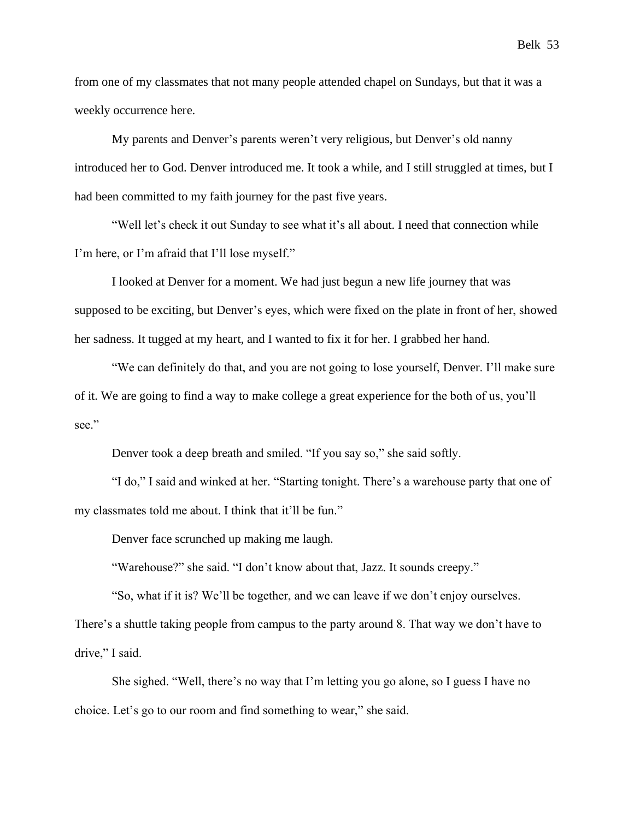from one of my classmates that not many people attended chapel on Sundays, but that it was a weekly occurrence here.

My parents and Denver's parents weren't very religious, but Denver's old nanny introduced her to God. Denver introduced me. It took a while, and I still struggled at times, but I had been committed to my faith journey for the past five years.

"Well let's check it out Sunday to see what it's all about. I need that connection while I'm here, or I'm afraid that I'll lose myself."

I looked at Denver for a moment. We had just begun a new life journey that was supposed to be exciting, but Denver's eyes, which were fixed on the plate in front of her, showed her sadness. It tugged at my heart, and I wanted to fix it for her. I grabbed her hand.

"We can definitely do that, and you are not going to lose yourself, Denver. I'll make sure of it. We are going to find a way to make college a great experience for the both of us, you'll see."

Denver took a deep breath and smiled. "If you say so," she said softly.

"I do," I said and winked at her. "Starting tonight. There's a warehouse party that one of my classmates told me about. I think that it'll be fun."

Denver face scrunched up making me laugh.

"Warehouse?" she said. "I don't know about that, Jazz. It sounds creepy."

"So, what if it is? We'll be together, and we can leave if we don't enjoy ourselves.

There's a shuttle taking people from campus to the party around 8. That way we don't have to drive," I said.

She sighed. "Well, there's no way that I'm letting you go alone, so I guess I have no choice. Let's go to our room and find something to wear," she said.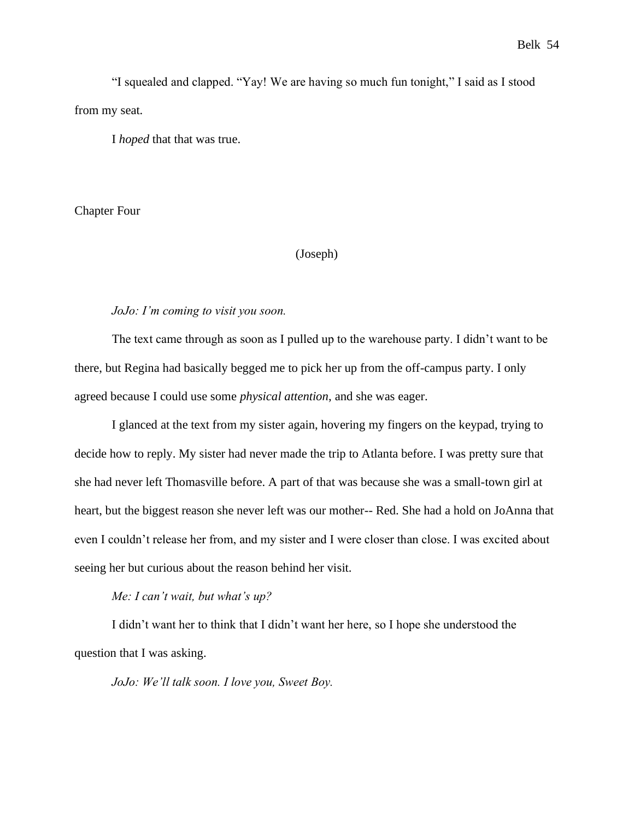"I squealed and clapped. "Yay! We are having so much fun tonight," I said as I stood from my seat.

I *hoped* that that was true.

Chapter Four

# (Joseph)

#### *JoJo: I'm coming to visit you soon.*

The text came through as soon as I pulled up to the warehouse party. I didn't want to be there, but Regina had basically begged me to pick her up from the off-campus party. I only agreed because I could use some *physical attention*, and she was eager.

I glanced at the text from my sister again, hovering my fingers on the keypad, trying to decide how to reply. My sister had never made the trip to Atlanta before. I was pretty sure that she had never left Thomasville before. A part of that was because she was a small-town girl at heart, but the biggest reason she never left was our mother-- Red. She had a hold on JoAnna that even I couldn't release her from, and my sister and I were closer than close. I was excited about seeing her but curious about the reason behind her visit.

*Me: I can't wait, but what's up?*

I didn't want her to think that I didn't want her here, so I hope she understood the question that I was asking.

*JoJo: We'll talk soon. I love you, Sweet Boy.*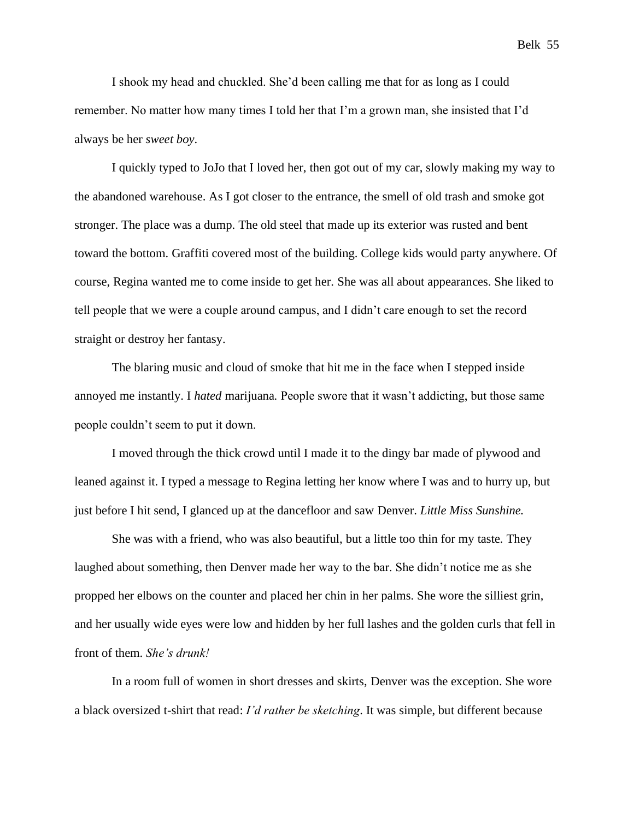I shook my head and chuckled. She'd been calling me that for as long as I could remember. No matter how many times I told her that I'm a grown man, she insisted that I'd always be her *sweet boy*.

I quickly typed to JoJo that I loved her, then got out of my car, slowly making my way to the abandoned warehouse. As I got closer to the entrance, the smell of old trash and smoke got stronger. The place was a dump. The old steel that made up its exterior was rusted and bent toward the bottom. Graffiti covered most of the building. College kids would party anywhere. Of course, Regina wanted me to come inside to get her. She was all about appearances. She liked to tell people that we were a couple around campus, and I didn't care enough to set the record straight or destroy her fantasy.

The blaring music and cloud of smoke that hit me in the face when I stepped inside annoyed me instantly. I *hated* marijuana*.* People swore that it wasn't addicting, but those same people couldn't seem to put it down.

I moved through the thick crowd until I made it to the dingy bar made of plywood and leaned against it. I typed a message to Regina letting her know where I was and to hurry up, but just before I hit send, I glanced up at the dancefloor and saw Denver. *Little Miss Sunshine.*

She was with a friend, who was also beautiful, but a little too thin for my taste. They laughed about something, then Denver made her way to the bar. She didn't notice me as she propped her elbows on the counter and placed her chin in her palms. She wore the silliest grin, and her usually wide eyes were low and hidden by her full lashes and the golden curls that fell in front of them. *She's drunk!*

In a room full of women in short dresses and skirts, Denver was the exception. She wore a black oversized t-shirt that read: *I'd rather be sketching*. It was simple, but different because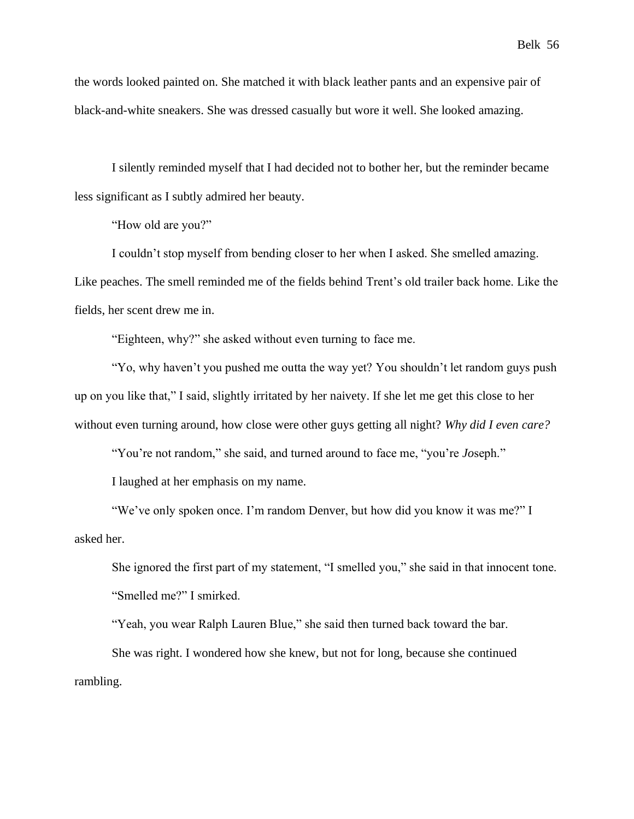the words looked painted on. She matched it with black leather pants and an expensive pair of black-and-white sneakers. She was dressed casually but wore it well. She looked amazing.

I silently reminded myself that I had decided not to bother her, but the reminder became less significant as I subtly admired her beauty.

"How old are you?"

I couldn't stop myself from bending closer to her when I asked. She smelled amazing. Like peaches. The smell reminded me of the fields behind Trent's old trailer back home. Like the fields, her scent drew me in.

"Eighteen, why?" she asked without even turning to face me.

"Yo, why haven't you pushed me outta the way yet? You shouldn't let random guys push up on you like that," I said, slightly irritated by her naivety. If she let me get this close to her without even turning around, how close were other guys getting all night? *Why did I even care?*

"You're not random," she said, and turned around to face me, "you're *Jo*seph."

I laughed at her emphasis on my name.

"We've only spoken once. I'm random Denver, but how did you know it was me?" I asked her.

She ignored the first part of my statement, "I smelled you," she said in that innocent tone. "Smelled me?" I smirked.

"Yeah, you wear Ralph Lauren Blue," she said then turned back toward the bar.

 She was right. I wondered how she knew, but not for long, because she continued rambling.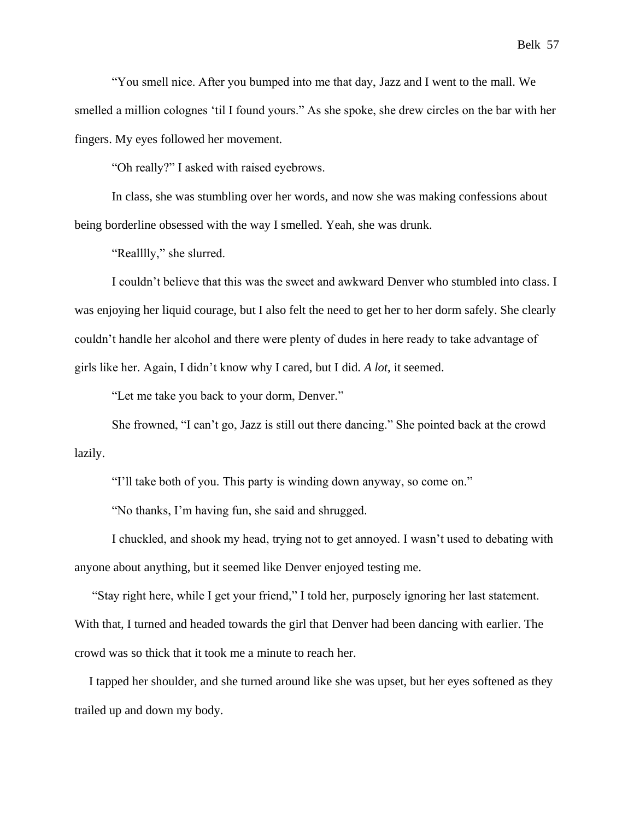"You smell nice. After you bumped into me that day, Jazz and I went to the mall. We smelled a million colognes 'til I found yours." As she spoke, she drew circles on the bar with her fingers. My eyes followed her movement.

"Oh really?" I asked with raised eyebrows.

In class, she was stumbling over her words, and now she was making confessions about being borderline obsessed with the way I smelled. Yeah, she was drunk.

"Realllly," she slurred.

I couldn't believe that this was the sweet and awkward Denver who stumbled into class. I was enjoying her liquid courage, but I also felt the need to get her to her dorm safely. She clearly couldn't handle her alcohol and there were plenty of dudes in here ready to take advantage of girls like her. Again, I didn't know why I cared, but I did. *A lot*, it seemed.

"Let me take you back to your dorm, Denver."

She frowned, "I can't go, Jazz is still out there dancing." She pointed back at the crowd lazily.

"I'll take both of you. This party is winding down anyway, so come on."

"No thanks, I'm having fun, she said and shrugged.

I chuckled, and shook my head, trying not to get annoyed. I wasn't used to debating with anyone about anything, but it seemed like Denver enjoyed testing me.

"Stay right here, while I get your friend," I told her, purposely ignoring her last statement. With that, I turned and headed towards the girl that Denver had been dancing with earlier. The crowd was so thick that it took me a minute to reach her.

I tapped her shoulder, and she turned around like she was upset, but her eyes softened as they trailed up and down my body.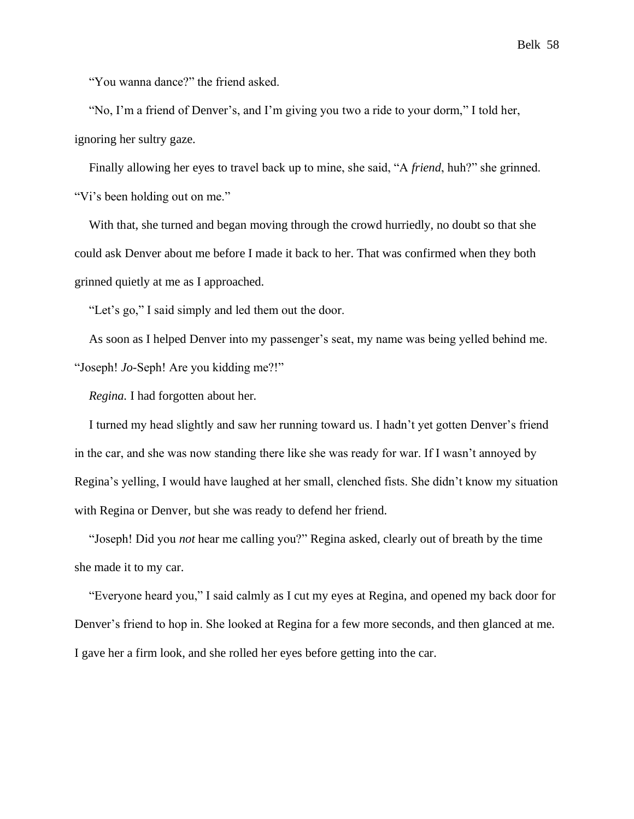"You wanna dance?" the friend asked.

"No, I'm a friend of Denver's, and I'm giving you two a ride to your dorm," I told her, ignoring her sultry gaze.

Finally allowing her eyes to travel back up to mine, she said, "A *friend*, huh?" she grinned. "Vi's been holding out on me."

With that, she turned and began moving through the crowd hurriedly, no doubt so that she could ask Denver about me before I made it back to her. That was confirmed when they both grinned quietly at me as I approached.

"Let's go," I said simply and led them out the door.

As soon as I helped Denver into my passenger's seat, my name was being yelled behind me. "Joseph! *Jo*-Seph! Are you kidding me?!"

*Regina.* I had forgotten about her*.*

I turned my head slightly and saw her running toward us. I hadn't yet gotten Denver's friend in the car, and she was now standing there like she was ready for war. If I wasn't annoyed by Regina's yelling, I would have laughed at her small, clenched fists. She didn't know my situation with Regina or Denver, but she was ready to defend her friend.

"Joseph! Did you *not* hear me calling you?" Regina asked, clearly out of breath by the time she made it to my car.

"Everyone heard you," I said calmly as I cut my eyes at Regina, and opened my back door for Denver's friend to hop in. She looked at Regina for a few more seconds, and then glanced at me. I gave her a firm look, and she rolled her eyes before getting into the car.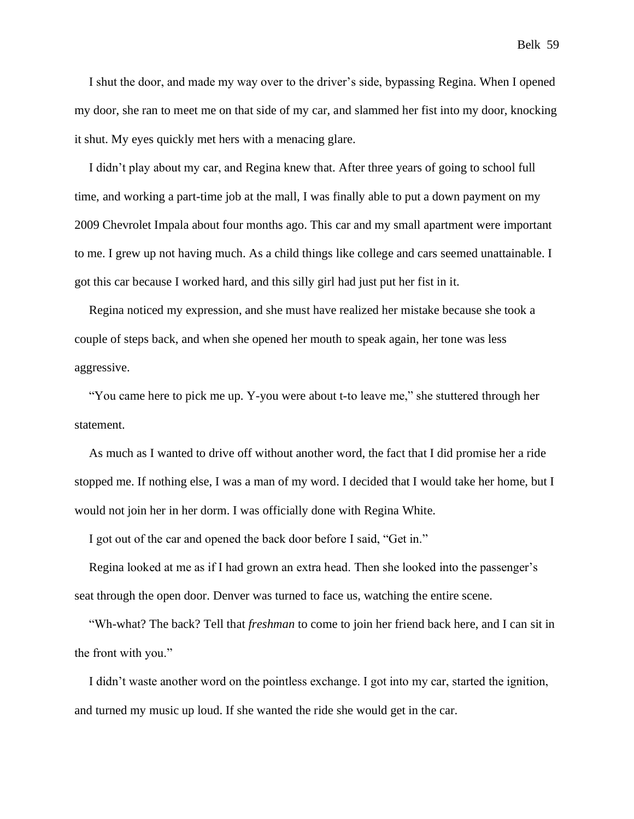I shut the door, and made my way over to the driver's side, bypassing Regina. When I opened my door, she ran to meet me on that side of my car, and slammed her fist into my door, knocking it shut. My eyes quickly met hers with a menacing glare.

I didn't play about my car, and Regina knew that. After three years of going to school full time, and working a part-time job at the mall, I was finally able to put a down payment on my 2009 Chevrolet Impala about four months ago. This car and my small apartment were important to me. I grew up not having much. As a child things like college and cars seemed unattainable. I got this car because I worked hard, and this silly girl had just put her fist in it.

Regina noticed my expression, and she must have realized her mistake because she took a couple of steps back, and when she opened her mouth to speak again, her tone was less aggressive.

"You came here to pick me up. Y-you were about t-to leave me," she stuttered through her statement.

As much as I wanted to drive off without another word, the fact that I did promise her a ride stopped me. If nothing else, I was a man of my word. I decided that I would take her home, but I would not join her in her dorm. I was officially done with Regina White.

I got out of the car and opened the back door before I said, "Get in."

Regina looked at me as if I had grown an extra head. Then she looked into the passenger's seat through the open door. Denver was turned to face us, watching the entire scene.

"Wh-what? The back? Tell that *freshman* to come to join her friend back here, and I can sit in the front with you."

I didn't waste another word on the pointless exchange. I got into my car, started the ignition, and turned my music up loud. If she wanted the ride she would get in the car.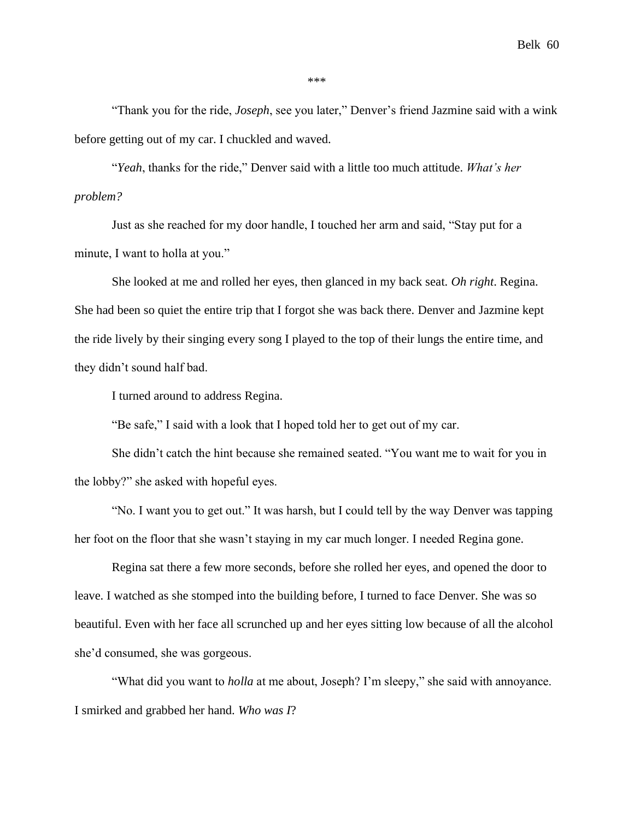Belk 60

\*\*\*

"Thank you for the ride, *Joseph*, see you later," Denver's friend Jazmine said with a wink before getting out of my car. I chuckled and waved.

"*Yeah*, thanks for the ride," Denver said with a little too much attitude. *What's her problem?*

Just as she reached for my door handle, I touched her arm and said, "Stay put for a minute, I want to holla at you."

She looked at me and rolled her eyes, then glanced in my back seat. *Oh right*. Regina. She had been so quiet the entire trip that I forgot she was back there. Denver and Jazmine kept the ride lively by their singing every song I played to the top of their lungs the entire time, and they didn't sound half bad.

I turned around to address Regina.

"Be safe," I said with a look that I hoped told her to get out of my car.

She didn't catch the hint because she remained seated. "You want me to wait for you in the lobby?" she asked with hopeful eyes.

"No. I want you to get out." It was harsh, but I could tell by the way Denver was tapping her foot on the floor that she wasn't staying in my car much longer. I needed Regina gone.

Regina sat there a few more seconds, before she rolled her eyes, and opened the door to leave. I watched as she stomped into the building before, I turned to face Denver. She was so beautiful. Even with her face all scrunched up and her eyes sitting low because of all the alcohol she'd consumed, she was gorgeous.

"What did you want to *holla* at me about, Joseph? I'm sleepy," she said with annoyance. I smirked and grabbed her hand. *Who was I*?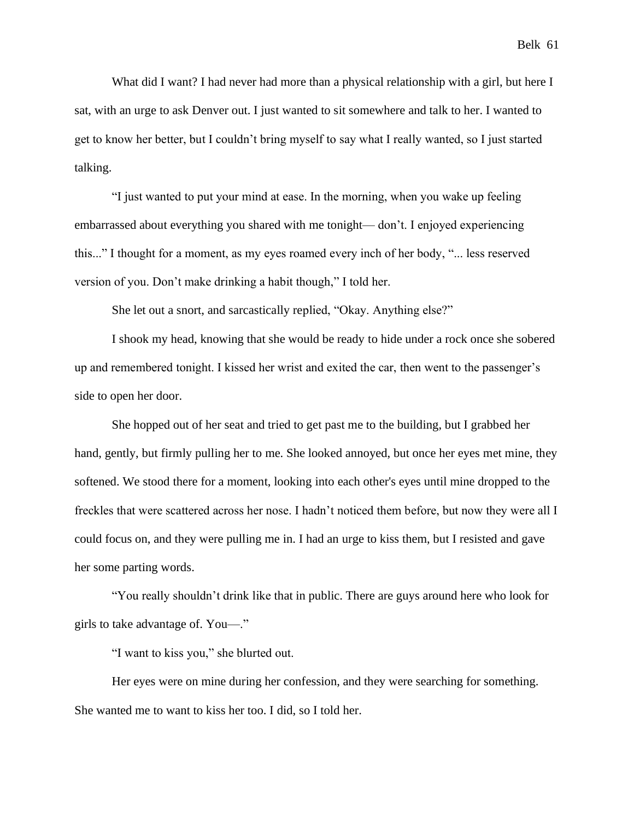What did I want? I had never had more than a physical relationship with a girl, but here I sat, with an urge to ask Denver out. I just wanted to sit somewhere and talk to her. I wanted to get to know her better, but I couldn't bring myself to say what I really wanted, so I just started talking.

"I just wanted to put your mind at ease. In the morning, when you wake up feeling embarrassed about everything you shared with me tonight— don't. I enjoyed experiencing this..." I thought for a moment, as my eyes roamed every inch of her body, "... less reserved version of you. Don't make drinking a habit though," I told her.

She let out a snort, and sarcastically replied, "Okay. Anything else?"

I shook my head, knowing that she would be ready to hide under a rock once she sobered up and remembered tonight. I kissed her wrist and exited the car, then went to the passenger's side to open her door.

She hopped out of her seat and tried to get past me to the building, but I grabbed her hand, gently, but firmly pulling her to me. She looked annoyed, but once her eyes met mine, they softened. We stood there for a moment, looking into each other's eyes until mine dropped to the freckles that were scattered across her nose. I hadn't noticed them before, but now they were all I could focus on, and they were pulling me in. I had an urge to kiss them, but I resisted and gave her some parting words.

"You really shouldn't drink like that in public. There are guys around here who look for girls to take advantage of. You—."

"I want to kiss you," she blurted out.

Her eyes were on mine during her confession, and they were searching for something. She wanted me to want to kiss her too. I did, so I told her.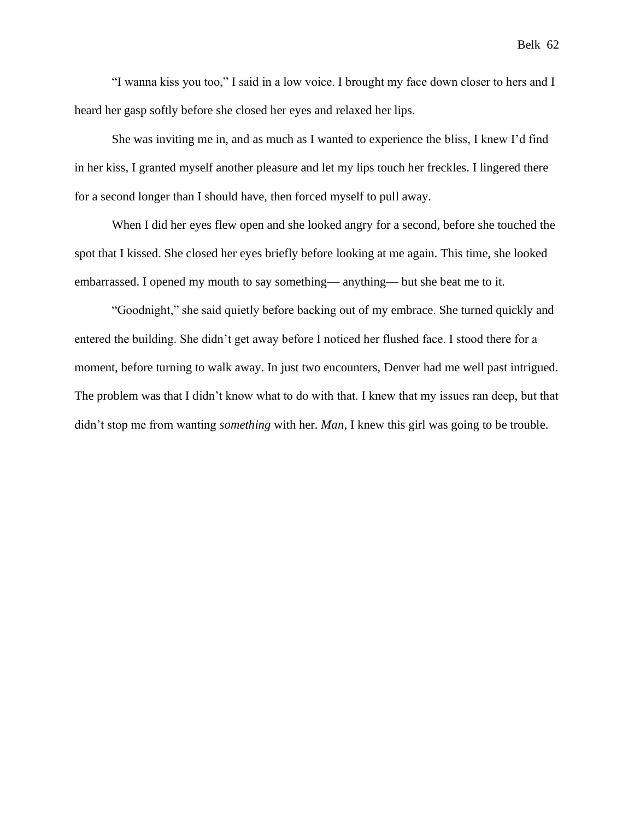"I wanna kiss you too," I said in a low voice. I brought my face down closer to hers and I heard her gasp softly before she closed her eyes and relaxed her lips.

She was inviting me in, and as much as I wanted to experience the bliss, I knew I'd find in her kiss, I granted myself another pleasure and let my lips touch her freckles. I lingered there for a second longer than I should have, then forced myself to pull away.

When I did her eyes flew open and she looked angry for a second, before she touched the spot that I kissed. She closed her eyes briefly before looking at me again. This time, she looked embarrassed. I opened my mouth to say something— anything— but she beat me to it.

"Goodnight," she said quietly before backing out of my embrace. She turned quickly and entered the building. She didn't get away before I noticed her flushed face. I stood there for a moment, before turning to walk away. In just two encounters, Denver had me well past intrigued. The problem was that I didn't know what to do with that. I knew that my issues ran deep, but that didn't stop me from wanting *something* with her. *Man*, I knew this girl was going to be trouble.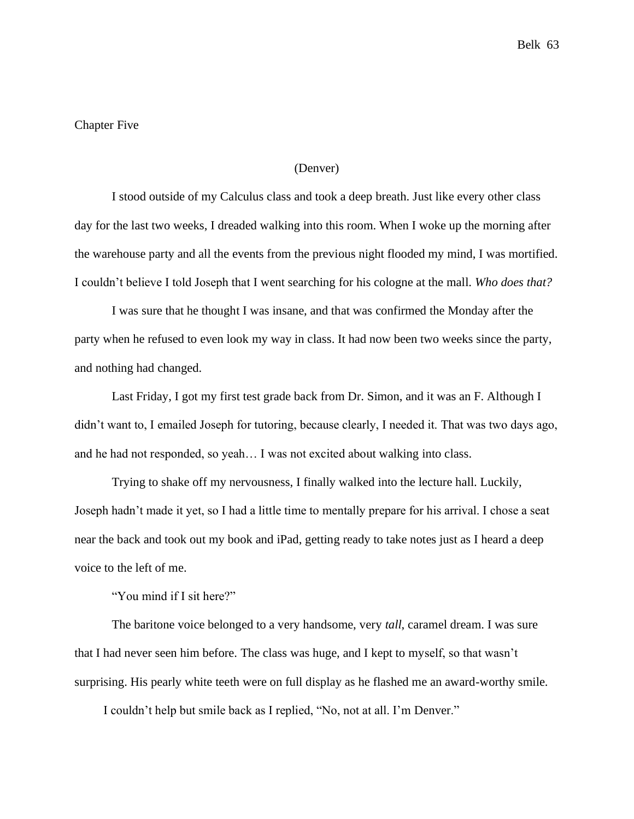# Chapter Five

## (Denver)

I stood outside of my Calculus class and took a deep breath. Just like every other class day for the last two weeks, I dreaded walking into this room. When I woke up the morning after the warehouse party and all the events from the previous night flooded my mind, I was mortified. I couldn't believe I told Joseph that I went searching for his cologne at the mall. *Who does that?*

I was sure that he thought I was insane, and that was confirmed the Monday after the party when he refused to even look my way in class. It had now been two weeks since the party, and nothing had changed.

Last Friday, I got my first test grade back from Dr. Simon, and it was an F. Although I didn't want to, I emailed Joseph for tutoring, because clearly, I needed it. That was two days ago, and he had not responded, so yeah… I was not excited about walking into class.

Trying to shake off my nervousness, I finally walked into the lecture hall. Luckily, Joseph hadn't made it yet, so I had a little time to mentally prepare for his arrival. I chose a seat near the back and took out my book and iPad, getting ready to take notes just as I heard a deep voice to the left of me.

"You mind if I sit here?"

The baritone voice belonged to a very handsome, very *tall*, caramel dream. I was sure that I had never seen him before. The class was huge, and I kept to myself, so that wasn't surprising. His pearly white teeth were on full display as he flashed me an award-worthy smile.

I couldn't help but smile back as I replied, "No, not at all. I'm Denver."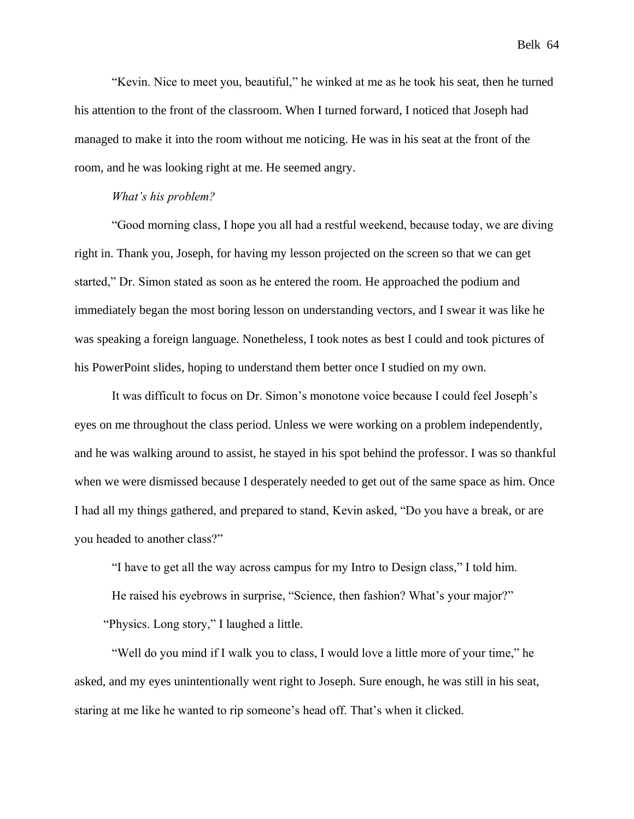"Kevin. Nice to meet you, beautiful," he winked at me as he took his seat, then he turned his attention to the front of the classroom. When I turned forward, I noticed that Joseph had managed to make it into the room without me noticing. He was in his seat at the front of the room, and he was looking right at me. He seemed angry.

#### *What's his problem?*

"Good morning class, I hope you all had a restful weekend, because today, we are diving right in. Thank you, Joseph, for having my lesson projected on the screen so that we can get started," Dr. Simon stated as soon as he entered the room. He approached the podium and immediately began the most boring lesson on understanding vectors, and I swear it was like he was speaking a foreign language. Nonetheless, I took notes as best I could and took pictures of his PowerPoint slides, hoping to understand them better once I studied on my own.

It was difficult to focus on Dr. Simon's monotone voice because I could feel Joseph's eyes on me throughout the class period. Unless we were working on a problem independently, and he was walking around to assist, he stayed in his spot behind the professor. I was so thankful when we were dismissed because I desperately needed to get out of the same space as him. Once I had all my things gathered, and prepared to stand, Kevin asked, "Do you have a break, or are you headed to another class?"

"I have to get all the way across campus for my Intro to Design class," I told him.

He raised his eyebrows in surprise, "Science, then fashion? What's your major?" "Physics. Long story," I laughed a little.

"Well do you mind if I walk you to class, I would love a little more of your time," he asked, and my eyes unintentionally went right to Joseph. Sure enough, he was still in his seat, staring at me like he wanted to rip someone's head off. That's when it clicked.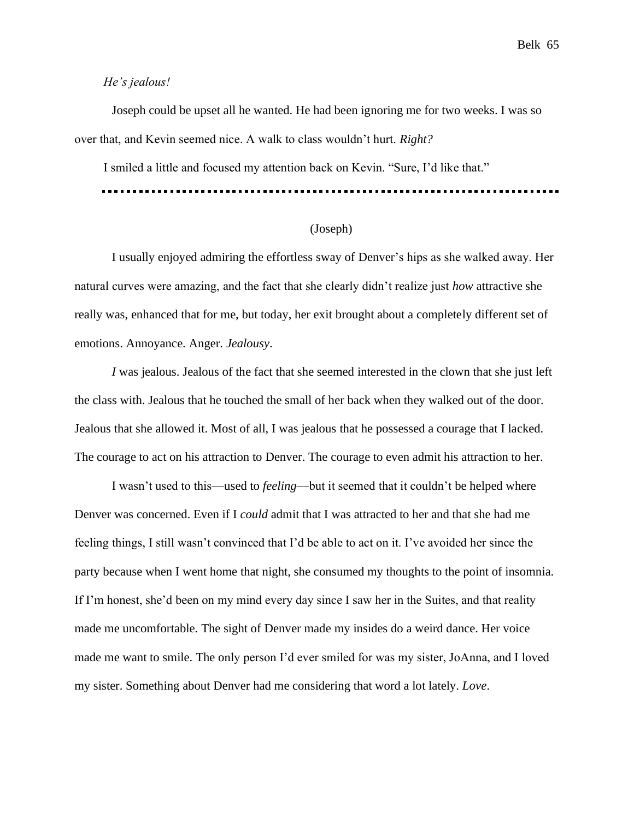#### *He's jealous!*

Joseph could be upset all he wanted. He had been ignoring me for two weeks. I was so over that, and Kevin seemed nice. A walk to class wouldn't hurt. *Right?*

I smiled a little and focused my attention back on Kevin. "Sure, I'd like that."

# (Joseph)

I usually enjoyed admiring the effortless sway of Denver's hips as she walked away. Her natural curves were amazing, and the fact that she clearly didn't realize just *how* attractive she really was, enhanced that for me, but today, her exit brought about a completely different set of emotions. Annoyance. Anger. *Jealousy*.

*I* was jealous. Jealous of the fact that she seemed interested in the clown that she just left the class with. Jealous that he touched the small of her back when they walked out of the door. Jealous that she allowed it. Most of all, I was jealous that he possessed a courage that I lacked. The courage to act on his attraction to Denver. The courage to even admit his attraction to her.

I wasn't used to this—used to *feeling*—but it seemed that it couldn't be helped where Denver was concerned. Even if I *could* admit that I was attracted to her and that she had me feeling things, I still wasn't convinced that I'd be able to act on it. I've avoided her since the party because when I went home that night, she consumed my thoughts to the point of insomnia. If I'm honest, she'd been on my mind every day since I saw her in the Suites, and that reality made me uncomfortable. The sight of Denver made my insides do a weird dance. Her voice made me want to smile. The only person I'd ever smiled for was my sister, JoAnna, and I loved my sister. Something about Denver had me considering that word a lot lately. *Love*.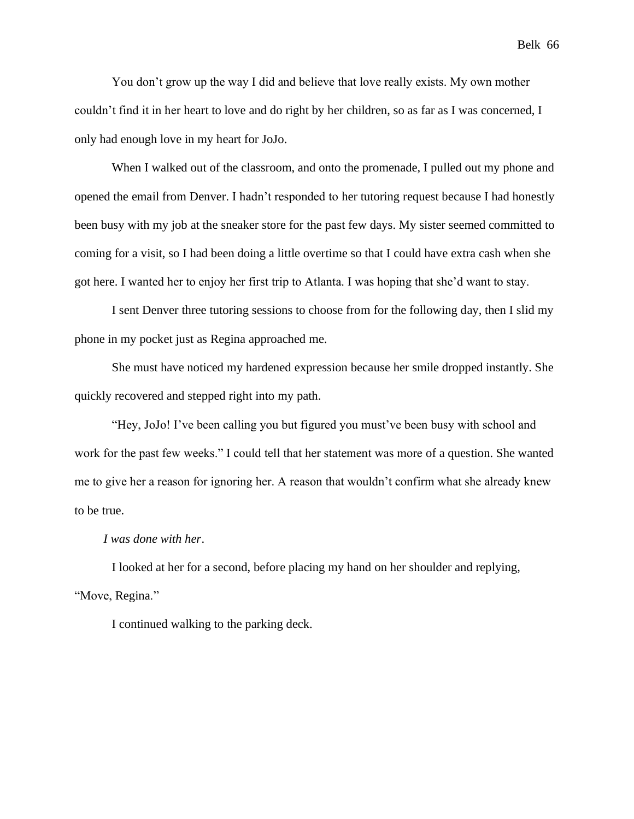You don't grow up the way I did and believe that love really exists. My own mother couldn't find it in her heart to love and do right by her children, so as far as I was concerned, I only had enough love in my heart for JoJo.

When I walked out of the classroom, and onto the promenade, I pulled out my phone and opened the email from Denver. I hadn't responded to her tutoring request because I had honestly been busy with my job at the sneaker store for the past few days. My sister seemed committed to coming for a visit, so I had been doing a little overtime so that I could have extra cash when she got here. I wanted her to enjoy her first trip to Atlanta. I was hoping that she'd want to stay.

I sent Denver three tutoring sessions to choose from for the following day, then I slid my phone in my pocket just as Regina approached me.

She must have noticed my hardened expression because her smile dropped instantly. She quickly recovered and stepped right into my path.

"Hey, JoJo! I've been calling you but figured you must've been busy with school and work for the past few weeks." I could tell that her statement was more of a question. She wanted me to give her a reason for ignoring her. A reason that wouldn't confirm what she already knew to be true.

#### *I was done with her*.

I looked at her for a second, before placing my hand on her shoulder and replying, "Move, Regina."

I continued walking to the parking deck.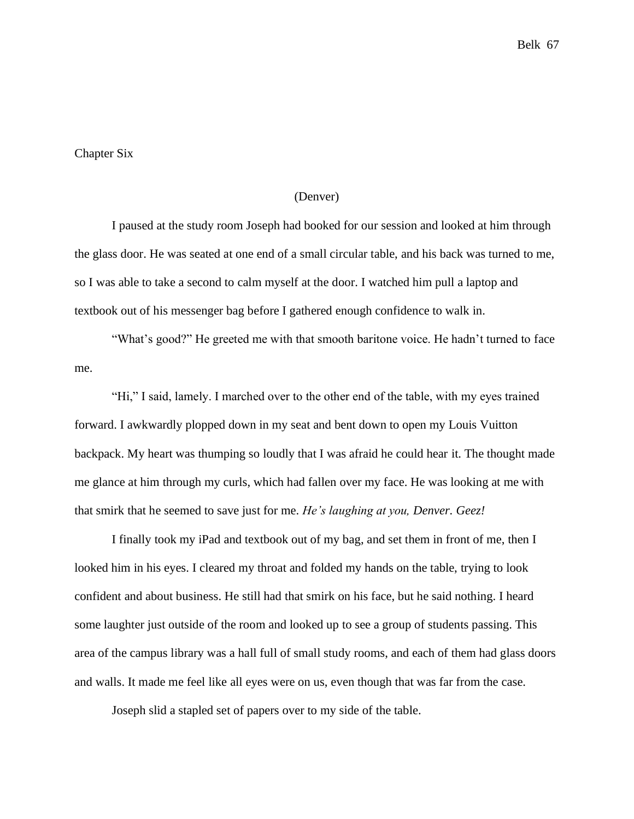#### Chapter Six

# (Denver)

I paused at the study room Joseph had booked for our session and looked at him through the glass door. He was seated at one end of a small circular table, and his back was turned to me, so I was able to take a second to calm myself at the door. I watched him pull a laptop and textbook out of his messenger bag before I gathered enough confidence to walk in.

"What's good?" He greeted me with that smooth baritone voice. He hadn't turned to face me.

"Hi," I said, lamely. I marched over to the other end of the table, with my eyes trained forward. I awkwardly plopped down in my seat and bent down to open my Louis Vuitton backpack. My heart was thumping so loudly that I was afraid he could hear it. The thought made me glance at him through my curls, which had fallen over my face. He was looking at me with that smirk that he seemed to save just for me. *He's laughing at you, Denver. Geez!*

I finally took my iPad and textbook out of my bag, and set them in front of me, then I looked him in his eyes. I cleared my throat and folded my hands on the table, trying to look confident and about business. He still had that smirk on his face, but he said nothing. I heard some laughter just outside of the room and looked up to see a group of students passing. This area of the campus library was a hall full of small study rooms, and each of them had glass doors and walls. It made me feel like all eyes were on us, even though that was far from the case.

Joseph slid a stapled set of papers over to my side of the table.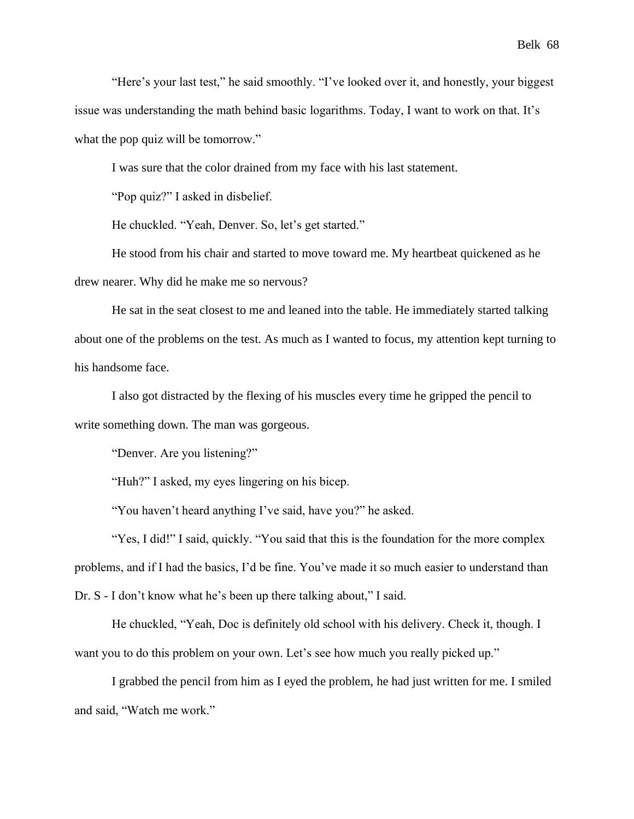"Here's your last test," he said smoothly. "I've looked over it, and honestly, your biggest issue was understanding the math behind basic logarithms. Today, I want to work on that. It's what the pop quiz will be tomorrow."

I was sure that the color drained from my face with his last statement.

"Pop quiz?" I asked in disbelief.

He chuckled. "Yeah, Denver. So, let's get started."

He stood from his chair and started to move toward me. My heartbeat quickened as he drew nearer. Why did he make me so nervous?

He sat in the seat closest to me and leaned into the table. He immediately started talking about one of the problems on the test. As much as I wanted to focus, my attention kept turning to his handsome face.

I also got distracted by the flexing of his muscles every time he gripped the pencil to write something down. The man was gorgeous.

"Denver. Are you listening?"

"Huh?" I asked, my eyes lingering on his bicep.

"You haven't heard anything I've said, have you?" he asked.

"Yes, I did!" I said, quickly. "You said that this is the foundation for the more complex problems, and if I had the basics, I'd be fine. You've made it so much easier to understand than Dr. S - I don't know what he's been up there talking about," I said.

He chuckled, "Yeah, Doc is definitely old school with his delivery. Check it, though. I want you to do this problem on your own. Let's see how much you really picked up."

I grabbed the pencil from him as I eyed the problem, he had just written for me. I smiled and said, "Watch me work."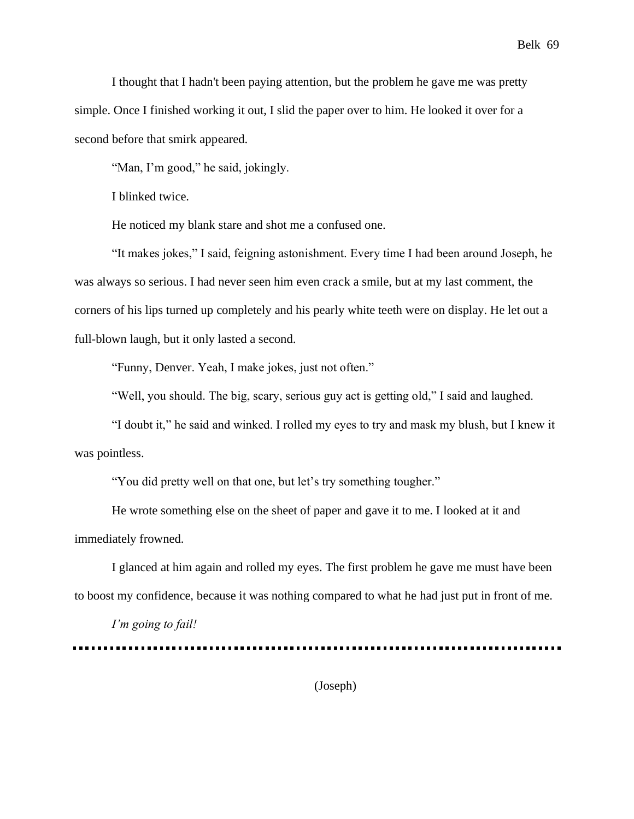I thought that I hadn't been paying attention, but the problem he gave me was pretty simple. Once I finished working it out, I slid the paper over to him. He looked it over for a second before that smirk appeared.

"Man, I'm good," he said, jokingly.

I blinked twice.

He noticed my blank stare and shot me a confused one.

"It makes jokes," I said, feigning astonishment. Every time I had been around Joseph, he was always so serious. I had never seen him even crack a smile, but at my last comment, the corners of his lips turned up completely and his pearly white teeth were on display. He let out a full-blown laugh, but it only lasted a second.

"Funny, Denver. Yeah, I make jokes, just not often."

"Well, you should. The big, scary, serious guy act is getting old," I said and laughed.

"I doubt it," he said and winked. I rolled my eyes to try and mask my blush, but I knew it was pointless.

"You did pretty well on that one, but let's try something tougher."

He wrote something else on the sheet of paper and gave it to me. I looked at it and immediately frowned.

I glanced at him again and rolled my eyes. The first problem he gave me must have been to boost my confidence, because it was nothing compared to what he had just put in front of me.

*I'm going to fail!*

(Joseph)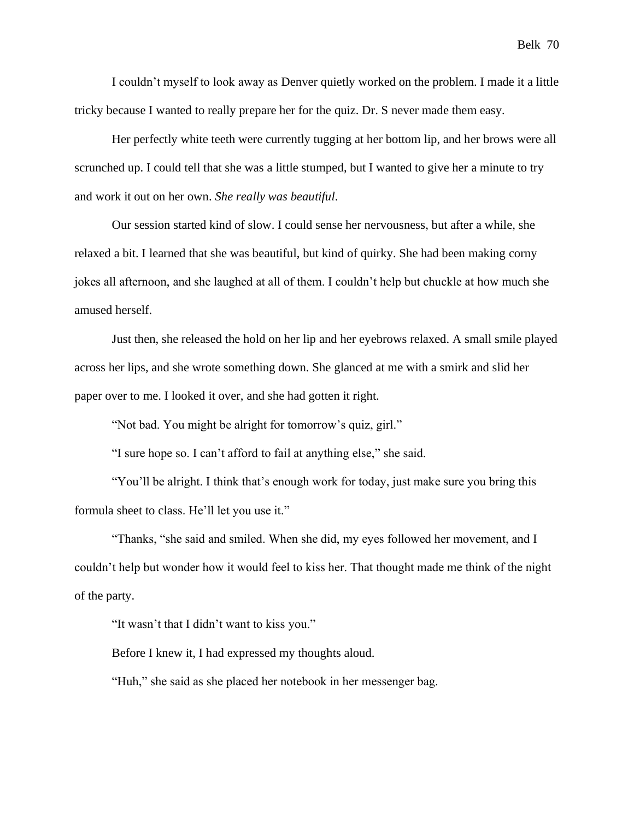I couldn't myself to look away as Denver quietly worked on the problem. I made it a little tricky because I wanted to really prepare her for the quiz. Dr. S never made them easy.

Her perfectly white teeth were currently tugging at her bottom lip, and her brows were all scrunched up. I could tell that she was a little stumped, but I wanted to give her a minute to try and work it out on her own. *She really was beautiful*.

Our session started kind of slow. I could sense her nervousness, but after a while, she relaxed a bit. I learned that she was beautiful, but kind of quirky. She had been making corny jokes all afternoon, and she laughed at all of them. I couldn't help but chuckle at how much she amused herself.

Just then, she released the hold on her lip and her eyebrows relaxed. A small smile played across her lips, and she wrote something down. She glanced at me with a smirk and slid her paper over to me. I looked it over, and she had gotten it right.

"Not bad. You might be alright for tomorrow's quiz, girl."

"I sure hope so. I can't afford to fail at anything else," she said.

"You'll be alright. I think that's enough work for today, just make sure you bring this formula sheet to class. He'll let you use it."

"Thanks, "she said and smiled. When she did, my eyes followed her movement, and I couldn't help but wonder how it would feel to kiss her. That thought made me think of the night of the party.

"It wasn't that I didn't want to kiss you."

Before I knew it, I had expressed my thoughts aloud.

"Huh," she said as she placed her notebook in her messenger bag.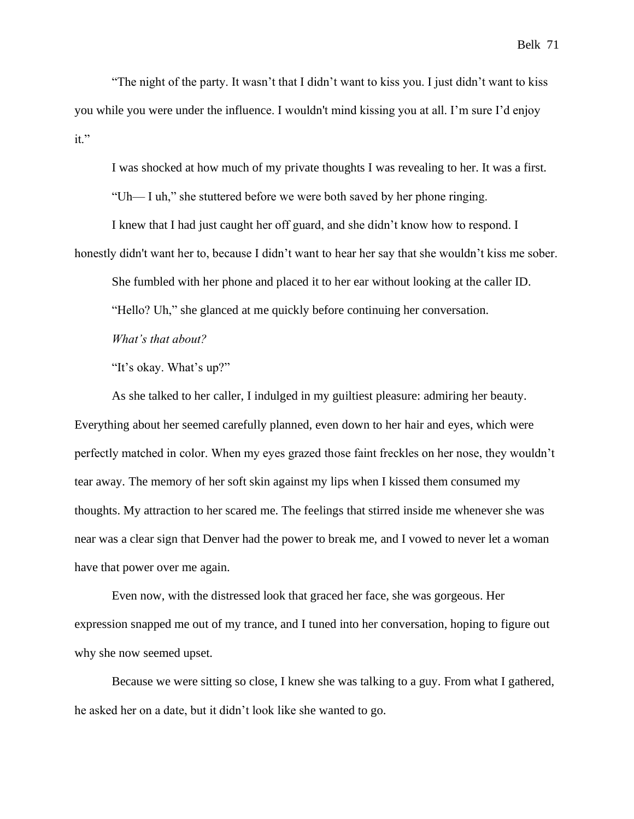"The night of the party. It wasn't that I didn't want to kiss you. I just didn't want to kiss you while you were under the influence. I wouldn't mind kissing you at all. I'm sure I'd enjoy it."

I was shocked at how much of my private thoughts I was revealing to her. It was a first.

"Uh— I uh," she stuttered before we were both saved by her phone ringing.

I knew that I had just caught her off guard, and she didn't know how to respond. I honestly didn't want her to, because I didn't want to hear her say that she wouldn't kiss me sober.

She fumbled with her phone and placed it to her ear without looking at the caller ID.

"Hello? Uh," she glanced at me quickly before continuing her conversation.

*What's that about?*

"It's okay. What's up?"

As she talked to her caller, I indulged in my guiltiest pleasure: admiring her beauty. Everything about her seemed carefully planned, even down to her hair and eyes, which were perfectly matched in color. When my eyes grazed those faint freckles on her nose, they wouldn't tear away. The memory of her soft skin against my lips when I kissed them consumed my thoughts. My attraction to her scared me. The feelings that stirred inside me whenever she was near was a clear sign that Denver had the power to break me, and I vowed to never let a woman have that power over me again.

Even now, with the distressed look that graced her face, she was gorgeous. Her expression snapped me out of my trance, and I tuned into her conversation, hoping to figure out why she now seemed upset.

Because we were sitting so close, I knew she was talking to a guy. From what I gathered, he asked her on a date, but it didn't look like she wanted to go.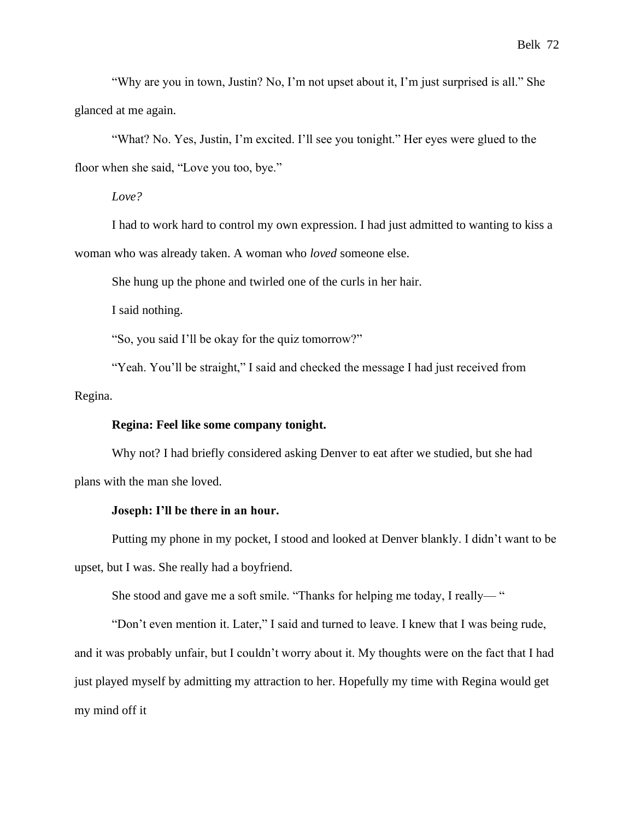"Why are you in town, Justin? No, I'm not upset about it, I'm just surprised is all." She glanced at me again.

"What? No. Yes, Justin, I'm excited. I'll see you tonight." Her eyes were glued to the floor when she said, "Love you too, bye."

*Love?*

I had to work hard to control my own expression. I had just admitted to wanting to kiss a woman who was already taken. A woman who *loved* someone else.

She hung up the phone and twirled one of the curls in her hair.

I said nothing.

"So, you said I'll be okay for the quiz tomorrow?"

"Yeah. You'll be straight," I said and checked the message I had just received from Regina.

# **Regina: Feel like some company tonight.**

Why not? I had briefly considered asking Denver to eat after we studied, but she had plans with the man she loved.

#### **Joseph: I'll be there in an hour.**

Putting my phone in my pocket, I stood and looked at Denver blankly. I didn't want to be upset, but I was. She really had a boyfriend.

She stood and gave me a soft smile. "Thanks for helping me today, I really— "

"Don't even mention it. Later," I said and turned to leave. I knew that I was being rude, and it was probably unfair, but I couldn't worry about it. My thoughts were on the fact that I had just played myself by admitting my attraction to her. Hopefully my time with Regina would get my mind off it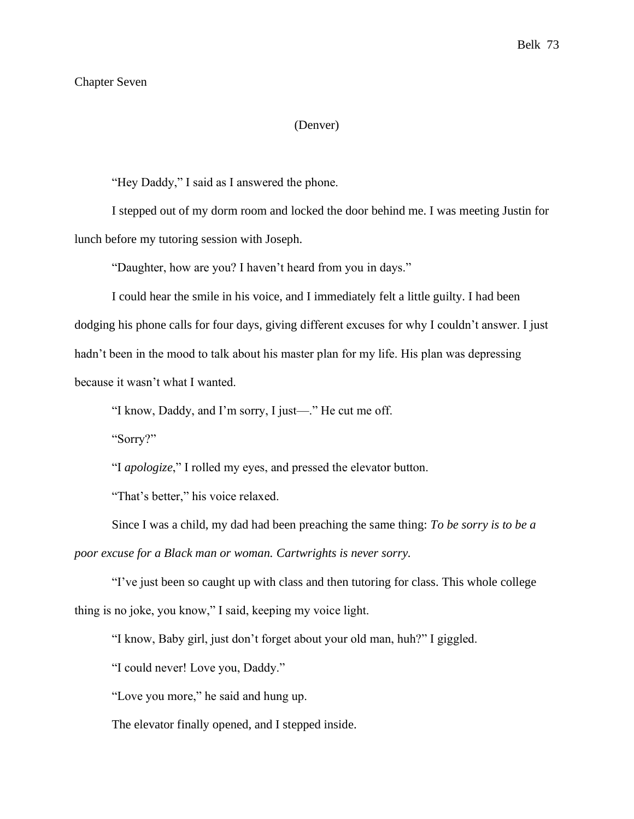## Chapter Seven

### (Denver)

"Hey Daddy," I said as I answered the phone.

I stepped out of my dorm room and locked the door behind me. I was meeting Justin for lunch before my tutoring session with Joseph.

"Daughter, how are you? I haven't heard from you in days."

I could hear the smile in his voice, and I immediately felt a little guilty. I had been dodging his phone calls for four days, giving different excuses for why I couldn't answer. I just hadn't been in the mood to talk about his master plan for my life. His plan was depressing because it wasn't what I wanted.

"I know, Daddy, and I'm sorry, I just—." He cut me off.

"Sorry?"

"I *apologize*," I rolled my eyes, and pressed the elevator button.

"That's better," his voice relaxed.

Since I was a child, my dad had been preaching the same thing: *To be sorry is to be a poor excuse for a Black man or woman. Cartwrights is never sorry.*

"I've just been so caught up with class and then tutoring for class. This whole college thing is no joke, you know," I said, keeping my voice light.

"I know, Baby girl, just don't forget about your old man, huh?" I giggled.

"I could never! Love you, Daddy."

"Love you more," he said and hung up.

The elevator finally opened, and I stepped inside.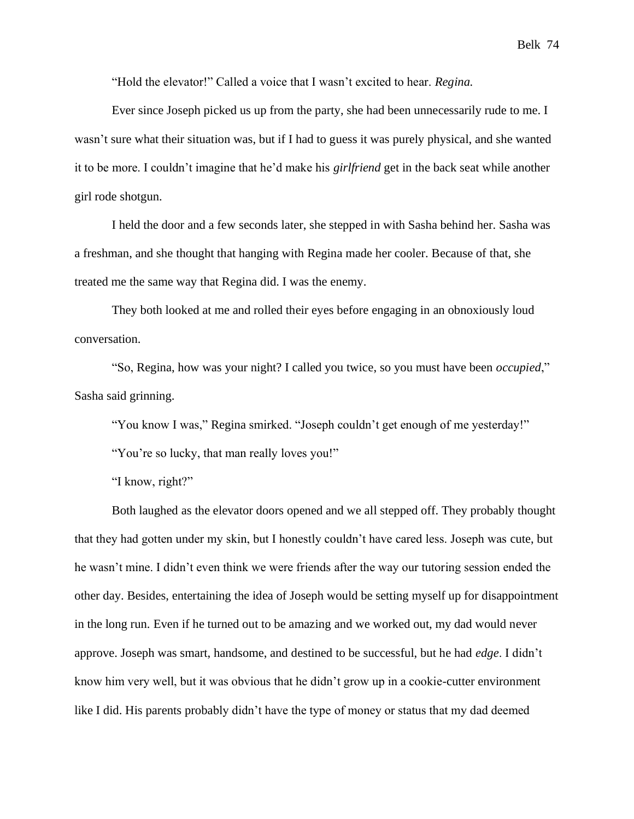"Hold the elevator!" Called a voice that I wasn't excited to hear. *Regina.*

Ever since Joseph picked us up from the party, she had been unnecessarily rude to me. I wasn't sure what their situation was, but if I had to guess it was purely physical, and she wanted it to be more. I couldn't imagine that he'd make his *girlfriend* get in the back seat while another girl rode shotgun.

I held the door and a few seconds later, she stepped in with Sasha behind her. Sasha was a freshman, and she thought that hanging with Regina made her cooler. Because of that, she treated me the same way that Regina did. I was the enemy.

They both looked at me and rolled their eyes before engaging in an obnoxiously loud conversation.

"So, Regina, how was your night? I called you twice, so you must have been *occupied*," Sasha said grinning.

"You know I was," Regina smirked. "Joseph couldn't get enough of me yesterday!"

"You're so lucky, that man really loves you!"

"I know, right?"

Both laughed as the elevator doors opened and we all stepped off. They probably thought that they had gotten under my skin, but I honestly couldn't have cared less. Joseph was cute, but he wasn't mine. I didn't even think we were friends after the way our tutoring session ended the other day. Besides, entertaining the idea of Joseph would be setting myself up for disappointment in the long run. Even if he turned out to be amazing and we worked out, my dad would never approve. Joseph was smart, handsome, and destined to be successful, but he had *edge*. I didn't know him very well, but it was obvious that he didn't grow up in a cookie-cutter environment like I did. His parents probably didn't have the type of money or status that my dad deemed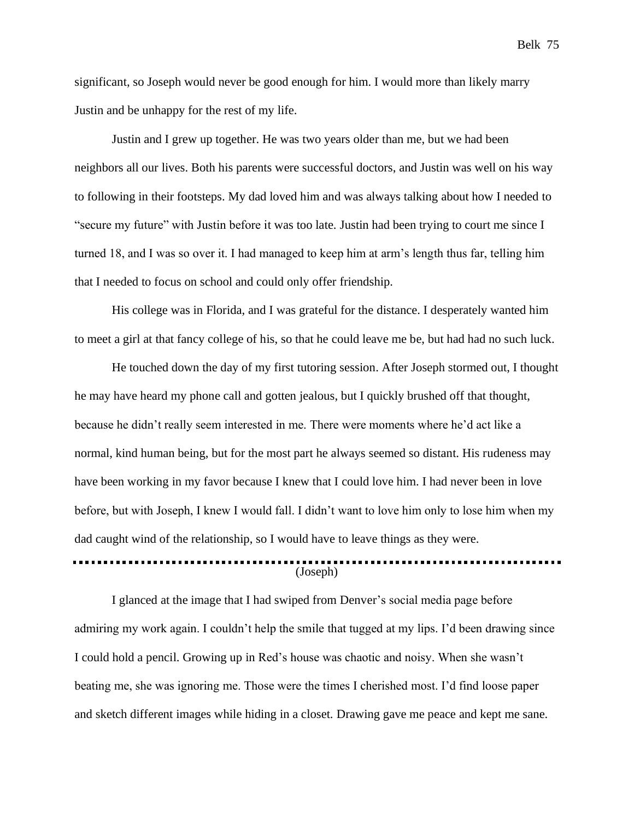significant, so Joseph would never be good enough for him. I would more than likely marry Justin and be unhappy for the rest of my life.

Justin and I grew up together. He was two years older than me, but we had been neighbors all our lives. Both his parents were successful doctors, and Justin was well on his way to following in their footsteps. My dad loved him and was always talking about how I needed to "secure my future" with Justin before it was too late. Justin had been trying to court me since I turned 18, and I was so over it. I had managed to keep him at arm's length thus far, telling him that I needed to focus on school and could only offer friendship.

His college was in Florida, and I was grateful for the distance. I desperately wanted him to meet a girl at that fancy college of his, so that he could leave me be, but had had no such luck.

He touched down the day of my first tutoring session. After Joseph stormed out, I thought he may have heard my phone call and gotten jealous, but I quickly brushed off that thought, because he didn't really seem interested in me. There were moments where he'd act like a normal, kind human being, but for the most part he always seemed so distant. His rudeness may have been working in my favor because I knew that I could love him. I had never been in love before, but with Joseph, I knew I would fall. I didn't want to love him only to lose him when my dad caught wind of the relationship, so I would have to leave things as they were. (Joseph)

I glanced at the image that I had swiped from Denver's social media page before admiring my work again. I couldn't help the smile that tugged at my lips. I'd been drawing since I could hold a pencil. Growing up in Red's house was chaotic and noisy. When she wasn't beating me, she was ignoring me. Those were the times I cherished most. I'd find loose paper and sketch different images while hiding in a closet. Drawing gave me peace and kept me sane.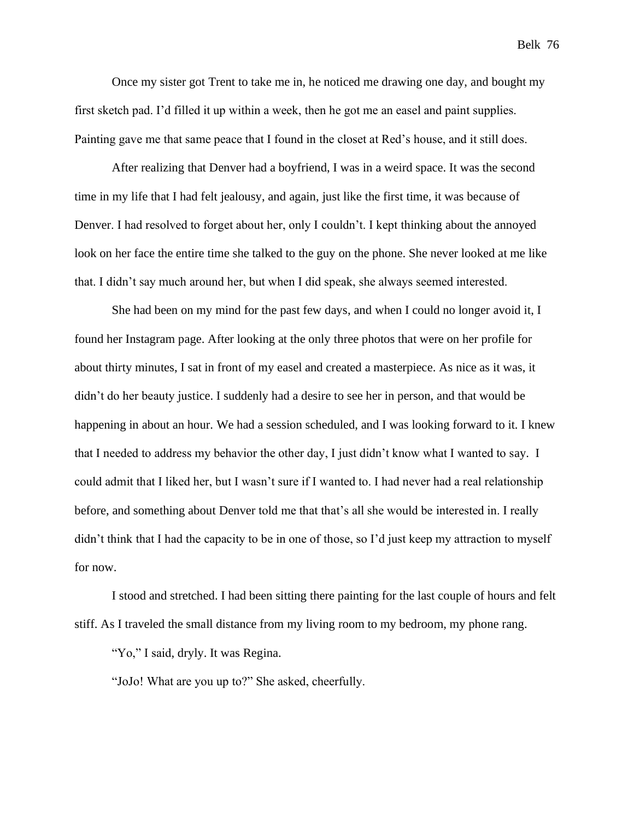Once my sister got Trent to take me in, he noticed me drawing one day, and bought my first sketch pad. I'd filled it up within a week, then he got me an easel and paint supplies. Painting gave me that same peace that I found in the closet at Red's house, and it still does.

After realizing that Denver had a boyfriend, I was in a weird space. It was the second time in my life that I had felt jealousy, and again, just like the first time, it was because of Denver. I had resolved to forget about her, only I couldn't. I kept thinking about the annoyed look on her face the entire time she talked to the guy on the phone. She never looked at me like that. I didn't say much around her, but when I did speak, she always seemed interested.

She had been on my mind for the past few days, and when I could no longer avoid it, I found her Instagram page. After looking at the only three photos that were on her profile for about thirty minutes, I sat in front of my easel and created a masterpiece. As nice as it was, it didn't do her beauty justice. I suddenly had a desire to see her in person, and that would be happening in about an hour. We had a session scheduled, and I was looking forward to it. I knew that I needed to address my behavior the other day, I just didn't know what I wanted to say. I could admit that I liked her, but I wasn't sure if I wanted to. I had never had a real relationship before, and something about Denver told me that that's all she would be interested in. I really didn't think that I had the capacity to be in one of those, so I'd just keep my attraction to myself for now.

I stood and stretched. I had been sitting there painting for the last couple of hours and felt stiff. As I traveled the small distance from my living room to my bedroom, my phone rang.

"Yo," I said, dryly. It was Regina.

"JoJo! What are you up to?" She asked, cheerfully.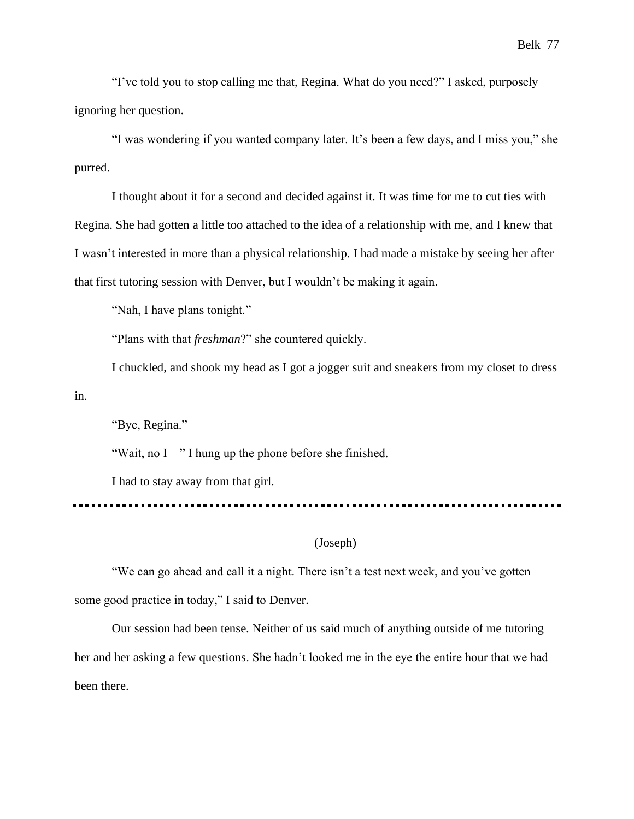"I've told you to stop calling me that, Regina. What do you need?" I asked, purposely ignoring her question.

"I was wondering if you wanted company later. It's been a few days, and I miss you," she purred.

I thought about it for a second and decided against it. It was time for me to cut ties with Regina. She had gotten a little too attached to the idea of a relationship with me, and I knew that I wasn't interested in more than a physical relationship. I had made a mistake by seeing her after that first tutoring session with Denver, but I wouldn't be making it again.

"Nah, I have plans tonight."

"Plans with that *freshman*?" she countered quickly.

I chuckled, and shook my head as I got a jogger suit and sneakers from my closet to dress in.

"Bye, Regina."

"Wait, no I—" I hung up the phone before she finished.

I had to stay away from that girl.

---------------------------

## (Joseph)

"We can go ahead and call it a night. There isn't a test next week, and you've gotten some good practice in today," I said to Denver.

Our session had been tense. Neither of us said much of anything outside of me tutoring her and her asking a few questions. She hadn't looked me in the eye the entire hour that we had been there.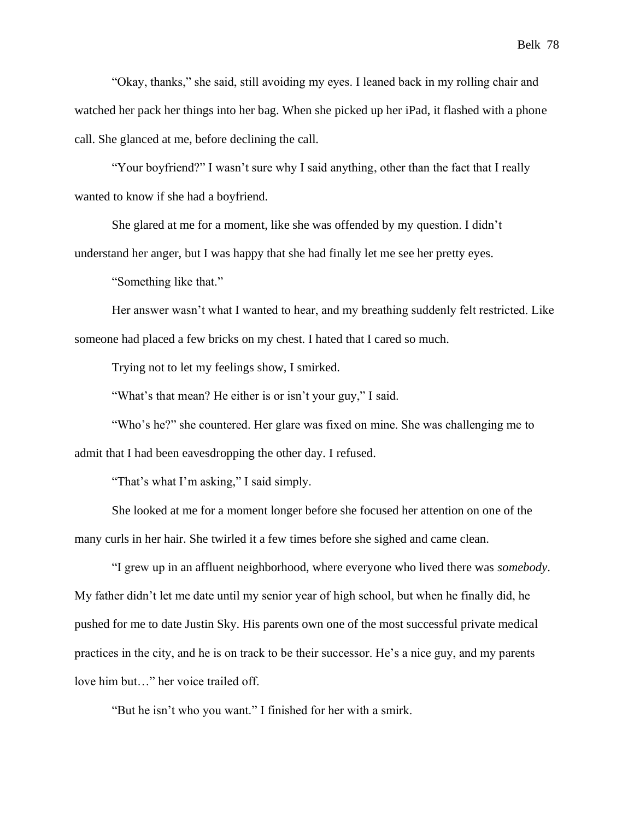"Okay, thanks," she said, still avoiding my eyes. I leaned back in my rolling chair and watched her pack her things into her bag. When she picked up her iPad, it flashed with a phone call. She glanced at me, before declining the call.

"Your boyfriend?" I wasn't sure why I said anything, other than the fact that I really wanted to know if she had a boyfriend.

She glared at me for a moment, like she was offended by my question. I didn't understand her anger, but I was happy that she had finally let me see her pretty eyes.

"Something like that."

Her answer wasn't what I wanted to hear, and my breathing suddenly felt restricted. Like someone had placed a few bricks on my chest. I hated that I cared so much.

Trying not to let my feelings show, I smirked.

"What's that mean? He either is or isn't your guy," I said.

"Who's he?" she countered. Her glare was fixed on mine. She was challenging me to admit that I had been eavesdropping the other day. I refused.

"That's what I'm asking," I said simply.

She looked at me for a moment longer before she focused her attention on one of the many curls in her hair. She twirled it a few times before she sighed and came clean.

"I grew up in an affluent neighborhood, where everyone who lived there was *somebody*. My father didn't let me date until my senior year of high school, but when he finally did, he pushed for me to date Justin Sky. His parents own one of the most successful private medical practices in the city, and he is on track to be their successor. He's a nice guy, and my parents love him but…" her voice trailed off.

"But he isn't who you want." I finished for her with a smirk.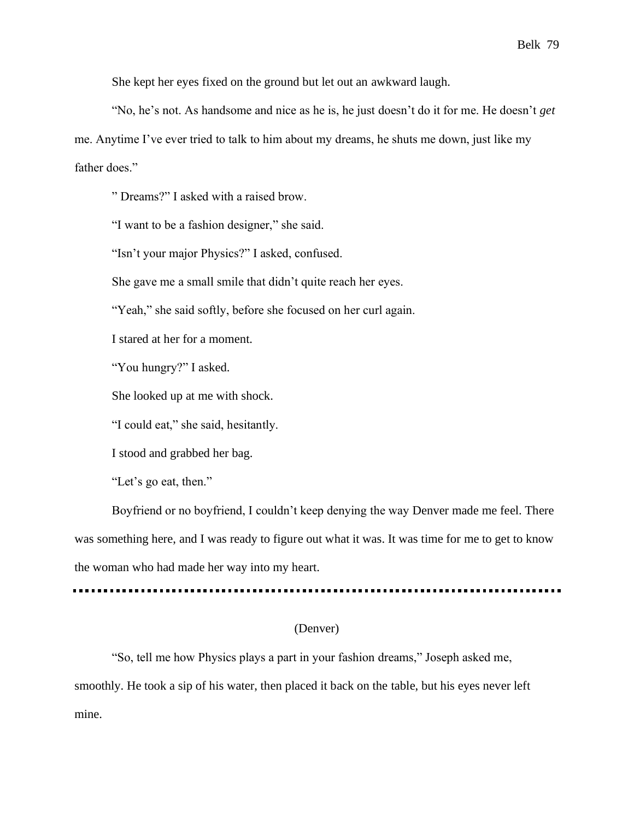She kept her eyes fixed on the ground but let out an awkward laugh.

"No, he's not. As handsome and nice as he is, he just doesn't do it for me. He doesn't *get* me. Anytime I've ever tried to talk to him about my dreams, he shuts me down, just like my father does."

" Dreams?" I asked with a raised brow.

"I want to be a fashion designer," she said.

"Isn't your major Physics?" I asked, confused.

She gave me a small smile that didn't quite reach her eyes.

"Yeah," she said softly, before she focused on her curl again.

I stared at her for a moment.

"You hungry?" I asked.

She looked up at me with shock.

"I could eat," she said, hesitantly.

I stood and grabbed her bag.

"Let's go eat, then."

Boyfriend or no boyfriend, I couldn't keep denying the way Denver made me feel. There was something here, and I was ready to figure out what it was. It was time for me to get to know the woman who had made her way into my heart.

## (Denver)

"So, tell me how Physics plays a part in your fashion dreams," Joseph asked me, smoothly. He took a sip of his water, then placed it back on the table, but his eyes never left mine.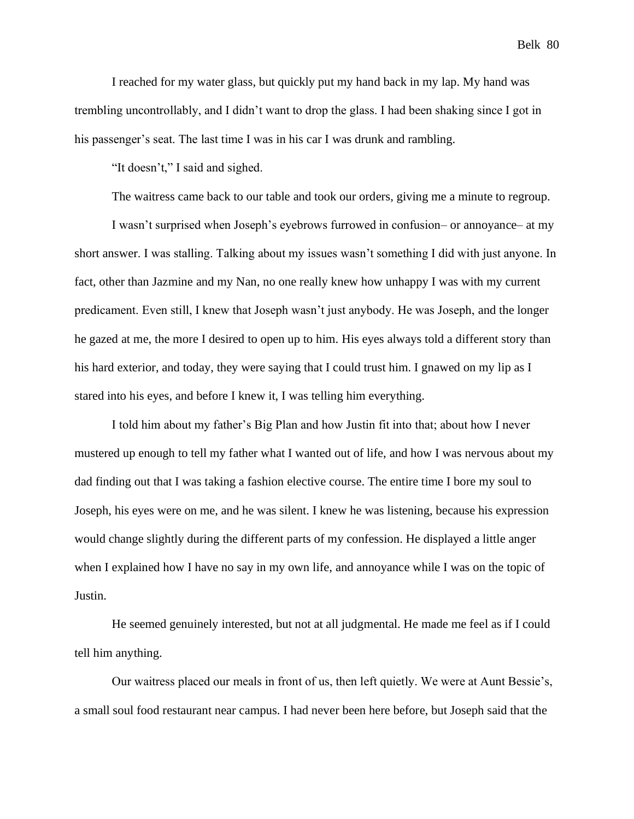I reached for my water glass, but quickly put my hand back in my lap. My hand was trembling uncontrollably, and I didn't want to drop the glass. I had been shaking since I got in his passenger's seat. The last time I was in his car I was drunk and rambling.

"It doesn't," I said and sighed.

The waitress came back to our table and took our orders, giving me a minute to regroup.

I wasn't surprised when Joseph's eyebrows furrowed in confusion– or annoyance– at my short answer. I was stalling. Talking about my issues wasn't something I did with just anyone. In fact, other than Jazmine and my Nan, no one really knew how unhappy I was with my current predicament. Even still, I knew that Joseph wasn't just anybody. He was Joseph, and the longer he gazed at me, the more I desired to open up to him. His eyes always told a different story than his hard exterior, and today, they were saying that I could trust him. I gnawed on my lip as I stared into his eyes, and before I knew it, I was telling him everything.

I told him about my father's Big Plan and how Justin fit into that; about how I never mustered up enough to tell my father what I wanted out of life, and how I was nervous about my dad finding out that I was taking a fashion elective course. The entire time I bore my soul to Joseph, his eyes were on me, and he was silent. I knew he was listening, because his expression would change slightly during the different parts of my confession. He displayed a little anger when I explained how I have no say in my own life, and annoyance while I was on the topic of Justin.

He seemed genuinely interested, but not at all judgmental. He made me feel as if I could tell him anything.

Our waitress placed our meals in front of us, then left quietly. We were at Aunt Bessie's, a small soul food restaurant near campus. I had never been here before, but Joseph said that the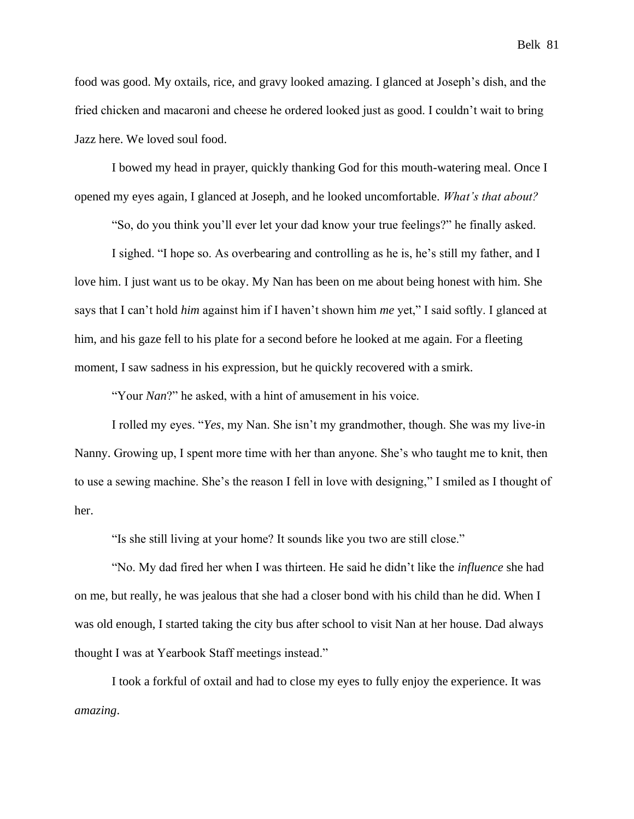food was good. My oxtails, rice, and gravy looked amazing. I glanced at Joseph's dish, and the fried chicken and macaroni and cheese he ordered looked just as good. I couldn't wait to bring Jazz here. We loved soul food.

I bowed my head in prayer, quickly thanking God for this mouth-watering meal. Once I opened my eyes again, I glanced at Joseph, and he looked uncomfortable. *What's that about?*

"So, do you think you'll ever let your dad know your true feelings?" he finally asked.

I sighed. "I hope so. As overbearing and controlling as he is, he's still my father, and I love him. I just want us to be okay. My Nan has been on me about being honest with him. She says that I can't hold *him* against him if I haven't shown him *me* yet," I said softly. I glanced at him, and his gaze fell to his plate for a second before he looked at me again. For a fleeting moment, I saw sadness in his expression, but he quickly recovered with a smirk.

"Your *Nan*?" he asked, with a hint of amusement in his voice.

I rolled my eyes. "*Yes*, my Nan. She isn't my grandmother, though. She was my live-in Nanny. Growing up, I spent more time with her than anyone. She's who taught me to knit, then to use a sewing machine. She's the reason I fell in love with designing," I smiled as I thought of her.

"Is she still living at your home? It sounds like you two are still close."

"No. My dad fired her when I was thirteen. He said he didn't like the *influence* she had on me, but really, he was jealous that she had a closer bond with his child than he did. When I was old enough, I started taking the city bus after school to visit Nan at her house. Dad always thought I was at Yearbook Staff meetings instead."

I took a forkful of oxtail and had to close my eyes to fully enjoy the experience. It was *amazing*.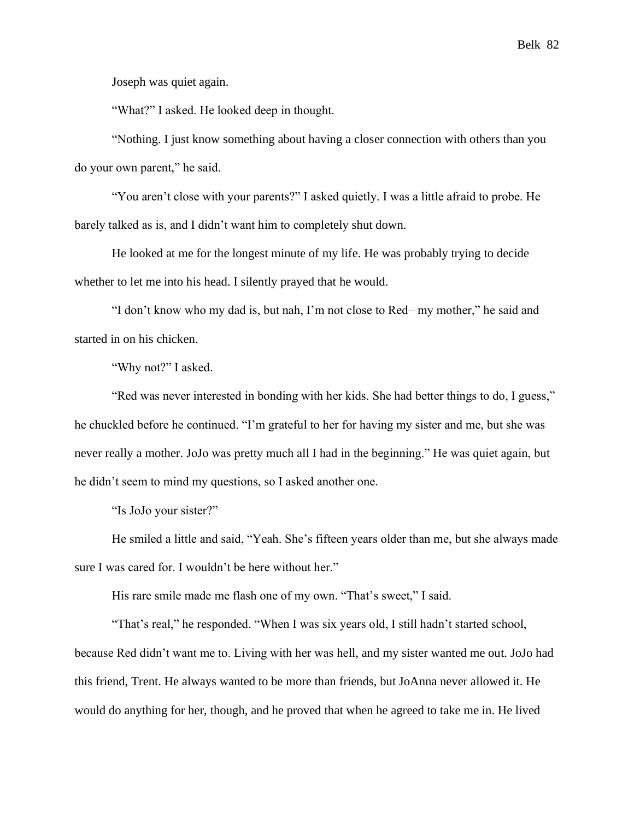Joseph was quiet again.

"What?" I asked. He looked deep in thought.

"Nothing. I just know something about having a closer connection with others than you do your own parent," he said.

"You aren't close with your parents?" I asked quietly. I was a little afraid to probe. He barely talked as is, and I didn't want him to completely shut down.

He looked at me for the longest minute of my life. He was probably trying to decide whether to let me into his head. I silently prayed that he would.

"I don't know who my dad is, but nah, I'm not close to Red– my mother," he said and started in on his chicken.

"Why not?" I asked.

"Red was never interested in bonding with her kids. She had better things to do, I guess," he chuckled before he continued. "I'm grateful to her for having my sister and me, but she was never really a mother. JoJo was pretty much all I had in the beginning." He was quiet again, but he didn't seem to mind my questions, so I asked another one.

"Is JoJo your sister?"

He smiled a little and said, "Yeah. She's fifteen years older than me, but she always made sure I was cared for. I wouldn't be here without her."

His rare smile made me flash one of my own. "That's sweet," I said.

"That's real," he responded. "When I was six years old, I still hadn't started school, because Red didn't want me to. Living with her was hell, and my sister wanted me out. JoJo had this friend, Trent. He always wanted to be more than friends, but JoAnna never allowed it. He would do anything for her, though, and he proved that when he agreed to take me in. He lived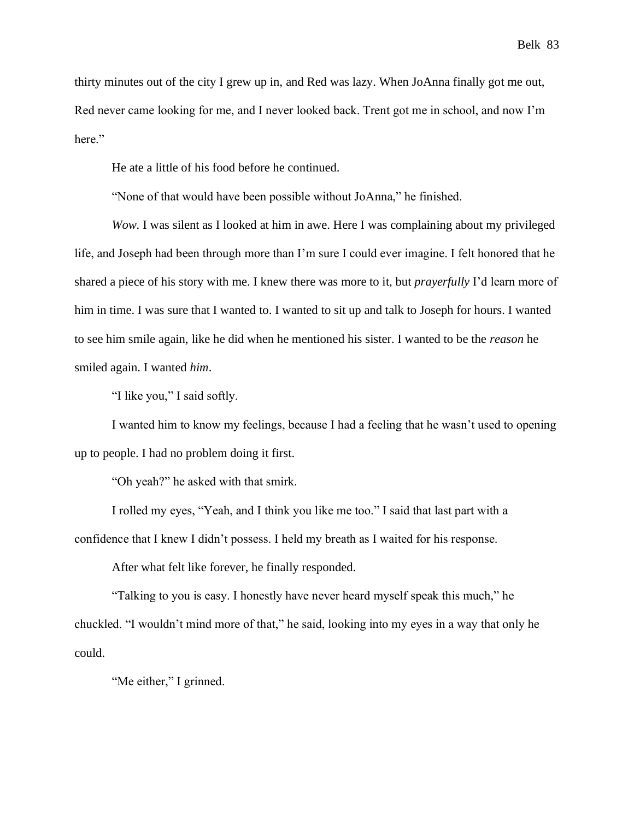thirty minutes out of the city I grew up in, and Red was lazy. When JoAnna finally got me out, Red never came looking for me, and I never looked back. Trent got me in school, and now I'm here."

He ate a little of his food before he continued.

"None of that would have been possible without JoAnna," he finished.

*Wow.* I was silent as I looked at him in awe. Here I was complaining about my privileged life, and Joseph had been through more than I'm sure I could ever imagine. I felt honored that he shared a piece of his story with me. I knew there was more to it, but *prayerfully* I'd learn more of him in time. I was sure that I wanted to. I wanted to sit up and talk to Joseph for hours. I wanted to see him smile again, like he did when he mentioned his sister. I wanted to be the *reason* he smiled again. I wanted *him*.

"I like you," I said softly.

I wanted him to know my feelings, because I had a feeling that he wasn't used to opening up to people. I had no problem doing it first.

"Oh yeah?" he asked with that smirk.

I rolled my eyes, "Yeah, and I think you like me too." I said that last part with a confidence that I knew I didn't possess. I held my breath as I waited for his response.

After what felt like forever, he finally responded.

"Talking to you is easy. I honestly have never heard myself speak this much," he chuckled. "I wouldn't mind more of that," he said, looking into my eyes in a way that only he could.

"Me either," I grinned.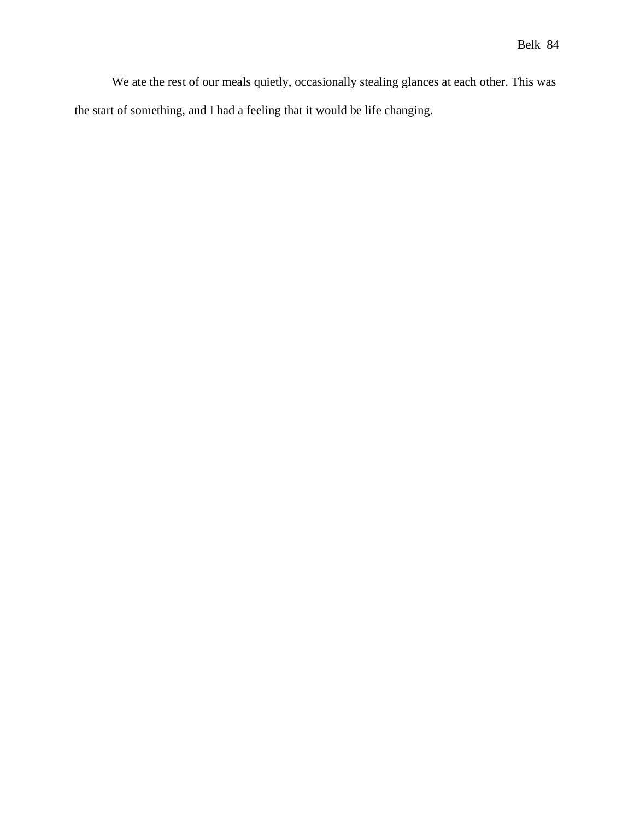We ate the rest of our meals quietly, occasionally stealing glances at each other. This was the start of something, and I had a feeling that it would be life changing.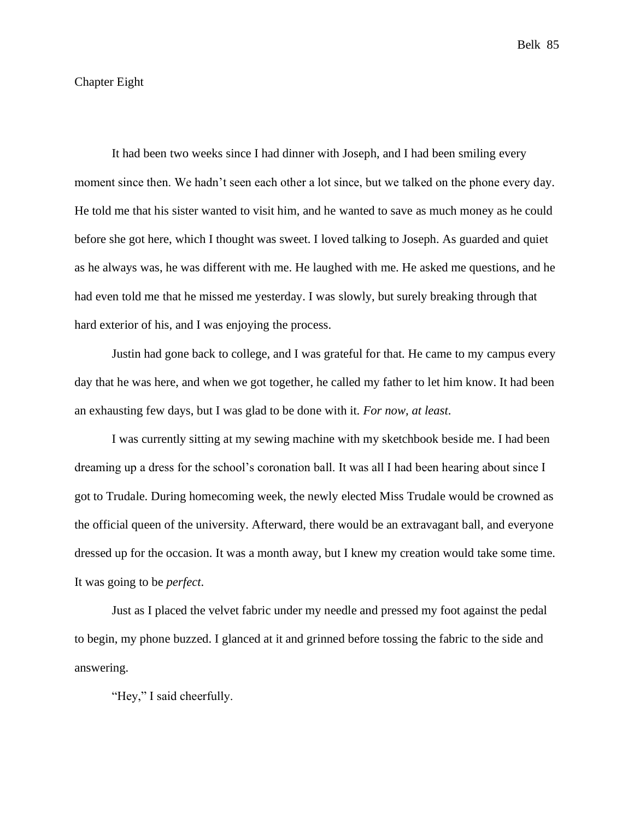## Chapter Eight

It had been two weeks since I had dinner with Joseph, and I had been smiling every moment since then. We hadn't seen each other a lot since, but we talked on the phone every day. He told me that his sister wanted to visit him, and he wanted to save as much money as he could before she got here, which I thought was sweet. I loved talking to Joseph. As guarded and quiet as he always was, he was different with me. He laughed with me. He asked me questions, and he had even told me that he missed me yesterday. I was slowly, but surely breaking through that hard exterior of his, and I was enjoying the process.

Justin had gone back to college, and I was grateful for that. He came to my campus every day that he was here, and when we got together, he called my father to let him know. It had been an exhausting few days, but I was glad to be done with it. *For now, at least*.

I was currently sitting at my sewing machine with my sketchbook beside me. I had been dreaming up a dress for the school's coronation ball. It was all I had been hearing about since I got to Trudale. During homecoming week, the newly elected Miss Trudale would be crowned as the official queen of the university. Afterward, there would be an extravagant ball, and everyone dressed up for the occasion. It was a month away, but I knew my creation would take some time. It was going to be *perfect*.

Just as I placed the velvet fabric under my needle and pressed my foot against the pedal to begin, my phone buzzed. I glanced at it and grinned before tossing the fabric to the side and answering.

"Hey," I said cheerfully.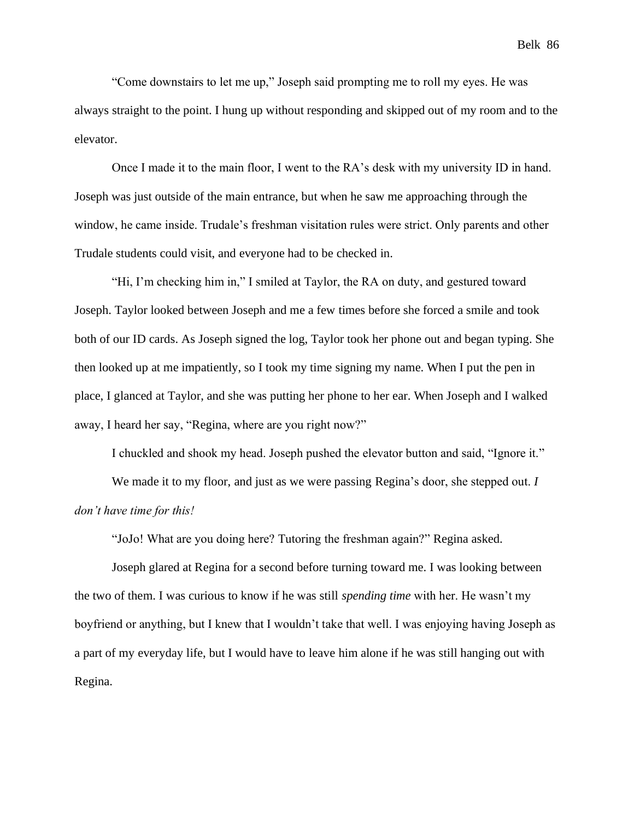"Come downstairs to let me up," Joseph said prompting me to roll my eyes. He was always straight to the point. I hung up without responding and skipped out of my room and to the elevator.

Once I made it to the main floor, I went to the RA's desk with my university ID in hand. Joseph was just outside of the main entrance, but when he saw me approaching through the window, he came inside. Trudale's freshman visitation rules were strict. Only parents and other Trudale students could visit, and everyone had to be checked in.

"Hi, I'm checking him in," I smiled at Taylor, the RA on duty, and gestured toward Joseph. Taylor looked between Joseph and me a few times before she forced a smile and took both of our ID cards. As Joseph signed the log, Taylor took her phone out and began typing. She then looked up at me impatiently, so I took my time signing my name. When I put the pen in place, I glanced at Taylor, and she was putting her phone to her ear. When Joseph and I walked away, I heard her say, "Regina, where are you right now?"

I chuckled and shook my head. Joseph pushed the elevator button and said, "Ignore it."

We made it to my floor, and just as we were passing Regina's door, she stepped out. *I don't have time for this!*

"JoJo! What are you doing here? Tutoring the freshman again?" Regina asked.

Joseph glared at Regina for a second before turning toward me. I was looking between the two of them. I was curious to know if he was still *spending time* with her. He wasn't my boyfriend or anything, but I knew that I wouldn't take that well. I was enjoying having Joseph as a part of my everyday life, but I would have to leave him alone if he was still hanging out with Regina.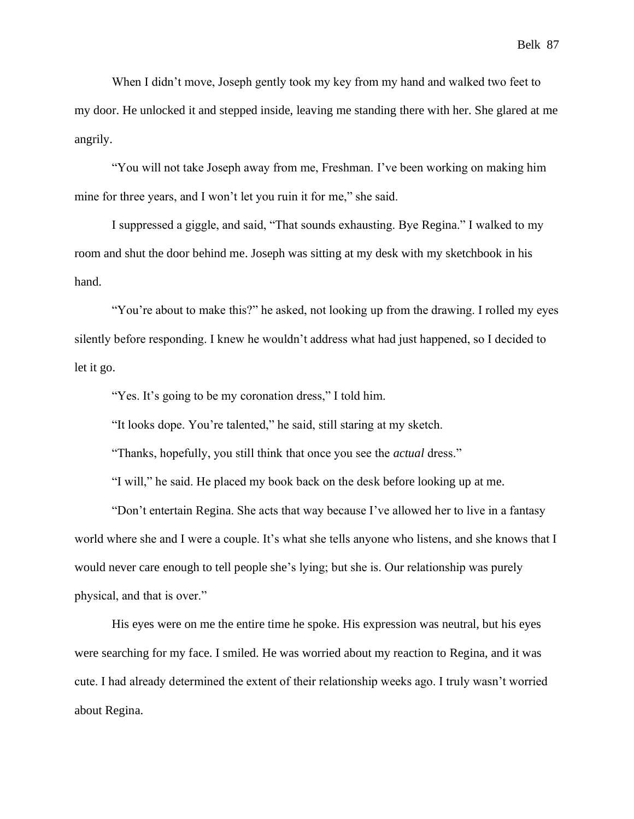When I didn't move, Joseph gently took my key from my hand and walked two feet to my door. He unlocked it and stepped inside, leaving me standing there with her. She glared at me angrily.

"You will not take Joseph away from me, Freshman. I've been working on making him mine for three years, and I won't let you ruin it for me," she said.

I suppressed a giggle, and said, "That sounds exhausting. Bye Regina." I walked to my room and shut the door behind me. Joseph was sitting at my desk with my sketchbook in his hand.

"You're about to make this?" he asked, not looking up from the drawing. I rolled my eyes silently before responding. I knew he wouldn't address what had just happened, so I decided to let it go.

"Yes. It's going to be my coronation dress," I told him.

"It looks dope. You're talented," he said, still staring at my sketch.

"Thanks, hopefully, you still think that once you see the *actual* dress."

"I will," he said. He placed my book back on the desk before looking up at me.

"Don't entertain Regina. She acts that way because I've allowed her to live in a fantasy world where she and I were a couple. It's what she tells anyone who listens, and she knows that I would never care enough to tell people she's lying; but she is. Our relationship was purely physical, and that is over."

His eyes were on me the entire time he spoke. His expression was neutral, but his eyes were searching for my face. I smiled. He was worried about my reaction to Regina, and it was cute. I had already determined the extent of their relationship weeks ago. I truly wasn't worried about Regina.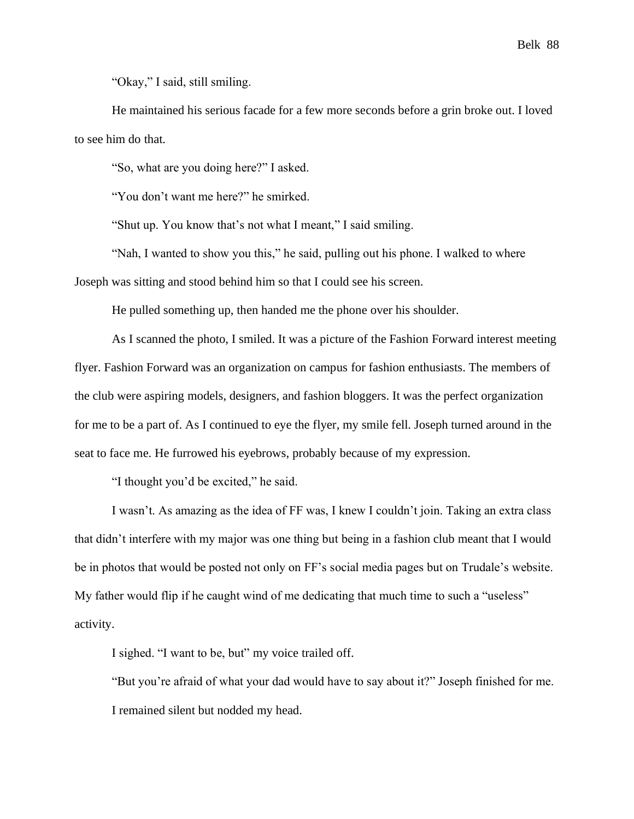"Okay," I said, still smiling.

He maintained his serious facade for a few more seconds before a grin broke out. I loved to see him do that.

"So, what are you doing here?" I asked.

"You don't want me here?" he smirked.

"Shut up. You know that's not what I meant," I said smiling.

"Nah, I wanted to show you this," he said, pulling out his phone. I walked to where Joseph was sitting and stood behind him so that I could see his screen.

He pulled something up, then handed me the phone over his shoulder.

As I scanned the photo, I smiled. It was a picture of the Fashion Forward interest meeting flyer. Fashion Forward was an organization on campus for fashion enthusiasts. The members of the club were aspiring models, designers, and fashion bloggers. It was the perfect organization for me to be a part of. As I continued to eye the flyer, my smile fell. Joseph turned around in the seat to face me. He furrowed his eyebrows, probably because of my expression.

"I thought you'd be excited," he said.

I wasn't. As amazing as the idea of FF was, I knew I couldn't join. Taking an extra class that didn't interfere with my major was one thing but being in a fashion club meant that I would be in photos that would be posted not only on FF's social media pages but on Trudale's website. My father would flip if he caught wind of me dedicating that much time to such a "useless" activity.

I sighed. "I want to be, but" my voice trailed off.

"But you're afraid of what your dad would have to say about it?" Joseph finished for me. I remained silent but nodded my head.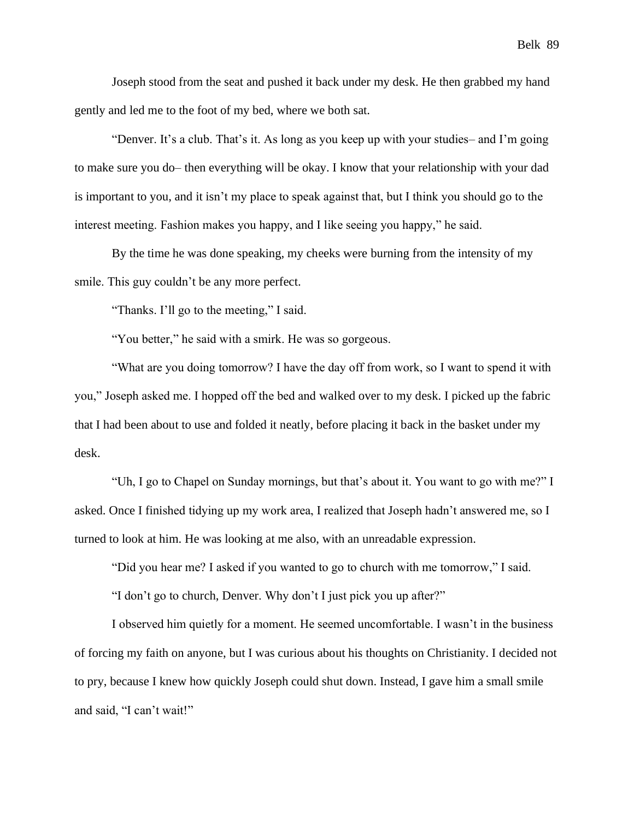Joseph stood from the seat and pushed it back under my desk. He then grabbed my hand gently and led me to the foot of my bed, where we both sat.

"Denver. It's a club. That's it. As long as you keep up with your studies– and I'm going to make sure you do– then everything will be okay. I know that your relationship with your dad is important to you, and it isn't my place to speak against that, but I think you should go to the interest meeting. Fashion makes you happy, and I like seeing you happy," he said.

By the time he was done speaking, my cheeks were burning from the intensity of my smile. This guy couldn't be any more perfect.

"Thanks. I'll go to the meeting," I said.

"You better," he said with a smirk. He was so gorgeous.

"What are you doing tomorrow? I have the day off from work, so I want to spend it with you," Joseph asked me. I hopped off the bed and walked over to my desk. I picked up the fabric that I had been about to use and folded it neatly, before placing it back in the basket under my desk.

"Uh, I go to Chapel on Sunday mornings, but that's about it. You want to go with me?" I asked. Once I finished tidying up my work area, I realized that Joseph hadn't answered me, so I turned to look at him. He was looking at me also, with an unreadable expression.

"Did you hear me? I asked if you wanted to go to church with me tomorrow," I said.

"I don't go to church, Denver. Why don't I just pick you up after?"

I observed him quietly for a moment. He seemed uncomfortable. I wasn't in the business of forcing my faith on anyone, but I was curious about his thoughts on Christianity. I decided not to pry, because I knew how quickly Joseph could shut down. Instead, I gave him a small smile and said, "I can't wait!"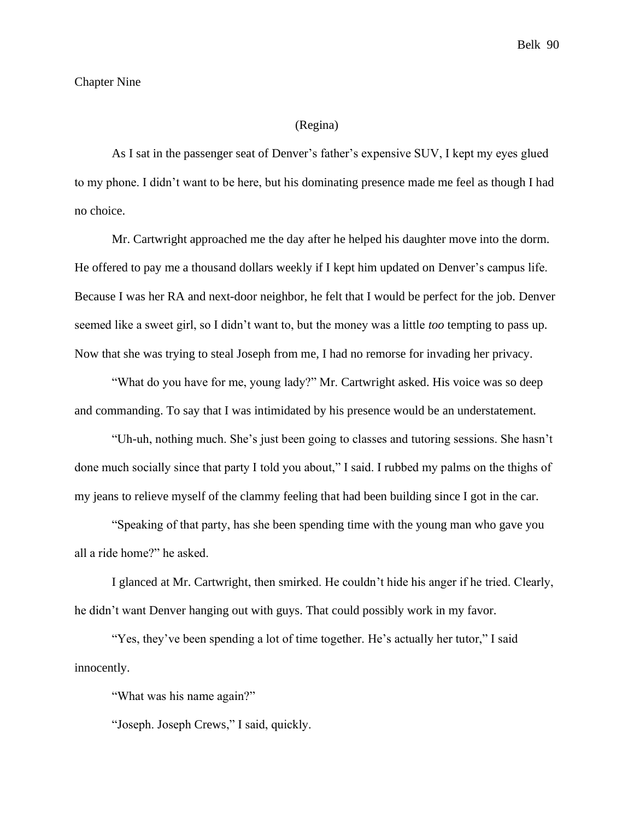### Chapter Nine

### (Regina)

As I sat in the passenger seat of Denver's father's expensive SUV, I kept my eyes glued to my phone. I didn't want to be here, but his dominating presence made me feel as though I had no choice.

Mr. Cartwright approached me the day after he helped his daughter move into the dorm. He offered to pay me a thousand dollars weekly if I kept him updated on Denver's campus life. Because I was her RA and next-door neighbor, he felt that I would be perfect for the job. Denver seemed like a sweet girl, so I didn't want to, but the money was a little *too* tempting to pass up. Now that she was trying to steal Joseph from me, I had no remorse for invading her privacy.

"What do you have for me, young lady?" Mr. Cartwright asked. His voice was so deep and commanding. To say that I was intimidated by his presence would be an understatement.

"Uh-uh, nothing much. She's just been going to classes and tutoring sessions. She hasn't done much socially since that party I told you about," I said. I rubbed my palms on the thighs of my jeans to relieve myself of the clammy feeling that had been building since I got in the car.

"Speaking of that party, has she been spending time with the young man who gave you all a ride home?" he asked.

I glanced at Mr. Cartwright, then smirked. He couldn't hide his anger if he tried. Clearly, he didn't want Denver hanging out with guys. That could possibly work in my favor.

"Yes, they've been spending a lot of time together. He's actually her tutor," I said innocently.

"What was his name again?"

"Joseph. Joseph Crews," I said, quickly.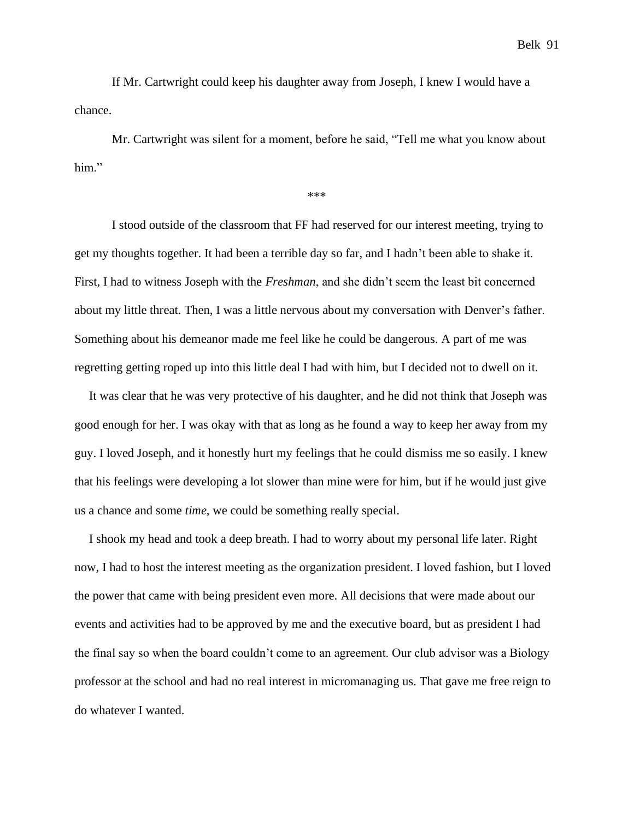If Mr. Cartwright could keep his daughter away from Joseph, I knew I would have a chance.

Mr. Cartwright was silent for a moment, before he said, "Tell me what you know about him."

\*\*\*

I stood outside of the classroom that FF had reserved for our interest meeting, trying to get my thoughts together. It had been a terrible day so far, and I hadn't been able to shake it. First, I had to witness Joseph with the *Freshman*, and she didn't seem the least bit concerned about my little threat. Then, I was a little nervous about my conversation with Denver's father. Something about his demeanor made me feel like he could be dangerous. A part of me was regretting getting roped up into this little deal I had with him, but I decided not to dwell on it.

It was clear that he was very protective of his daughter, and he did not think that Joseph was good enough for her. I was okay with that as long as he found a way to keep her away from my guy. I loved Joseph, and it honestly hurt my feelings that he could dismiss me so easily. I knew that his feelings were developing a lot slower than mine were for him, but if he would just give us a chance and some *time*, we could be something really special.

I shook my head and took a deep breath. I had to worry about my personal life later. Right now, I had to host the interest meeting as the organization president. I loved fashion, but I loved the power that came with being president even more. All decisions that were made about our events and activities had to be approved by me and the executive board, but as president I had the final say so when the board couldn't come to an agreement. Our club advisor was a Biology professor at the school and had no real interest in micromanaging us. That gave me free reign to do whatever I wanted.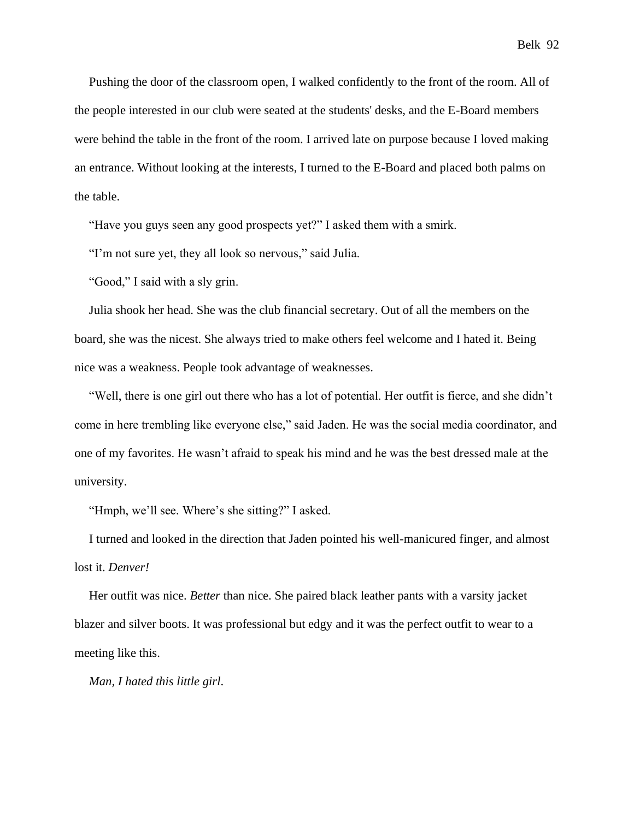Pushing the door of the classroom open, I walked confidently to the front of the room. All of the people interested in our club were seated at the students' desks, and the E-Board members were behind the table in the front of the room. I arrived late on purpose because I loved making an entrance. Without looking at the interests, I turned to the E-Board and placed both palms on the table.

"Have you guys seen any good prospects yet?" I asked them with a smirk.

"I'm not sure yet, they all look so nervous," said Julia.

"Good," I said with a sly grin.

Julia shook her head. She was the club financial secretary. Out of all the members on the board, she was the nicest. She always tried to make others feel welcome and I hated it. Being nice was a weakness. People took advantage of weaknesses.

"Well, there is one girl out there who has a lot of potential. Her outfit is fierce, and she didn't come in here trembling like everyone else," said Jaden. He was the social media coordinator, and one of my favorites. He wasn't afraid to speak his mind and he was the best dressed male at the university.

"Hmph, we'll see. Where's she sitting?" I asked.

I turned and looked in the direction that Jaden pointed his well-manicured finger, and almost lost it. *Denver!*

Her outfit was nice. *Better* than nice. She paired black leather pants with a varsity jacket blazer and silver boots. It was professional but edgy and it was the perfect outfit to wear to a meeting like this.

*Man, I hated this little girl*.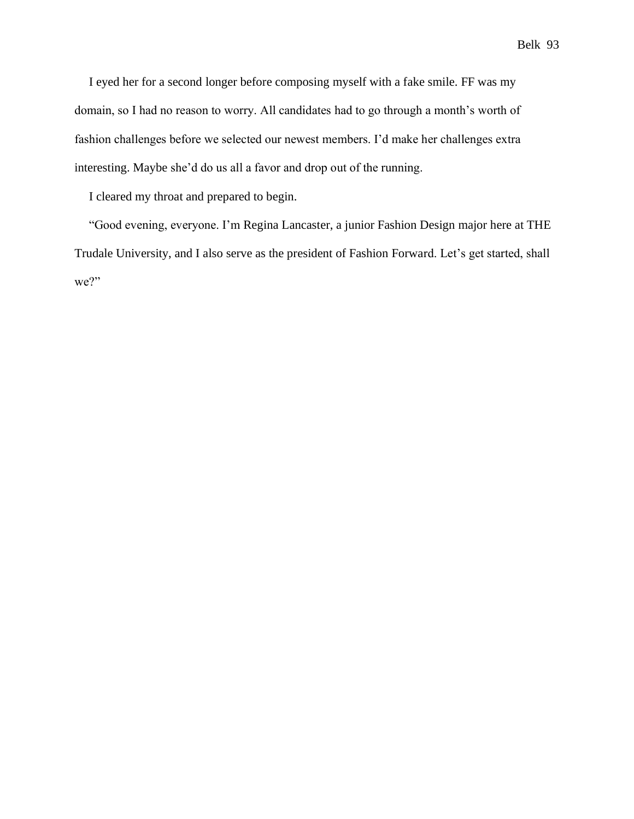I eyed her for a second longer before composing myself with a fake smile. FF was my domain, so I had no reason to worry. All candidates had to go through a month's worth of fashion challenges before we selected our newest members. I'd make her challenges extra interesting. Maybe she'd do us all a favor and drop out of the running.

I cleared my throat and prepared to begin.

"Good evening, everyone. I'm Regina Lancaster, a junior Fashion Design major here at THE Trudale University, and I also serve as the president of Fashion Forward. Let's get started, shall we?"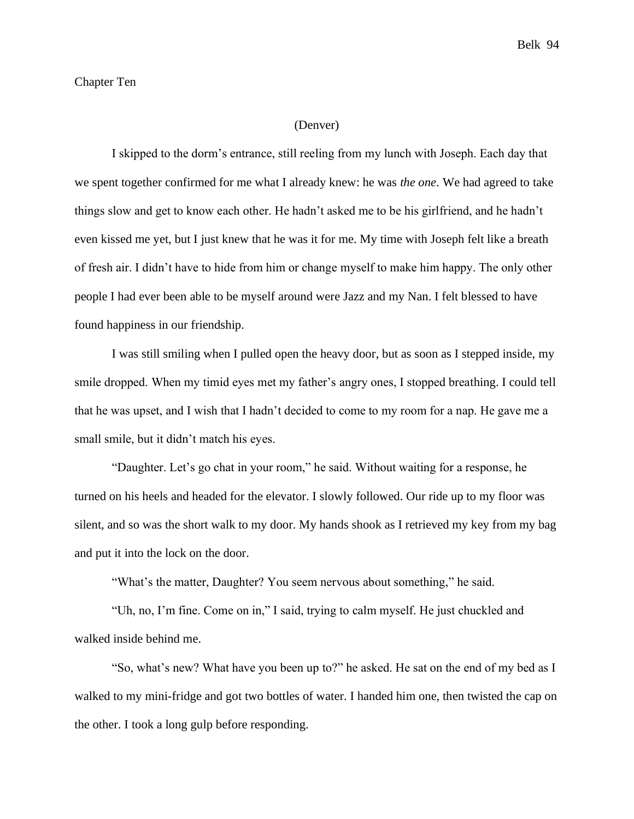### Chapter Ten

### (Denver)

I skipped to the dorm's entrance, still reeling from my lunch with Joseph. Each day that we spent together confirmed for me what I already knew: he was *the one*. We had agreed to take things slow and get to know each other. He hadn't asked me to be his girlfriend, and he hadn't even kissed me yet, but I just knew that he was it for me. My time with Joseph felt like a breath of fresh air. I didn't have to hide from him or change myself to make him happy. The only other people I had ever been able to be myself around were Jazz and my Nan. I felt blessed to have found happiness in our friendship.

I was still smiling when I pulled open the heavy door, but as soon as I stepped inside, my smile dropped. When my timid eyes met my father's angry ones, I stopped breathing. I could tell that he was upset, and I wish that I hadn't decided to come to my room for a nap. He gave me a small smile, but it didn't match his eyes.

"Daughter. Let's go chat in your room," he said. Without waiting for a response, he turned on his heels and headed for the elevator. I slowly followed. Our ride up to my floor was silent, and so was the short walk to my door. My hands shook as I retrieved my key from my bag and put it into the lock on the door.

"What's the matter, Daughter? You seem nervous about something," he said.

"Uh, no, I'm fine. Come on in," I said, trying to calm myself. He just chuckled and walked inside behind me.

"So, what's new? What have you been up to?" he asked. He sat on the end of my bed as I walked to my mini-fridge and got two bottles of water. I handed him one, then twisted the cap on the other. I took a long gulp before responding.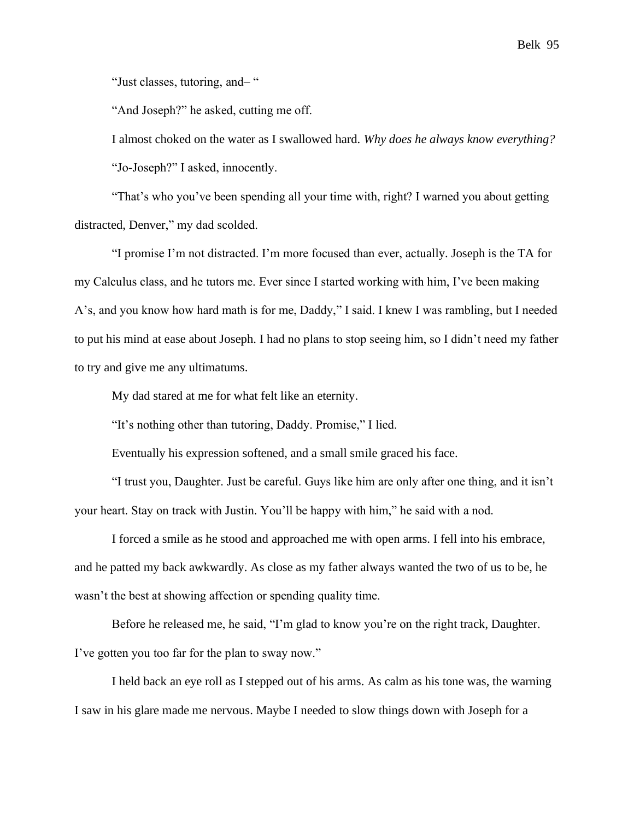"Just classes, tutoring, and– "

"And Joseph?" he asked, cutting me off.

I almost choked on the water as I swallowed hard. *Why does he always know everything?* "Jo-Joseph?" I asked, innocently.

"That's who you've been spending all your time with, right? I warned you about getting distracted, Denver," my dad scolded.

"I promise I'm not distracted. I'm more focused than ever, actually. Joseph is the TA for my Calculus class, and he tutors me. Ever since I started working with him, I've been making A's, and you know how hard math is for me, Daddy," I said. I knew I was rambling, but I needed to put his mind at ease about Joseph. I had no plans to stop seeing him, so I didn't need my father to try and give me any ultimatums.

My dad stared at me for what felt like an eternity.

"It's nothing other than tutoring, Daddy. Promise," I lied.

Eventually his expression softened, and a small smile graced his face.

"I trust you, Daughter. Just be careful. Guys like him are only after one thing, and it isn't your heart. Stay on track with Justin. You'll be happy with him," he said with a nod.

I forced a smile as he stood and approached me with open arms. I fell into his embrace, and he patted my back awkwardly. As close as my father always wanted the two of us to be, he wasn't the best at showing affection or spending quality time.

Before he released me, he said, "I'm glad to know you're on the right track, Daughter. I've gotten you too far for the plan to sway now."

I held back an eye roll as I stepped out of his arms. As calm as his tone was, the warning I saw in his glare made me nervous. Maybe I needed to slow things down with Joseph for a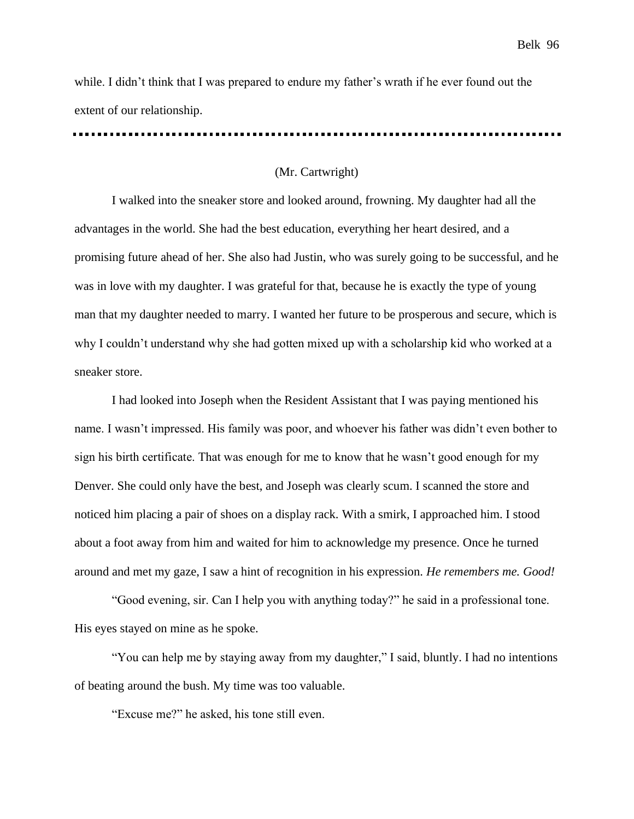while. I didn't think that I was prepared to endure my father's wrath if he ever found out the extent of our relationship.

#### (Mr. Cartwright)

I walked into the sneaker store and looked around, frowning. My daughter had all the advantages in the world. She had the best education, everything her heart desired, and a promising future ahead of her. She also had Justin, who was surely going to be successful, and he was in love with my daughter. I was grateful for that, because he is exactly the type of young man that my daughter needed to marry. I wanted her future to be prosperous and secure, which is why I couldn't understand why she had gotten mixed up with a scholarship kid who worked at a sneaker store.

I had looked into Joseph when the Resident Assistant that I was paying mentioned his name. I wasn't impressed. His family was poor, and whoever his father was didn't even bother to sign his birth certificate. That was enough for me to know that he wasn't good enough for my Denver. She could only have the best, and Joseph was clearly scum. I scanned the store and noticed him placing a pair of shoes on a display rack. With a smirk, I approached him. I stood about a foot away from him and waited for him to acknowledge my presence. Once he turned around and met my gaze, I saw a hint of recognition in his expression. *He remembers me. Good!*

"Good evening, sir. Can I help you with anything today?" he said in a professional tone. His eyes stayed on mine as he spoke.

"You can help me by staying away from my daughter," I said, bluntly. I had no intentions of beating around the bush. My time was too valuable.

"Excuse me?" he asked, his tone still even.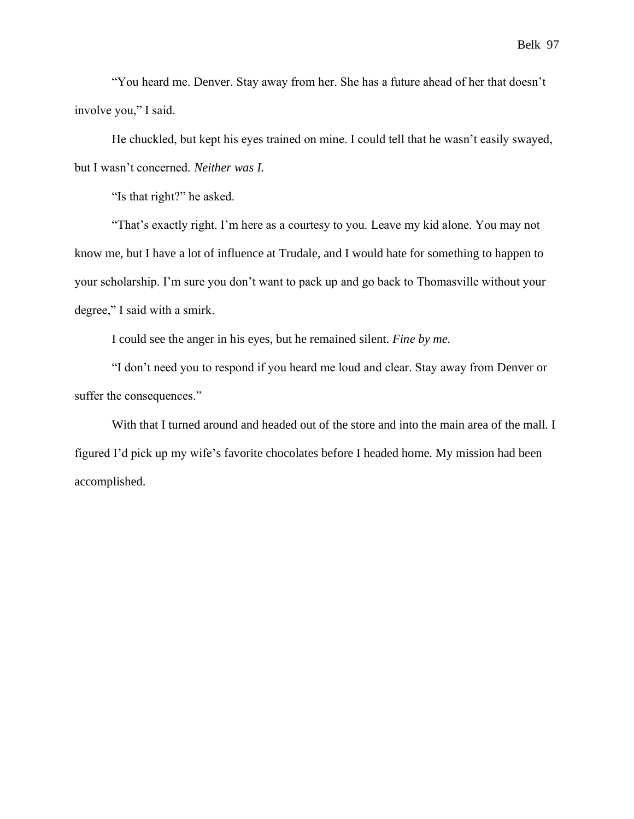"You heard me. Denver. Stay away from her. She has a future ahead of her that doesn't involve you," I said.

He chuckled, but kept his eyes trained on mine. I could tell that he wasn't easily swayed, but I wasn't concerned. *Neither was I.*

"Is that right?" he asked.

"That's exactly right. I'm here as a courtesy to you. Leave my kid alone. You may not know me, but I have a lot of influence at Trudale, and I would hate for something to happen to your scholarship. I'm sure you don't want to pack up and go back to Thomasville without your degree," I said with a smirk.

I could see the anger in his eyes, but he remained silent. *Fine by me.*

"I don't need you to respond if you heard me loud and clear. Stay away from Denver or suffer the consequences."

With that I turned around and headed out of the store and into the main area of the mall. I figured I'd pick up my wife's favorite chocolates before I headed home. My mission had been accomplished.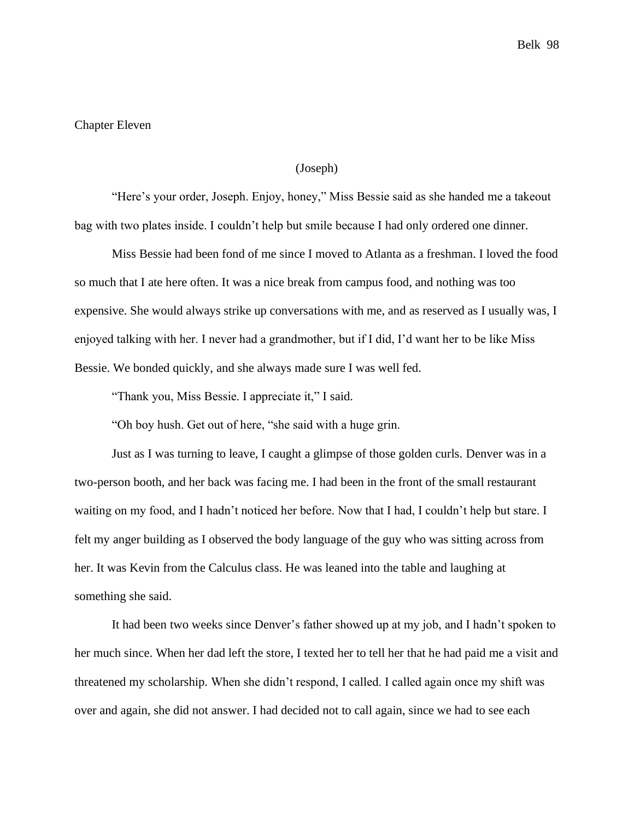## Chapter Eleven

#### (Joseph)

"Here's your order, Joseph. Enjoy, honey," Miss Bessie said as she handed me a takeout bag with two plates inside. I couldn't help but smile because I had only ordered one dinner.

Miss Bessie had been fond of me since I moved to Atlanta as a freshman. I loved the food so much that I ate here often. It was a nice break from campus food, and nothing was too expensive. She would always strike up conversations with me, and as reserved as I usually was, I enjoyed talking with her. I never had a grandmother, but if I did, I'd want her to be like Miss Bessie. We bonded quickly, and she always made sure I was well fed.

"Thank you, Miss Bessie. I appreciate it," I said.

"Oh boy hush. Get out of here, "she said with a huge grin.

Just as I was turning to leave, I caught a glimpse of those golden curls. Denver was in a two-person booth, and her back was facing me. I had been in the front of the small restaurant waiting on my food, and I hadn't noticed her before. Now that I had, I couldn't help but stare. I felt my anger building as I observed the body language of the guy who was sitting across from her. It was Kevin from the Calculus class. He was leaned into the table and laughing at something she said.

It had been two weeks since Denver's father showed up at my job, and I hadn't spoken to her much since. When her dad left the store, I texted her to tell her that he had paid me a visit and threatened my scholarship. When she didn't respond, I called. I called again once my shift was over and again, she did not answer. I had decided not to call again, since we had to see each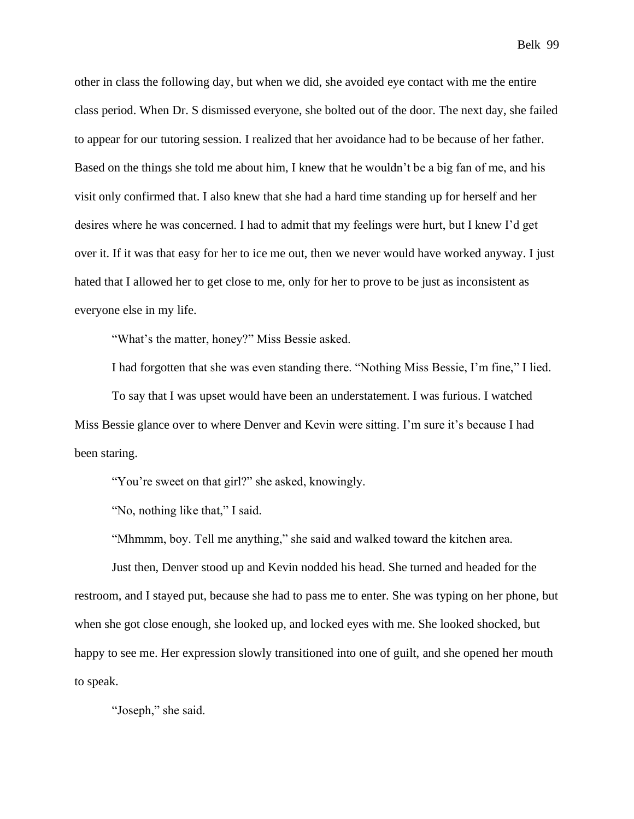other in class the following day, but when we did, she avoided eye contact with me the entire class period. When Dr. S dismissed everyone, she bolted out of the door. The next day, she failed to appear for our tutoring session. I realized that her avoidance had to be because of her father. Based on the things she told me about him, I knew that he wouldn't be a big fan of me, and his visit only confirmed that. I also knew that she had a hard time standing up for herself and her desires where he was concerned. I had to admit that my feelings were hurt, but I knew I'd get over it. If it was that easy for her to ice me out, then we never would have worked anyway. I just hated that I allowed her to get close to me, only for her to prove to be just as inconsistent as everyone else in my life.

"What's the matter, honey?" Miss Bessie asked.

I had forgotten that she was even standing there. "Nothing Miss Bessie, I'm fine," I lied.

To say that I was upset would have been an understatement. I was furious. I watched Miss Bessie glance over to where Denver and Kevin were sitting. I'm sure it's because I had been staring.

"You're sweet on that girl?" she asked, knowingly.

"No, nothing like that," I said.

"Mhmmm, boy. Tell me anything," she said and walked toward the kitchen area.

Just then, Denver stood up and Kevin nodded his head. She turned and headed for the restroom, and I stayed put, because she had to pass me to enter. She was typing on her phone, but when she got close enough, she looked up, and locked eyes with me. She looked shocked, but happy to see me. Her expression slowly transitioned into one of guilt, and she opened her mouth to speak.

"Joseph," she said.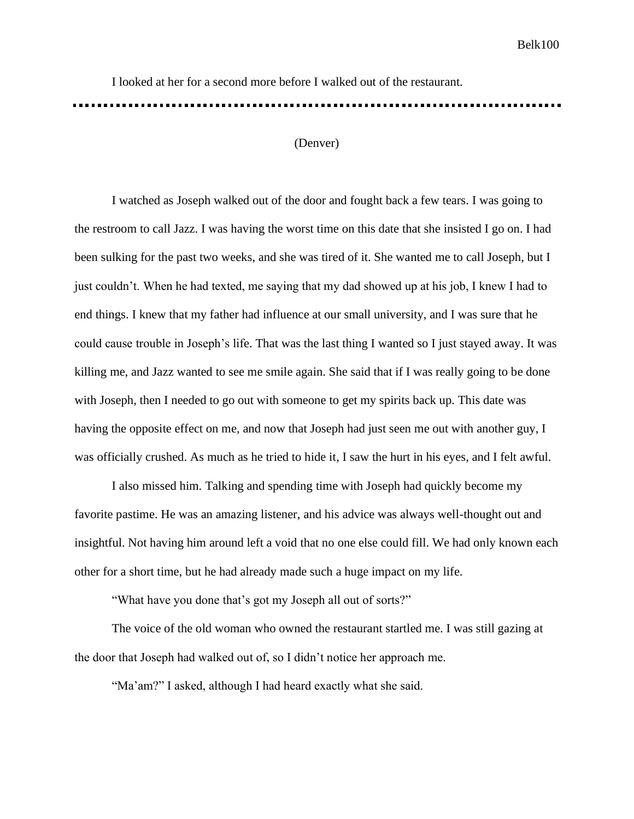I looked at her for a second more before I walked out of the restaurant.

## (Denver)

I watched as Joseph walked out of the door and fought back a few tears. I was going to the restroom to call Jazz. I was having the worst time on this date that she insisted I go on. I had been sulking for the past two weeks, and she was tired of it. She wanted me to call Joseph, but I just couldn't. When he had texted, me saying that my dad showed up at his job, I knew I had to end things. I knew that my father had influence at our small university, and I was sure that he could cause trouble in Joseph's life. That was the last thing I wanted so I just stayed away. It was killing me, and Jazz wanted to see me smile again. She said that if I was really going to be done with Joseph, then I needed to go out with someone to get my spirits back up. This date was having the opposite effect on me, and now that Joseph had just seen me out with another guy, I was officially crushed. As much as he tried to hide it, I saw the hurt in his eyes, and I felt awful.

I also missed him. Talking and spending time with Joseph had quickly become my favorite pastime. He was an amazing listener, and his advice was always well-thought out and insightful. Not having him around left a void that no one else could fill. We had only known each other for a short time, but he had already made such a huge impact on my life.

"What have you done that's got my Joseph all out of sorts?"

The voice of the old woman who owned the restaurant startled me. I was still gazing at the door that Joseph had walked out of, so I didn't notice her approach me.

"Ma'am?" I asked, although I had heard exactly what she said.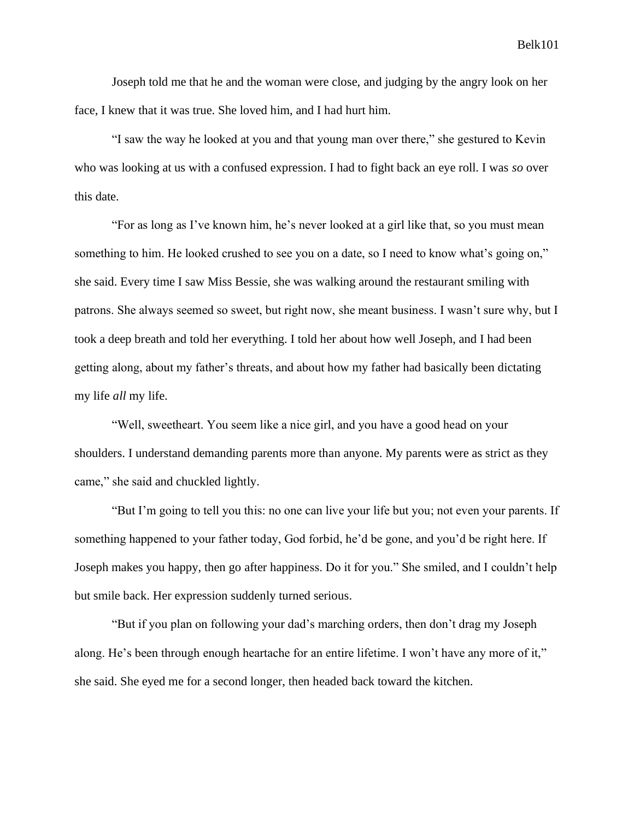Joseph told me that he and the woman were close, and judging by the angry look on her face, I knew that it was true. She loved him, and I had hurt him.

"I saw the way he looked at you and that young man over there," she gestured to Kevin who was looking at us with a confused expression. I had to fight back an eye roll. I was *so* over this date.

"For as long as I've known him, he's never looked at a girl like that, so you must mean something to him. He looked crushed to see you on a date, so I need to know what's going on," she said. Every time I saw Miss Bessie, she was walking around the restaurant smiling with patrons. She always seemed so sweet, but right now, she meant business. I wasn't sure why, but I took a deep breath and told her everything. I told her about how well Joseph, and I had been getting along, about my father's threats, and about how my father had basically been dictating my life *all* my life.

"Well, sweetheart. You seem like a nice girl, and you have a good head on your shoulders. I understand demanding parents more than anyone. My parents were as strict as they came," she said and chuckled lightly.

"But I'm going to tell you this: no one can live your life but you; not even your parents. If something happened to your father today, God forbid, he'd be gone, and you'd be right here. If Joseph makes you happy, then go after happiness. Do it for you." She smiled, and I couldn't help but smile back. Her expression suddenly turned serious.

"But if you plan on following your dad's marching orders, then don't drag my Joseph along. He's been through enough heartache for an entire lifetime. I won't have any more of it," she said. She eyed me for a second longer, then headed back toward the kitchen.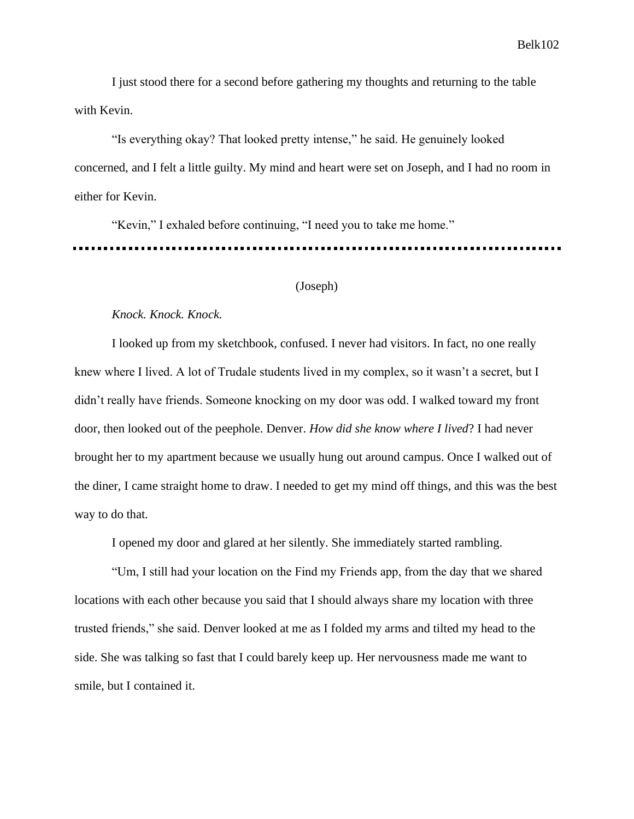I just stood there for a second before gathering my thoughts and returning to the table with Kevin.

"Is everything okay? That looked pretty intense," he said. He genuinely looked concerned, and I felt a little guilty. My mind and heart were set on Joseph, and I had no room in either for Kevin.

"Kevin," I exhaled before continuing, "I need you to take me home."

# (Joseph)

#### *Knock. Knock. Knock.*

I looked up from my sketchbook, confused. I never had visitors. In fact, no one really knew where I lived. A lot of Trudale students lived in my complex, so it wasn't a secret, but I didn't really have friends. Someone knocking on my door was odd. I walked toward my front door, then looked out of the peephole. Denver. *How did she know where I lived*? I had never brought her to my apartment because we usually hung out around campus. Once I walked out of the diner, I came straight home to draw. I needed to get my mind off things, and this was the best way to do that.

I opened my door and glared at her silently. She immediately started rambling.

"Um, I still had your location on the Find my Friends app, from the day that we shared locations with each other because you said that I should always share my location with three trusted friends," she said. Denver looked at me as I folded my arms and tilted my head to the side. She was talking so fast that I could barely keep up. Her nervousness made me want to smile, but I contained it.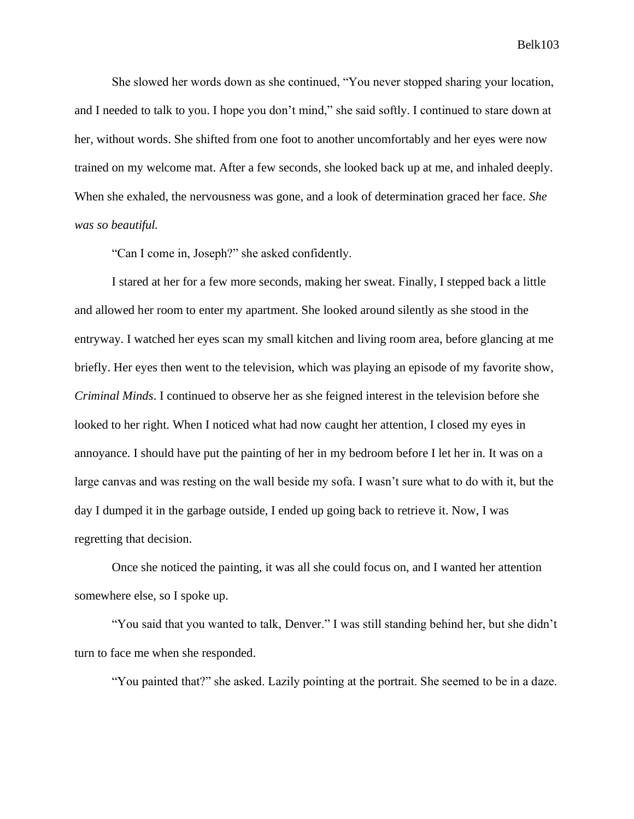She slowed her words down as she continued, "You never stopped sharing your location, and I needed to talk to you. I hope you don't mind," she said softly. I continued to stare down at her, without words. She shifted from one foot to another uncomfortably and her eyes were now trained on my welcome mat. After a few seconds, she looked back up at me, and inhaled deeply. When she exhaled, the nervousness was gone, and a look of determination graced her face. *She was so beautiful.*

"Can I come in, Joseph?" she asked confidently.

I stared at her for a few more seconds, making her sweat. Finally, I stepped back a little and allowed her room to enter my apartment. She looked around silently as she stood in the entryway. I watched her eyes scan my small kitchen and living room area, before glancing at me briefly. Her eyes then went to the television, which was playing an episode of my favorite show, *Criminal Minds*. I continued to observe her as she feigned interest in the television before she looked to her right. When I noticed what had now caught her attention, I closed my eyes in annoyance. I should have put the painting of her in my bedroom before I let her in. It was on a large canvas and was resting on the wall beside my sofa. I wasn't sure what to do with it, but the day I dumped it in the garbage outside, I ended up going back to retrieve it. Now, I was regretting that decision.

Once she noticed the painting, it was all she could focus on, and I wanted her attention somewhere else, so I spoke up.

"You said that you wanted to talk, Denver." I was still standing behind her, but she didn't turn to face me when she responded.

"You painted that?" she asked. Lazily pointing at the portrait. She seemed to be in a daze.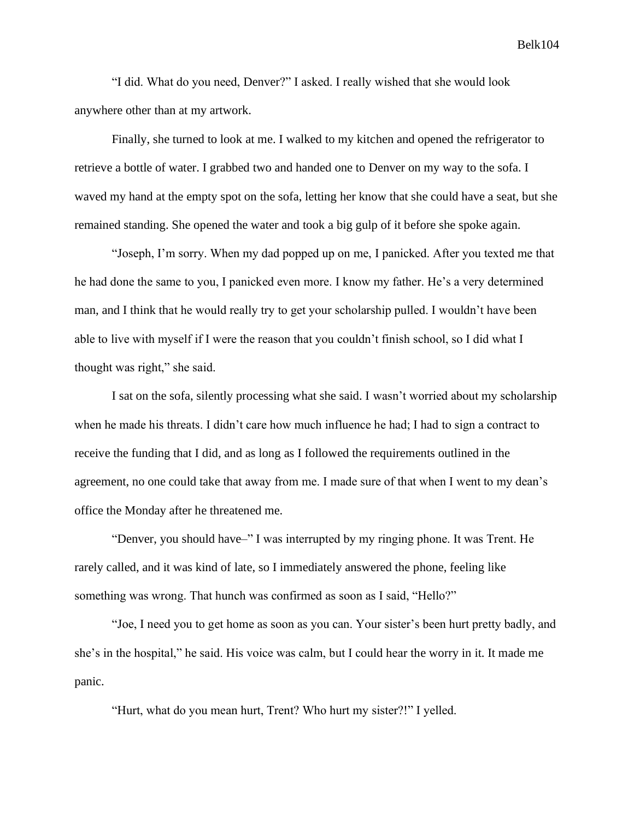"I did. What do you need, Denver?" I asked. I really wished that she would look anywhere other than at my artwork.

Finally, she turned to look at me. I walked to my kitchen and opened the refrigerator to retrieve a bottle of water. I grabbed two and handed one to Denver on my way to the sofa. I waved my hand at the empty spot on the sofa, letting her know that she could have a seat, but she remained standing. She opened the water and took a big gulp of it before she spoke again.

"Joseph, I'm sorry. When my dad popped up on me, I panicked. After you texted me that he had done the same to you, I panicked even more. I know my father. He's a very determined man, and I think that he would really try to get your scholarship pulled. I wouldn't have been able to live with myself if I were the reason that you couldn't finish school, so I did what I thought was right," she said.

I sat on the sofa, silently processing what she said. I wasn't worried about my scholarship when he made his threats. I didn't care how much influence he had; I had to sign a contract to receive the funding that I did, and as long as I followed the requirements outlined in the agreement, no one could take that away from me. I made sure of that when I went to my dean's office the Monday after he threatened me.

"Denver, you should have–" I was interrupted by my ringing phone. It was Trent. He rarely called, and it was kind of late, so I immediately answered the phone, feeling like something was wrong. That hunch was confirmed as soon as I said, "Hello?"

"Joe, I need you to get home as soon as you can. Your sister's been hurt pretty badly, and she's in the hospital," he said. His voice was calm, but I could hear the worry in it. It made me panic.

"Hurt, what do you mean hurt, Trent? Who hurt my sister?!" I yelled.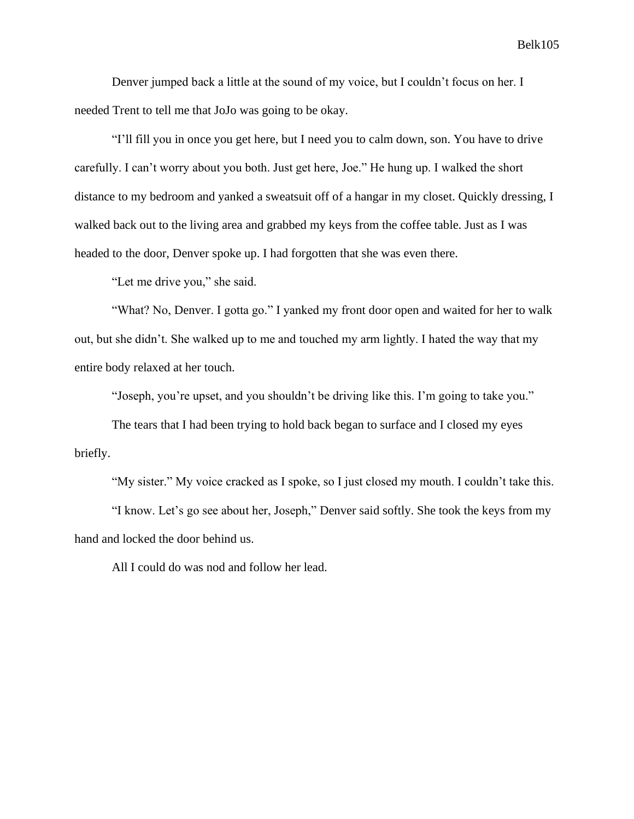Denver jumped back a little at the sound of my voice, but I couldn't focus on her. I needed Trent to tell me that JoJo was going to be okay.

"I'll fill you in once you get here, but I need you to calm down, son. You have to drive carefully. I can't worry about you both. Just get here, Joe." He hung up. I walked the short distance to my bedroom and yanked a sweatsuit off of a hangar in my closet. Quickly dressing, I walked back out to the living area and grabbed my keys from the coffee table. Just as I was headed to the door, Denver spoke up. I had forgotten that she was even there.

"Let me drive you," she said.

"What? No, Denver. I gotta go." I yanked my front door open and waited for her to walk out, but she didn't. She walked up to me and touched my arm lightly. I hated the way that my entire body relaxed at her touch.

"Joseph, you're upset, and you shouldn't be driving like this. I'm going to take you."

The tears that I had been trying to hold back began to surface and I closed my eyes briefly.

"My sister." My voice cracked as I spoke, so I just closed my mouth. I couldn't take this.

"I know. Let's go see about her, Joseph," Denver said softly. She took the keys from my hand and locked the door behind us.

All I could do was nod and follow her lead.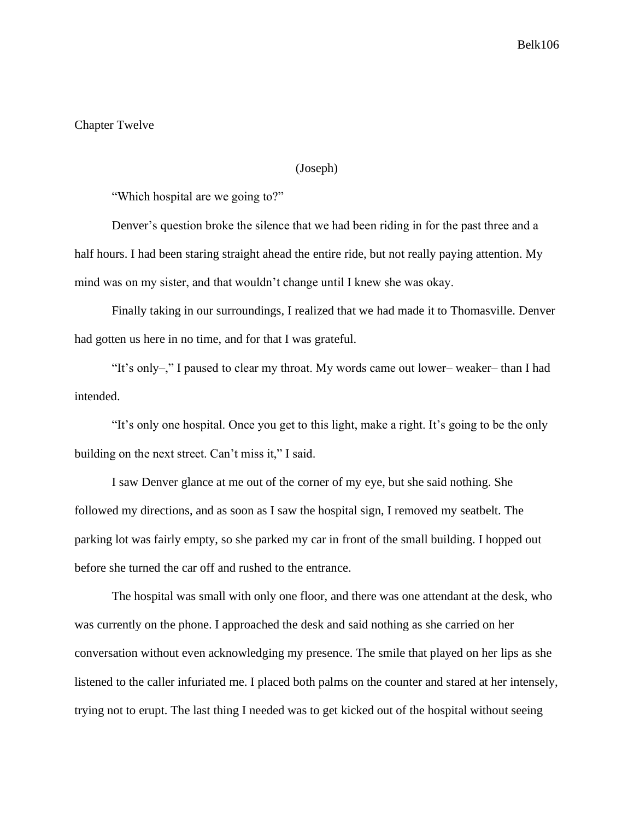### Chapter Twelve

#### (Joseph)

"Which hospital are we going to?"

Denver's question broke the silence that we had been riding in for the past three and a half hours. I had been staring straight ahead the entire ride, but not really paying attention. My mind was on my sister, and that wouldn't change until I knew she was okay.

Finally taking in our surroundings, I realized that we had made it to Thomasville. Denver had gotten us here in no time, and for that I was grateful.

"It's only–," I paused to clear my throat. My words came out lower– weaker– than I had intended.

"It's only one hospital. Once you get to this light, make a right. It's going to be the only building on the next street. Can't miss it," I said.

I saw Denver glance at me out of the corner of my eye, but she said nothing. She followed my directions, and as soon as I saw the hospital sign, I removed my seatbelt. The parking lot was fairly empty, so she parked my car in front of the small building. I hopped out before she turned the car off and rushed to the entrance.

The hospital was small with only one floor, and there was one attendant at the desk, who was currently on the phone. I approached the desk and said nothing as she carried on her conversation without even acknowledging my presence. The smile that played on her lips as she listened to the caller infuriated me. I placed both palms on the counter and stared at her intensely, trying not to erupt. The last thing I needed was to get kicked out of the hospital without seeing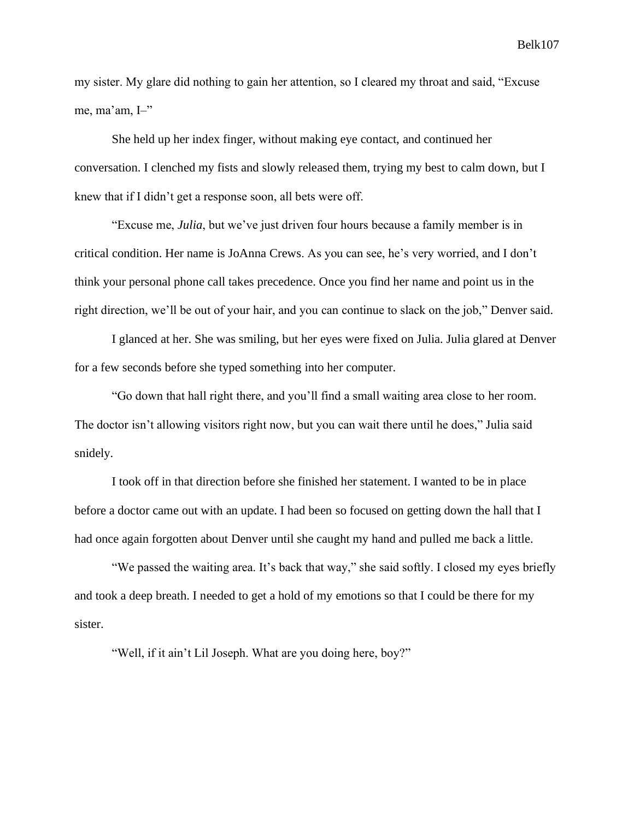my sister. My glare did nothing to gain her attention, so I cleared my throat and said, "Excuse me, ma'am, I–"

She held up her index finger, without making eye contact, and continued her conversation. I clenched my fists and slowly released them, trying my best to calm down, but I knew that if I didn't get a response soon, all bets were off.

"Excuse me, *Julia*, but we've just driven four hours because a family member is in critical condition. Her name is JoAnna Crews. As you can see, he's very worried, and I don't think your personal phone call takes precedence. Once you find her name and point us in the right direction, we'll be out of your hair, and you can continue to slack on the job," Denver said.

I glanced at her. She was smiling, but her eyes were fixed on Julia. Julia glared at Denver for a few seconds before she typed something into her computer.

"Go down that hall right there, and you'll find a small waiting area close to her room. The doctor isn't allowing visitors right now, but you can wait there until he does," Julia said snidely.

I took off in that direction before she finished her statement. I wanted to be in place before a doctor came out with an update. I had been so focused on getting down the hall that I had once again forgotten about Denver until she caught my hand and pulled me back a little.

"We passed the waiting area. It's back that way," she said softly. I closed my eyes briefly and took a deep breath. I needed to get a hold of my emotions so that I could be there for my sister.

"Well, if it ain't Lil Joseph. What are you doing here, boy?"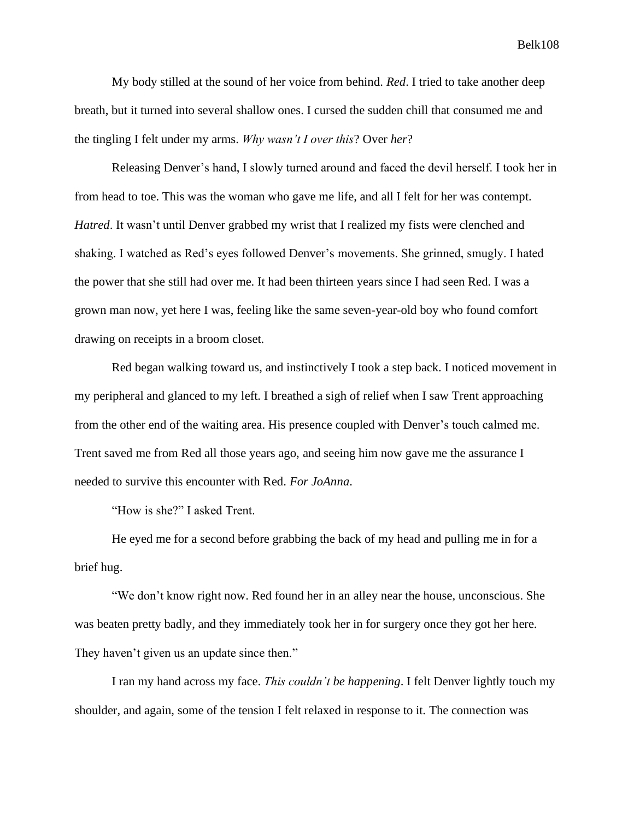My body stilled at the sound of her voice from behind. *Red*. I tried to take another deep breath, but it turned into several shallow ones. I cursed the sudden chill that consumed me and the tingling I felt under my arms. *Why wasn't I over this*? Over *her*?

Releasing Denver's hand, I slowly turned around and faced the devil herself. I took her in from head to toe. This was the woman who gave me life, and all I felt for her was contempt. *Hatred*. It wasn't until Denver grabbed my wrist that I realized my fists were clenched and shaking. I watched as Red's eyes followed Denver's movements. She grinned, smugly. I hated the power that she still had over me. It had been thirteen years since I had seen Red. I was a grown man now, yet here I was, feeling like the same seven-year-old boy who found comfort drawing on receipts in a broom closet.

Red began walking toward us, and instinctively I took a step back. I noticed movement in my peripheral and glanced to my left. I breathed a sigh of relief when I saw Trent approaching from the other end of the waiting area. His presence coupled with Denver's touch calmed me. Trent saved me from Red all those years ago, and seeing him now gave me the assurance I needed to survive this encounter with Red. *For JoAnna*.

"How is she?" I asked Trent.

He eyed me for a second before grabbing the back of my head and pulling me in for a brief hug.

"We don't know right now. Red found her in an alley near the house, unconscious. She was beaten pretty badly, and they immediately took her in for surgery once they got her here. They haven't given us an update since then."

I ran my hand across my face. *This couldn't be happening*. I felt Denver lightly touch my shoulder, and again, some of the tension I felt relaxed in response to it. The connection was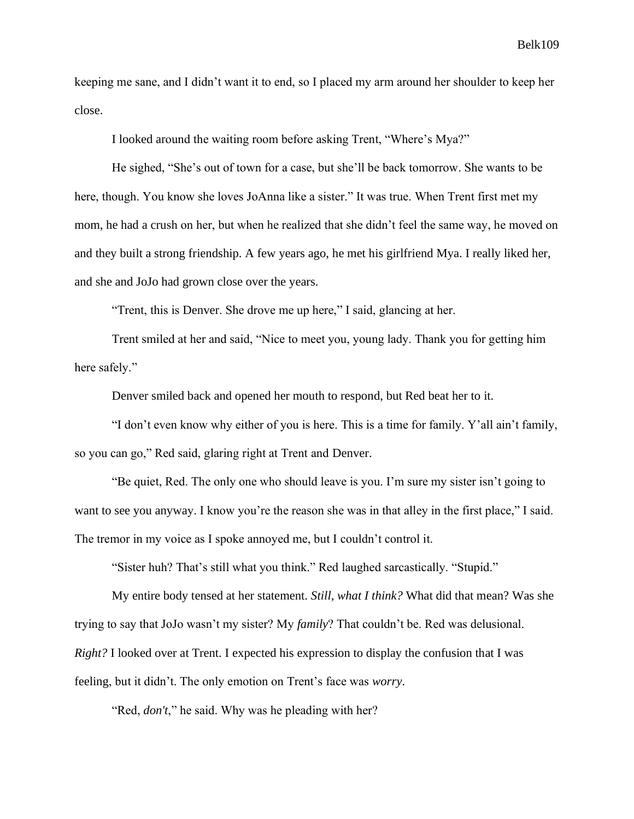keeping me sane, and I didn't want it to end, so I placed my arm around her shoulder to keep her close.

I looked around the waiting room before asking Trent, "Where's Mya?"

He sighed, "She's out of town for a case, but she'll be back tomorrow. She wants to be here, though. You know she loves JoAnna like a sister." It was true. When Trent first met my mom, he had a crush on her, but when he realized that she didn't feel the same way, he moved on and they built a strong friendship. A few years ago, he met his girlfriend Mya. I really liked her, and she and JoJo had grown close over the years.

"Trent, this is Denver. She drove me up here," I said, glancing at her.

Trent smiled at her and said, "Nice to meet you, young lady. Thank you for getting him here safely."

Denver smiled back and opened her mouth to respond, but Red beat her to it.

"I don't even know why either of you is here. This is a time for family. Y'all ain't family, so you can go," Red said, glaring right at Trent and Denver.

"Be quiet, Red. The only one who should leave is you. I'm sure my sister isn't going to want to see you anyway. I know you're the reason she was in that alley in the first place," I said. The tremor in my voice as I spoke annoyed me, but I couldn't control it.

"Sister huh? That's still what you think." Red laughed sarcastically. "Stupid."

My entire body tensed at her statement. *Still, what I think?* What did that mean? Was she trying to say that JoJo wasn't my sister? My *family*? That couldn't be. Red was delusional. *Right?* I looked over at Trent. I expected his expression to display the confusion that I was feeling, but it didn't. The only emotion on Trent's face was *worry*.

"Red, *don't*," he said. Why was he pleading with her?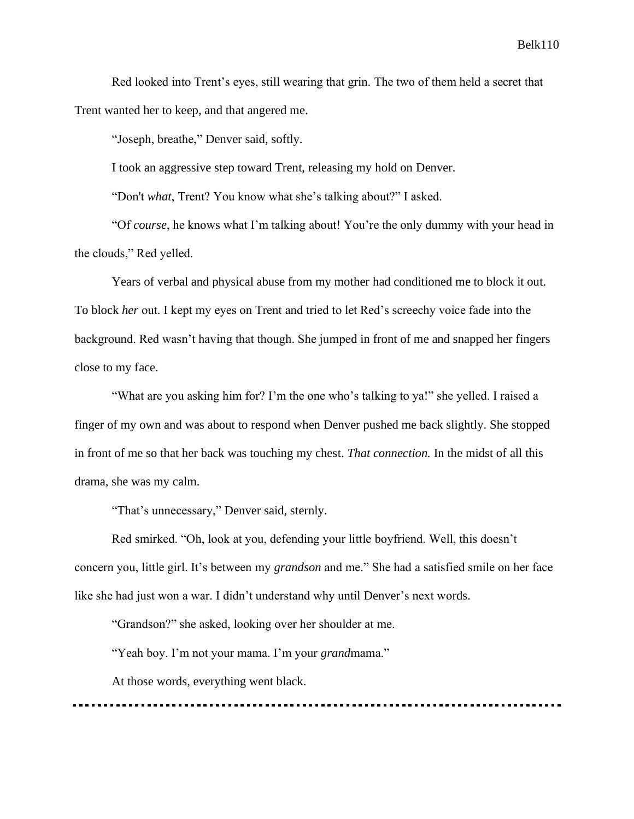Red looked into Trent's eyes, still wearing that grin. The two of them held a secret that Trent wanted her to keep, and that angered me.

"Joseph, breathe," Denver said, softly.

I took an aggressive step toward Trent, releasing my hold on Denver.

"Don't *what*, Trent? You know what she's talking about?" I asked.

"Of *course*, he knows what I'm talking about! You're the only dummy with your head in the clouds," Red yelled.

Years of verbal and physical abuse from my mother had conditioned me to block it out. To block *her* out. I kept my eyes on Trent and tried to let Red's screechy voice fade into the background. Red wasn't having that though. She jumped in front of me and snapped her fingers close to my face.

"What are you asking him for? I'm the one who's talking to ya!" she yelled. I raised a finger of my own and was about to respond when Denver pushed me back slightly. She stopped in front of me so that her back was touching my chest. *That connection.* In the midst of all this drama, she was my calm.

"That's unnecessary," Denver said, sternly.

Red smirked. "Oh, look at you, defending your little boyfriend. Well, this doesn't concern you, little girl. It's between my *grandson* and me." She had a satisfied smile on her face like she had just won a war. I didn't understand why until Denver's next words.

"Grandson?" she asked, looking over her shoulder at me.

"Yeah boy. I'm not your mama. I'm your *grand*mama."

At those words, everything went black.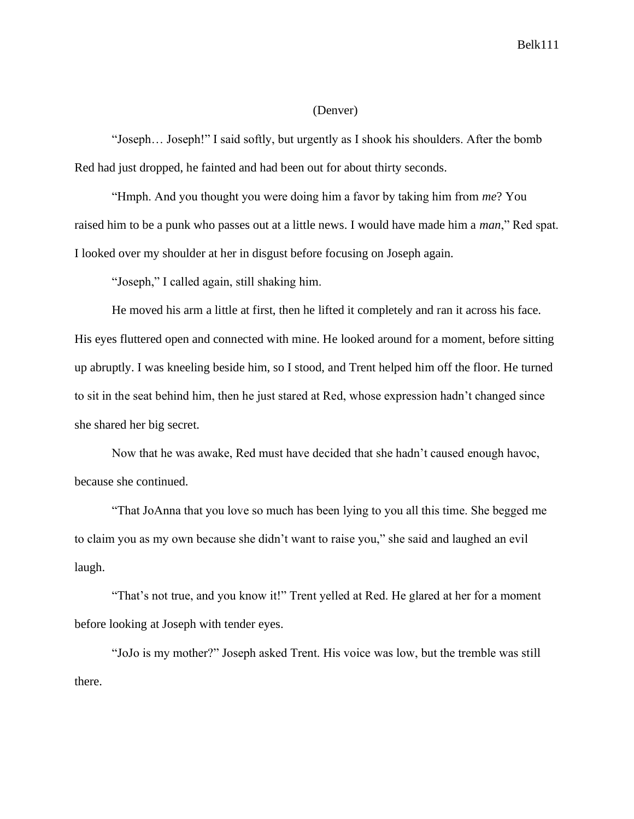#### (Denver)

"Joseph… Joseph!" I said softly, but urgently as I shook his shoulders. After the bomb Red had just dropped, he fainted and had been out for about thirty seconds.

"Hmph. And you thought you were doing him a favor by taking him from *me*? You raised him to be a punk who passes out at a little news. I would have made him a *man*," Red spat. I looked over my shoulder at her in disgust before focusing on Joseph again.

"Joseph," I called again, still shaking him.

He moved his arm a little at first, then he lifted it completely and ran it across his face. His eyes fluttered open and connected with mine. He looked around for a moment, before sitting up abruptly. I was kneeling beside him, so I stood, and Trent helped him off the floor. He turned to sit in the seat behind him, then he just stared at Red, whose expression hadn't changed since she shared her big secret.

Now that he was awake, Red must have decided that she hadn't caused enough havoc, because she continued.

"That JoAnna that you love so much has been lying to you all this time. She begged me to claim you as my own because she didn't want to raise you," she said and laughed an evil laugh.

"That's not true, and you know it!" Trent yelled at Red. He glared at her for a moment before looking at Joseph with tender eyes.

"JoJo is my mother?" Joseph asked Trent. His voice was low, but the tremble was still there.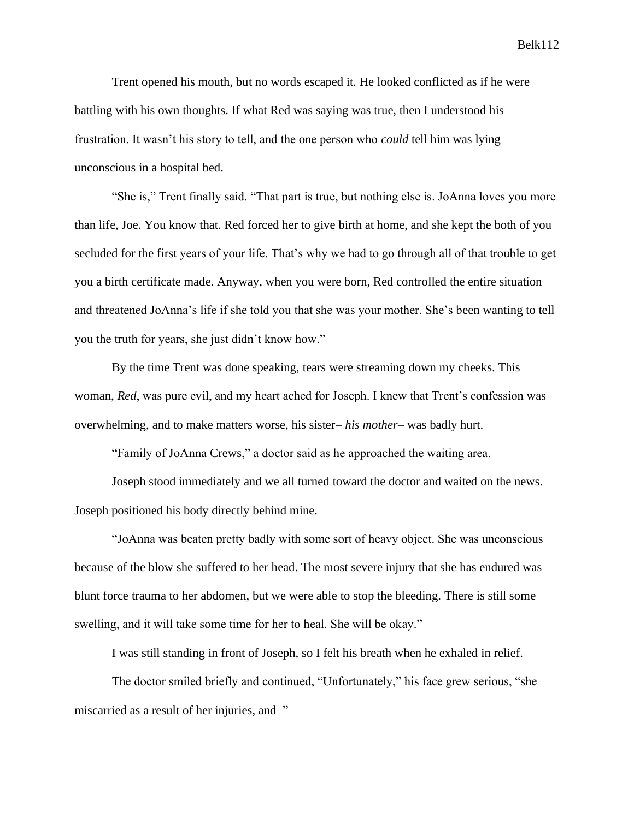Trent opened his mouth, but no words escaped it. He looked conflicted as if he were battling with his own thoughts. If what Red was saying was true, then I understood his frustration. It wasn't his story to tell, and the one person who *could* tell him was lying unconscious in a hospital bed.

"She is," Trent finally said. "That part is true, but nothing else is. JoAnna loves you more than life, Joe. You know that. Red forced her to give birth at home, and she kept the both of you secluded for the first years of your life. That's why we had to go through all of that trouble to get you a birth certificate made. Anyway, when you were born, Red controlled the entire situation and threatened JoAnna's life if she told you that she was your mother. She's been wanting to tell you the truth for years, she just didn't know how."

By the time Trent was done speaking, tears were streaming down my cheeks. This woman, *Red*, was pure evil, and my heart ached for Joseph. I knew that Trent's confession was overwhelming, and to make matters worse, his sister– *his mother*– was badly hurt.

"Family of JoAnna Crews," a doctor said as he approached the waiting area.

Joseph stood immediately and we all turned toward the doctor and waited on the news. Joseph positioned his body directly behind mine.

"JoAnna was beaten pretty badly with some sort of heavy object. She was unconscious because of the blow she suffered to her head. The most severe injury that she has endured was blunt force trauma to her abdomen, but we were able to stop the bleeding. There is still some swelling, and it will take some time for her to heal. She will be okay."

I was still standing in front of Joseph, so I felt his breath when he exhaled in relief.

The doctor smiled briefly and continued, "Unfortunately," his face grew serious, "she miscarried as a result of her injuries, and–"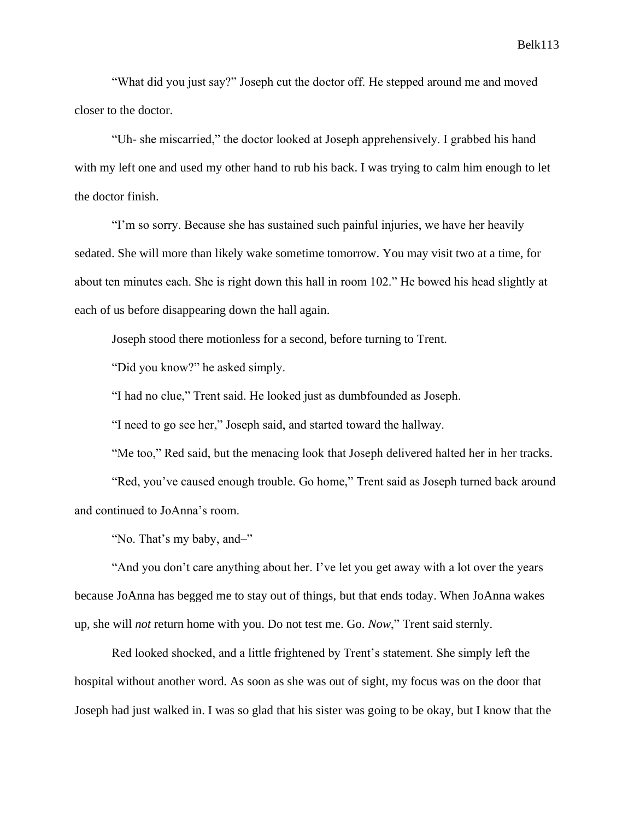"What did you just say?" Joseph cut the doctor off. He stepped around me and moved closer to the doctor.

"Uh- she miscarried," the doctor looked at Joseph apprehensively. I grabbed his hand with my left one and used my other hand to rub his back. I was trying to calm him enough to let the doctor finish.

"I'm so sorry. Because she has sustained such painful injuries, we have her heavily sedated. She will more than likely wake sometime tomorrow. You may visit two at a time, for about ten minutes each. She is right down this hall in room 102." He bowed his head slightly at each of us before disappearing down the hall again.

Joseph stood there motionless for a second, before turning to Trent.

"Did you know?" he asked simply.

"I had no clue," Trent said. He looked just as dumbfounded as Joseph.

"I need to go see her," Joseph said, and started toward the hallway.

"Me too," Red said, but the menacing look that Joseph delivered halted her in her tracks.

"Red, you've caused enough trouble. Go home," Trent said as Joseph turned back around and continued to JoAnna's room.

"No. That's my baby, and-"

"And you don't care anything about her. I've let you get away with a lot over the years because JoAnna has begged me to stay out of things, but that ends today. When JoAnna wakes up, she will *not* return home with you. Do not test me. Go. *Now*," Trent said sternly.

Red looked shocked, and a little frightened by Trent's statement. She simply left the hospital without another word. As soon as she was out of sight, my focus was on the door that Joseph had just walked in. I was so glad that his sister was going to be okay, but I know that the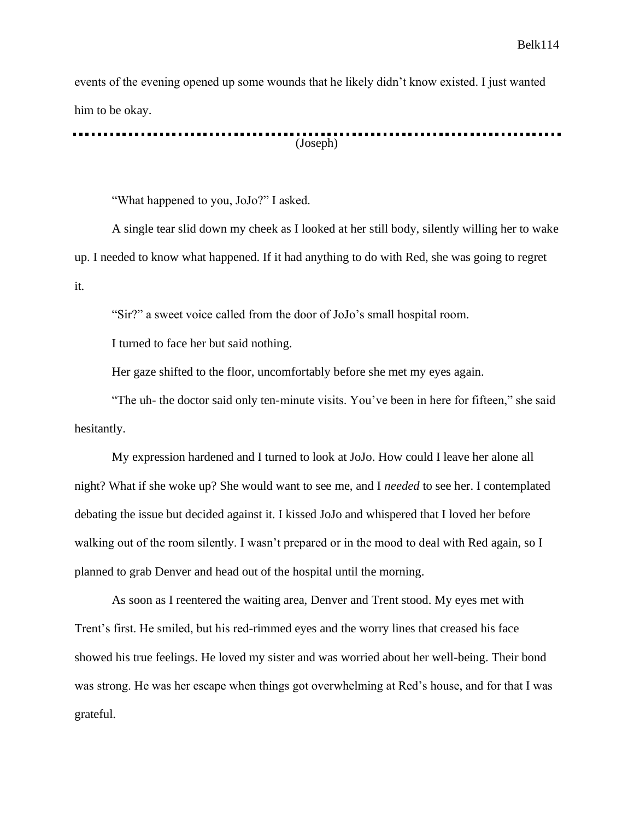events of the evening opened up some wounds that he likely didn't know existed. I just wanted him to be okay.

(Joseph)

"What happened to you, JoJo?" I asked.

A single tear slid down my cheek as I looked at her still body, silently willing her to wake up. I needed to know what happened. If it had anything to do with Red, she was going to regret it.

"Sir?" a sweet voice called from the door of JoJo's small hospital room.

I turned to face her but said nothing.

Her gaze shifted to the floor, uncomfortably before she met my eyes again.

"The uh- the doctor said only ten-minute visits. You've been in here for fifteen," she said hesitantly.

My expression hardened and I turned to look at JoJo. How could I leave her alone all night? What if she woke up? She would want to see me, and I *needed* to see her. I contemplated debating the issue but decided against it. I kissed JoJo and whispered that I loved her before walking out of the room silently. I wasn't prepared or in the mood to deal with Red again, so I planned to grab Denver and head out of the hospital until the morning.

As soon as I reentered the waiting area, Denver and Trent stood. My eyes met with Trent's first. He smiled, but his red-rimmed eyes and the worry lines that creased his face showed his true feelings. He loved my sister and was worried about her well-being. Their bond was strong. He was her escape when things got overwhelming at Red's house, and for that I was grateful.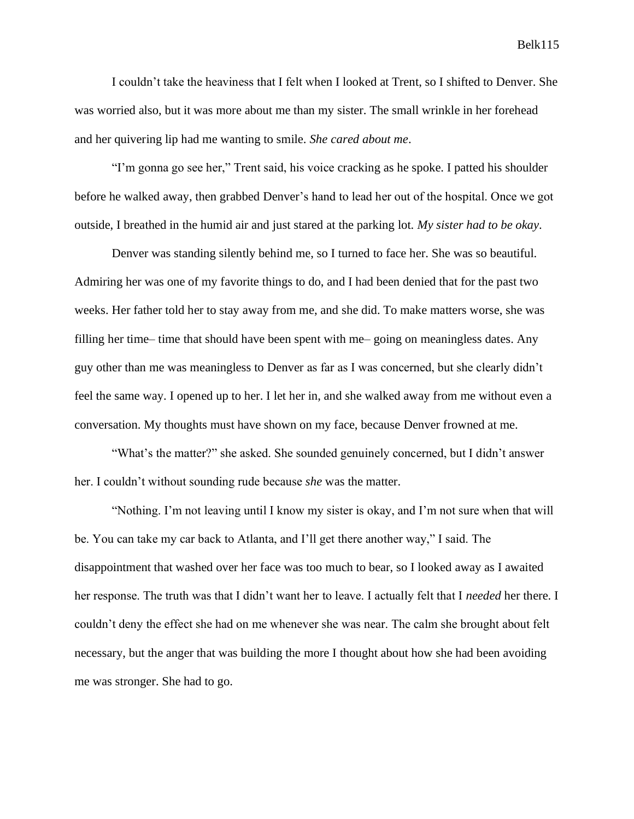I couldn't take the heaviness that I felt when I looked at Trent, so I shifted to Denver. She was worried also, but it was more about me than my sister. The small wrinkle in her forehead and her quivering lip had me wanting to smile. *She cared about me*.

"I'm gonna go see her," Trent said, his voice cracking as he spoke. I patted his shoulder before he walked away, then grabbed Denver's hand to lead her out of the hospital. Once we got outside, I breathed in the humid air and just stared at the parking lot. *My sister had to be okay*.

Denver was standing silently behind me, so I turned to face her. She was so beautiful. Admiring her was one of my favorite things to do, and I had been denied that for the past two weeks. Her father told her to stay away from me, and she did. To make matters worse, she was filling her time– time that should have been spent with me– going on meaningless dates. Any guy other than me was meaningless to Denver as far as I was concerned, but she clearly didn't feel the same way. I opened up to her. I let her in, and she walked away from me without even a conversation. My thoughts must have shown on my face, because Denver frowned at me.

"What's the matter?" she asked. She sounded genuinely concerned, but I didn't answer her. I couldn't without sounding rude because *she* was the matter.

"Nothing. I'm not leaving until I know my sister is okay, and I'm not sure when that will be. You can take my car back to Atlanta, and I'll get there another way," I said. The disappointment that washed over her face was too much to bear, so I looked away as I awaited her response. The truth was that I didn't want her to leave. I actually felt that I *needed* her there. I couldn't deny the effect she had on me whenever she was near. The calm she brought about felt necessary, but the anger that was building the more I thought about how she had been avoiding me was stronger. She had to go.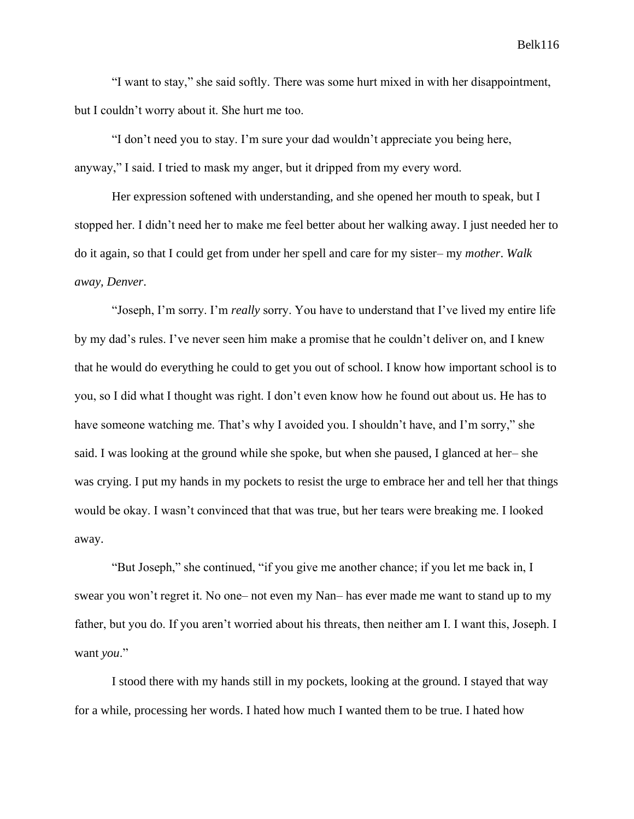"I want to stay," she said softly. There was some hurt mixed in with her disappointment, but I couldn't worry about it. She hurt me too.

"I don't need you to stay. I'm sure your dad wouldn't appreciate you being here, anyway," I said. I tried to mask my anger, but it dripped from my every word.

Her expression softened with understanding, and she opened her mouth to speak, but I stopped her. I didn't need her to make me feel better about her walking away. I just needed her to do it again, so that I could get from under her spell and care for my sister– my *mother*. *Walk away, Denver*.

"Joseph, I'm sorry. I'm *really* sorry. You have to understand that I've lived my entire life by my dad's rules. I've never seen him make a promise that he couldn't deliver on, and I knew that he would do everything he could to get you out of school. I know how important school is to you, so I did what I thought was right. I don't even know how he found out about us. He has to have someone watching me. That's why I avoided you. I shouldn't have, and I'm sorry," she said. I was looking at the ground while she spoke, but when she paused, I glanced at her– she was crying. I put my hands in my pockets to resist the urge to embrace her and tell her that things would be okay. I wasn't convinced that that was true, but her tears were breaking me. I looked away.

"But Joseph," she continued, "if you give me another chance; if you let me back in, I swear you won't regret it. No one– not even my Nan– has ever made me want to stand up to my father, but you do. If you aren't worried about his threats, then neither am I. I want this, Joseph. I want *you*."

I stood there with my hands still in my pockets, looking at the ground. I stayed that way for a while, processing her words. I hated how much I wanted them to be true. I hated how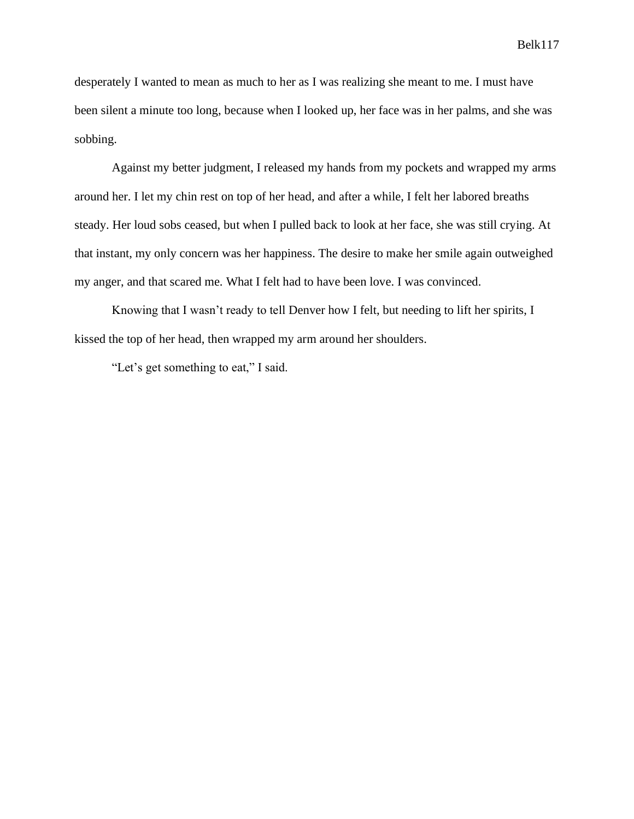desperately I wanted to mean as much to her as I was realizing she meant to me. I must have been silent a minute too long, because when I looked up, her face was in her palms, and she was sobbing.

Against my better judgment, I released my hands from my pockets and wrapped my arms around her. I let my chin rest on top of her head, and after a while, I felt her labored breaths steady. Her loud sobs ceased, but when I pulled back to look at her face, she was still crying. At that instant, my only concern was her happiness. The desire to make her smile again outweighed my anger, and that scared me. What I felt had to have been love. I was convinced.

Knowing that I wasn't ready to tell Denver how I felt, but needing to lift her spirits, I kissed the top of her head, then wrapped my arm around her shoulders.

"Let's get something to eat," I said.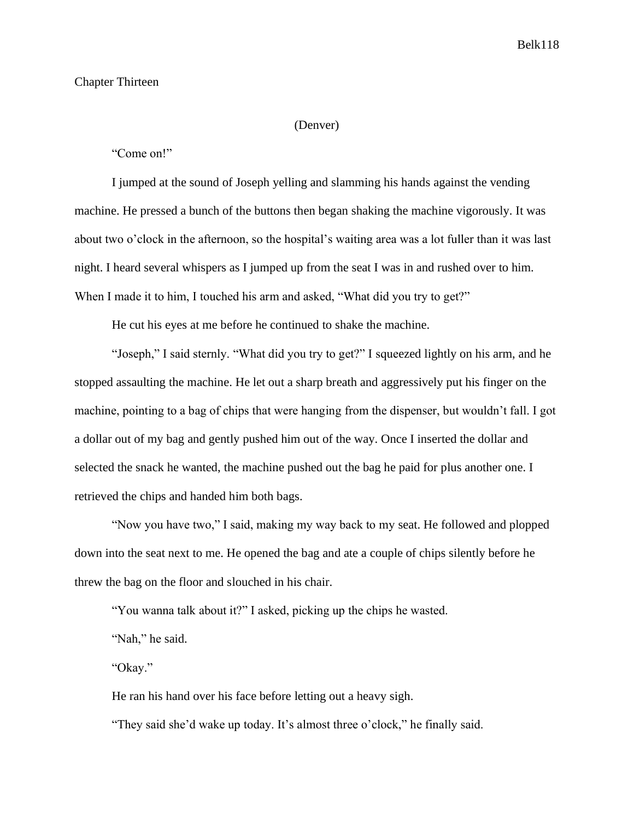# Chapter Thirteen

#### (Denver)

"Come on!"

I jumped at the sound of Joseph yelling and slamming his hands against the vending machine. He pressed a bunch of the buttons then began shaking the machine vigorously. It was about two o'clock in the afternoon, so the hospital's waiting area was a lot fuller than it was last night. I heard several whispers as I jumped up from the seat I was in and rushed over to him. When I made it to him, I touched his arm and asked, "What did you try to get?"

He cut his eyes at me before he continued to shake the machine.

"Joseph," I said sternly. "What did you try to get?" I squeezed lightly on his arm, and he stopped assaulting the machine. He let out a sharp breath and aggressively put his finger on the machine, pointing to a bag of chips that were hanging from the dispenser, but wouldn't fall. I got a dollar out of my bag and gently pushed him out of the way. Once I inserted the dollar and selected the snack he wanted, the machine pushed out the bag he paid for plus another one. I retrieved the chips and handed him both bags.

"Now you have two," I said, making my way back to my seat. He followed and plopped down into the seat next to me. He opened the bag and ate a couple of chips silently before he threw the bag on the floor and slouched in his chair.

"You wanna talk about it?" I asked, picking up the chips he wasted.

"Nah," he said.

"Okay."

He ran his hand over his face before letting out a heavy sigh.

"They said she'd wake up today. It's almost three o'clock," he finally said.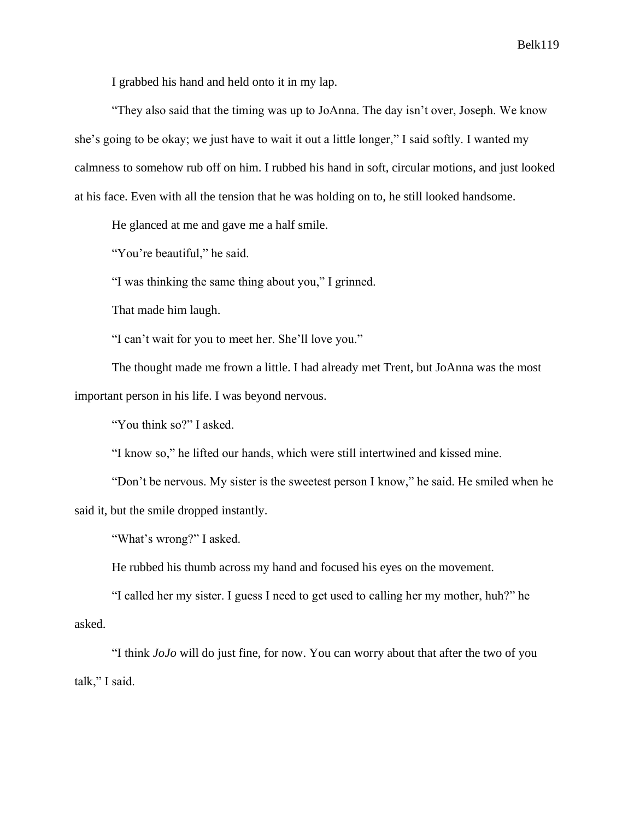I grabbed his hand and held onto it in my lap.

"They also said that the timing was up to JoAnna. The day isn't over, Joseph. We know she's going to be okay; we just have to wait it out a little longer," I said softly. I wanted my calmness to somehow rub off on him. I rubbed his hand in soft, circular motions, and just looked at his face. Even with all the tension that he was holding on to, he still looked handsome.

He glanced at me and gave me a half smile.

"You're beautiful," he said.

"I was thinking the same thing about you," I grinned.

That made him laugh.

"I can't wait for you to meet her. She'll love you."

The thought made me frown a little. I had already met Trent, but JoAnna was the most important person in his life. I was beyond nervous.

"You think so?" I asked.

"I know so," he lifted our hands, which were still intertwined and kissed mine.

"Don't be nervous. My sister is the sweetest person I know," he said. He smiled when he said it, but the smile dropped instantly.

"What's wrong?" I asked.

He rubbed his thumb across my hand and focused his eyes on the movement.

"I called her my sister. I guess I need to get used to calling her my mother, huh?" he asked.

"I think *JoJo* will do just fine, for now. You can worry about that after the two of you talk," I said.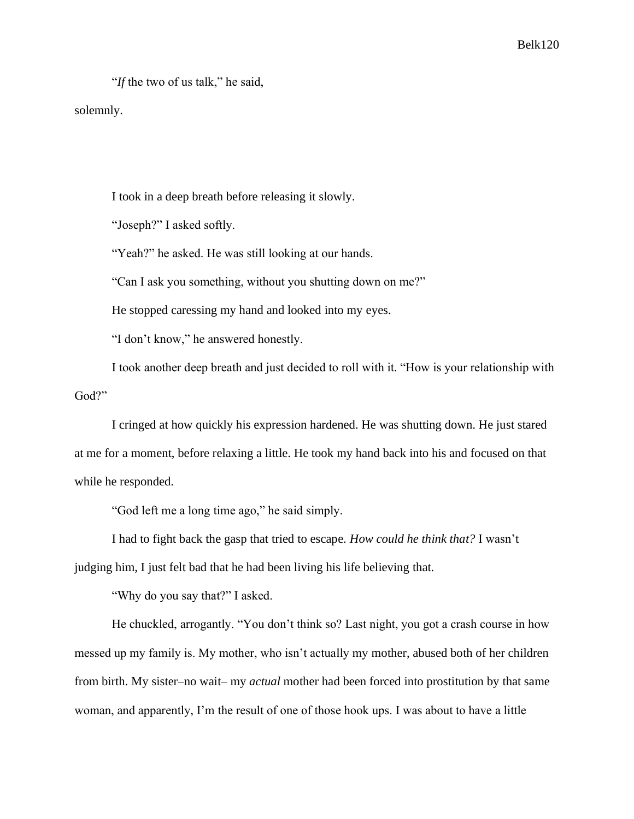"*If* the two of us talk," he said,

solemnly.

I took in a deep breath before releasing it slowly.

"Joseph?" I asked softly.

"Yeah?" he asked. He was still looking at our hands.

"Can I ask you something, without you shutting down on me?"

He stopped caressing my hand and looked into my eyes.

"I don't know," he answered honestly.

I took another deep breath and just decided to roll with it. "How is your relationship with God?"

I cringed at how quickly his expression hardened. He was shutting down. He just stared at me for a moment, before relaxing a little. He took my hand back into his and focused on that while he responded.

"God left me a long time ago," he said simply.

I had to fight back the gasp that tried to escape. *How could he think that?* I wasn't

judging him, I just felt bad that he had been living his life believing that.

"Why do you say that?" I asked.

He chuckled, arrogantly. "You don't think so? Last night, you got a crash course in how messed up my family is. My mother, who isn't actually my mother, abused both of her children from birth. My sister–no wait– my *actual* mother had been forced into prostitution by that same woman, and apparently, I'm the result of one of those hook ups. I was about to have a little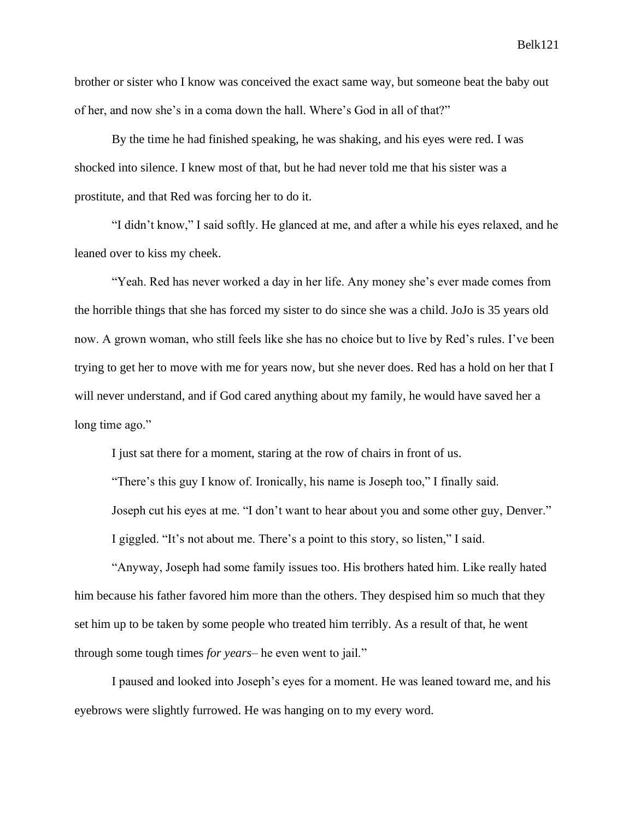brother or sister who I know was conceived the exact same way, but someone beat the baby out of her, and now she's in a coma down the hall. Where's God in all of that?"

By the time he had finished speaking, he was shaking, and his eyes were red. I was shocked into silence. I knew most of that, but he had never told me that his sister was a prostitute, and that Red was forcing her to do it.

"I didn't know," I said softly. He glanced at me, and after a while his eyes relaxed, and he leaned over to kiss my cheek.

"Yeah. Red has never worked a day in her life. Any money she's ever made comes from the horrible things that she has forced my sister to do since she was a child. JoJo is 35 years old now. A grown woman, who still feels like she has no choice but to live by Red's rules. I've been trying to get her to move with me for years now, but she never does. Red has a hold on her that I will never understand, and if God cared anything about my family, he would have saved her a long time ago."

I just sat there for a moment, staring at the row of chairs in front of us.

"There's this guy I know of. Ironically, his name is Joseph too," I finally said.

Joseph cut his eyes at me. "I don't want to hear about you and some other guy, Denver."

I giggled. "It's not about me. There's a point to this story, so listen," I said.

"Anyway, Joseph had some family issues too. His brothers hated him. Like really hated him because his father favored him more than the others. They despised him so much that they set him up to be taken by some people who treated him terribly. As a result of that, he went through some tough times *for years*– he even went to jail."

I paused and looked into Joseph's eyes for a moment. He was leaned toward me, and his eyebrows were slightly furrowed. He was hanging on to my every word.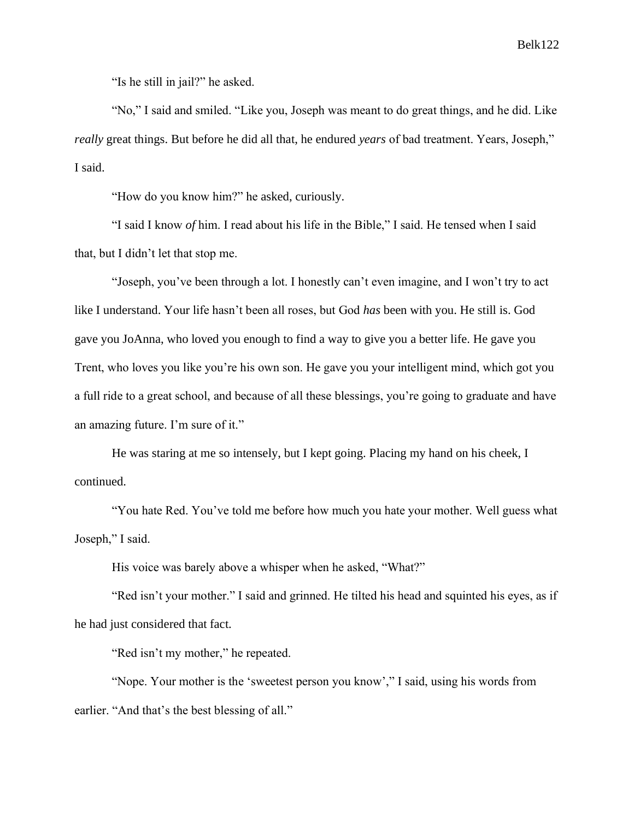"Is he still in jail?" he asked.

"No," I said and smiled. "Like you, Joseph was meant to do great things, and he did. Like *really* great things. But before he did all that, he endured *years* of bad treatment. Years, Joseph," I said.

"How do you know him?" he asked, curiously.

"I said I know *of* him. I read about his life in the Bible," I said. He tensed when I said that, but I didn't let that stop me.

"Joseph, you've been through a lot. I honestly can't even imagine, and I won't try to act like I understand. Your life hasn't been all roses, but God *has* been with you. He still is. God gave you JoAnna, who loved you enough to find a way to give you a better life. He gave you Trent, who loves you like you're his own son. He gave you your intelligent mind, which got you a full ride to a great school, and because of all these blessings, you're going to graduate and have an amazing future. I'm sure of it."

He was staring at me so intensely, but I kept going. Placing my hand on his cheek, I continued.

"You hate Red. You've told me before how much you hate your mother. Well guess what Joseph," I said.

His voice was barely above a whisper when he asked, "What?"

"Red isn't your mother." I said and grinned. He tilted his head and squinted his eyes, as if he had just considered that fact.

"Red isn't my mother," he repeated.

"Nope. Your mother is the 'sweetest person you know'," I said, using his words from earlier. "And that's the best blessing of all."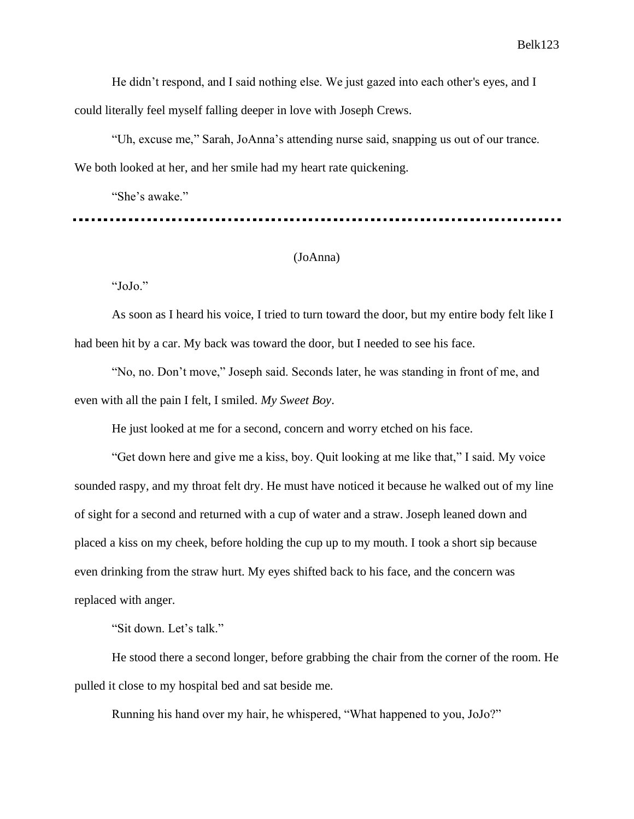He didn't respond, and I said nothing else. We just gazed into each other's eyes, and I could literally feel myself falling deeper in love with Joseph Crews.

"Uh, excuse me," Sarah, JoAnna's attending nurse said, snapping us out of our trance. We both looked at her, and her smile had my heart rate quickening.

"She's awake."

# (JoAnna)

"JoJo."

As soon as I heard his voice, I tried to turn toward the door, but my entire body felt like I had been hit by a car. My back was toward the door, but I needed to see his face.

"No, no. Don't move," Joseph said. Seconds later, he was standing in front of me, and even with all the pain I felt, I smiled. *My Sweet Boy*.

He just looked at me for a second, concern and worry etched on his face.

"Get down here and give me a kiss, boy. Quit looking at me like that," I said. My voice sounded raspy, and my throat felt dry. He must have noticed it because he walked out of my line of sight for a second and returned with a cup of water and a straw. Joseph leaned down and placed a kiss on my cheek, before holding the cup up to my mouth. I took a short sip because even drinking from the straw hurt. My eyes shifted back to his face, and the concern was replaced with anger.

"Sit down. Let's talk."

He stood there a second longer, before grabbing the chair from the corner of the room. He pulled it close to my hospital bed and sat beside me.

Running his hand over my hair, he whispered, "What happened to you, JoJo?"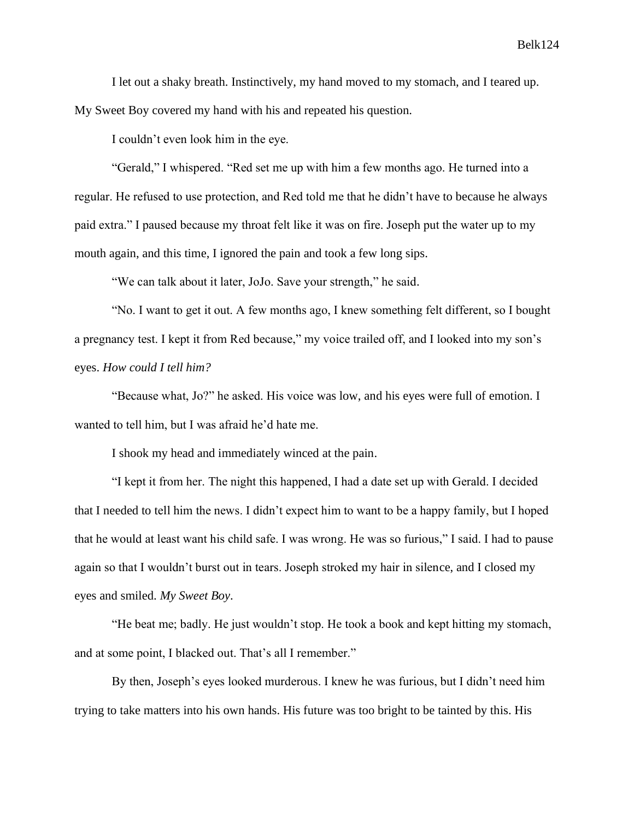I let out a shaky breath. Instinctively, my hand moved to my stomach, and I teared up. My Sweet Boy covered my hand with his and repeated his question.

I couldn't even look him in the eye.

"Gerald," I whispered. "Red set me up with him a few months ago. He turned into a regular. He refused to use protection, and Red told me that he didn't have to because he always paid extra." I paused because my throat felt like it was on fire. Joseph put the water up to my mouth again, and this time, I ignored the pain and took a few long sips.

"We can talk about it later, JoJo. Save your strength," he said.

"No. I want to get it out. A few months ago, I knew something felt different, so I bought a pregnancy test. I kept it from Red because," my voice trailed off, and I looked into my son's eyes. *How could I tell him?*

"Because what, Jo?" he asked. His voice was low, and his eyes were full of emotion. I wanted to tell him, but I was afraid he'd hate me.

I shook my head and immediately winced at the pain.

"I kept it from her. The night this happened, I had a date set up with Gerald. I decided that I needed to tell him the news. I didn't expect him to want to be a happy family, but I hoped that he would at least want his child safe. I was wrong. He was so furious," I said. I had to pause again so that I wouldn't burst out in tears. Joseph stroked my hair in silence, and I closed my eyes and smiled. *My Sweet Boy*.

"He beat me; badly. He just wouldn't stop. He took a book and kept hitting my stomach, and at some point, I blacked out. That's all I remember."

By then, Joseph's eyes looked murderous. I knew he was furious, but I didn't need him trying to take matters into his own hands. His future was too bright to be tainted by this. His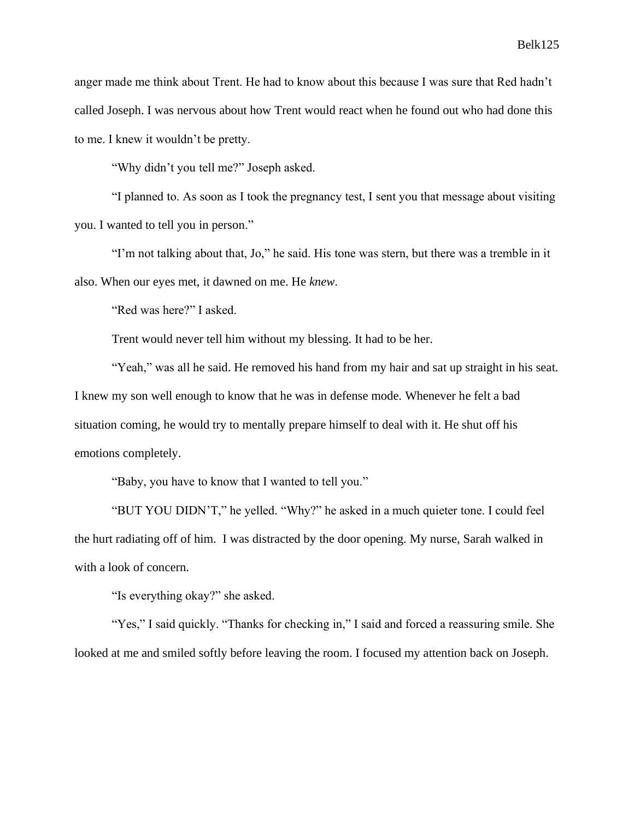anger made me think about Trent. He had to know about this because I was sure that Red hadn't called Joseph. I was nervous about how Trent would react when he found out who had done this to me. I knew it wouldn't be pretty.

"Why didn't you tell me?" Joseph asked.

"I planned to. As soon as I took the pregnancy test, I sent you that message about visiting you. I wanted to tell you in person."

"I'm not talking about that, Jo," he said. His tone was stern, but there was a tremble in it also. When our eyes met, it dawned on me. He *knew*.

"Red was here?" I asked.

Trent would never tell him without my blessing. It had to be her.

"Yeah," was all he said. He removed his hand from my hair and sat up straight in his seat. I knew my son well enough to know that he was in defense mode. Whenever he felt a bad situation coming, he would try to mentally prepare himself to deal with it. He shut off his emotions completely.

"Baby, you have to know that I wanted to tell you."

"BUT YOU DIDN'T," he yelled. "Why?" he asked in a much quieter tone. I could feel the hurt radiating off of him. I was distracted by the door opening. My nurse, Sarah walked in with a look of concern.

"Is everything okay?" she asked.

"Yes," I said quickly. "Thanks for checking in," I said and forced a reassuring smile. She looked at me and smiled softly before leaving the room. I focused my attention back on Joseph.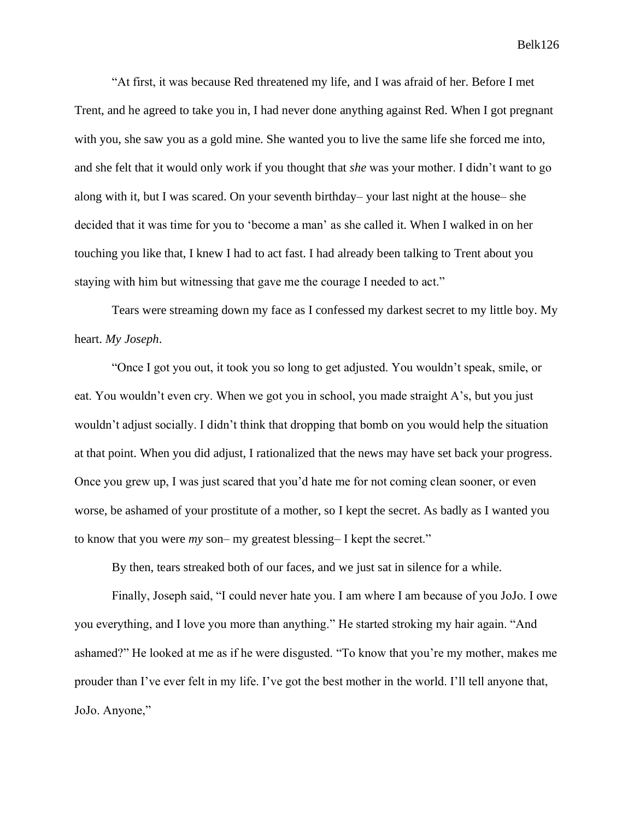"At first, it was because Red threatened my life, and I was afraid of her. Before I met Trent, and he agreed to take you in, I had never done anything against Red. When I got pregnant with you, she saw you as a gold mine. She wanted you to live the same life she forced me into, and she felt that it would only work if you thought that *she* was your mother. I didn't want to go along with it, but I was scared. On your seventh birthday– your last night at the house– she decided that it was time for you to 'become a man' as she called it. When I walked in on her touching you like that, I knew I had to act fast. I had already been talking to Trent about you staying with him but witnessing that gave me the courage I needed to act."

Tears were streaming down my face as I confessed my darkest secret to my little boy. My heart. *My Joseph*.

"Once I got you out, it took you so long to get adjusted. You wouldn't speak, smile, or eat. You wouldn't even cry. When we got you in school, you made straight A's, but you just wouldn't adjust socially. I didn't think that dropping that bomb on you would help the situation at that point. When you did adjust, I rationalized that the news may have set back your progress. Once you grew up, I was just scared that you'd hate me for not coming clean sooner, or even worse, be ashamed of your prostitute of a mother, so I kept the secret. As badly as I wanted you to know that you were *my* son– my greatest blessing– I kept the secret."

By then, tears streaked both of our faces, and we just sat in silence for a while.

Finally, Joseph said, "I could never hate you. I am where I am because of you JoJo. I owe you everything, and I love you more than anything." He started stroking my hair again. "And ashamed?" He looked at me as if he were disgusted. "To know that you're my mother, makes me prouder than I've ever felt in my life. I've got the best mother in the world. I'll tell anyone that, JoJo. Anyone,"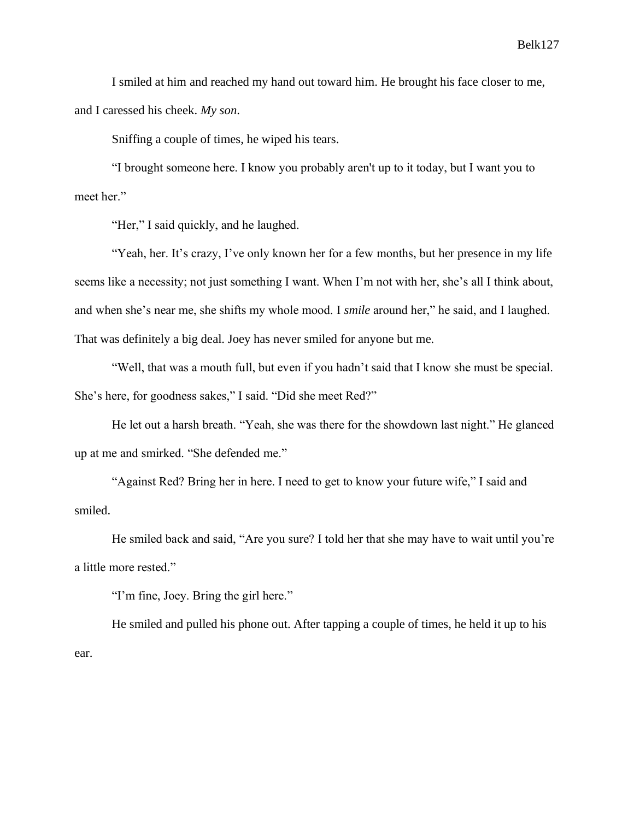I smiled at him and reached my hand out toward him. He brought his face closer to me, and I caressed his cheek. *My son*.

Sniffing a couple of times, he wiped his tears.

"I brought someone here. I know you probably aren't up to it today, but I want you to meet her."

"Her," I said quickly, and he laughed.

"Yeah, her. It's crazy, I've only known her for a few months, but her presence in my life seems like a necessity; not just something I want. When I'm not with her, she's all I think about, and when she's near me, she shifts my whole mood. I *smile* around her," he said, and I laughed. That was definitely a big deal. Joey has never smiled for anyone but me.

"Well, that was a mouth full, but even if you hadn't said that I know she must be special. She's here, for goodness sakes," I said. "Did she meet Red?"

He let out a harsh breath. "Yeah, she was there for the showdown last night." He glanced up at me and smirked. "She defended me."

"Against Red? Bring her in here. I need to get to know your future wife," I said and smiled.

He smiled back and said, "Are you sure? I told her that she may have to wait until you're a little more rested."

"I'm fine, Joey. Bring the girl here."

He smiled and pulled his phone out. After tapping a couple of times, he held it up to his ear.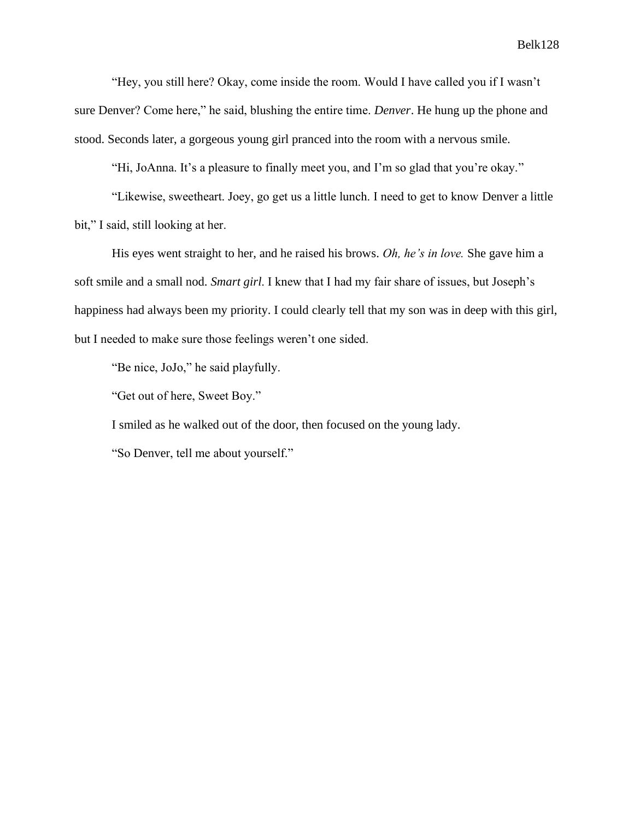"Hey, you still here? Okay, come inside the room. Would I have called you if I wasn't sure Denver? Come here," he said, blushing the entire time. *Denver*. He hung up the phone and stood. Seconds later, a gorgeous young girl pranced into the room with a nervous smile.

"Hi, JoAnna. It's a pleasure to finally meet you, and I'm so glad that you're okay."

"Likewise, sweetheart. Joey, go get us a little lunch. I need to get to know Denver a little bit," I said, still looking at her.

His eyes went straight to her, and he raised his brows. *Oh, he's in love.* She gave him a soft smile and a small nod. *Smart girl*. I knew that I had my fair share of issues, but Joseph's happiness had always been my priority. I could clearly tell that my son was in deep with this girl, but I needed to make sure those feelings weren't one sided.

"Be nice, JoJo," he said playfully.

"Get out of here, Sweet Boy."

I smiled as he walked out of the door, then focused on the young lady.

"So Denver, tell me about yourself."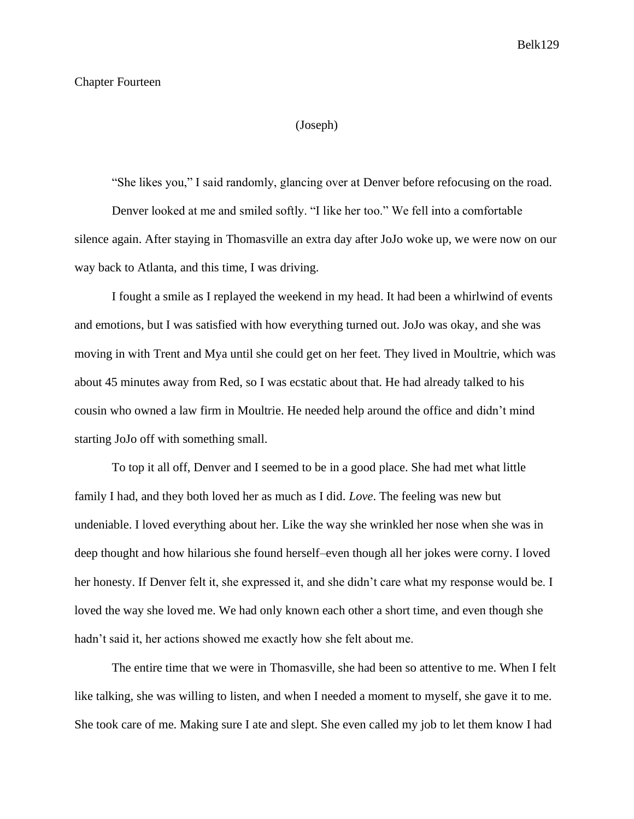# Chapter Fourteen

# (Joseph)

"She likes you," I said randomly, glancing over at Denver before refocusing on the road.

Denver looked at me and smiled softly. "I like her too." We fell into a comfortable silence again. After staying in Thomasville an extra day after JoJo woke up, we were now on our way back to Atlanta, and this time, I was driving.

I fought a smile as I replayed the weekend in my head. It had been a whirlwind of events and emotions, but I was satisfied with how everything turned out. JoJo was okay, and she was moving in with Trent and Mya until she could get on her feet. They lived in Moultrie, which was about 45 minutes away from Red, so I was ecstatic about that. He had already talked to his cousin who owned a law firm in Moultrie. He needed help around the office and didn't mind starting JoJo off with something small.

To top it all off, Denver and I seemed to be in a good place. She had met what little family I had, and they both loved her as much as I did. *Love*. The feeling was new but undeniable. I loved everything about her. Like the way she wrinkled her nose when she was in deep thought and how hilarious she found herself–even though all her jokes were corny. I loved her honesty. If Denver felt it, she expressed it, and she didn't care what my response would be. I loved the way she loved me. We had only known each other a short time, and even though she hadn't said it, her actions showed me exactly how she felt about me.

The entire time that we were in Thomasville, she had been so attentive to me. When I felt like talking, she was willing to listen, and when I needed a moment to myself, she gave it to me. She took care of me. Making sure I ate and slept. She even called my job to let them know I had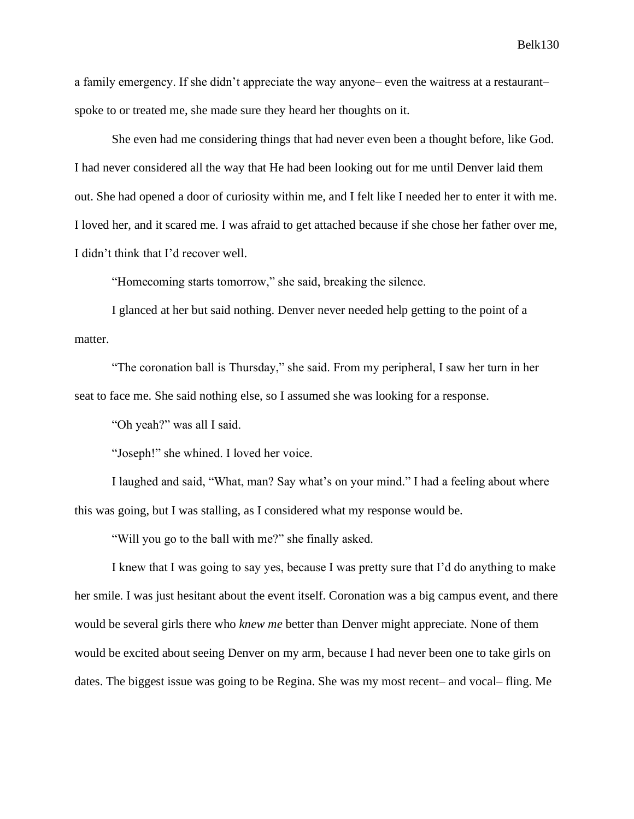a family emergency. If she didn't appreciate the way anyone– even the waitress at a restaurant– spoke to or treated me, she made sure they heard her thoughts on it.

She even had me considering things that had never even been a thought before, like God. I had never considered all the way that He had been looking out for me until Denver laid them out. She had opened a door of curiosity within me, and I felt like I needed her to enter it with me. I loved her, and it scared me. I was afraid to get attached because if she chose her father over me, I didn't think that I'd recover well.

"Homecoming starts tomorrow," she said, breaking the silence.

I glanced at her but said nothing. Denver never needed help getting to the point of a matter.

"The coronation ball is Thursday," she said. From my peripheral, I saw her turn in her seat to face me. She said nothing else, so I assumed she was looking for a response.

"Oh yeah?" was all I said.

"Joseph!" she whined. I loved her voice.

I laughed and said, "What, man? Say what's on your mind." I had a feeling about where this was going, but I was stalling, as I considered what my response would be.

"Will you go to the ball with me?" she finally asked.

I knew that I was going to say yes, because I was pretty sure that I'd do anything to make her smile. I was just hesitant about the event itself. Coronation was a big campus event, and there would be several girls there who *knew me* better than Denver might appreciate. None of them would be excited about seeing Denver on my arm, because I had never been one to take girls on dates. The biggest issue was going to be Regina. She was my most recent– and vocal– fling. Me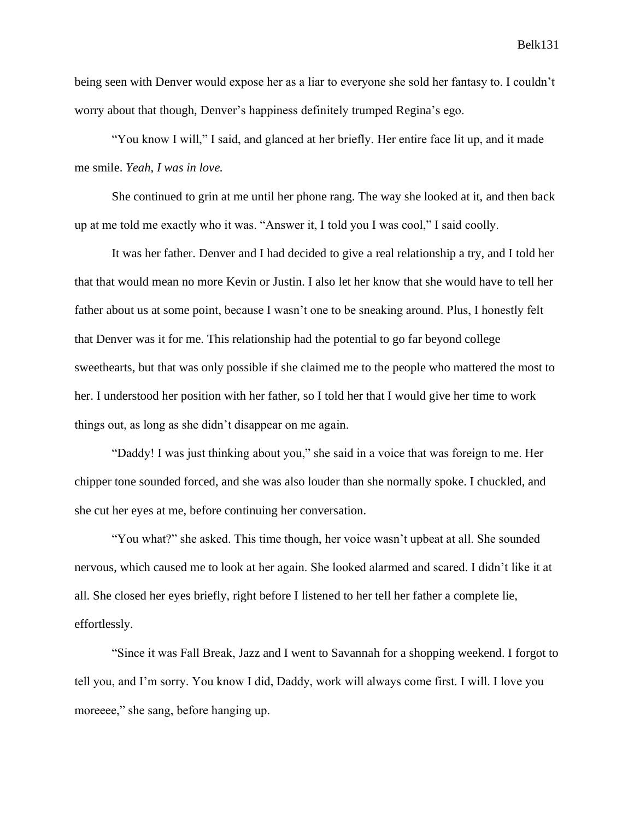being seen with Denver would expose her as a liar to everyone she sold her fantasy to. I couldn't worry about that though, Denver's happiness definitely trumped Regina's ego.

"You know I will," I said, and glanced at her briefly. Her entire face lit up, and it made me smile. *Yeah, I was in love.*

She continued to grin at me until her phone rang. The way she looked at it, and then back up at me told me exactly who it was. "Answer it, I told you I was cool," I said coolly.

It was her father. Denver and I had decided to give a real relationship a try, and I told her that that would mean no more Kevin or Justin. I also let her know that she would have to tell her father about us at some point, because I wasn't one to be sneaking around. Plus, I honestly felt that Denver was it for me. This relationship had the potential to go far beyond college sweethearts, but that was only possible if she claimed me to the people who mattered the most to her. I understood her position with her father, so I told her that I would give her time to work things out, as long as she didn't disappear on me again.

"Daddy! I was just thinking about you," she said in a voice that was foreign to me. Her chipper tone sounded forced, and she was also louder than she normally spoke. I chuckled, and she cut her eyes at me, before continuing her conversation.

"You what?" she asked. This time though, her voice wasn't upbeat at all. She sounded nervous, which caused me to look at her again. She looked alarmed and scared. I didn't like it at all. She closed her eyes briefly, right before I listened to her tell her father a complete lie, effortlessly.

"Since it was Fall Break, Jazz and I went to Savannah for a shopping weekend. I forgot to tell you, and I'm sorry. You know I did, Daddy, work will always come first. I will. I love you moreeee," she sang, before hanging up.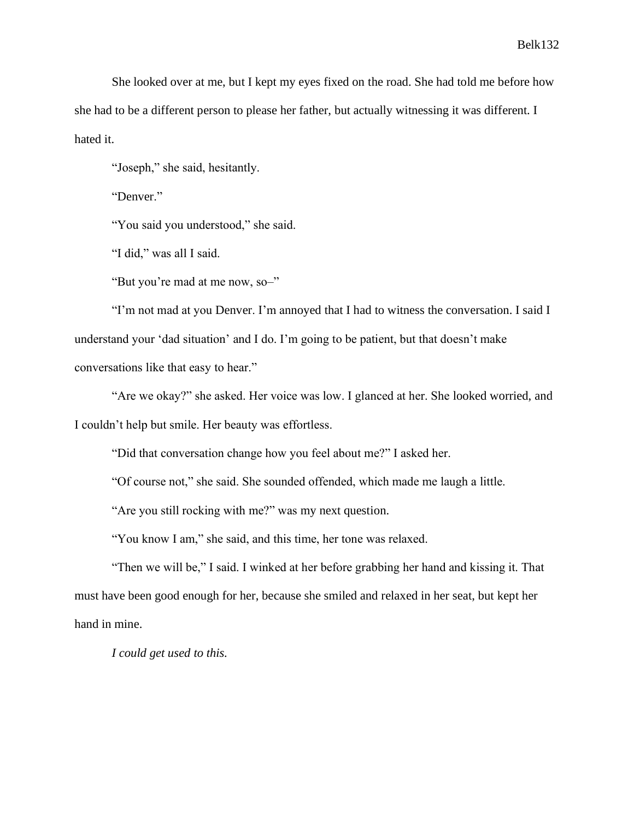She looked over at me, but I kept my eyes fixed on the road. She had told me before how she had to be a different person to please her father, but actually witnessing it was different. I hated it.

"Joseph," she said, hesitantly.

"Denver."

"You said you understood," she said.

"I did," was all I said.

"But you're mad at me now, so–"

"I'm not mad at you Denver. I'm annoyed that I had to witness the conversation. I said I understand your 'dad situation' and I do. I'm going to be patient, but that doesn't make conversations like that easy to hear."

"Are we okay?" she asked. Her voice was low. I glanced at her. She looked worried, and I couldn't help but smile. Her beauty was effortless.

"Did that conversation change how you feel about me?" I asked her.

"Of course not," she said. She sounded offended, which made me laugh a little.

"Are you still rocking with me?" was my next question.

"You know I am," she said, and this time, her tone was relaxed.

"Then we will be," I said. I winked at her before grabbing her hand and kissing it. That must have been good enough for her, because she smiled and relaxed in her seat, but kept her hand in mine.

*I could get used to this.*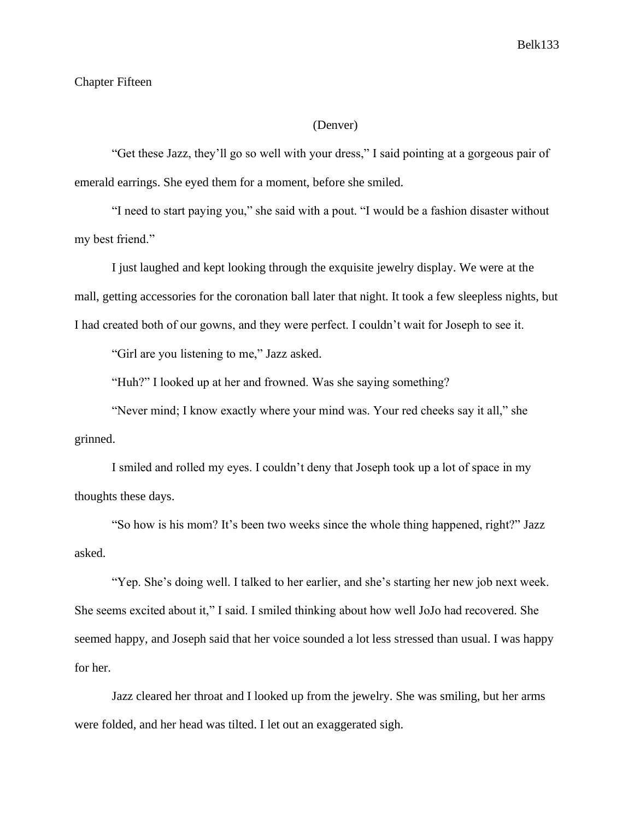# Chapter Fifteen

# (Denver)

"Get these Jazz, they'll go so well with your dress," I said pointing at a gorgeous pair of emerald earrings. She eyed them for a moment, before she smiled.

"I need to start paying you," she said with a pout. "I would be a fashion disaster without my best friend."

I just laughed and kept looking through the exquisite jewelry display. We were at the mall, getting accessories for the coronation ball later that night. It took a few sleepless nights, but I had created both of our gowns, and they were perfect. I couldn't wait for Joseph to see it.

"Girl are you listening to me," Jazz asked.

"Huh?" I looked up at her and frowned. Was she saying something?

"Never mind; I know exactly where your mind was. Your red cheeks say it all," she grinned.

I smiled and rolled my eyes. I couldn't deny that Joseph took up a lot of space in my thoughts these days.

"So how is his mom? It's been two weeks since the whole thing happened, right?" Jazz asked.

"Yep. She's doing well. I talked to her earlier, and she's starting her new job next week. She seems excited about it," I said. I smiled thinking about how well JoJo had recovered. She seemed happy, and Joseph said that her voice sounded a lot less stressed than usual. I was happy for her.

Jazz cleared her throat and I looked up from the jewelry. She was smiling, but her arms were folded, and her head was tilted. I let out an exaggerated sigh.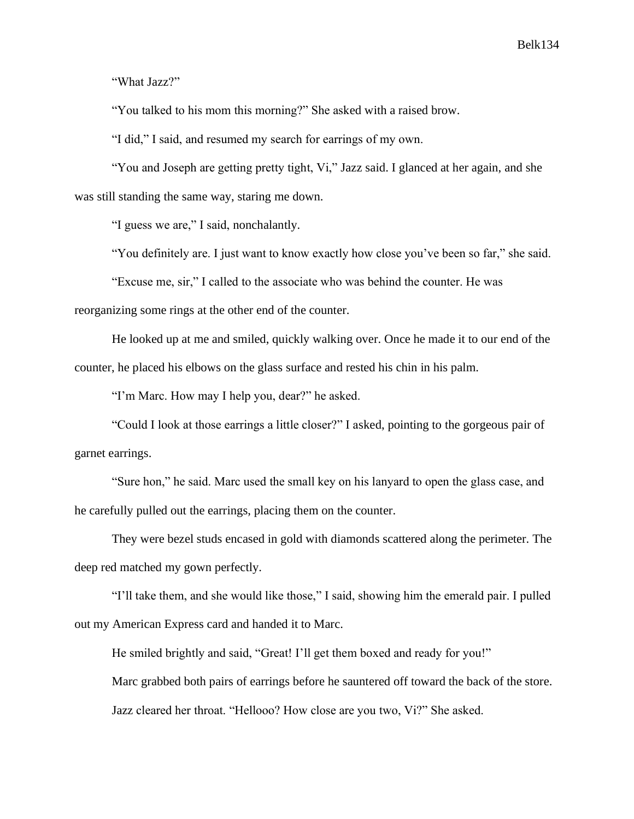"What Jazz?"

"You talked to his mom this morning?" She asked with a raised brow.

"I did," I said, and resumed my search for earrings of my own.

"You and Joseph are getting pretty tight, Vi," Jazz said. I glanced at her again, and she was still standing the same way, staring me down.

"I guess we are," I said, nonchalantly.

"You definitely are. I just want to know exactly how close you've been so far," she said.

"Excuse me, sir," I called to the associate who was behind the counter. He was reorganizing some rings at the other end of the counter.

He looked up at me and smiled, quickly walking over. Once he made it to our end of the counter, he placed his elbows on the glass surface and rested his chin in his palm.

"I'm Marc. How may I help you, dear?" he asked.

"Could I look at those earrings a little closer?" I asked, pointing to the gorgeous pair of garnet earrings.

"Sure hon," he said. Marc used the small key on his lanyard to open the glass case, and he carefully pulled out the earrings, placing them on the counter.

They were bezel studs encased in gold with diamonds scattered along the perimeter. The deep red matched my gown perfectly.

"I'll take them, and she would like those," I said, showing him the emerald pair. I pulled out my American Express card and handed it to Marc.

He smiled brightly and said, "Great! I'll get them boxed and ready for you!"

Marc grabbed both pairs of earrings before he sauntered off toward the back of the store. Jazz cleared her throat. "Hellooo? How close are you two, Vi?" She asked.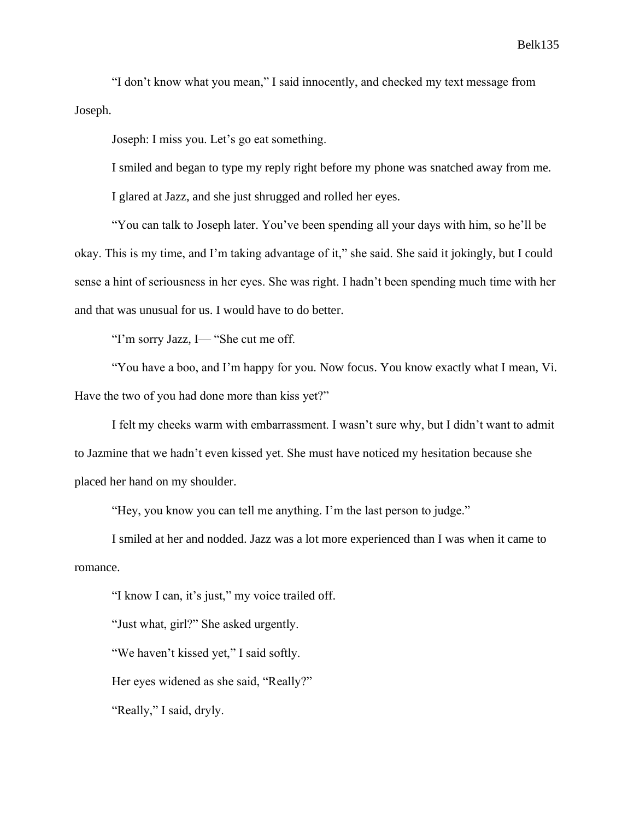"I don't know what you mean," I said innocently, and checked my text message from Joseph.

Joseph: I miss you. Let's go eat something.

I smiled and began to type my reply right before my phone was snatched away from me.

I glared at Jazz, and she just shrugged and rolled her eyes.

"You can talk to Joseph later. You've been spending all your days with him, so he'll be okay. This is my time, and I'm taking advantage of it," she said. She said it jokingly, but I could sense a hint of seriousness in her eyes. She was right. I hadn't been spending much time with her and that was unusual for us. I would have to do better.

"I'm sorry Jazz, I— "She cut me off.

"You have a boo, and I'm happy for you. Now focus. You know exactly what I mean, Vi. Have the two of you had done more than kiss yet?"

I felt my cheeks warm with embarrassment. I wasn't sure why, but I didn't want to admit to Jazmine that we hadn't even kissed yet. She must have noticed my hesitation because she placed her hand on my shoulder.

"Hey, you know you can tell me anything. I'm the last person to judge."

I smiled at her and nodded. Jazz was a lot more experienced than I was when it came to romance.

"I know I can, it's just," my voice trailed off.

"Just what, girl?" She asked urgently.

"We haven't kissed yet," I said softly.

Her eyes widened as she said, "Really?"

"Really," I said, dryly.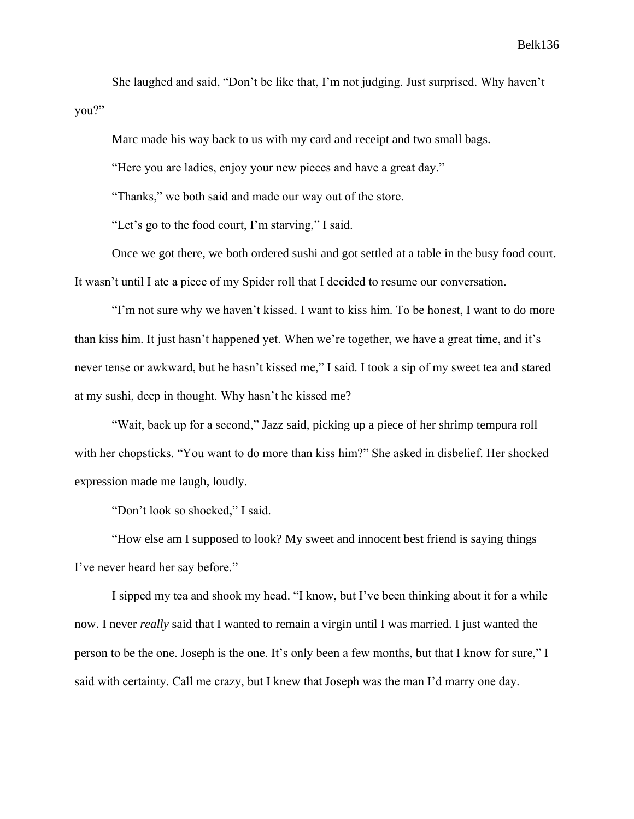She laughed and said, "Don't be like that, I'm not judging. Just surprised. Why haven't you?"

Marc made his way back to us with my card and receipt and two small bags.

"Here you are ladies, enjoy your new pieces and have a great day."

"Thanks," we both said and made our way out of the store.

"Let's go to the food court, I'm starving," I said.

Once we got there, we both ordered sushi and got settled at a table in the busy food court. It wasn't until I ate a piece of my Spider roll that I decided to resume our conversation.

"I'm not sure why we haven't kissed. I want to kiss him. To be honest, I want to do more than kiss him. It just hasn't happened yet. When we're together, we have a great time, and it's never tense or awkward, but he hasn't kissed me," I said. I took a sip of my sweet tea and stared at my sushi, deep in thought. Why hasn't he kissed me?

"Wait, back up for a second," Jazz said, picking up a piece of her shrimp tempura roll with her chopsticks. "You want to do more than kiss him?" She asked in disbelief. Her shocked expression made me laugh, loudly.

"Don't look so shocked," I said.

"How else am I supposed to look? My sweet and innocent best friend is saying things I've never heard her say before."

I sipped my tea and shook my head. "I know, but I've been thinking about it for a while now. I never *really* said that I wanted to remain a virgin until I was married. I just wanted the person to be the one. Joseph is the one. It's only been a few months, but that I know for sure," I said with certainty. Call me crazy, but I knew that Joseph was the man I'd marry one day.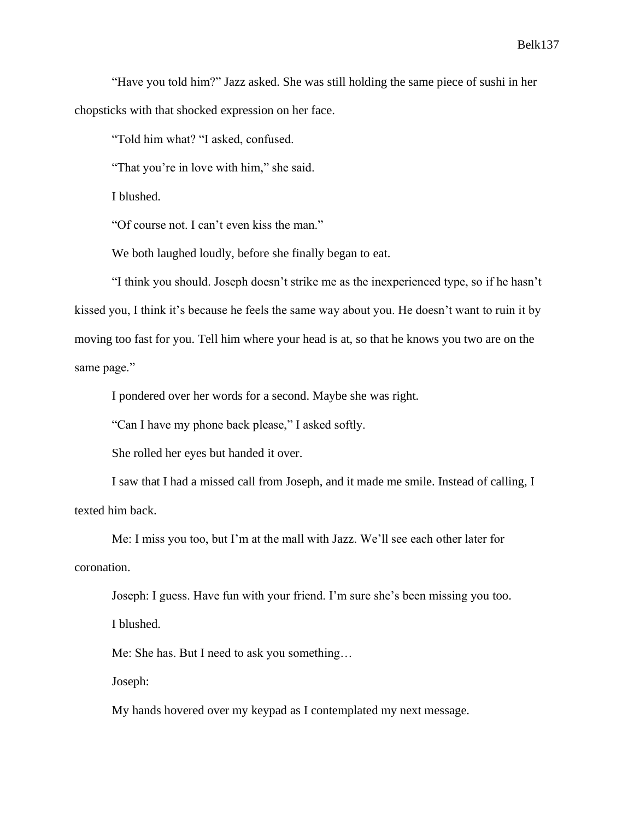"Have you told him?" Jazz asked. She was still holding the same piece of sushi in her chopsticks with that shocked expression on her face.

"Told him what? "I asked, confused.

"That you're in love with him," she said.

I blushed.

"Of course not. I can't even kiss the man."

We both laughed loudly, before she finally began to eat.

"I think you should. Joseph doesn't strike me as the inexperienced type, so if he hasn't kissed you, I think it's because he feels the same way about you. He doesn't want to ruin it by moving too fast for you. Tell him where your head is at, so that he knows you two are on the same page."

I pondered over her words for a second. Maybe she was right.

"Can I have my phone back please," I asked softly.

She rolled her eyes but handed it over.

I saw that I had a missed call from Joseph, and it made me smile. Instead of calling, I texted him back.

Me: I miss you too, but I'm at the mall with Jazz. We'll see each other later for coronation.

Joseph: I guess. Have fun with your friend. I'm sure she's been missing you too. I blushed.

Me: She has. But I need to ask you something…

Joseph:

My hands hovered over my keypad as I contemplated my next message.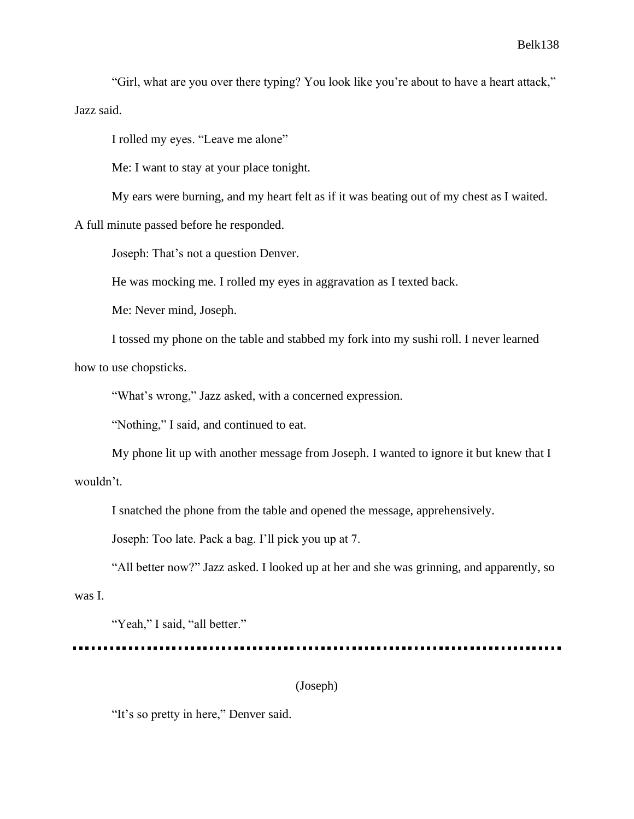"Girl, what are you over there typing? You look like you're about to have a heart attack," Jazz said.

I rolled my eyes. "Leave me alone"

Me: I want to stay at your place tonight.

My ears were burning, and my heart felt as if it was beating out of my chest as I waited.

A full minute passed before he responded.

Joseph: That's not a question Denver.

He was mocking me. I rolled my eyes in aggravation as I texted back.

Me: Never mind, Joseph.

I tossed my phone on the table and stabbed my fork into my sushi roll. I never learned how to use chopsticks.

"What's wrong," Jazz asked, with a concerned expression.

"Nothing," I said, and continued to eat.

My phone lit up with another message from Joseph. I wanted to ignore it but knew that I wouldn't.

I snatched the phone from the table and opened the message, apprehensively.

Joseph: Too late. Pack a bag. I'll pick you up at 7.

"All better now?" Jazz asked. I looked up at her and she was grinning, and apparently, so

was I.

"Yeah," I said, "all better."

(Joseph)

"It's so pretty in here," Denver said.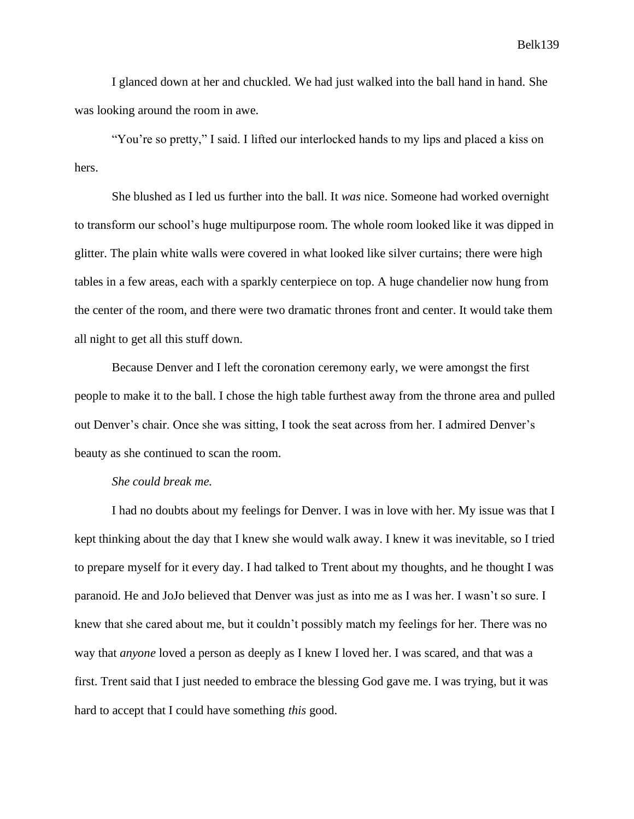I glanced down at her and chuckled. We had just walked into the ball hand in hand. She was looking around the room in awe.

"You're so pretty," I said. I lifted our interlocked hands to my lips and placed a kiss on hers.

She blushed as I led us further into the ball. It *was* nice. Someone had worked overnight to transform our school's huge multipurpose room. The whole room looked like it was dipped in glitter. The plain white walls were covered in what looked like silver curtains; there were high tables in a few areas, each with a sparkly centerpiece on top. A huge chandelier now hung from the center of the room, and there were two dramatic thrones front and center. It would take them all night to get all this stuff down.

Because Denver and I left the coronation ceremony early, we were amongst the first people to make it to the ball. I chose the high table furthest away from the throne area and pulled out Denver's chair. Once she was sitting, I took the seat across from her. I admired Denver's beauty as she continued to scan the room.

# *She could break me.*

I had no doubts about my feelings for Denver. I was in love with her. My issue was that I kept thinking about the day that I knew she would walk away. I knew it was inevitable, so I tried to prepare myself for it every day. I had talked to Trent about my thoughts, and he thought I was paranoid. He and JoJo believed that Denver was just as into me as I was her. I wasn't so sure. I knew that she cared about me, but it couldn't possibly match my feelings for her. There was no way that *anyone* loved a person as deeply as I knew I loved her. I was scared, and that was a first. Trent said that I just needed to embrace the blessing God gave me. I was trying, but it was hard to accept that I could have something *this* good.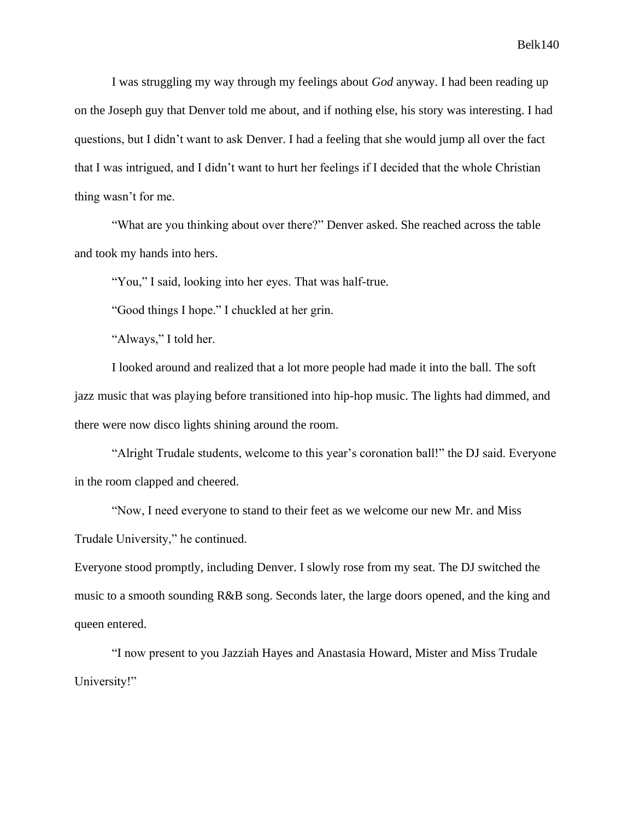I was struggling my way through my feelings about *God* anyway. I had been reading up on the Joseph guy that Denver told me about, and if nothing else, his story was interesting. I had questions, but I didn't want to ask Denver. I had a feeling that she would jump all over the fact that I was intrigued, and I didn't want to hurt her feelings if I decided that the whole Christian thing wasn't for me.

"What are you thinking about over there?" Denver asked. She reached across the table and took my hands into hers.

"You," I said, looking into her eyes. That was half-true.

"Good things I hope." I chuckled at her grin.

"Always," I told her.

I looked around and realized that a lot more people had made it into the ball. The soft jazz music that was playing before transitioned into hip-hop music. The lights had dimmed, and there were now disco lights shining around the room.

"Alright Trudale students, welcome to this year's coronation ball!" the DJ said. Everyone in the room clapped and cheered.

"Now, I need everyone to stand to their feet as we welcome our new Mr. and Miss Trudale University," he continued.

Everyone stood promptly, including Denver. I slowly rose from my seat. The DJ switched the music to a smooth sounding R&B song. Seconds later, the large doors opened, and the king and queen entered.

"I now present to you Jazziah Hayes and Anastasia Howard, Mister and Miss Trudale University!"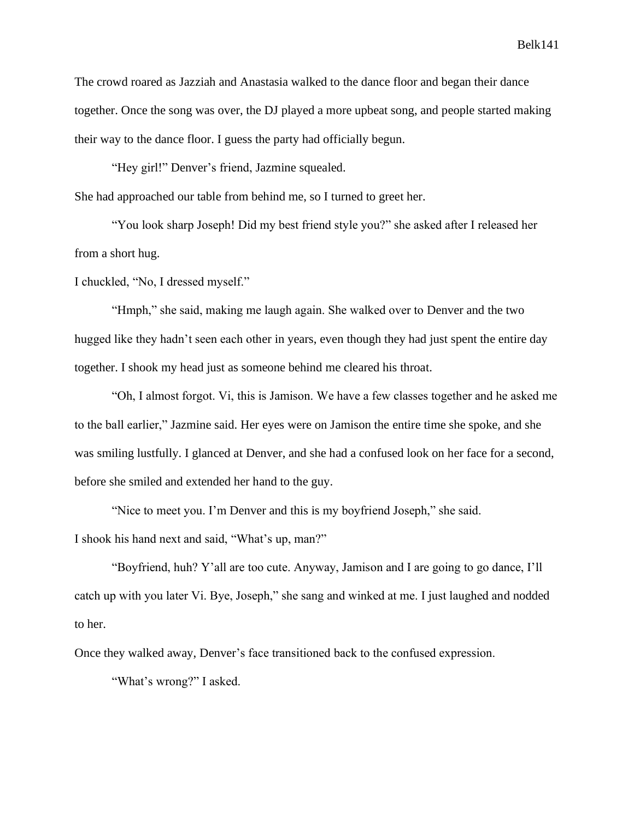The crowd roared as Jazziah and Anastasia walked to the dance floor and began their dance together. Once the song was over, the DJ played a more upbeat song, and people started making their way to the dance floor. I guess the party had officially begun.

"Hey girl!" Denver's friend, Jazmine squealed.

She had approached our table from behind me, so I turned to greet her.

"You look sharp Joseph! Did my best friend style you?" she asked after I released her from a short hug.

I chuckled, "No, I dressed myself."

"Hmph," she said, making me laugh again. She walked over to Denver and the two hugged like they hadn't seen each other in years, even though they had just spent the entire day together. I shook my head just as someone behind me cleared his throat.

"Oh, I almost forgot. Vi, this is Jamison. We have a few classes together and he asked me to the ball earlier," Jazmine said. Her eyes were on Jamison the entire time she spoke, and she was smiling lustfully. I glanced at Denver, and she had a confused look on her face for a second, before she smiled and extended her hand to the guy.

"Nice to meet you. I'm Denver and this is my boyfriend Joseph," she said.

I shook his hand next and said, "What's up, man?"

"Boyfriend, huh? Y'all are too cute. Anyway, Jamison and I are going to go dance, I'll catch up with you later Vi. Bye, Joseph," she sang and winked at me. I just laughed and nodded to her.

Once they walked away, Denver's face transitioned back to the confused expression.

"What's wrong?" I asked.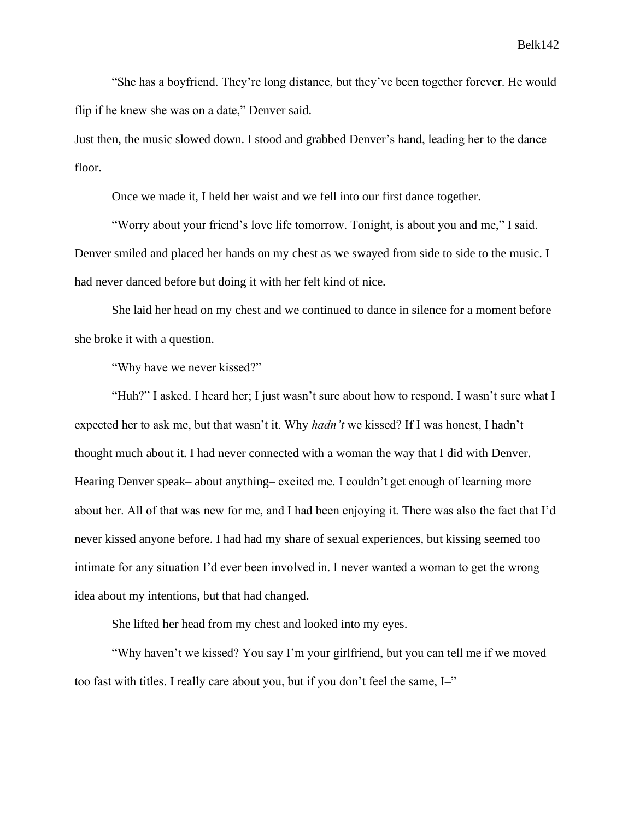"She has a boyfriend. They're long distance, but they've been together forever. He would flip if he knew she was on a date," Denver said.

Just then, the music slowed down. I stood and grabbed Denver's hand, leading her to the dance floor.

Once we made it, I held her waist and we fell into our first dance together.

"Worry about your friend's love life tomorrow. Tonight, is about you and me," I said. Denver smiled and placed her hands on my chest as we swayed from side to side to the music. I had never danced before but doing it with her felt kind of nice.

She laid her head on my chest and we continued to dance in silence for a moment before she broke it with a question.

"Why have we never kissed?"

"Huh?" I asked. I heard her; I just wasn't sure about how to respond. I wasn't sure what I expected her to ask me, but that wasn't it. Why *hadn't* we kissed? If I was honest, I hadn't thought much about it. I had never connected with a woman the way that I did with Denver. Hearing Denver speak– about anything– excited me. I couldn't get enough of learning more about her. All of that was new for me, and I had been enjoying it. There was also the fact that I'd never kissed anyone before. I had had my share of sexual experiences, but kissing seemed too intimate for any situation I'd ever been involved in. I never wanted a woman to get the wrong idea about my intentions, but that had changed.

She lifted her head from my chest and looked into my eyes.

"Why haven't we kissed? You say I'm your girlfriend, but you can tell me if we moved too fast with titles. I really care about you, but if you don't feel the same, I–"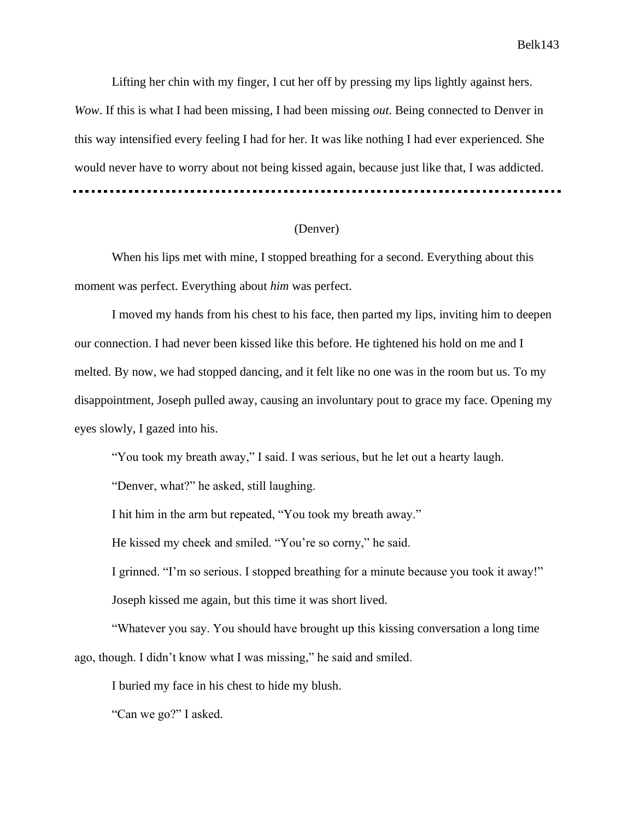Lifting her chin with my finger, I cut her off by pressing my lips lightly against hers. *Wow*. If this is what I had been missing, I had been missing *out*. Being connected to Denver in this way intensified every feeling I had for her. It was like nothing I had ever experienced. She would never have to worry about not being kissed again, because just like that, I was addicted.

# (Denver)

When his lips met with mine, I stopped breathing for a second. Everything about this moment was perfect. Everything about *him* was perfect.

I moved my hands from his chest to his face, then parted my lips, inviting him to deepen our connection. I had never been kissed like this before. He tightened his hold on me and I melted. By now, we had stopped dancing, and it felt like no one was in the room but us. To my disappointment, Joseph pulled away, causing an involuntary pout to grace my face. Opening my eyes slowly, I gazed into his.

"You took my breath away," I said. I was serious, but he let out a hearty laugh.

"Denver, what?" he asked, still laughing.

I hit him in the arm but repeated, "You took my breath away."

He kissed my cheek and smiled. "You're so corny," he said.

I grinned. "I'm so serious. I stopped breathing for a minute because you took it away!" Joseph kissed me again, but this time it was short lived.

"Whatever you say. You should have brought up this kissing conversation a long time ago, though. I didn't know what I was missing," he said and smiled.

I buried my face in his chest to hide my blush.

"Can we go?" I asked.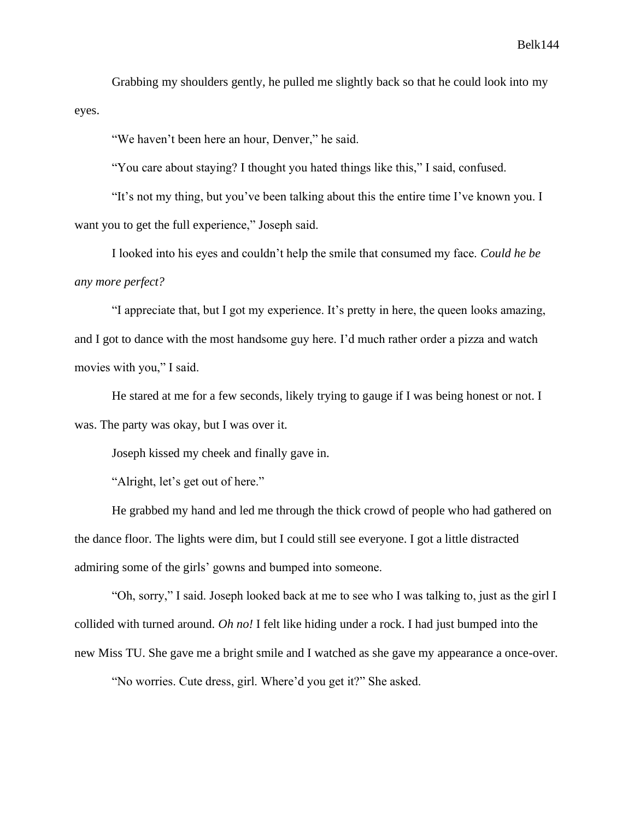Grabbing my shoulders gently, he pulled me slightly back so that he could look into my eyes.

"We haven't been here an hour, Denver," he said.

"You care about staying? I thought you hated things like this," I said, confused.

"It's not my thing, but you've been talking about this the entire time I've known you. I want you to get the full experience," Joseph said.

I looked into his eyes and couldn't help the smile that consumed my face. *Could he be any more perfect?*

"I appreciate that, but I got my experience. It's pretty in here, the queen looks amazing, and I got to dance with the most handsome guy here. I'd much rather order a pizza and watch movies with you," I said.

He stared at me for a few seconds, likely trying to gauge if I was being honest or not. I was. The party was okay, but I was over it.

Joseph kissed my cheek and finally gave in.

"Alright, let's get out of here."

He grabbed my hand and led me through the thick crowd of people who had gathered on the dance floor. The lights were dim, but I could still see everyone. I got a little distracted admiring some of the girls' gowns and bumped into someone.

"Oh, sorry," I said. Joseph looked back at me to see who I was talking to, just as the girl I collided with turned around. *Oh no!* I felt like hiding under a rock. I had just bumped into the new Miss TU. She gave me a bright smile and I watched as she gave my appearance a once-over.

"No worries. Cute dress, girl. Where'd you get it?" She asked.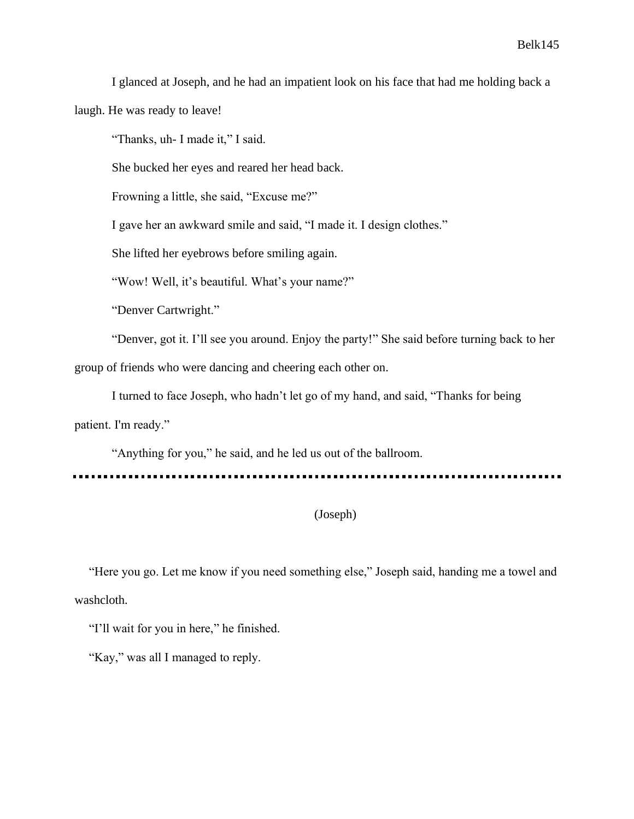I glanced at Joseph, and he had an impatient look on his face that had me holding back a

laugh. He was ready to leave!

"Thanks, uh- I made it," I said.

She bucked her eyes and reared her head back.

Frowning a little, she said, "Excuse me?"

I gave her an awkward smile and said, "I made it. I design clothes."

She lifted her eyebrows before smiling again.

"Wow! Well, it's beautiful. What's your name?"

"Denver Cartwright."

"Denver, got it. I'll see you around. Enjoy the party!" She said before turning back to her

group of friends who were dancing and cheering each other on.

I turned to face Joseph, who hadn't let go of my hand, and said, "Thanks for being

patient. I'm ready."

"Anything for you," he said, and he led us out of the ballroom.

# (Joseph)

"Here you go. Let me know if you need something else," Joseph said, handing me a towel and washcloth.

"I'll wait for you in here," he finished.

"Kay," was all I managed to reply.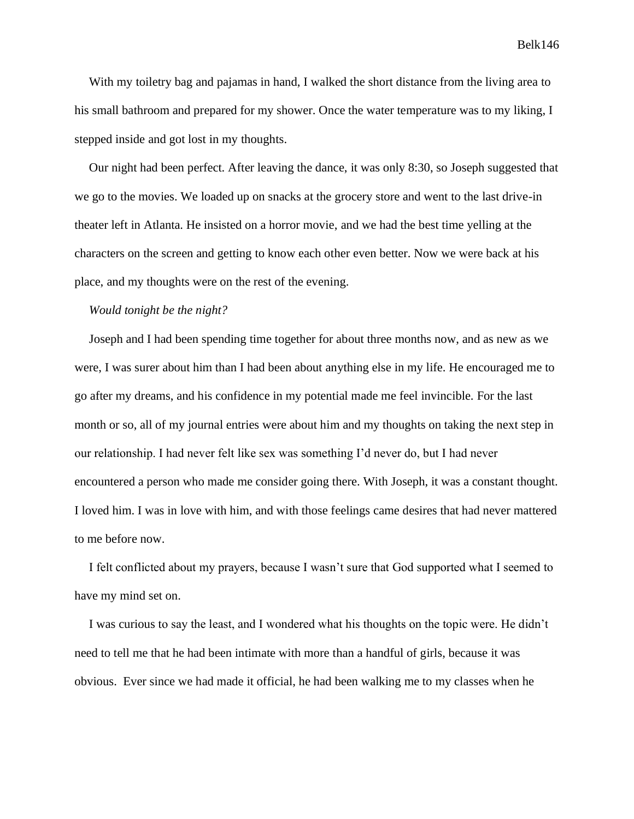With my toiletry bag and pajamas in hand, I walked the short distance from the living area to his small bathroom and prepared for my shower. Once the water temperature was to my liking, I stepped inside and got lost in my thoughts.

Our night had been perfect. After leaving the dance, it was only 8:30, so Joseph suggested that we go to the movies. We loaded up on snacks at the grocery store and went to the last drive-in theater left in Atlanta. He insisted on a horror movie, and we had the best time yelling at the characters on the screen and getting to know each other even better. Now we were back at his place, and my thoughts were on the rest of the evening.

#### *Would tonight be the night?*

Joseph and I had been spending time together for about three months now, and as new as we were, I was surer about him than I had been about anything else in my life. He encouraged me to go after my dreams, and his confidence in my potential made me feel invincible. For the last month or so, all of my journal entries were about him and my thoughts on taking the next step in our relationship. I had never felt like sex was something I'd never do, but I had never encountered a person who made me consider going there. With Joseph, it was a constant thought. I loved him. I was in love with him, and with those feelings came desires that had never mattered to me before now.

I felt conflicted about my prayers, because I wasn't sure that God supported what I seemed to have my mind set on.

I was curious to say the least, and I wondered what his thoughts on the topic were. He didn't need to tell me that he had been intimate with more than a handful of girls, because it was obvious. Ever since we had made it official, he had been walking me to my classes when he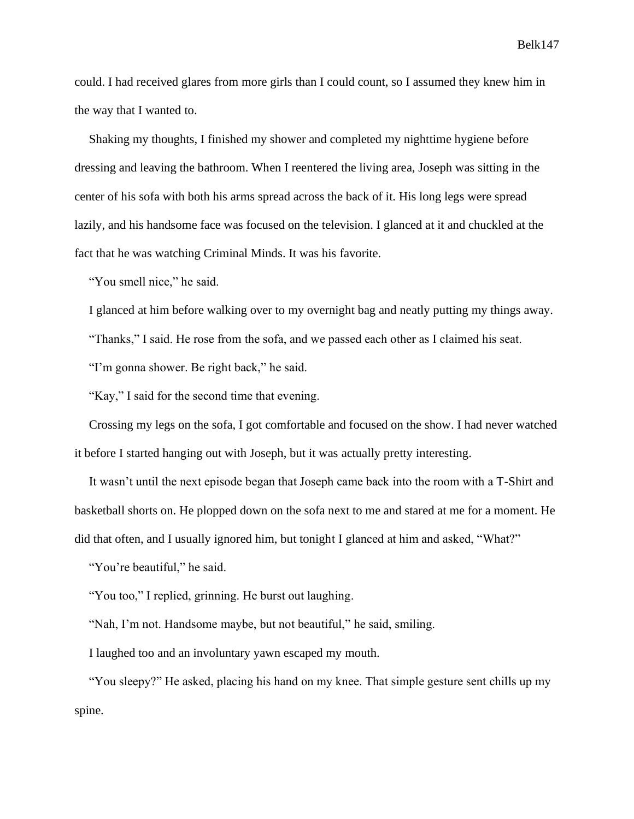could. I had received glares from more girls than I could count, so I assumed they knew him in the way that I wanted to.

Shaking my thoughts, I finished my shower and completed my nighttime hygiene before dressing and leaving the bathroom. When I reentered the living area, Joseph was sitting in the center of his sofa with both his arms spread across the back of it. His long legs were spread lazily, and his handsome face was focused on the television. I glanced at it and chuckled at the fact that he was watching Criminal Minds. It was his favorite.

"You smell nice," he said.

I glanced at him before walking over to my overnight bag and neatly putting my things away.

"Thanks," I said. He rose from the sofa, and we passed each other as I claimed his seat.

"I'm gonna shower. Be right back," he said.

"Kay," I said for the second time that evening.

Crossing my legs on the sofa, I got comfortable and focused on the show. I had never watched it before I started hanging out with Joseph, but it was actually pretty interesting.

It wasn't until the next episode began that Joseph came back into the room with a T-Shirt and basketball shorts on. He plopped down on the sofa next to me and stared at me for a moment. He did that often, and I usually ignored him, but tonight I glanced at him and asked, "What?"

"You're beautiful," he said.

"You too," I replied, grinning. He burst out laughing.

"Nah, I'm not. Handsome maybe, but not beautiful," he said, smiling.

I laughed too and an involuntary yawn escaped my mouth.

"You sleepy?" He asked, placing his hand on my knee. That simple gesture sent chills up my spine.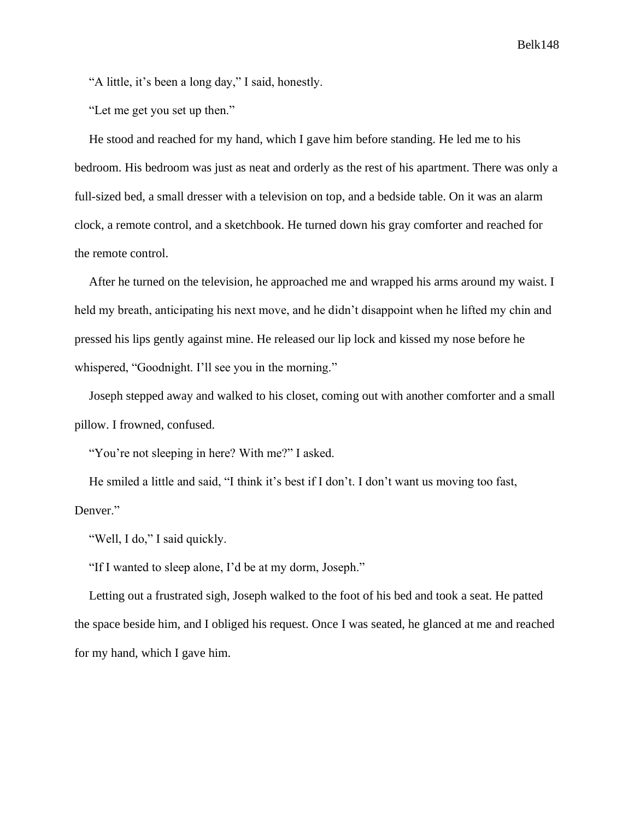"A little, it's been a long day," I said, honestly.

"Let me get you set up then."

He stood and reached for my hand, which I gave him before standing. He led me to his bedroom. His bedroom was just as neat and orderly as the rest of his apartment. There was only a full-sized bed, a small dresser with a television on top, and a bedside table. On it was an alarm clock, a remote control, and a sketchbook. He turned down his gray comforter and reached for the remote control.

After he turned on the television, he approached me and wrapped his arms around my waist. I held my breath, anticipating his next move, and he didn't disappoint when he lifted my chin and pressed his lips gently against mine. He released our lip lock and kissed my nose before he whispered, "Goodnight. I'll see you in the morning."

Joseph stepped away and walked to his closet, coming out with another comforter and a small pillow. I frowned, confused.

"You're not sleeping in here? With me?" I asked.

He smiled a little and said, "I think it's best if I don't. I don't want us moving too fast, Denver."

"Well, I do," I said quickly.

"If I wanted to sleep alone, I'd be at my dorm, Joseph."

Letting out a frustrated sigh, Joseph walked to the foot of his bed and took a seat. He patted the space beside him, and I obliged his request. Once I was seated, he glanced at me and reached for my hand, which I gave him.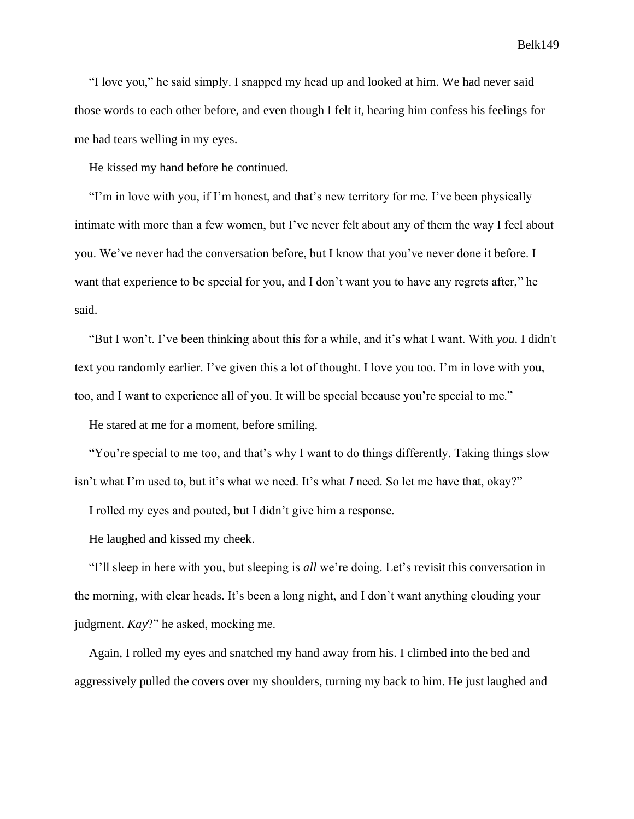"I love you," he said simply. I snapped my head up and looked at him. We had never said those words to each other before, and even though I felt it, hearing him confess his feelings for me had tears welling in my eyes.

He kissed my hand before he continued.

"I'm in love with you, if I'm honest, and that's new territory for me. I've been physically intimate with more than a few women, but I've never felt about any of them the way I feel about you. We've never had the conversation before, but I know that you've never done it before. I want that experience to be special for you, and I don't want you to have any regrets after," he said.

"But I won't. I've been thinking about this for a while, and it's what I want. With *you*. I didn't text you randomly earlier. I've given this a lot of thought. I love you too. I'm in love with you, too, and I want to experience all of you. It will be special because you're special to me."

He stared at me for a moment, before smiling.

"You're special to me too, and that's why I want to do things differently. Taking things slow isn't what I'm used to, but it's what we need. It's what *I* need. So let me have that, okay?"

I rolled my eyes and pouted, but I didn't give him a response.

He laughed and kissed my cheek.

"I'll sleep in here with you, but sleeping is *all* we're doing. Let's revisit this conversation in the morning, with clear heads. It's been a long night, and I don't want anything clouding your judgment. *Kay*?" he asked, mocking me.

Again, I rolled my eyes and snatched my hand away from his. I climbed into the bed and aggressively pulled the covers over my shoulders, turning my back to him. He just laughed and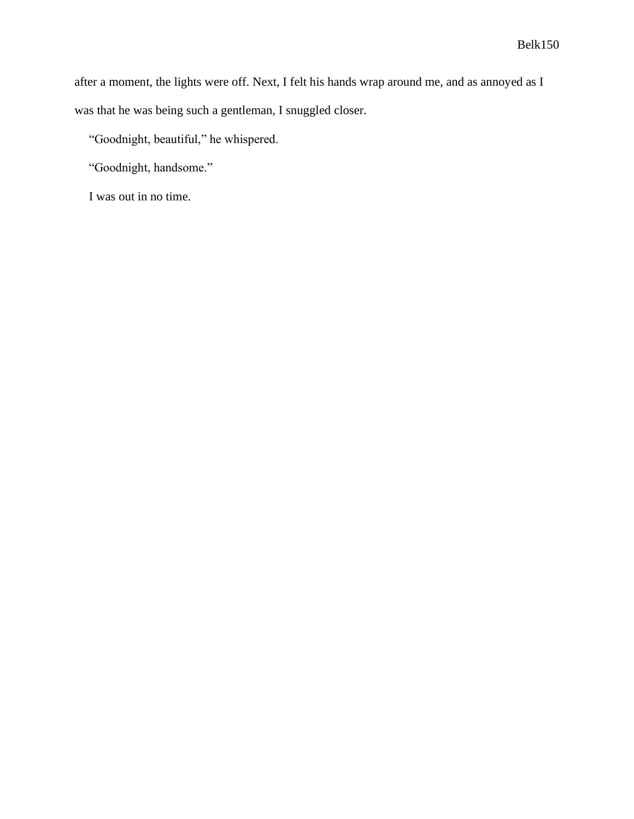after a moment, the lights were off. Next, I felt his hands wrap around me, and as annoyed as I was that he was being such a gentleman, I snuggled closer.

"Goodnight, beautiful," he whispered.

"Goodnight, handsome."

I was out in no time.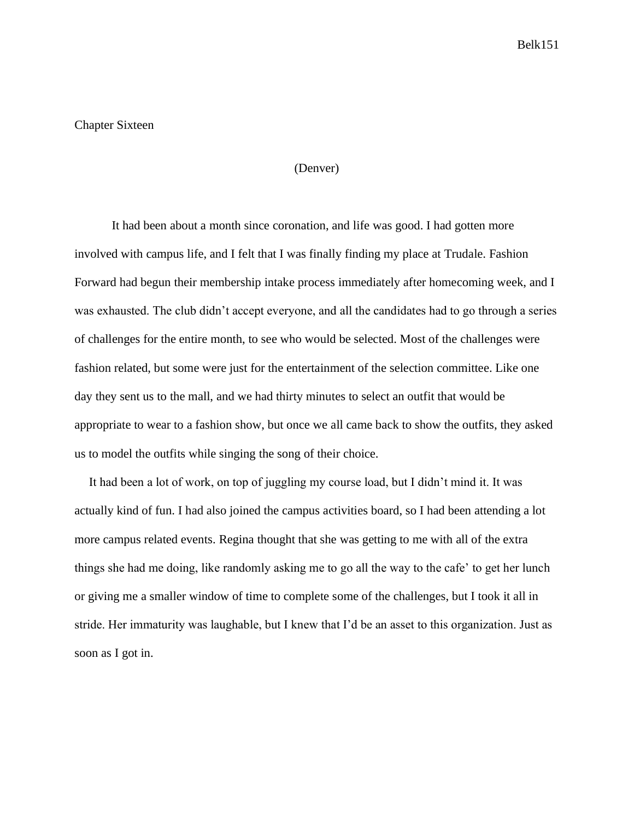# Chapter Sixteen

### (Denver)

It had been about a month since coronation, and life was good. I had gotten more involved with campus life, and I felt that I was finally finding my place at Trudale. Fashion Forward had begun their membership intake process immediately after homecoming week, and I was exhausted. The club didn't accept everyone, and all the candidates had to go through a series of challenges for the entire month, to see who would be selected. Most of the challenges were fashion related, but some were just for the entertainment of the selection committee. Like one day they sent us to the mall, and we had thirty minutes to select an outfit that would be appropriate to wear to a fashion show, but once we all came back to show the outfits, they asked us to model the outfits while singing the song of their choice.

It had been a lot of work, on top of juggling my course load, but I didn't mind it. It was actually kind of fun. I had also joined the campus activities board, so I had been attending a lot more campus related events. Regina thought that she was getting to me with all of the extra things she had me doing, like randomly asking me to go all the way to the cafe' to get her lunch or giving me a smaller window of time to complete some of the challenges, but I took it all in stride. Her immaturity was laughable, but I knew that I'd be an asset to this organization. Just as soon as I got in.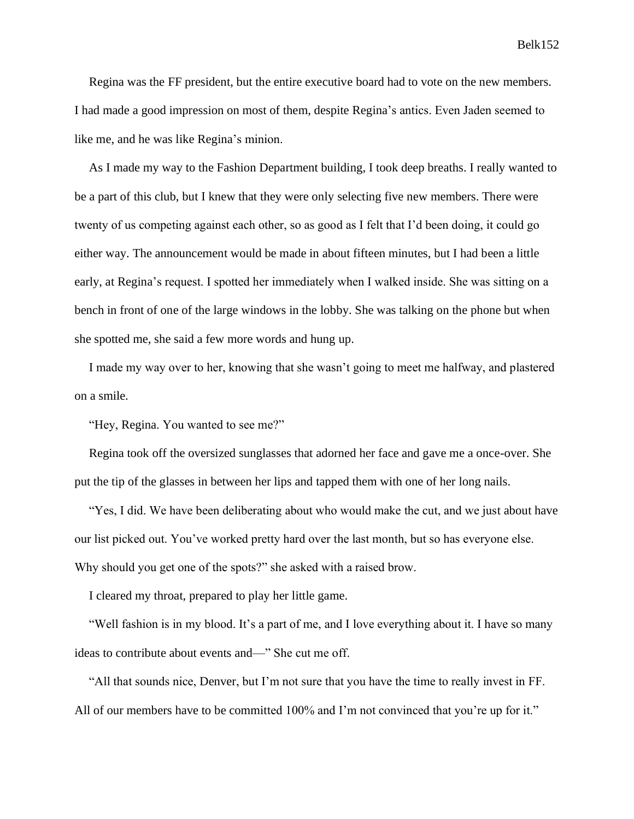Regina was the FF president, but the entire executive board had to vote on the new members. I had made a good impression on most of them, despite Regina's antics. Even Jaden seemed to like me, and he was like Regina's minion.

As I made my way to the Fashion Department building, I took deep breaths. I really wanted to be a part of this club, but I knew that they were only selecting five new members. There were twenty of us competing against each other, so as good as I felt that I'd been doing, it could go either way. The announcement would be made in about fifteen minutes, but I had been a little early, at Regina's request. I spotted her immediately when I walked inside. She was sitting on a bench in front of one of the large windows in the lobby. She was talking on the phone but when she spotted me, she said a few more words and hung up.

I made my way over to her, knowing that she wasn't going to meet me halfway, and plastered on a smile.

"Hey, Regina. You wanted to see me?"

Regina took off the oversized sunglasses that adorned her face and gave me a once-over. She put the tip of the glasses in between her lips and tapped them with one of her long nails.

"Yes, I did. We have been deliberating about who would make the cut, and we just about have our list picked out. You've worked pretty hard over the last month, but so has everyone else. Why should you get one of the spots?" she asked with a raised brow.

I cleared my throat, prepared to play her little game.

"Well fashion is in my blood. It's a part of me, and I love everything about it. I have so many ideas to contribute about events and—" She cut me off.

"All that sounds nice, Denver, but I'm not sure that you have the time to really invest in FF. All of our members have to be committed 100% and I'm not convinced that you're up for it."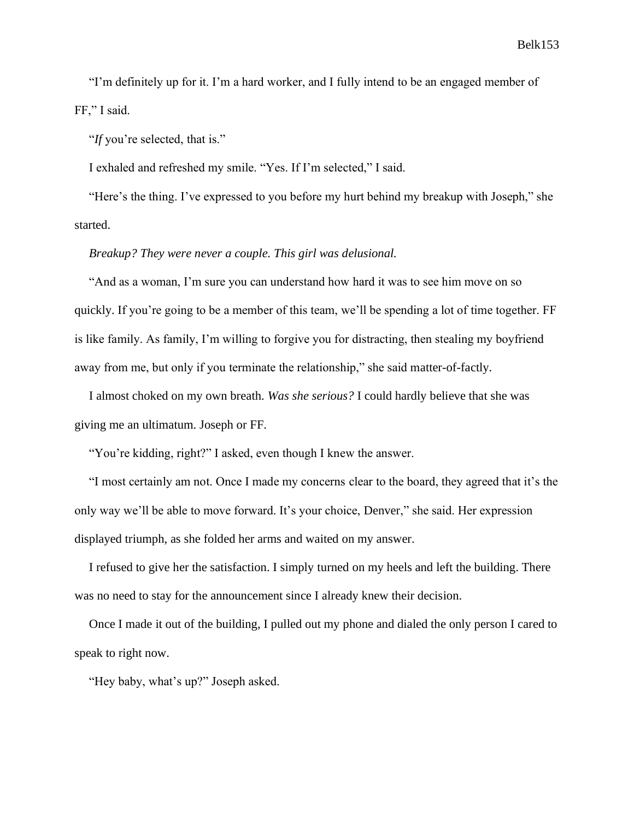"I'm definitely up for it. I'm a hard worker, and I fully intend to be an engaged member of FF," I said.

"*If* you're selected, that is."

I exhaled and refreshed my smile. "Yes. If I'm selected," I said.

"Here's the thing. I've expressed to you before my hurt behind my breakup with Joseph," she started.

# *Breakup? They were never a couple. This girl was delusional.*

"And as a woman, I'm sure you can understand how hard it was to see him move on so quickly. If you're going to be a member of this team, we'll be spending a lot of time together. FF is like family. As family, I'm willing to forgive you for distracting, then stealing my boyfriend away from me, but only if you terminate the relationship," she said matter-of-factly.

I almost choked on my own breath. *Was she serious?* I could hardly believe that she was giving me an ultimatum. Joseph or FF.

"You're kidding, right?" I asked, even though I knew the answer.

"I most certainly am not. Once I made my concerns clear to the board, they agreed that it's the only way we'll be able to move forward. It's your choice, Denver," she said. Her expression displayed triumph, as she folded her arms and waited on my answer.

I refused to give her the satisfaction. I simply turned on my heels and left the building. There was no need to stay for the announcement since I already knew their decision.

Once I made it out of the building, I pulled out my phone and dialed the only person I cared to speak to right now.

"Hey baby, what's up?" Joseph asked.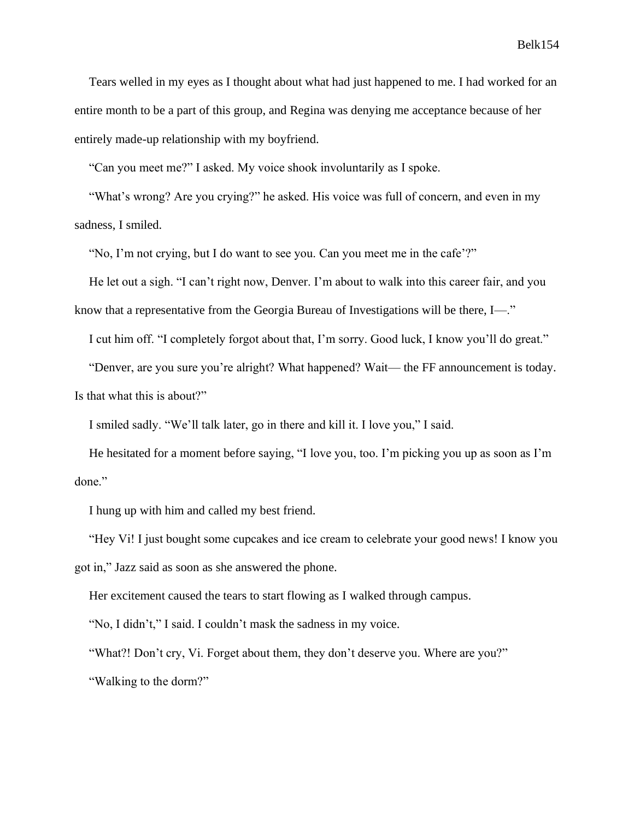Tears welled in my eyes as I thought about what had just happened to me. I had worked for an entire month to be a part of this group, and Regina was denying me acceptance because of her entirely made-up relationship with my boyfriend.

"Can you meet me?" I asked. My voice shook involuntarily as I spoke.

"What's wrong? Are you crying?" he asked. His voice was full of concern, and even in my sadness, I smiled.

"No, I'm not crying, but I do want to see you. Can you meet me in the cafe'?"

He let out a sigh. "I can't right now, Denver. I'm about to walk into this career fair, and you know that a representative from the Georgia Bureau of Investigations will be there, I—."

I cut him off. "I completely forgot about that, I'm sorry. Good luck, I know you'll do great."

"Denver, are you sure you're alright? What happened? Wait— the FF announcement is today. Is that what this is about?"

I smiled sadly. "We'll talk later, go in there and kill it. I love you," I said.

He hesitated for a moment before saying, "I love you, too. I'm picking you up as soon as I'm done."

I hung up with him and called my best friend.

"Hey Vi! I just bought some cupcakes and ice cream to celebrate your good news! I know you got in," Jazz said as soon as she answered the phone.

Her excitement caused the tears to start flowing as I walked through campus.

"No, I didn't," I said. I couldn't mask the sadness in my voice.

"What?! Don't cry, Vi. Forget about them, they don't deserve you. Where are you?" "Walking to the dorm?"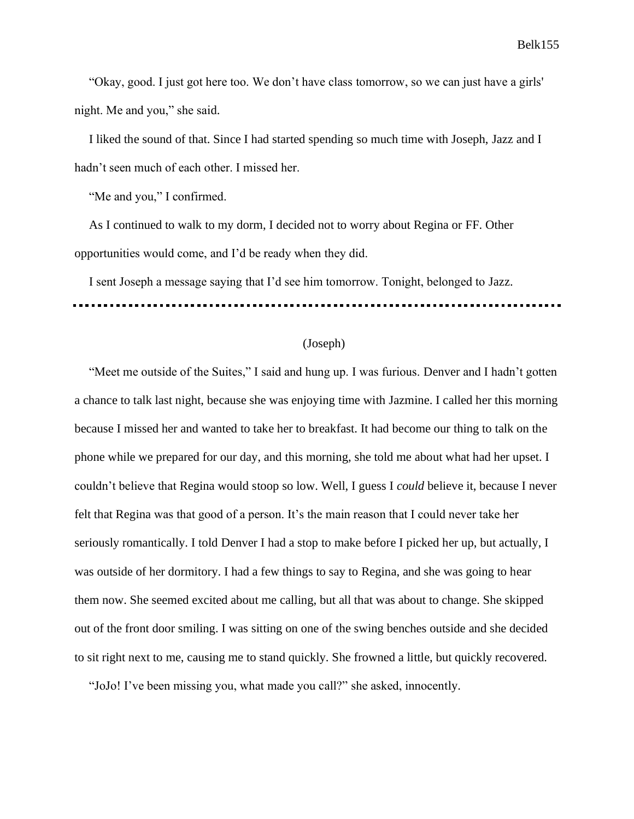"Okay, good. I just got here too. We don't have class tomorrow, so we can just have a girls' night. Me and you," she said.

I liked the sound of that. Since I had started spending so much time with Joseph, Jazz and I hadn't seen much of each other. I missed her.

"Me and you," I confirmed.

As I continued to walk to my dorm, I decided not to worry about Regina or FF. Other opportunities would come, and I'd be ready when they did.

I sent Joseph a message saying that I'd see him tomorrow. Tonight, belonged to Jazz.

# (Joseph)

"Meet me outside of the Suites," I said and hung up. I was furious. Denver and I hadn't gotten a chance to talk last night, because she was enjoying time with Jazmine. I called her this morning because I missed her and wanted to take her to breakfast. It had become our thing to talk on the phone while we prepared for our day, and this morning, she told me about what had her upset. I couldn't believe that Regina would stoop so low. Well, I guess I *could* believe it, because I never felt that Regina was that good of a person. It's the main reason that I could never take her seriously romantically. I told Denver I had a stop to make before I picked her up, but actually, I was outside of her dormitory. I had a few things to say to Regina, and she was going to hear them now. She seemed excited about me calling, but all that was about to change. She skipped out of the front door smiling. I was sitting on one of the swing benches outside and she decided to sit right next to me, causing me to stand quickly. She frowned a little, but quickly recovered.

"JoJo! I've been missing you, what made you call?" she asked, innocently.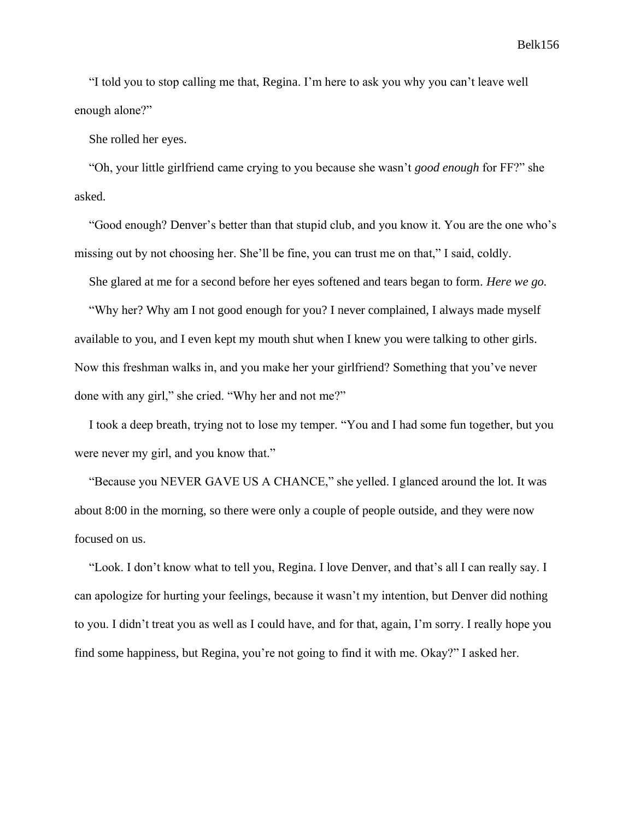"I told you to stop calling me that, Regina. I'm here to ask you why you can't leave well enough alone?"

She rolled her eyes.

"Oh, your little girlfriend came crying to you because she wasn't *good enough* for FF?" she asked.

"Good enough? Denver's better than that stupid club, and you know it. You are the one who's missing out by not choosing her. She'll be fine, you can trust me on that," I said, coldly.

She glared at me for a second before her eyes softened and tears began to form. *Here we go.*

"Why her? Why am I not good enough for you? I never complained, I always made myself available to you, and I even kept my mouth shut when I knew you were talking to other girls. Now this freshman walks in, and you make her your girlfriend? Something that you've never done with any girl," she cried. "Why her and not me?"

I took a deep breath, trying not to lose my temper. "You and I had some fun together, but you were never my girl, and you know that."

"Because you NEVER GAVE US A CHANCE," she yelled. I glanced around the lot. It was about 8:00 in the morning, so there were only a couple of people outside, and they were now focused on us.

"Look. I don't know what to tell you, Regina. I love Denver, and that's all I can really say. I can apologize for hurting your feelings, because it wasn't my intention, but Denver did nothing to you. I didn't treat you as well as I could have, and for that, again, I'm sorry. I really hope you find some happiness, but Regina, you're not going to find it with me. Okay?" I asked her.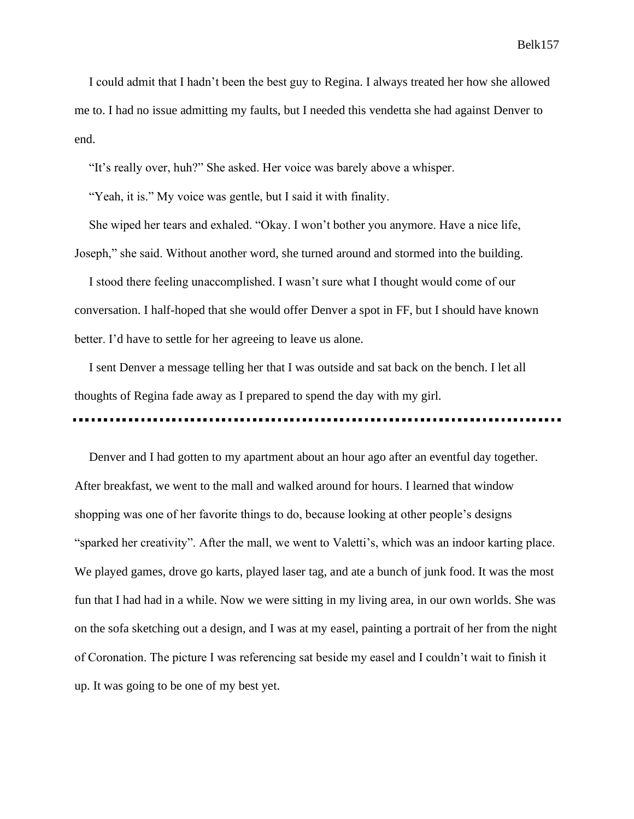I could admit that I hadn't been the best guy to Regina. I always treated her how she allowed me to. I had no issue admitting my faults, but I needed this vendetta she had against Denver to end.

"It's really over, huh?" She asked. Her voice was barely above a whisper.

"Yeah, it is." My voice was gentle, but I said it with finality.

She wiped her tears and exhaled. "Okay. I won't bother you anymore. Have a nice life, Joseph," she said. Without another word, she turned around and stormed into the building.

I stood there feeling unaccomplished. I wasn't sure what I thought would come of our conversation. I half-hoped that she would offer Denver a spot in FF, but I should have known better. I'd have to settle for her agreeing to leave us alone.

I sent Denver a message telling her that I was outside and sat back on the bench. I let all thoughts of Regina fade away as I prepared to spend the day with my girl.

Denver and I had gotten to my apartment about an hour ago after an eventful day together. After breakfast, we went to the mall and walked around for hours. I learned that window shopping was one of her favorite things to do, because looking at other people's designs "sparked her creativity". After the mall, we went to Valetti's, which was an indoor karting place. We played games, drove go karts, played laser tag, and ate a bunch of junk food. It was the most fun that I had had in a while. Now we were sitting in my living area, in our own worlds. She was on the sofa sketching out a design, and I was at my easel, painting a portrait of her from the night of Coronation. The picture I was referencing sat beside my easel and I couldn't wait to finish it up. It was going to be one of my best yet.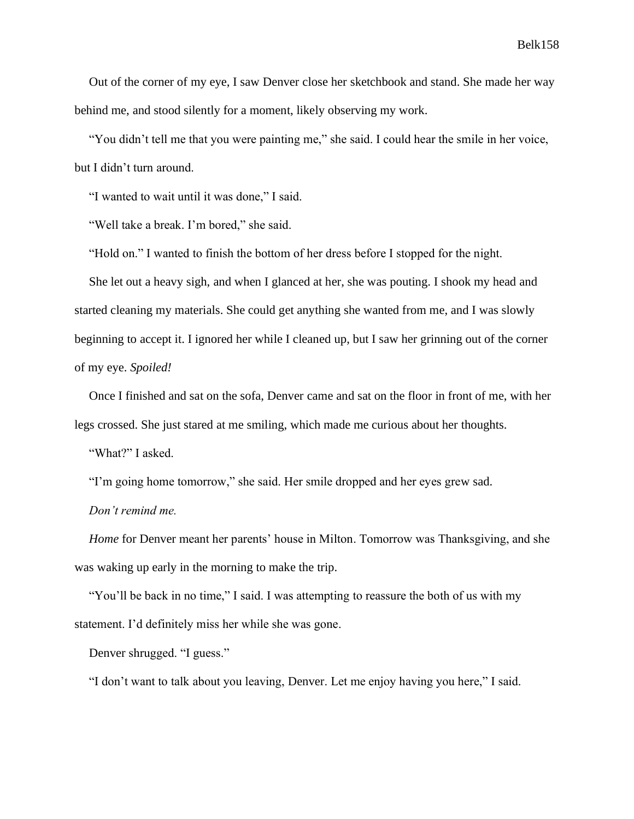Out of the corner of my eye, I saw Denver close her sketchbook and stand. She made her way behind me, and stood silently for a moment, likely observing my work.

"You didn't tell me that you were painting me," she said. I could hear the smile in her voice, but I didn't turn around.

"I wanted to wait until it was done," I said.

"Well take a break. I'm bored," she said.

"Hold on." I wanted to finish the bottom of her dress before I stopped for the night.

She let out a heavy sigh, and when I glanced at her, she was pouting. I shook my head and started cleaning my materials. She could get anything she wanted from me, and I was slowly beginning to accept it. I ignored her while I cleaned up, but I saw her grinning out of the corner of my eye. *Spoiled!*

Once I finished and sat on the sofa, Denver came and sat on the floor in front of me, with her legs crossed. She just stared at me smiling, which made me curious about her thoughts.

"What?" I asked.

"I'm going home tomorrow," she said. Her smile dropped and her eyes grew sad.

*Don't remind me.*

*Home* for Denver meant her parents' house in Milton. Tomorrow was Thanksgiving, and she was waking up early in the morning to make the trip.

"You'll be back in no time," I said. I was attempting to reassure the both of us with my statement. I'd definitely miss her while she was gone.

Denver shrugged. "I guess."

"I don't want to talk about you leaving, Denver. Let me enjoy having you here," I said.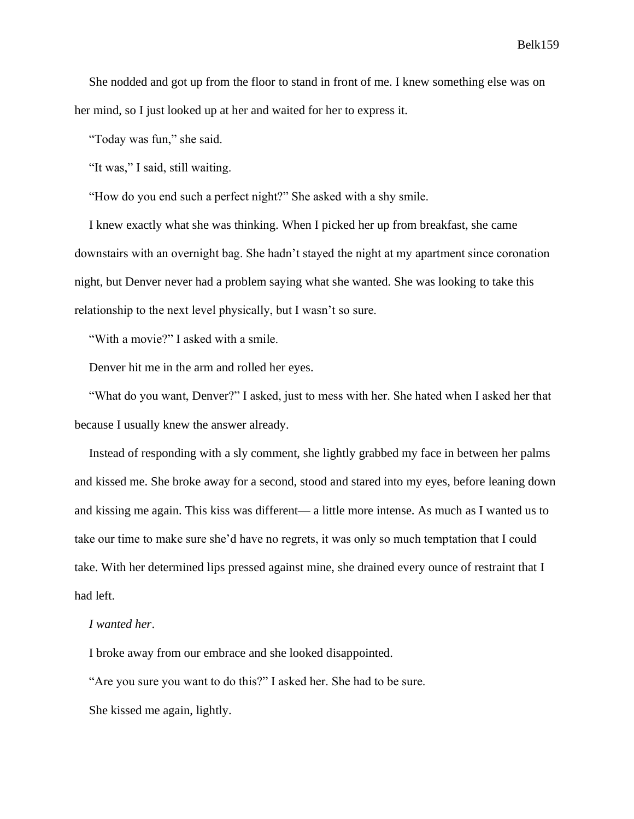She nodded and got up from the floor to stand in front of me. I knew something else was on her mind, so I just looked up at her and waited for her to express it.

"Today was fun," she said.

"It was," I said, still waiting.

"How do you end such a perfect night?" She asked with a shy smile.

I knew exactly what she was thinking. When I picked her up from breakfast, she came downstairs with an overnight bag. She hadn't stayed the night at my apartment since coronation night, but Denver never had a problem saying what she wanted. She was looking to take this relationship to the next level physically, but I wasn't so sure.

"With a movie?" I asked with a smile.

Denver hit me in the arm and rolled her eyes.

"What do you want, Denver?" I asked, just to mess with her. She hated when I asked her that because I usually knew the answer already.

Instead of responding with a sly comment, she lightly grabbed my face in between her palms and kissed me. She broke away for a second, stood and stared into my eyes, before leaning down and kissing me again. This kiss was different— a little more intense. As much as I wanted us to take our time to make sure she'd have no regrets, it was only so much temptation that I could take. With her determined lips pressed against mine, she drained every ounce of restraint that I had left.

## *I wanted her*.

I broke away from our embrace and she looked disappointed.

"Are you sure you want to do this?" I asked her. She had to be sure.

She kissed me again, lightly.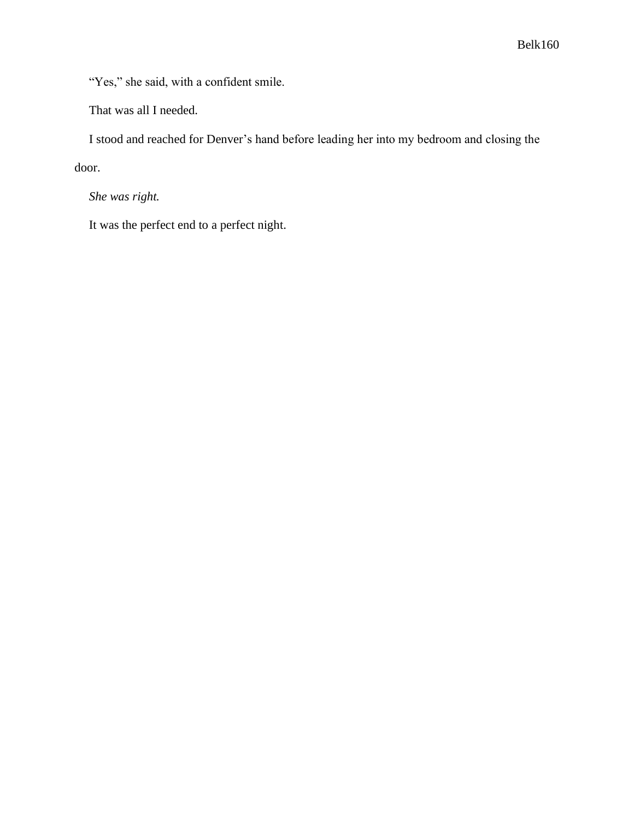"Yes," she said, with a confident smile.

That was all I needed.

I stood and reached for Denver's hand before leading her into my bedroom and closing the

door.

*She was right.*

It was the perfect end to a perfect night.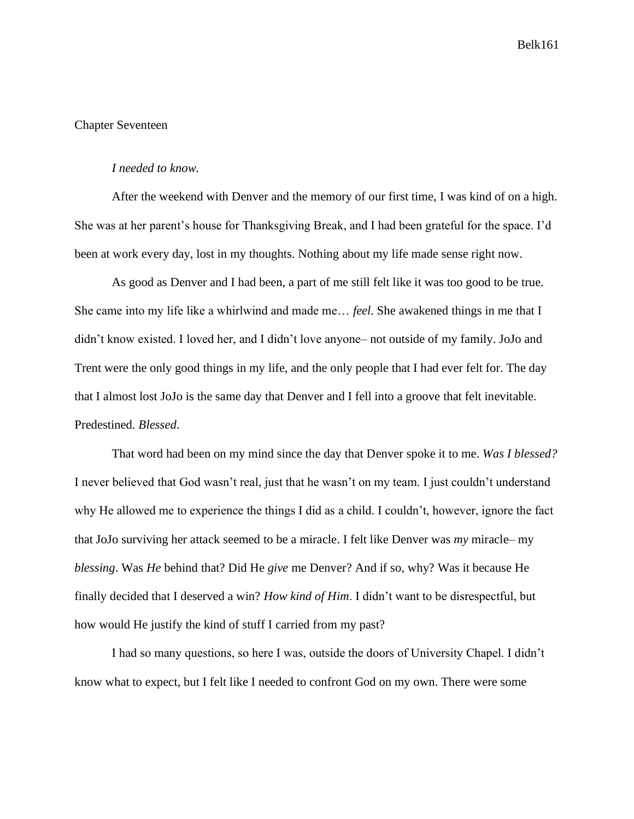# Chapter Seventeen

### *I needed to know.*

After the weekend with Denver and the memory of our first time, I was kind of on a high. She was at her parent's house for Thanksgiving Break, and I had been grateful for the space. I'd been at work every day, lost in my thoughts. Nothing about my life made sense right now.

As good as Denver and I had been, a part of me still felt like it was too good to be true. She came into my life like a whirlwind and made me… *feel*. She awakened things in me that I didn't know existed. I loved her, and I didn't love anyone– not outside of my family. JoJo and Trent were the only good things in my life, and the only people that I had ever felt for. The day that I almost lost JoJo is the same day that Denver and I fell into a groove that felt inevitable. Predestined. *Blessed*.

That word had been on my mind since the day that Denver spoke it to me. *Was I blessed?* I never believed that God wasn't real, just that he wasn't on my team. I just couldn't understand why He allowed me to experience the things I did as a child. I couldn't, however, ignore the fact that JoJo surviving her attack seemed to be a miracle. I felt like Denver was *my* miracle– my *blessing*. Was *He* behind that? Did He *give* me Denver? And if so, why? Was it because He finally decided that I deserved a win? *How kind of Him*. I didn't want to be disrespectful, but how would He justify the kind of stuff I carried from my past?

I had so many questions, so here I was, outside the doors of University Chapel. I didn't know what to expect, but I felt like I needed to confront God on my own. There were some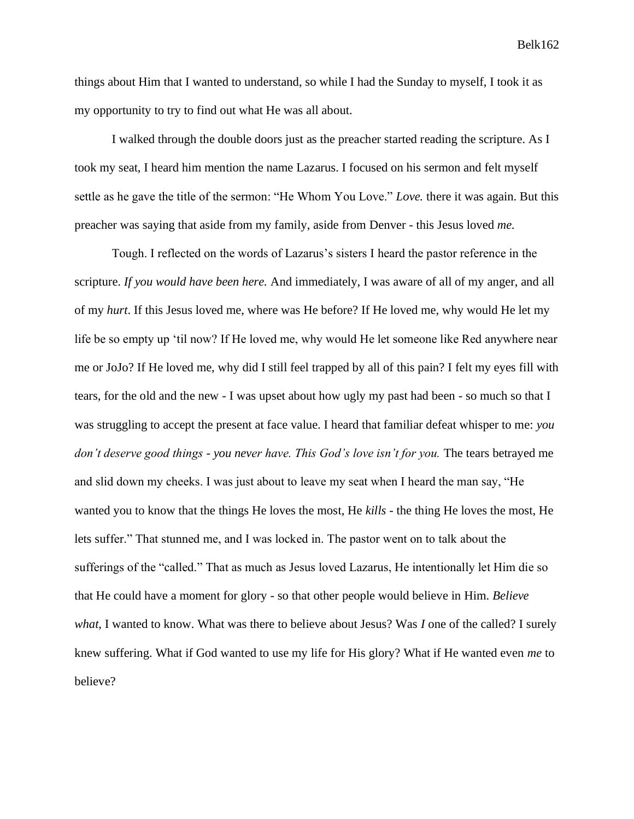things about Him that I wanted to understand, so while I had the Sunday to myself, I took it as my opportunity to try to find out what He was all about.

I walked through the double doors just as the preacher started reading the scripture. As I took my seat, I heard him mention the name Lazarus. I focused on his sermon and felt myself settle as he gave the title of the sermon: "He Whom You Love." *Love.* there it was again. But this preacher was saying that aside from my family, aside from Denver - this Jesus loved *me.*

Tough. I reflected on the words of Lazarus's sisters I heard the pastor reference in the scripture. *If you would have been here.* And immediately, I was aware of all of my anger, and all of my *hurt*. If this Jesus loved me, where was He before? If He loved me, why would He let my life be so empty up 'til now? If He loved me, why would He let someone like Red anywhere near me or JoJo? If He loved me, why did I still feel trapped by all of this pain? I felt my eyes fill with tears, for the old and the new - I was upset about how ugly my past had been - so much so that I was struggling to accept the present at face value. I heard that familiar defeat whisper to me: *you don't deserve good things - you never have. This God's love isn't for you.* The tears betrayed me and slid down my cheeks. I was just about to leave my seat when I heard the man say, "He wanted you to know that the things He loves the most, He *kills* - the thing He loves the most, He lets suffer." That stunned me, and I was locked in. The pastor went on to talk about the sufferings of the "called." That as much as Jesus loved Lazarus, He intentionally let Him die so that He could have a moment for glory - so that other people would believe in Him. *Believe what*, I wanted to know. What was there to believe about Jesus? Was *I* one of the called? I surely knew suffering. What if God wanted to use my life for His glory? What if He wanted even *me* to believe?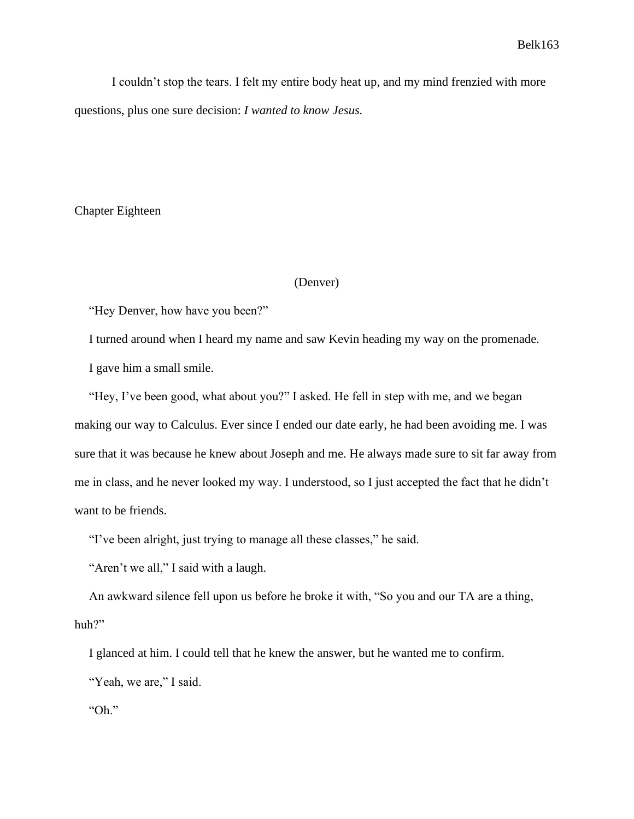I couldn't stop the tears. I felt my entire body heat up, and my mind frenzied with more questions, plus one sure decision: *I wanted to know Jesus.*

Chapter Eighteen

## (Denver)

"Hey Denver, how have you been?"

I turned around when I heard my name and saw Kevin heading my way on the promenade.

I gave him a small smile.

"Hey, I've been good, what about you?" I asked. He fell in step with me, and we began making our way to Calculus. Ever since I ended our date early, he had been avoiding me. I was sure that it was because he knew about Joseph and me. He always made sure to sit far away from me in class, and he never looked my way. I understood, so I just accepted the fact that he didn't want to be friends.

"I've been alright, just trying to manage all these classes," he said.

"Aren't we all," I said with a laugh.

An awkward silence fell upon us before he broke it with, "So you and our TA are a thing, huh?"

I glanced at him. I could tell that he knew the answer, but he wanted me to confirm.

"Yeah, we are," I said.

"Oh."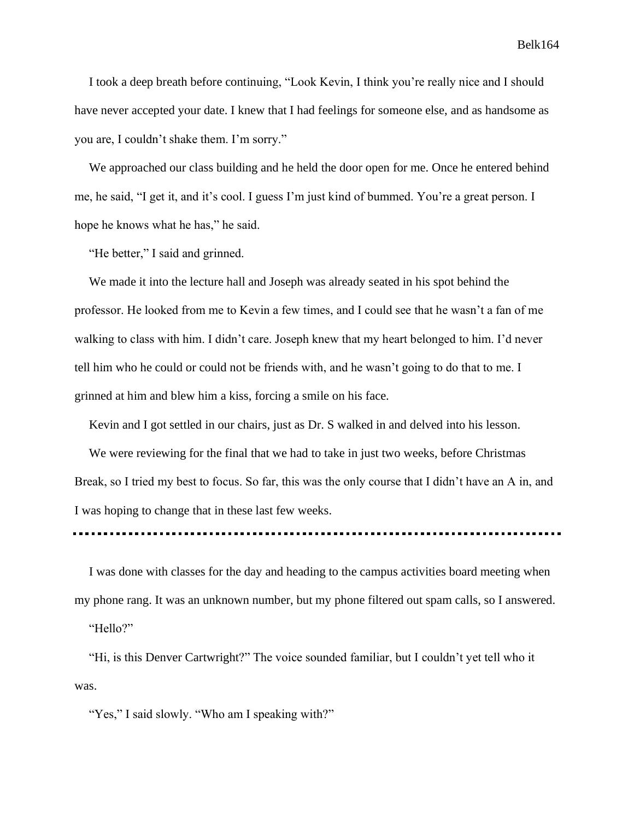I took a deep breath before continuing, "Look Kevin, I think you're really nice and I should have never accepted your date. I knew that I had feelings for someone else, and as handsome as you are, I couldn't shake them. I'm sorry."

We approached our class building and he held the door open for me. Once he entered behind me, he said, "I get it, and it's cool. I guess I'm just kind of bummed. You're a great person. I hope he knows what he has," he said.

"He better," I said and grinned.

We made it into the lecture hall and Joseph was already seated in his spot behind the professor. He looked from me to Kevin a few times, and I could see that he wasn't a fan of me walking to class with him. I didn't care. Joseph knew that my heart belonged to him. I'd never tell him who he could or could not be friends with, and he wasn't going to do that to me. I grinned at him and blew him a kiss, forcing a smile on his face.

Kevin and I got settled in our chairs, just as Dr. S walked in and delved into his lesson.

We were reviewing for the final that we had to take in just two weeks, before Christmas Break, so I tried my best to focus. So far, this was the only course that I didn't have an A in, and I was hoping to change that in these last few weeks.

I was done with classes for the day and heading to the campus activities board meeting when my phone rang. It was an unknown number, but my phone filtered out spam calls, so I answered.

"Hello?"

"Hi, is this Denver Cartwright?" The voice sounded familiar, but I couldn't yet tell who it was.

"Yes," I said slowly. "Who am I speaking with?"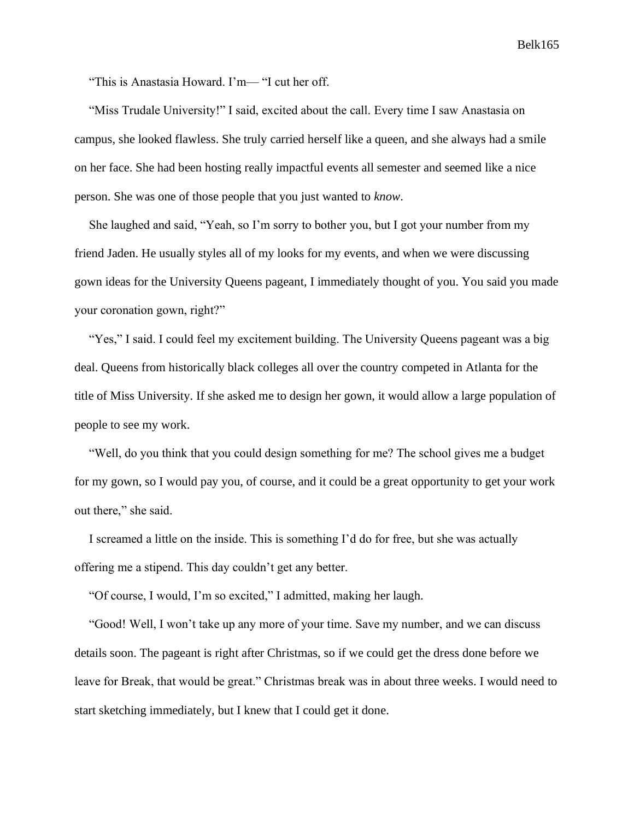"This is Anastasia Howard. I'm— "I cut her off.

"Miss Trudale University!" I said, excited about the call. Every time I saw Anastasia on campus, she looked flawless. She truly carried herself like a queen, and she always had a smile on her face. She had been hosting really impactful events all semester and seemed like a nice person. She was one of those people that you just wanted to *know*.

She laughed and said, "Yeah, so I'm sorry to bother you, but I got your number from my friend Jaden. He usually styles all of my looks for my events, and when we were discussing gown ideas for the University Queens pageant, I immediately thought of you. You said you made your coronation gown, right?"

"Yes," I said. I could feel my excitement building. The University Queens pageant was a big deal. Queens from historically black colleges all over the country competed in Atlanta for the title of Miss University. If she asked me to design her gown, it would allow a large population of people to see my work.

"Well, do you think that you could design something for me? The school gives me a budget for my gown, so I would pay you, of course, and it could be a great opportunity to get your work out there," she said.

I screamed a little on the inside. This is something I'd do for free, but she was actually offering me a stipend. This day couldn't get any better.

"Of course, I would, I'm so excited," I admitted, making her laugh.

"Good! Well, I won't take up any more of your time. Save my number, and we can discuss details soon. The pageant is right after Christmas, so if we could get the dress done before we leave for Break, that would be great." Christmas break was in about three weeks. I would need to start sketching immediately, but I knew that I could get it done.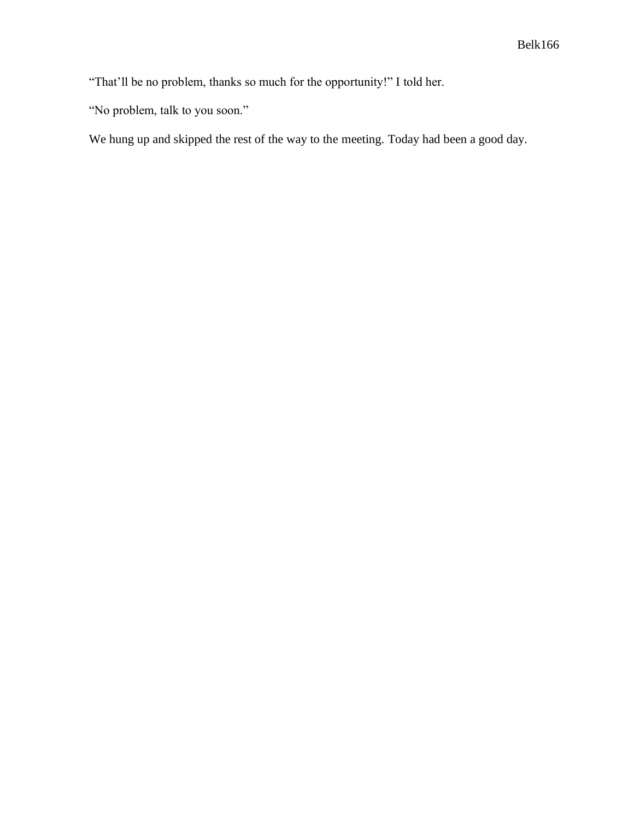"That'll be no problem, thanks so much for the opportunity!" I told her.

"No problem, talk to you soon."

We hung up and skipped the rest of the way to the meeting. Today had been a good day.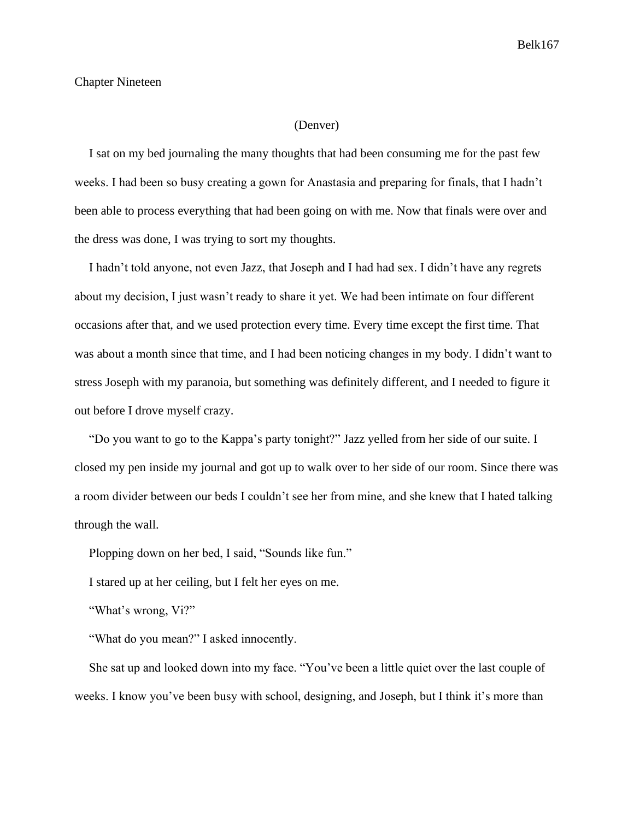### Chapter Nineteen

## (Denver)

I sat on my bed journaling the many thoughts that had been consuming me for the past few weeks. I had been so busy creating a gown for Anastasia and preparing for finals, that I hadn't been able to process everything that had been going on with me. Now that finals were over and the dress was done, I was trying to sort my thoughts.

I hadn't told anyone, not even Jazz, that Joseph and I had had sex. I didn't have any regrets about my decision, I just wasn't ready to share it yet. We had been intimate on four different occasions after that, and we used protection every time. Every time except the first time. That was about a month since that time, and I had been noticing changes in my body. I didn't want to stress Joseph with my paranoia, but something was definitely different, and I needed to figure it out before I drove myself crazy.

"Do you want to go to the Kappa's party tonight?" Jazz yelled from her side of our suite. I closed my pen inside my journal and got up to walk over to her side of our room. Since there was a room divider between our beds I couldn't see her from mine, and she knew that I hated talking through the wall.

Plopping down on her bed, I said, "Sounds like fun."

I stared up at her ceiling, but I felt her eyes on me.

"What's wrong, Vi?"

"What do you mean?" I asked innocently.

She sat up and looked down into my face. "You've been a little quiet over the last couple of weeks. I know you've been busy with school, designing, and Joseph, but I think it's more than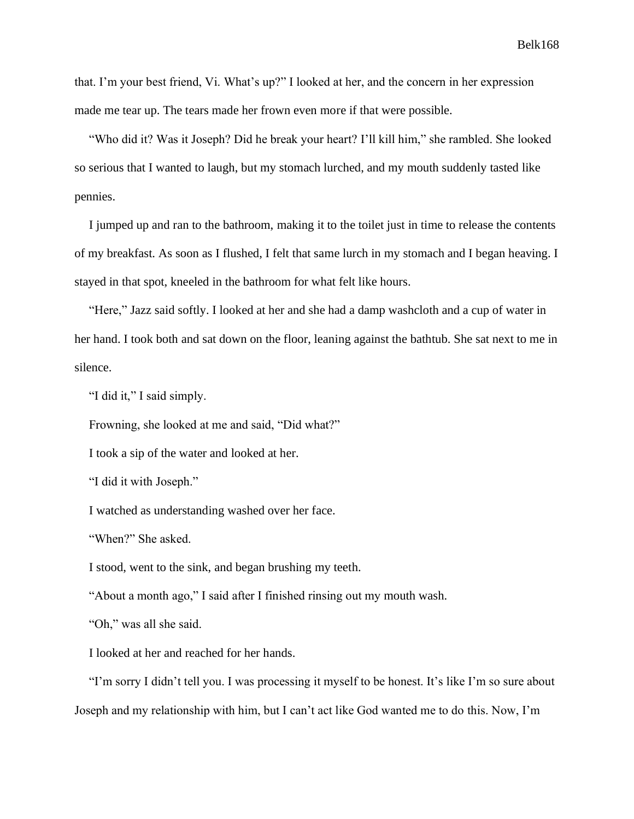that. I'm your best friend, Vi. What's up?" I looked at her, and the concern in her expression made me tear up. The tears made her frown even more if that were possible.

"Who did it? Was it Joseph? Did he break your heart? I'll kill him," she rambled. She looked so serious that I wanted to laugh, but my stomach lurched, and my mouth suddenly tasted like pennies.

I jumped up and ran to the bathroom, making it to the toilet just in time to release the contents of my breakfast. As soon as I flushed, I felt that same lurch in my stomach and I began heaving. I stayed in that spot, kneeled in the bathroom for what felt like hours.

"Here," Jazz said softly. I looked at her and she had a damp washcloth and a cup of water in her hand. I took both and sat down on the floor, leaning against the bathtub. She sat next to me in silence.

"I did it," I said simply.

Frowning, she looked at me and said, "Did what?"

I took a sip of the water and looked at her.

"I did it with Joseph."

I watched as understanding washed over her face.

"When?" She asked.

I stood, went to the sink, and began brushing my teeth.

"About a month ago," I said after I finished rinsing out my mouth wash.

"Oh," was all she said.

I looked at her and reached for her hands.

"I'm sorry I didn't tell you. I was processing it myself to be honest. It's like I'm so sure about Joseph and my relationship with him, but I can't act like God wanted me to do this. Now, I'm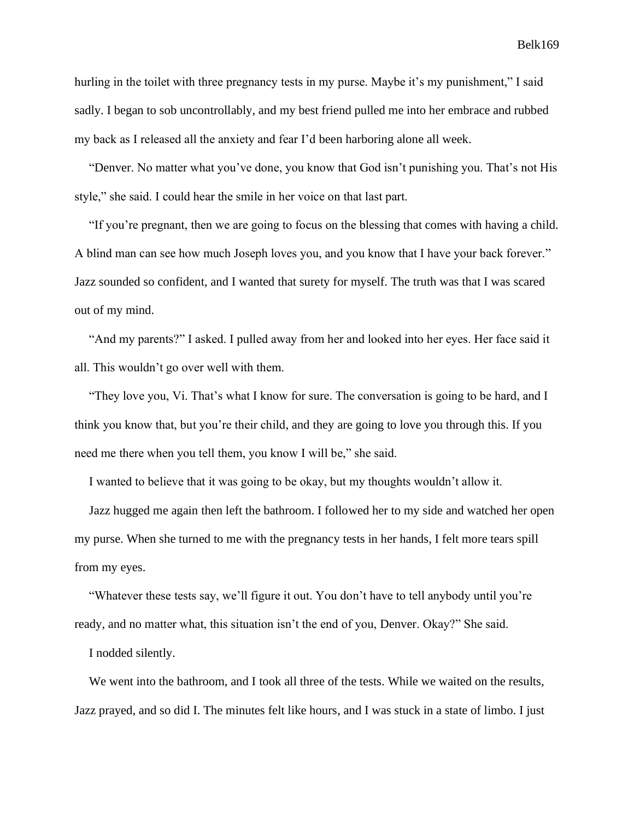hurling in the toilet with three pregnancy tests in my purse. Maybe it's my punishment," I said sadly. I began to sob uncontrollably, and my best friend pulled me into her embrace and rubbed my back as I released all the anxiety and fear I'd been harboring alone all week.

"Denver. No matter what you've done, you know that God isn't punishing you. That's not His style," she said. I could hear the smile in her voice on that last part.

"If you're pregnant, then we are going to focus on the blessing that comes with having a child. A blind man can see how much Joseph loves you, and you know that I have your back forever." Jazz sounded so confident, and I wanted that surety for myself. The truth was that I was scared out of my mind.

"And my parents?" I asked. I pulled away from her and looked into her eyes. Her face said it all. This wouldn't go over well with them.

"They love you, Vi. That's what I know for sure. The conversation is going to be hard, and I think you know that, but you're their child, and they are going to love you through this. If you need me there when you tell them, you know I will be," she said.

I wanted to believe that it was going to be okay, but my thoughts wouldn't allow it.

Jazz hugged me again then left the bathroom. I followed her to my side and watched her open my purse. When she turned to me with the pregnancy tests in her hands, I felt more tears spill from my eyes.

"Whatever these tests say, we'll figure it out. You don't have to tell anybody until you're ready, and no matter what, this situation isn't the end of you, Denver. Okay?" She said.

I nodded silently.

We went into the bathroom, and I took all three of the tests. While we waited on the results, Jazz prayed, and so did I. The minutes felt like hours, and I was stuck in a state of limbo. I just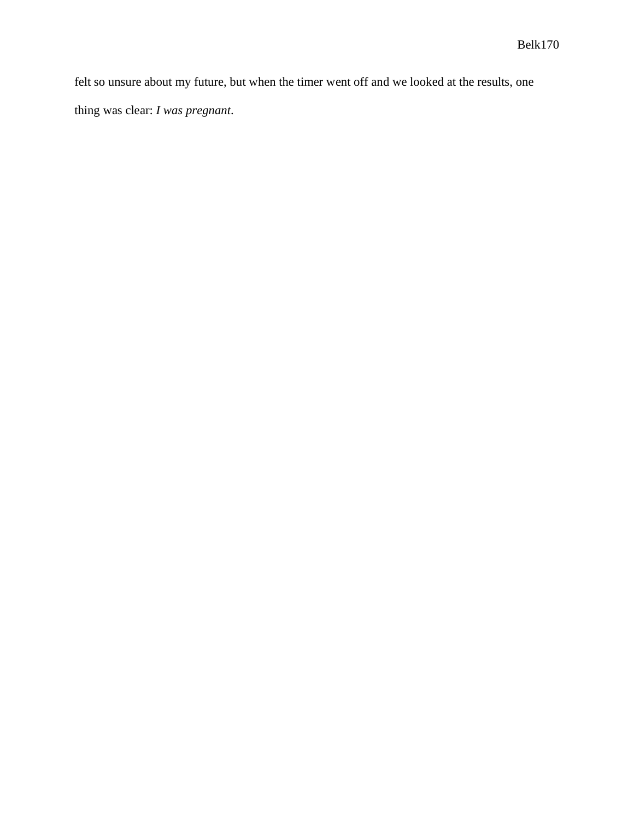felt so unsure about my future, but when the timer went off and we looked at the results, one thing was clear: *I was pregnant*.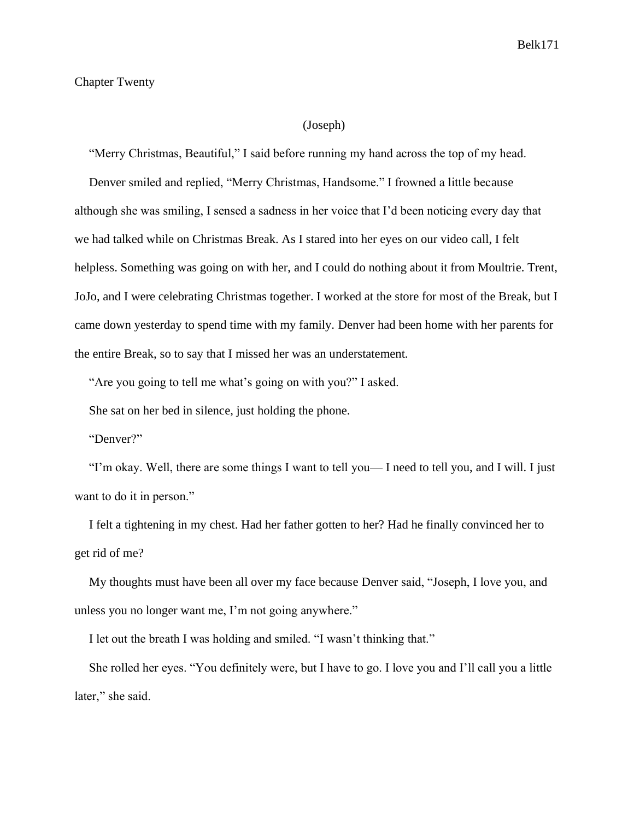### Chapter Twenty

## (Joseph)

"Merry Christmas, Beautiful," I said before running my hand across the top of my head.

Denver smiled and replied, "Merry Christmas, Handsome." I frowned a little because although she was smiling, I sensed a sadness in her voice that I'd been noticing every day that we had talked while on Christmas Break. As I stared into her eyes on our video call, I felt helpless. Something was going on with her, and I could do nothing about it from Moultrie. Trent, JoJo, and I were celebrating Christmas together. I worked at the store for most of the Break, but I came down yesterday to spend time with my family. Denver had been home with her parents for the entire Break, so to say that I missed her was an understatement.

"Are you going to tell me what's going on with you?" I asked.

She sat on her bed in silence, just holding the phone.

"Denver?"

"I'm okay. Well, there are some things I want to tell you— I need to tell you, and I will. I just want to do it in person."

I felt a tightening in my chest. Had her father gotten to her? Had he finally convinced her to get rid of me?

My thoughts must have been all over my face because Denver said, "Joseph, I love you, and unless you no longer want me, I'm not going anywhere."

I let out the breath I was holding and smiled. "I wasn't thinking that."

She rolled her eyes. "You definitely were, but I have to go. I love you and I'll call you a little later," she said.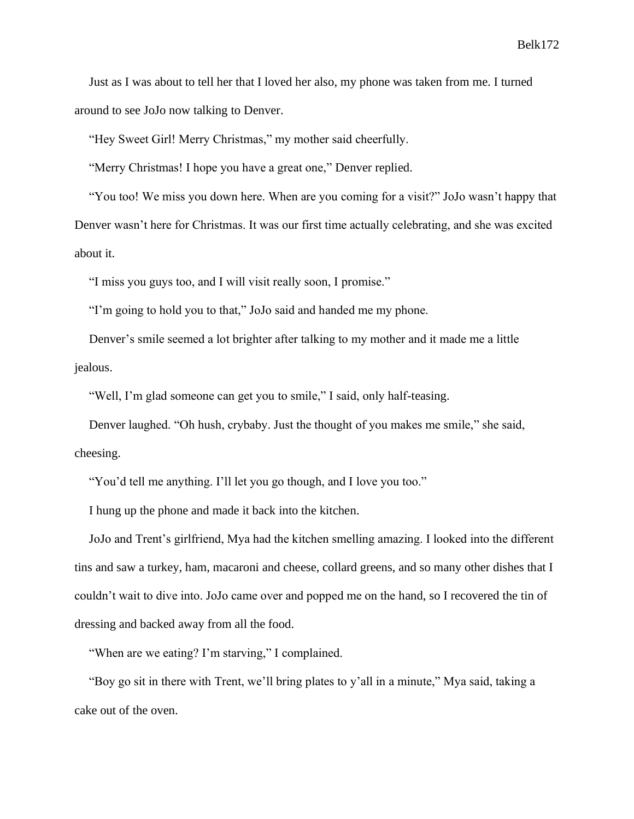Just as I was about to tell her that I loved her also, my phone was taken from me. I turned around to see JoJo now talking to Denver.

"Hey Sweet Girl! Merry Christmas," my mother said cheerfully.

"Merry Christmas! I hope you have a great one," Denver replied.

"You too! We miss you down here. When are you coming for a visit?" JoJo wasn't happy that Denver wasn't here for Christmas. It was our first time actually celebrating, and she was excited about it.

"I miss you guys too, and I will visit really soon, I promise."

"I'm going to hold you to that," JoJo said and handed me my phone.

Denver's smile seemed a lot brighter after talking to my mother and it made me a little jealous.

"Well, I'm glad someone can get you to smile," I said, only half-teasing.

Denver laughed. "Oh hush, crybaby. Just the thought of you makes me smile," she said, cheesing.

"You'd tell me anything. I'll let you go though, and I love you too."

I hung up the phone and made it back into the kitchen.

JoJo and Trent's girlfriend, Mya had the kitchen smelling amazing. I looked into the different tins and saw a turkey, ham, macaroni and cheese, collard greens, and so many other dishes that I couldn't wait to dive into. JoJo came over and popped me on the hand, so I recovered the tin of dressing and backed away from all the food.

"When are we eating? I'm starving," I complained.

"Boy go sit in there with Trent, we'll bring plates to y'all in a minute," Mya said, taking a cake out of the oven.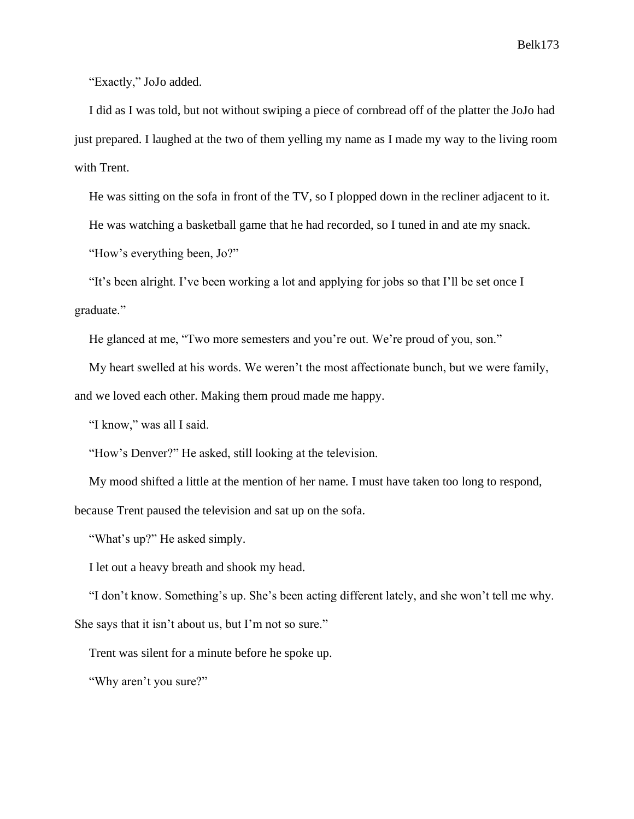"Exactly," JoJo added.

I did as I was told, but not without swiping a piece of cornbread off of the platter the JoJo had just prepared. I laughed at the two of them yelling my name as I made my way to the living room with Trent.

He was sitting on the sofa in front of the TV, so I plopped down in the recliner adjacent to it.

He was watching a basketball game that he had recorded, so I tuned in and ate my snack.

"How's everything been, Jo?"

"It's been alright. I've been working a lot and applying for jobs so that I'll be set once I graduate."

He glanced at me, "Two more semesters and you're out. We're proud of you, son."

My heart swelled at his words. We weren't the most affectionate bunch, but we were family, and we loved each other. Making them proud made me happy.

"I know," was all I said.

"How's Denver?" He asked, still looking at the television.

My mood shifted a little at the mention of her name. I must have taken too long to respond, because Trent paused the television and sat up on the sofa.

"What's up?" He asked simply.

I let out a heavy breath and shook my head.

"I don't know. Something's up. She's been acting different lately, and she won't tell me why. She says that it isn't about us, but I'm not so sure."

Trent was silent for a minute before he spoke up.

"Why aren't you sure?"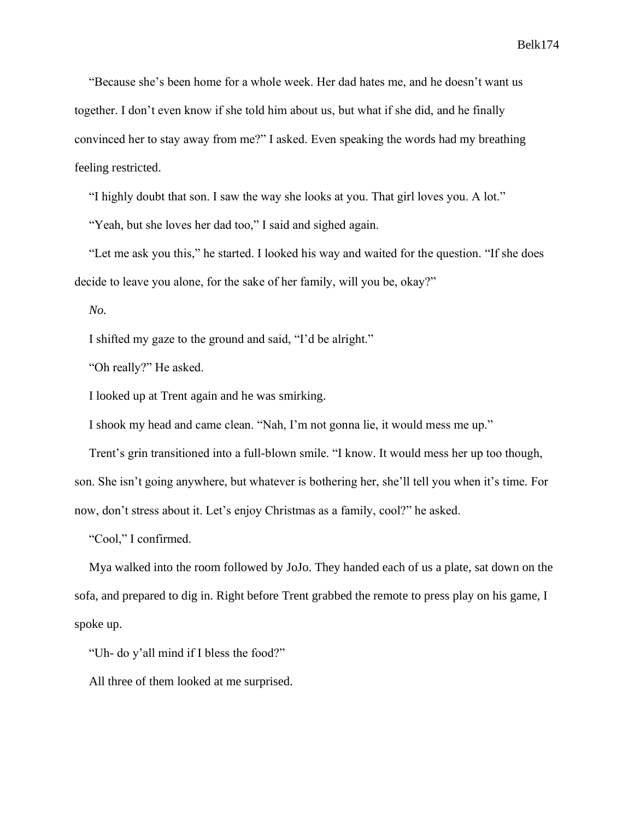"Because she's been home for a whole week. Her dad hates me, and he doesn't want us together. I don't even know if she told him about us, but what if she did, and he finally convinced her to stay away from me?" I asked. Even speaking the words had my breathing feeling restricted.

"I highly doubt that son. I saw the way she looks at you. That girl loves you. A lot."

"Yeah, but she loves her dad too," I said and sighed again.

"Let me ask you this," he started. I looked his way and waited for the question. "If she does decide to leave you alone, for the sake of her family, will you be, okay?"

*No.*

I shifted my gaze to the ground and said, "I'd be alright."

"Oh really?" He asked.

I looked up at Trent again and he was smirking.

I shook my head and came clean. "Nah, I'm not gonna lie, it would mess me up."

Trent's grin transitioned into a full-blown smile. "I know. It would mess her up too though, son. She isn't going anywhere, but whatever is bothering her, she'll tell you when it's time. For now, don't stress about it. Let's enjoy Christmas as a family, cool?" he asked.

"Cool," I confirmed.

Mya walked into the room followed by JoJo. They handed each of us a plate, sat down on the sofa, and prepared to dig in. Right before Trent grabbed the remote to press play on his game, I spoke up.

"Uh- do y'all mind if I bless the food?"

All three of them looked at me surprised.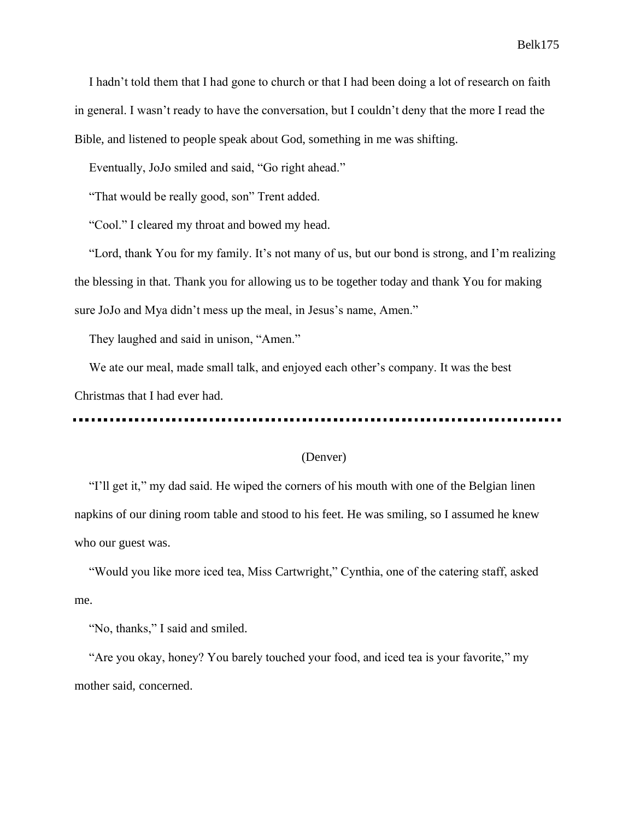I hadn't told them that I had gone to church or that I had been doing a lot of research on faith in general. I wasn't ready to have the conversation, but I couldn't deny that the more I read the Bible, and listened to people speak about God, something in me was shifting.

Eventually, JoJo smiled and said, "Go right ahead."

"That would be really good, son" Trent added.

"Cool." I cleared my throat and bowed my head.

"Lord, thank You for my family. It's not many of us, but our bond is strong, and I'm realizing the blessing in that. Thank you for allowing us to be together today and thank You for making sure JoJo and Mya didn't mess up the meal, in Jesus's name, Amen."

They laughed and said in unison, "Amen."

We ate our meal, made small talk, and enjoyed each other's company. It was the best Christmas that I had ever had.

## (Denver)

"I'll get it," my dad said. He wiped the corners of his mouth with one of the Belgian linen napkins of our dining room table and stood to his feet. He was smiling, so I assumed he knew who our guest was.

"Would you like more iced tea, Miss Cartwright," Cynthia, one of the catering staff, asked me.

"No, thanks," I said and smiled.

"Are you okay, honey? You barely touched your food, and iced tea is your favorite," my mother said, concerned.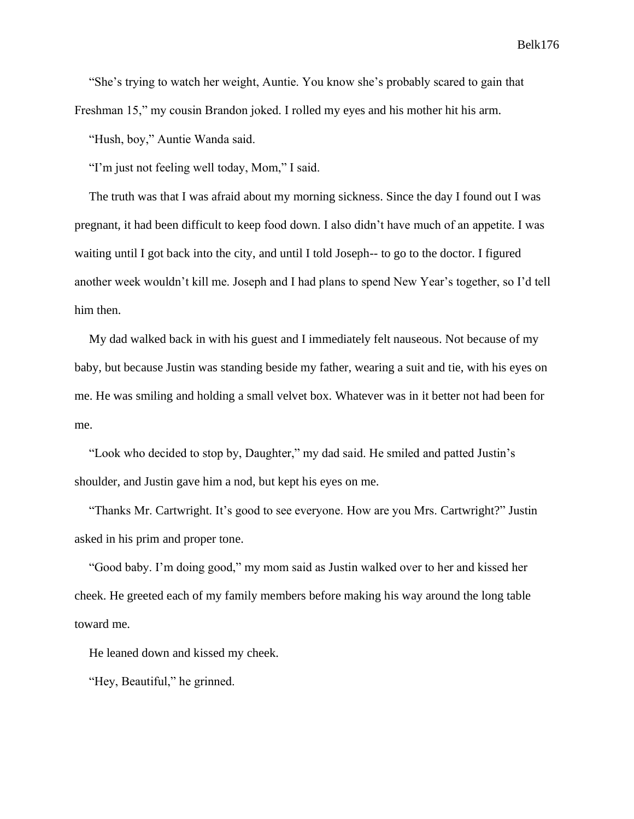"She's trying to watch her weight, Auntie. You know she's probably scared to gain that Freshman 15," my cousin Brandon joked. I rolled my eyes and his mother hit his arm.

"Hush, boy," Auntie Wanda said.

"I'm just not feeling well today, Mom," I said.

The truth was that I was afraid about my morning sickness. Since the day I found out I was pregnant, it had been difficult to keep food down. I also didn't have much of an appetite. I was waiting until I got back into the city, and until I told Joseph-- to go to the doctor. I figured another week wouldn't kill me. Joseph and I had plans to spend New Year's together, so I'd tell him then.

My dad walked back in with his guest and I immediately felt nauseous. Not because of my baby, but because Justin was standing beside my father, wearing a suit and tie, with his eyes on me. He was smiling and holding a small velvet box. Whatever was in it better not had been for me.

"Look who decided to stop by, Daughter," my dad said. He smiled and patted Justin's shoulder, and Justin gave him a nod, but kept his eyes on me.

"Thanks Mr. Cartwright. It's good to see everyone. How are you Mrs. Cartwright?" Justin asked in his prim and proper tone.

"Good baby. I'm doing good," my mom said as Justin walked over to her and kissed her cheek. He greeted each of my family members before making his way around the long table toward me.

He leaned down and kissed my cheek.

"Hey, Beautiful," he grinned.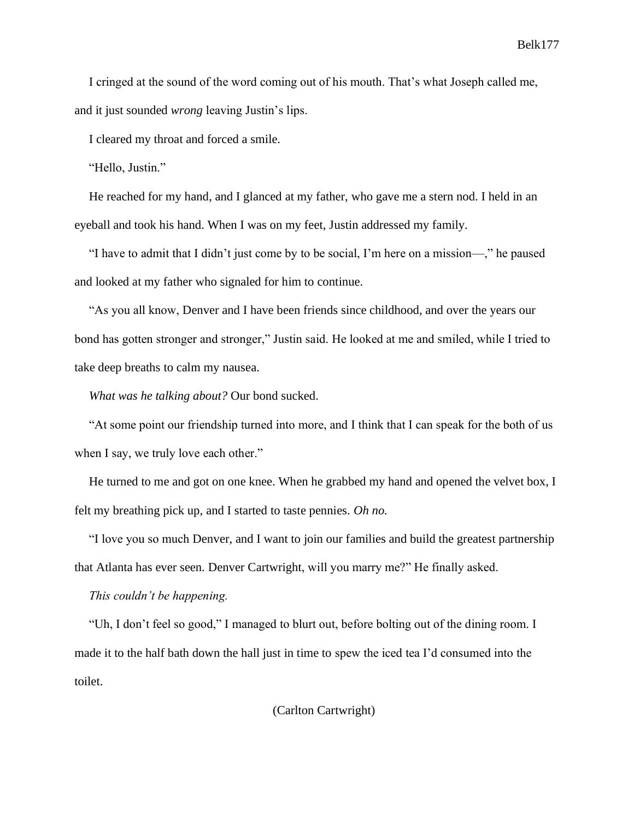I cringed at the sound of the word coming out of his mouth. That's what Joseph called me, and it just sounded *wrong* leaving Justin's lips.

I cleared my throat and forced a smile.

"Hello, Justin."

He reached for my hand, and I glanced at my father, who gave me a stern nod. I held in an eyeball and took his hand. When I was on my feet, Justin addressed my family.

"I have to admit that I didn't just come by to be social, I'm here on a mission—," he paused and looked at my father who signaled for him to continue.

"As you all know, Denver and I have been friends since childhood, and over the years our bond has gotten stronger and stronger," Justin said. He looked at me and smiled, while I tried to take deep breaths to calm my nausea.

*What was he talking about?* Our bond sucked.

"At some point our friendship turned into more, and I think that I can speak for the both of us when I say, we truly love each other."

He turned to me and got on one knee. When he grabbed my hand and opened the velvet box, I felt my breathing pick up, and I started to taste pennies. *Oh no.*

"I love you so much Denver, and I want to join our families and build the greatest partnership that Atlanta has ever seen. Denver Cartwright, will you marry me?" He finally asked.

*This couldn't be happening.*

"Uh, I don't feel so good," I managed to blurt out, before bolting out of the dining room. I made it to the half bath down the hall just in time to spew the iced tea I'd consumed into the toilet.

(Carlton Cartwright)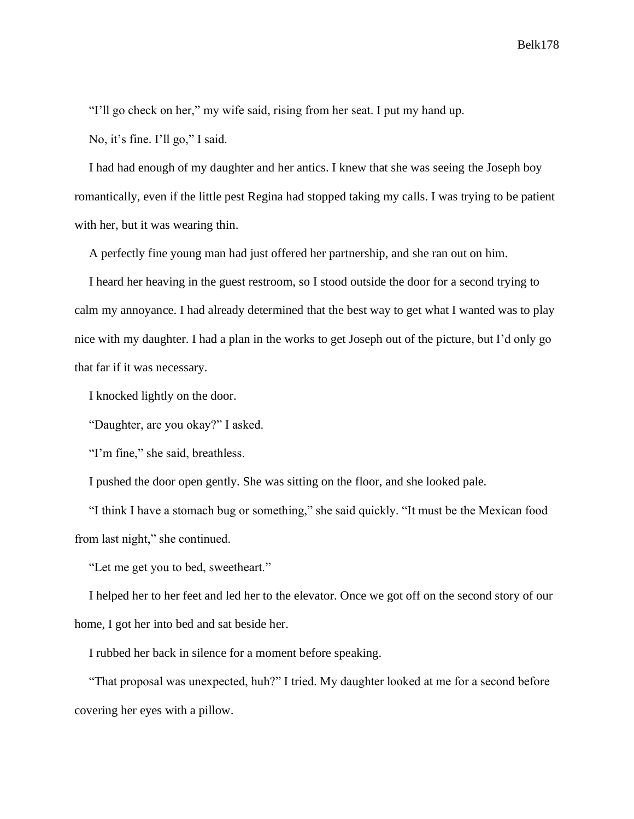"I'll go check on her," my wife said, rising from her seat. I put my hand up.

No, it's fine. I'll go," I said.

I had had enough of my daughter and her antics. I knew that she was seeing the Joseph boy romantically, even if the little pest Regina had stopped taking my calls. I was trying to be patient with her, but it was wearing thin.

A perfectly fine young man had just offered her partnership, and she ran out on him.

I heard her heaving in the guest restroom, so I stood outside the door for a second trying to calm my annoyance. I had already determined that the best way to get what I wanted was to play nice with my daughter. I had a plan in the works to get Joseph out of the picture, but I'd only go that far if it was necessary.

I knocked lightly on the door.

"Daughter, are you okay?" I asked.

"I'm fine," she said, breathless.

I pushed the door open gently. She was sitting on the floor, and she looked pale.

"I think I have a stomach bug or something," she said quickly. "It must be the Mexican food from last night," she continued.

"Let me get you to bed, sweetheart."

I helped her to her feet and led her to the elevator. Once we got off on the second story of our home, I got her into bed and sat beside her.

I rubbed her back in silence for a moment before speaking.

"That proposal was unexpected, huh?" I tried. My daughter looked at me for a second before covering her eyes with a pillow.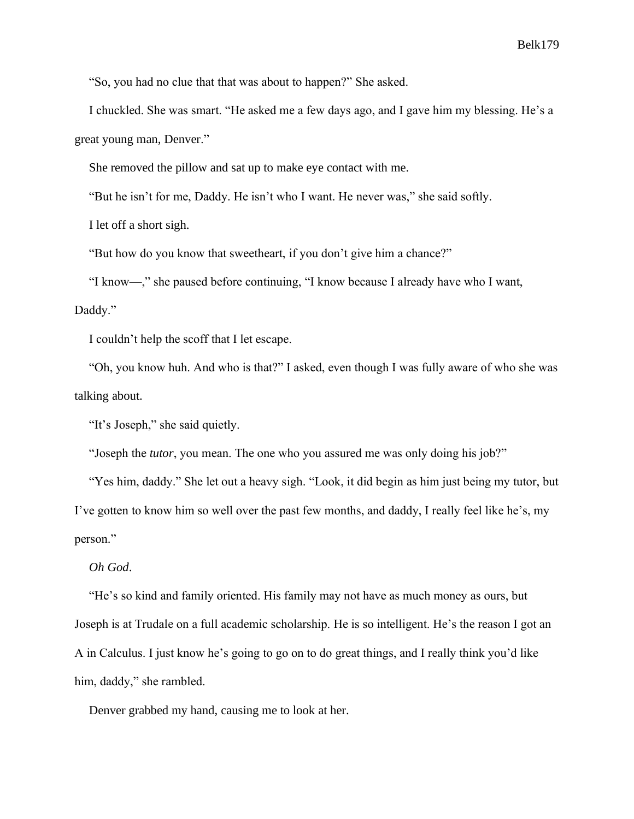"So, you had no clue that that was about to happen?" She asked.

I chuckled. She was smart. "He asked me a few days ago, and I gave him my blessing. He's a great young man, Denver."

She removed the pillow and sat up to make eye contact with me.

"But he isn't for me, Daddy. He isn't who I want. He never was," she said softly.

I let off a short sigh.

"But how do you know that sweetheart, if you don't give him a chance?"

"I know—," she paused before continuing, "I know because I already have who I want,

# Daddy."

I couldn't help the scoff that I let escape.

"Oh, you know huh. And who is that?" I asked, even though I was fully aware of who she was talking about.

"It's Joseph," she said quietly.

"Joseph the *tutor*, you mean. The one who you assured me was only doing his job?"

"Yes him, daddy." She let out a heavy sigh. "Look, it did begin as him just being my tutor, but I've gotten to know him so well over the past few months, and daddy, I really feel like he's, my person."

*Oh God*.

"He's so kind and family oriented. His family may not have as much money as ours, but Joseph is at Trudale on a full academic scholarship. He is so intelligent. He's the reason I got an A in Calculus. I just know he's going to go on to do great things, and I really think you'd like him, daddy," she rambled.

Denver grabbed my hand, causing me to look at her.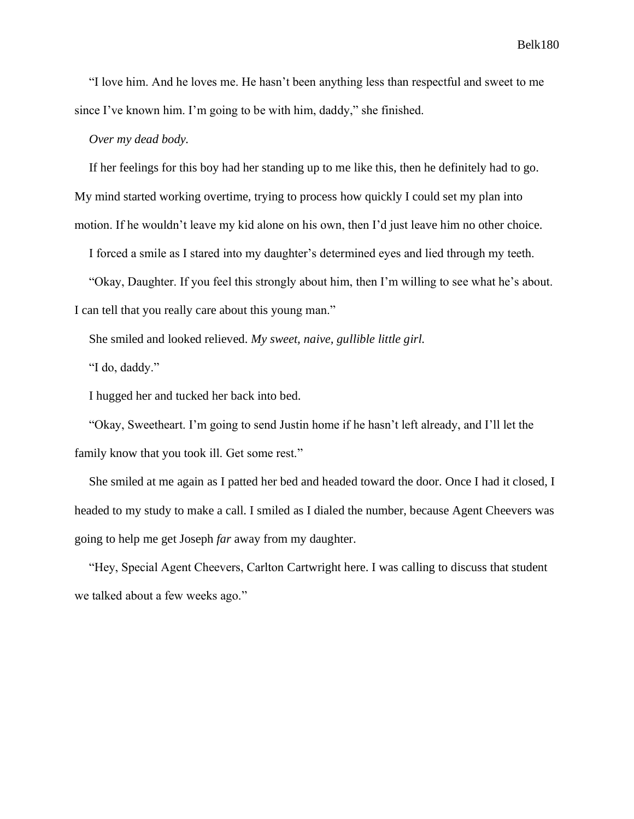"I love him. And he loves me. He hasn't been anything less than respectful and sweet to me since I've known him. I'm going to be with him, daddy," she finished.

*Over my dead body.*

If her feelings for this boy had her standing up to me like this, then he definitely had to go. My mind started working overtime, trying to process how quickly I could set my plan into motion. If he wouldn't leave my kid alone on his own, then I'd just leave him no other choice.

I forced a smile as I stared into my daughter's determined eyes and lied through my teeth.

"Okay, Daughter. If you feel this strongly about him, then I'm willing to see what he's about.

I can tell that you really care about this young man."

She smiled and looked relieved. *My sweet, naive, gullible little girl.*

"I do, daddy."

I hugged her and tucked her back into bed.

"Okay, Sweetheart. I'm going to send Justin home if he hasn't left already, and I'll let the family know that you took ill. Get some rest."

She smiled at me again as I patted her bed and headed toward the door. Once I had it closed, I headed to my study to make a call. I smiled as I dialed the number, because Agent Cheevers was going to help me get Joseph *far* away from my daughter.

"Hey, Special Agent Cheevers, Carlton Cartwright here. I was calling to discuss that student we talked about a few weeks ago."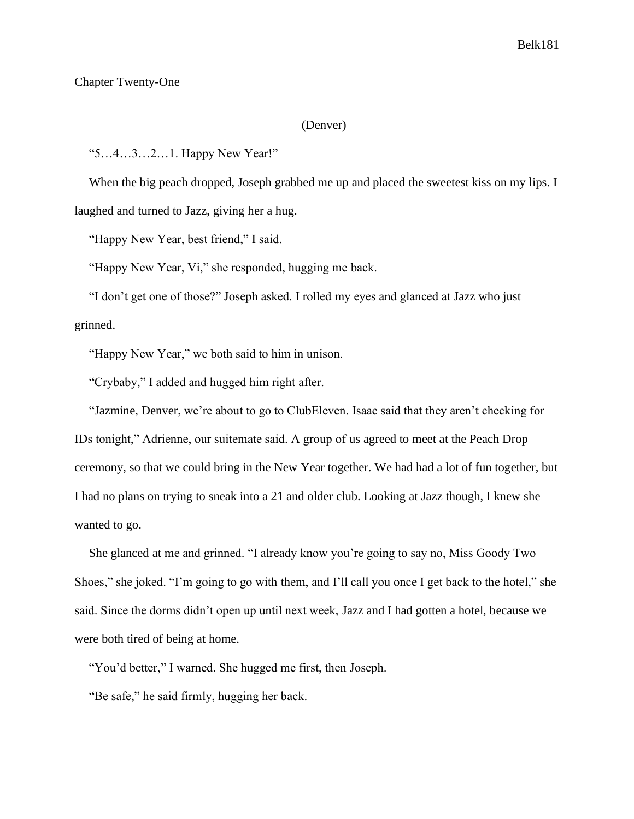## Chapter Twenty-One

## (Denver)

"5…4…3…2…1. Happy New Year!"

When the big peach dropped, Joseph grabbed me up and placed the sweetest kiss on my lips. I laughed and turned to Jazz, giving her a hug.

"Happy New Year, best friend," I said.

"Happy New Year, Vi," she responded, hugging me back.

"I don't get one of those?" Joseph asked. I rolled my eyes and glanced at Jazz who just grinned.

"Happy New Year," we both said to him in unison.

"Crybaby," I added and hugged him right after.

"Jazmine, Denver, we're about to go to ClubEleven. Isaac said that they aren't checking for IDs tonight," Adrienne, our suitemate said. A group of us agreed to meet at the Peach Drop ceremony, so that we could bring in the New Year together. We had had a lot of fun together, but I had no plans on trying to sneak into a 21 and older club. Looking at Jazz though, I knew she wanted to go.

She glanced at me and grinned. "I already know you're going to say no, Miss Goody Two Shoes," she joked. "I'm going to go with them, and I'll call you once I get back to the hotel," she said. Since the dorms didn't open up until next week, Jazz and I had gotten a hotel, because we were both tired of being at home.

"You'd better," I warned. She hugged me first, then Joseph.

"Be safe," he said firmly, hugging her back.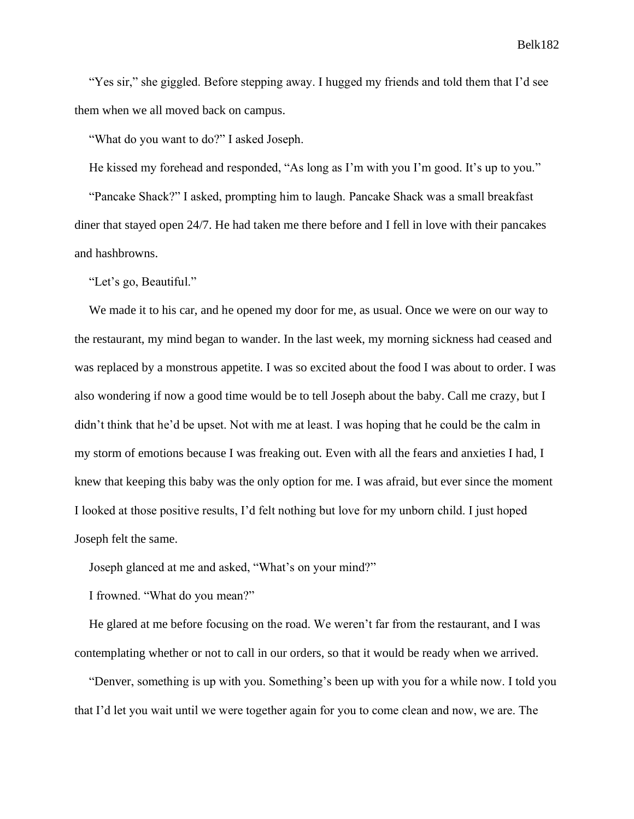"Yes sir," she giggled. Before stepping away. I hugged my friends and told them that I'd see them when we all moved back on campus.

"What do you want to do?" I asked Joseph.

He kissed my forehead and responded, "As long as I'm with you I'm good. It's up to you." "Pancake Shack?" I asked, prompting him to laugh. Pancake Shack was a small breakfast diner that stayed open 24/7. He had taken me there before and I fell in love with their pancakes

"Let's go, Beautiful."

and hashbrowns.

We made it to his car, and he opened my door for me, as usual. Once we were on our way to the restaurant, my mind began to wander. In the last week, my morning sickness had ceased and was replaced by a monstrous appetite. I was so excited about the food I was about to order. I was also wondering if now a good time would be to tell Joseph about the baby. Call me crazy, but I didn't think that he'd be upset. Not with me at least. I was hoping that he could be the calm in my storm of emotions because I was freaking out. Even with all the fears and anxieties I had, I knew that keeping this baby was the only option for me. I was afraid, but ever since the moment I looked at those positive results, I'd felt nothing but love for my unborn child. I just hoped Joseph felt the same.

Joseph glanced at me and asked, "What's on your mind?"

I frowned. "What do you mean?"

He glared at me before focusing on the road. We weren't far from the restaurant, and I was contemplating whether or not to call in our orders, so that it would be ready when we arrived.

"Denver, something is up with you. Something's been up with you for a while now. I told you that I'd let you wait until we were together again for you to come clean and now, we are. The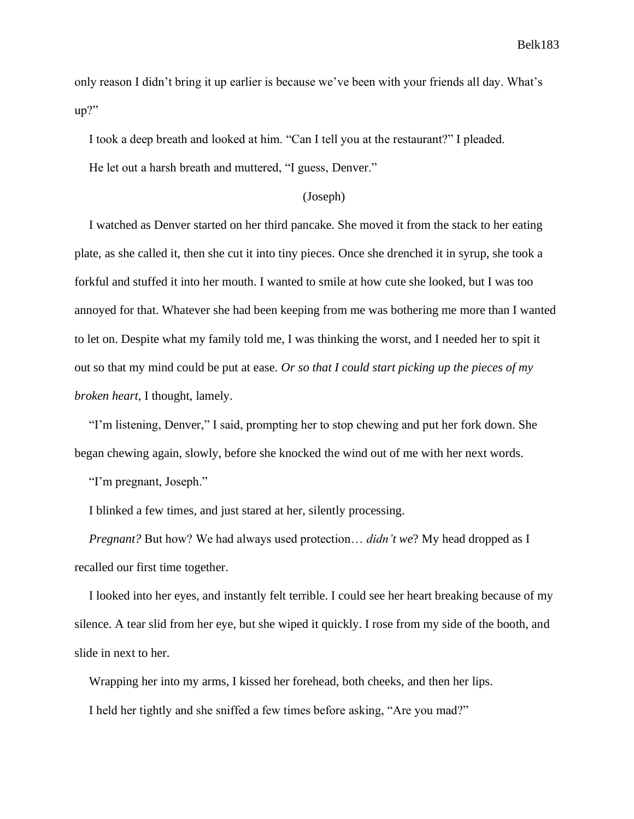only reason I didn't bring it up earlier is because we've been with your friends all day. What's up?"

I took a deep breath and looked at him. "Can I tell you at the restaurant?" I pleaded.

He let out a harsh breath and muttered, "I guess, Denver."

#### (Joseph)

I watched as Denver started on her third pancake. She moved it from the stack to her eating plate, as she called it, then she cut it into tiny pieces. Once she drenched it in syrup, she took a forkful and stuffed it into her mouth. I wanted to smile at how cute she looked, but I was too annoyed for that. Whatever she had been keeping from me was bothering me more than I wanted to let on. Despite what my family told me, I was thinking the worst, and I needed her to spit it out so that my mind could be put at ease. *Or so that I could start picking up the pieces of my broken heart*, I thought, lamely.

"I'm listening, Denver," I said, prompting her to stop chewing and put her fork down. She began chewing again, slowly, before she knocked the wind out of me with her next words.

"I'm pregnant, Joseph."

I blinked a few times, and just stared at her, silently processing.

*Pregnant?* But how? We had always used protection… *didn't we*? My head dropped as I recalled our first time together.

I looked into her eyes, and instantly felt terrible. I could see her heart breaking because of my silence. A tear slid from her eye, but she wiped it quickly. I rose from my side of the booth, and slide in next to her.

Wrapping her into my arms, I kissed her forehead, both cheeks, and then her lips.

I held her tightly and she sniffed a few times before asking, "Are you mad?"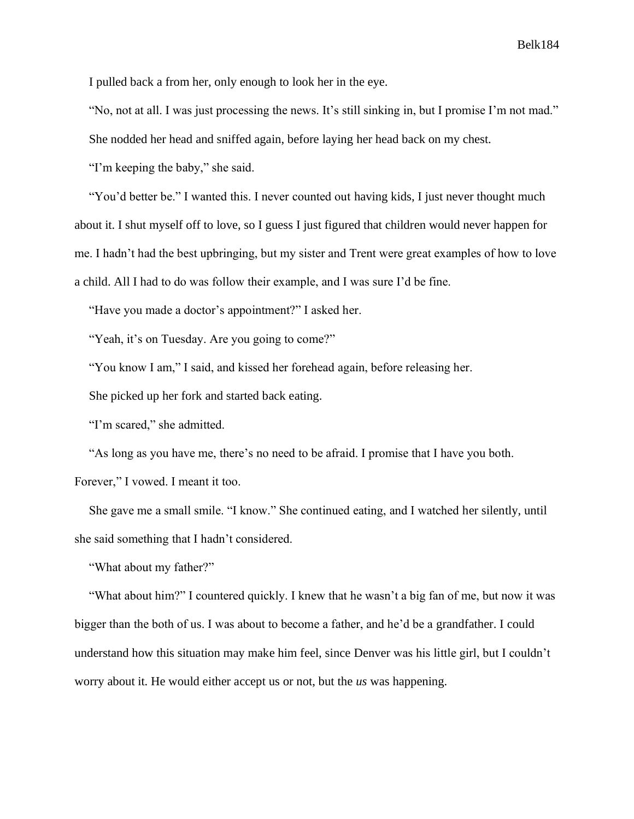I pulled back a from her, only enough to look her in the eye.

"No, not at all. I was just processing the news. It's still sinking in, but I promise I'm not mad."

She nodded her head and sniffed again, before laying her head back on my chest.

"I'm keeping the baby," she said.

"You'd better be." I wanted this. I never counted out having kids, I just never thought much about it. I shut myself off to love, so I guess I just figured that children would never happen for me. I hadn't had the best upbringing, but my sister and Trent were great examples of how to love a child. All I had to do was follow their example, and I was sure I'd be fine.

"Have you made a doctor's appointment?" I asked her.

"Yeah, it's on Tuesday. Are you going to come?"

"You know I am," I said, and kissed her forehead again, before releasing her.

She picked up her fork and started back eating.

"I'm scared," she admitted.

"As long as you have me, there's no need to be afraid. I promise that I have you both.

Forever," I vowed. I meant it too.

She gave me a small smile. "I know." She continued eating, and I watched her silently, until she said something that I hadn't considered.

"What about my father?"

"What about him?" I countered quickly. I knew that he wasn't a big fan of me, but now it was bigger than the both of us. I was about to become a father, and he'd be a grandfather. I could understand how this situation may make him feel, since Denver was his little girl, but I couldn't worry about it. He would either accept us or not, but the *us* was happening.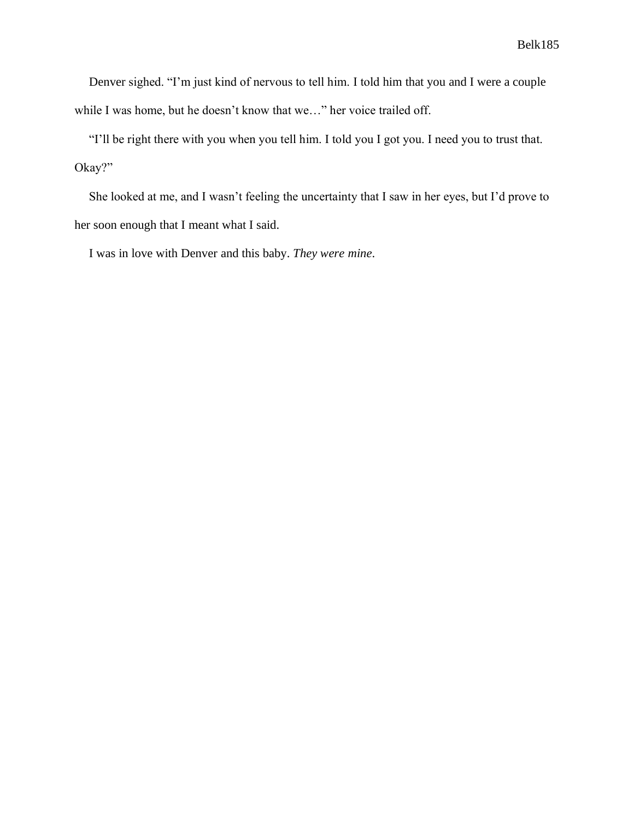Denver sighed. "I'm just kind of nervous to tell him. I told him that you and I were a couple while I was home, but he doesn't know that we…" her voice trailed off.

"I'll be right there with you when you tell him. I told you I got you. I need you to trust that. Okay?"

She looked at me, and I wasn't feeling the uncertainty that I saw in her eyes, but I'd prove to her soon enough that I meant what I said.

I was in love with Denver and this baby. *They were mine*.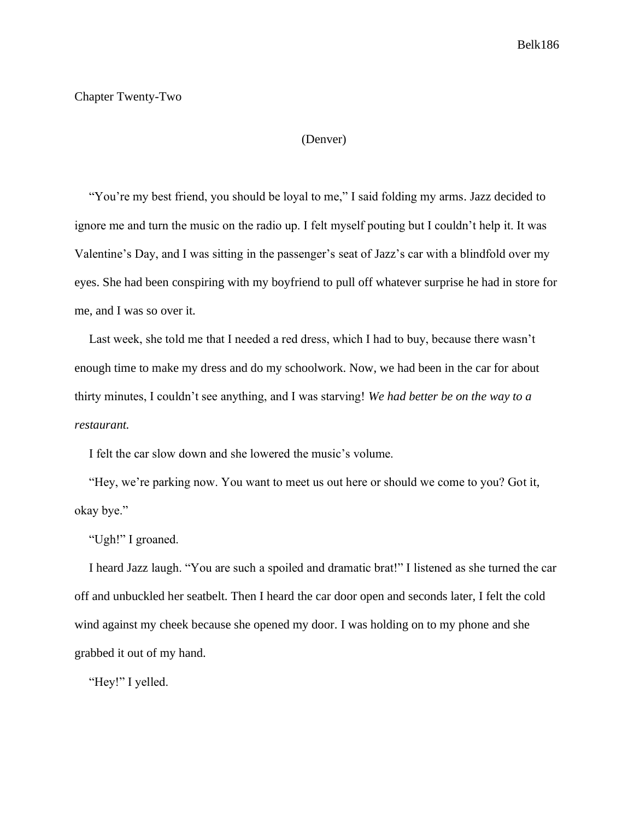# Chapter Twenty-Two

#### (Denver)

"You're my best friend, you should be loyal to me," I said folding my arms. Jazz decided to ignore me and turn the music on the radio up. I felt myself pouting but I couldn't help it. It was Valentine's Day, and I was sitting in the passenger's seat of Jazz's car with a blindfold over my eyes. She had been conspiring with my boyfriend to pull off whatever surprise he had in store for me, and I was so over it.

Last week, she told me that I needed a red dress, which I had to buy, because there wasn't enough time to make my dress and do my schoolwork. Now, we had been in the car for about thirty minutes, I couldn't see anything, and I was starving! *We had better be on the way to a restaurant.*

I felt the car slow down and she lowered the music's volume.

"Hey, we're parking now. You want to meet us out here or should we come to you? Got it, okay bye."

"Ugh!" I groaned.

I heard Jazz laugh. "You are such a spoiled and dramatic brat!" I listened as she turned the car off and unbuckled her seatbelt. Then I heard the car door open and seconds later, I felt the cold wind against my cheek because she opened my door. I was holding on to my phone and she grabbed it out of my hand.

"Hey!" I yelled.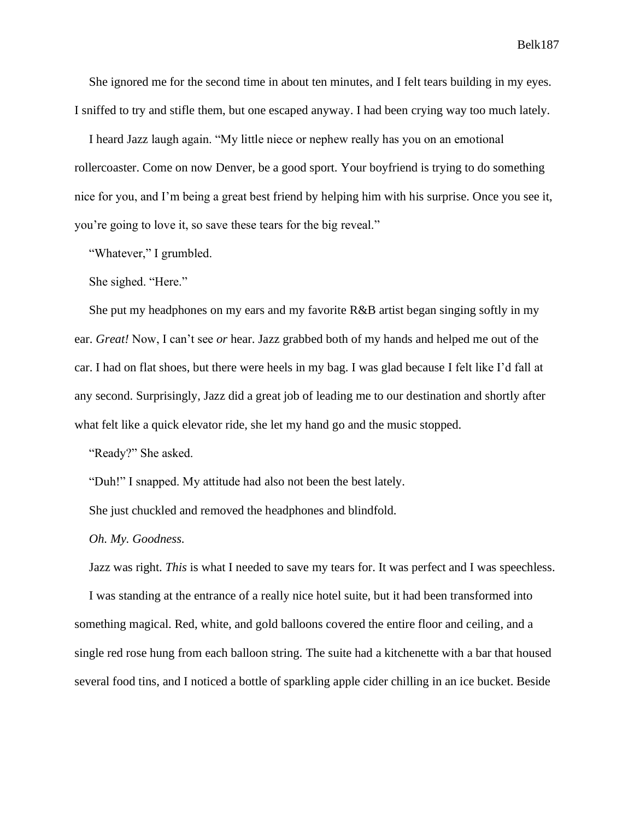She ignored me for the second time in about ten minutes, and I felt tears building in my eyes. I sniffed to try and stifle them, but one escaped anyway. I had been crying way too much lately.

I heard Jazz laugh again. "My little niece or nephew really has you on an emotional rollercoaster. Come on now Denver, be a good sport. Your boyfriend is trying to do something nice for you, and I'm being a great best friend by helping him with his surprise. Once you see it, you're going to love it, so save these tears for the big reveal."

"Whatever," I grumbled.

She sighed. "Here."

She put my headphones on my ears and my favorite R&B artist began singing softly in my ear. *Great!* Now, I can't see *or* hear. Jazz grabbed both of my hands and helped me out of the car. I had on flat shoes, but there were heels in my bag. I was glad because I felt like I'd fall at any second. Surprisingly, Jazz did a great job of leading me to our destination and shortly after what felt like a quick elevator ride, she let my hand go and the music stopped.

"Ready?" She asked.

"Duh!" I snapped. My attitude had also not been the best lately.

She just chuckled and removed the headphones and blindfold.

*Oh. My. Goodness.*

Jazz was right. *This* is what I needed to save my tears for. It was perfect and I was speechless.

I was standing at the entrance of a really nice hotel suite, but it had been transformed into something magical. Red, white, and gold balloons covered the entire floor and ceiling, and a single red rose hung from each balloon string. The suite had a kitchenette with a bar that housed several food tins, and I noticed a bottle of sparkling apple cider chilling in an ice bucket. Beside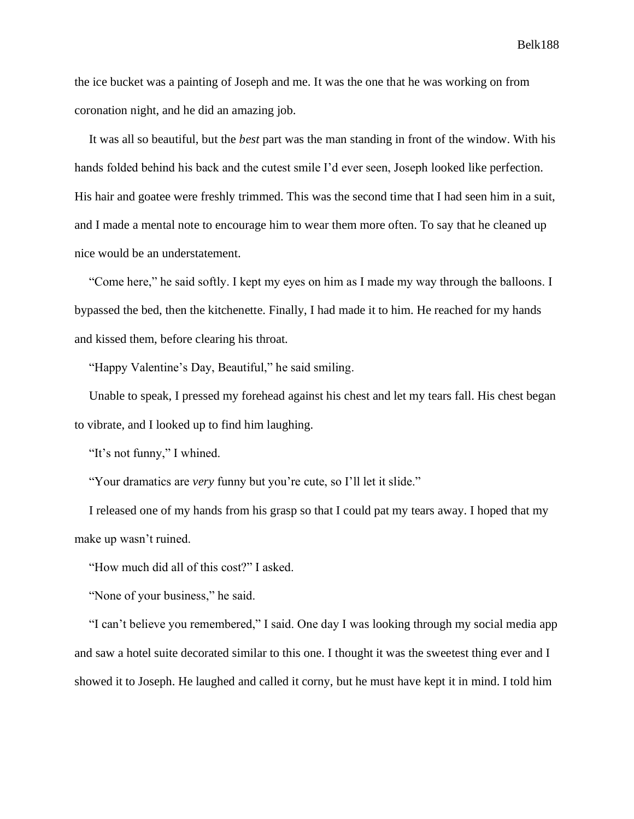the ice bucket was a painting of Joseph and me. It was the one that he was working on from coronation night, and he did an amazing job.

It was all so beautiful, but the *best* part was the man standing in front of the window. With his hands folded behind his back and the cutest smile I'd ever seen, Joseph looked like perfection. His hair and goatee were freshly trimmed. This was the second time that I had seen him in a suit, and I made a mental note to encourage him to wear them more often. To say that he cleaned up nice would be an understatement.

"Come here," he said softly. I kept my eyes on him as I made my way through the balloons. I bypassed the bed, then the kitchenette. Finally, I had made it to him. He reached for my hands and kissed them, before clearing his throat.

"Happy Valentine's Day, Beautiful," he said smiling.

Unable to speak, I pressed my forehead against his chest and let my tears fall. His chest began to vibrate, and I looked up to find him laughing.

"It's not funny," I whined.

"Your dramatics are *very* funny but you're cute, so I'll let it slide."

I released one of my hands from his grasp so that I could pat my tears away. I hoped that my make up wasn't ruined.

"How much did all of this cost?" I asked.

"None of your business," he said.

"I can't believe you remembered," I said. One day I was looking through my social media app and saw a hotel suite decorated similar to this one. I thought it was the sweetest thing ever and I showed it to Joseph. He laughed and called it corny, but he must have kept it in mind. I told him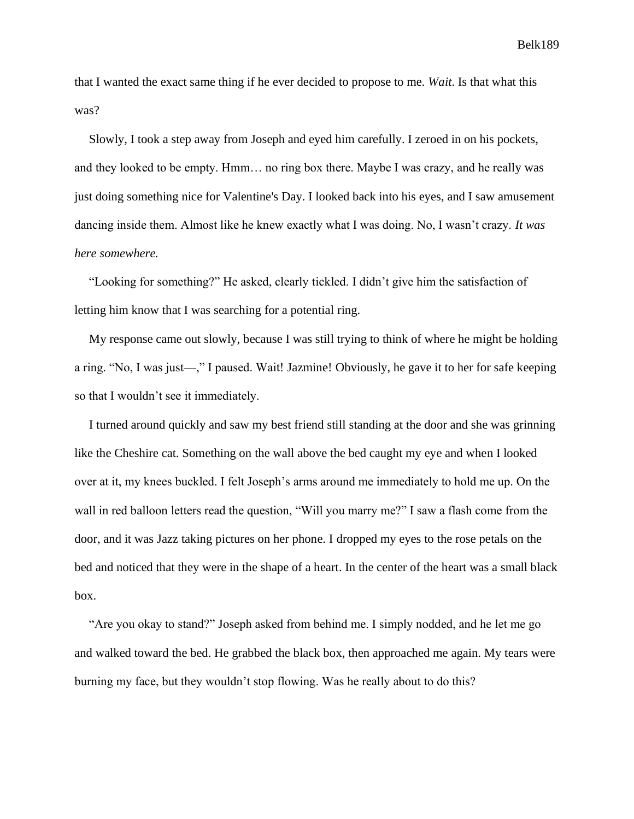that I wanted the exact same thing if he ever decided to propose to me. *Wait*. Is that what this was?

Slowly, I took a step away from Joseph and eyed him carefully. I zeroed in on his pockets, and they looked to be empty. Hmm… no ring box there. Maybe I was crazy, and he really was just doing something nice for Valentine's Day. I looked back into his eyes, and I saw amusement dancing inside them. Almost like he knew exactly what I was doing. No, I wasn't crazy. *It was here somewhere.*

"Looking for something?" He asked, clearly tickled. I didn't give him the satisfaction of letting him know that I was searching for a potential ring.

My response came out slowly, because I was still trying to think of where he might be holding a ring. "No, I was just—," I paused. Wait! Jazmine! Obviously, he gave it to her for safe keeping so that I wouldn't see it immediately.

I turned around quickly and saw my best friend still standing at the door and she was grinning like the Cheshire cat. Something on the wall above the bed caught my eye and when I looked over at it, my knees buckled. I felt Joseph's arms around me immediately to hold me up. On the wall in red balloon letters read the question, "Will you marry me?" I saw a flash come from the door, and it was Jazz taking pictures on her phone. I dropped my eyes to the rose petals on the bed and noticed that they were in the shape of a heart. In the center of the heart was a small black box.

"Are you okay to stand?" Joseph asked from behind me. I simply nodded, and he let me go and walked toward the bed. He grabbed the black box, then approached me again. My tears were burning my face, but they wouldn't stop flowing. Was he really about to do this?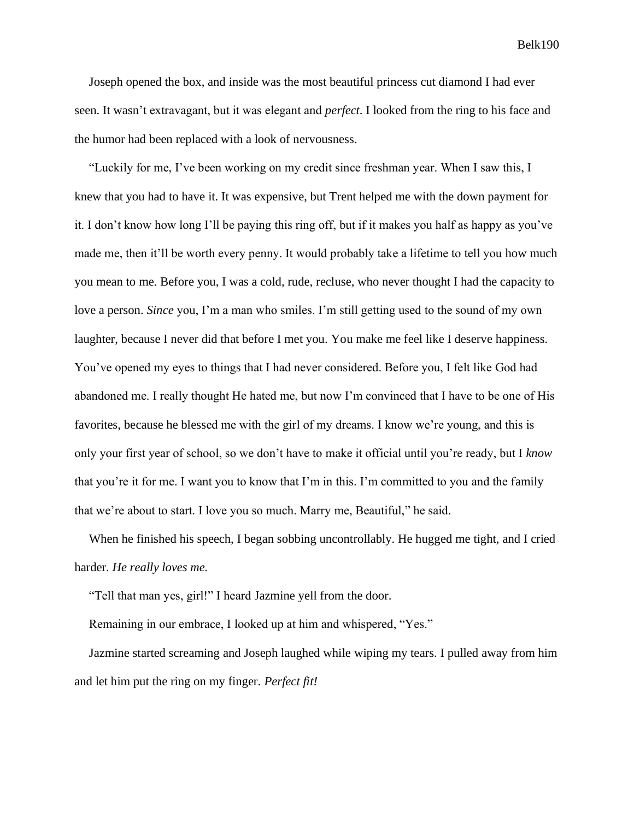Joseph opened the box, and inside was the most beautiful princess cut diamond I had ever seen. It wasn't extravagant, but it was elegant and *perfect*. I looked from the ring to his face and the humor had been replaced with a look of nervousness.

"Luckily for me, I've been working on my credit since freshman year. When I saw this, I knew that you had to have it. It was expensive, but Trent helped me with the down payment for it. I don't know how long I'll be paying this ring off, but if it makes you half as happy as you've made me, then it'll be worth every penny. It would probably take a lifetime to tell you how much you mean to me. Before you, I was a cold, rude, recluse, who never thought I had the capacity to love a person. *Since* you, I'm a man who smiles. I'm still getting used to the sound of my own laughter, because I never did that before I met you. You make me feel like I deserve happiness. You've opened my eyes to things that I had never considered. Before you, I felt like God had abandoned me. I really thought He hated me, but now I'm convinced that I have to be one of His favorites, because he blessed me with the girl of my dreams. I know we're young, and this is only your first year of school, so we don't have to make it official until you're ready, but I *know*  that you're it for me. I want you to know that I'm in this. I'm committed to you and the family that we're about to start. I love you so much. Marry me, Beautiful," he said.

When he finished his speech, I began sobbing uncontrollably. He hugged me tight, and I cried harder. *He really loves me.*

"Tell that man yes, girl!" I heard Jazmine yell from the door.

Remaining in our embrace, I looked up at him and whispered, "Yes."

Jazmine started screaming and Joseph laughed while wiping my tears. I pulled away from him and let him put the ring on my finger. *Perfect fit!*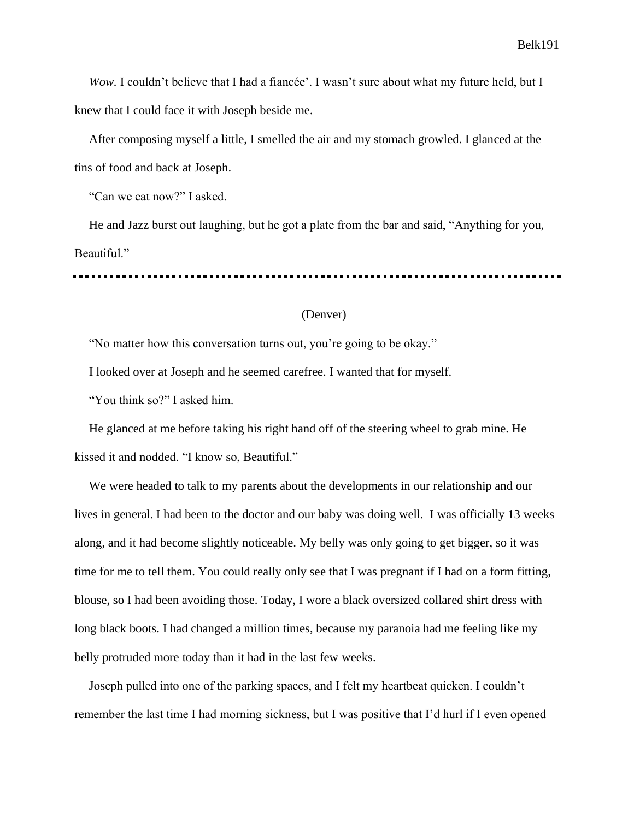*Wow.* I couldn't believe that I had a fiancée'. I wasn't sure about what my future held, but I knew that I could face it with Joseph beside me.

After composing myself a little, I smelled the air and my stomach growled. I glanced at the tins of food and back at Joseph.

"Can we eat now?" I asked.

He and Jazz burst out laughing, but he got a plate from the bar and said, "Anything for you, Beautiful."

# (Denver)

"No matter how this conversation turns out, you're going to be okay."

I looked over at Joseph and he seemed carefree. I wanted that for myself.

"You think so?" I asked him.

He glanced at me before taking his right hand off of the steering wheel to grab mine. He kissed it and nodded. "I know so, Beautiful."

We were headed to talk to my parents about the developments in our relationship and our lives in general. I had been to the doctor and our baby was doing well. I was officially 13 weeks along, and it had become slightly noticeable. My belly was only going to get bigger, so it was time for me to tell them. You could really only see that I was pregnant if I had on a form fitting, blouse, so I had been avoiding those. Today, I wore a black oversized collared shirt dress with long black boots. I had changed a million times, because my paranoia had me feeling like my belly protruded more today than it had in the last few weeks.

Joseph pulled into one of the parking spaces, and I felt my heartbeat quicken. I couldn't remember the last time I had morning sickness, but I was positive that I'd hurl if I even opened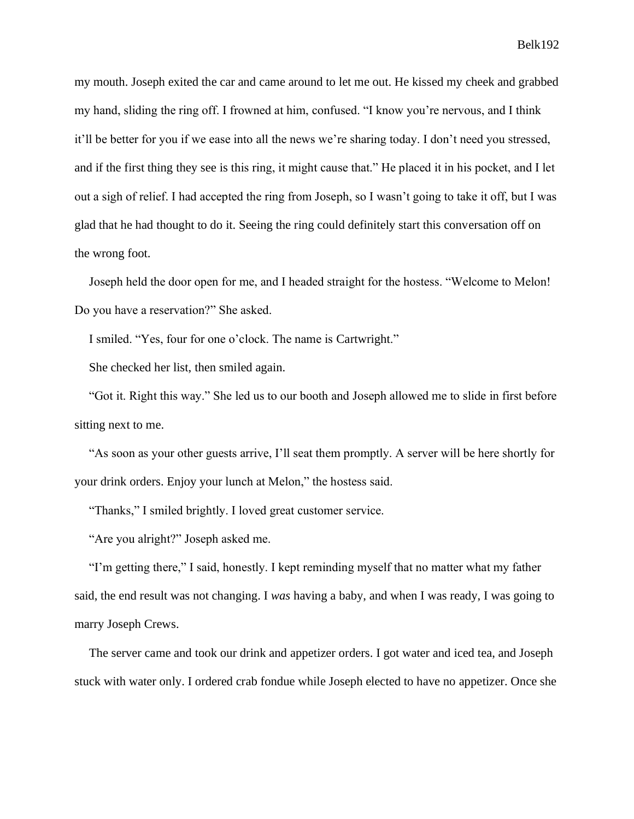my mouth. Joseph exited the car and came around to let me out. He kissed my cheek and grabbed my hand, sliding the ring off. I frowned at him, confused. "I know you're nervous, and I think it'll be better for you if we ease into all the news we're sharing today. I don't need you stressed, and if the first thing they see is this ring, it might cause that." He placed it in his pocket, and I let out a sigh of relief. I had accepted the ring from Joseph, so I wasn't going to take it off, but I was glad that he had thought to do it. Seeing the ring could definitely start this conversation off on the wrong foot.

Joseph held the door open for me, and I headed straight for the hostess. "Welcome to Melon! Do you have a reservation?" She asked.

I smiled. "Yes, four for one o'clock. The name is Cartwright."

She checked her list, then smiled again.

"Got it. Right this way." She led us to our booth and Joseph allowed me to slide in first before sitting next to me.

"As soon as your other guests arrive, I'll seat them promptly. A server will be here shortly for your drink orders. Enjoy your lunch at Melon," the hostess said.

"Thanks," I smiled brightly. I loved great customer service.

"Are you alright?" Joseph asked me.

"I'm getting there," I said, honestly. I kept reminding myself that no matter what my father said, the end result was not changing. I *was* having a baby, and when I was ready, I was going to marry Joseph Crews.

The server came and took our drink and appetizer orders. I got water and iced tea, and Joseph stuck with water only. I ordered crab fondue while Joseph elected to have no appetizer. Once she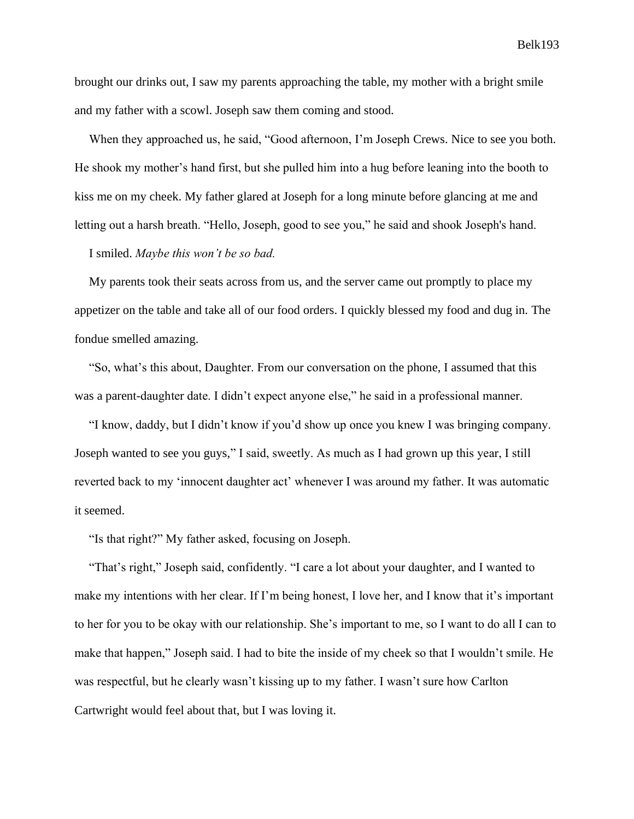brought our drinks out, I saw my parents approaching the table, my mother with a bright smile and my father with a scowl. Joseph saw them coming and stood.

When they approached us, he said, "Good afternoon, I'm Joseph Crews. Nice to see you both. He shook my mother's hand first, but she pulled him into a hug before leaning into the booth to kiss me on my cheek. My father glared at Joseph for a long minute before glancing at me and letting out a harsh breath. "Hello, Joseph, good to see you," he said and shook Joseph's hand.

I smiled. *Maybe this won't be so bad.*

My parents took their seats across from us, and the server came out promptly to place my appetizer on the table and take all of our food orders. I quickly blessed my food and dug in. The fondue smelled amazing.

"So, what's this about, Daughter. From our conversation on the phone, I assumed that this was a parent-daughter date. I didn't expect anyone else," he said in a professional manner.

"I know, daddy, but I didn't know if you'd show up once you knew I was bringing company. Joseph wanted to see you guys," I said, sweetly. As much as I had grown up this year, I still reverted back to my 'innocent daughter act' whenever I was around my father. It was automatic it seemed.

"Is that right?" My father asked, focusing on Joseph.

"That's right," Joseph said, confidently. "I care a lot about your daughter, and I wanted to make my intentions with her clear. If I'm being honest, I love her, and I know that it's important to her for you to be okay with our relationship. She's important to me, so I want to do all I can to make that happen," Joseph said. I had to bite the inside of my cheek so that I wouldn't smile. He was respectful, but he clearly wasn't kissing up to my father. I wasn't sure how Carlton Cartwright would feel about that, but I was loving it.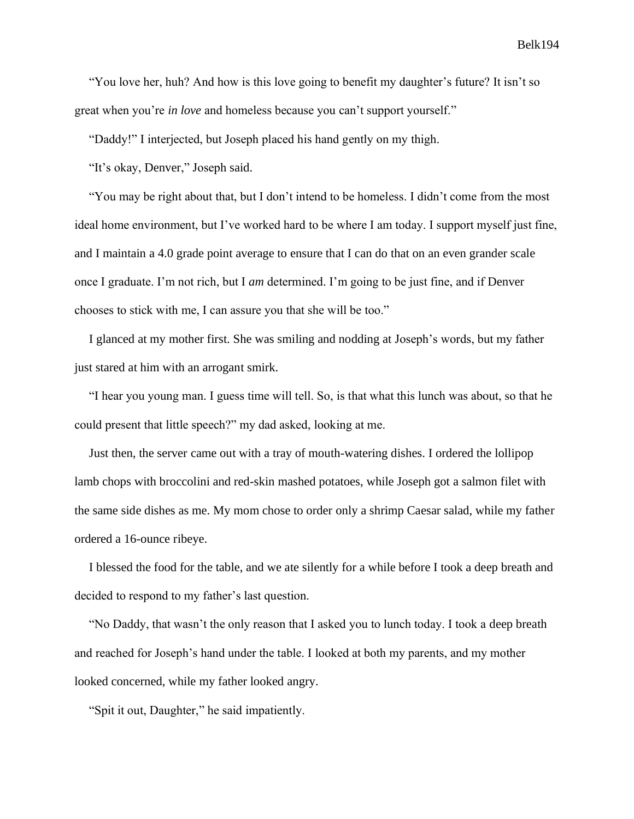"You love her, huh? And how is this love going to benefit my daughter's future? It isn't so great when you're *in love* and homeless because you can't support yourself."

"Daddy!" I interjected, but Joseph placed his hand gently on my thigh.

"It's okay, Denver," Joseph said.

"You may be right about that, but I don't intend to be homeless. I didn't come from the most ideal home environment, but I've worked hard to be where I am today. I support myself just fine, and I maintain a 4.0 grade point average to ensure that I can do that on an even grander scale once I graduate. I'm not rich, but I *am* determined. I'm going to be just fine, and if Denver chooses to stick with me, I can assure you that she will be too."

I glanced at my mother first. She was smiling and nodding at Joseph's words, but my father just stared at him with an arrogant smirk.

"I hear you young man. I guess time will tell. So, is that what this lunch was about, so that he could present that little speech?" my dad asked, looking at me.

Just then, the server came out with a tray of mouth-watering dishes. I ordered the lollipop lamb chops with broccolini and red-skin mashed potatoes, while Joseph got a salmon filet with the same side dishes as me. My mom chose to order only a shrimp Caesar salad, while my father ordered a 16-ounce ribeye.

I blessed the food for the table, and we ate silently for a while before I took a deep breath and decided to respond to my father's last question.

"No Daddy, that wasn't the only reason that I asked you to lunch today. I took a deep breath and reached for Joseph's hand under the table. I looked at both my parents, and my mother looked concerned, while my father looked angry.

"Spit it out, Daughter," he said impatiently.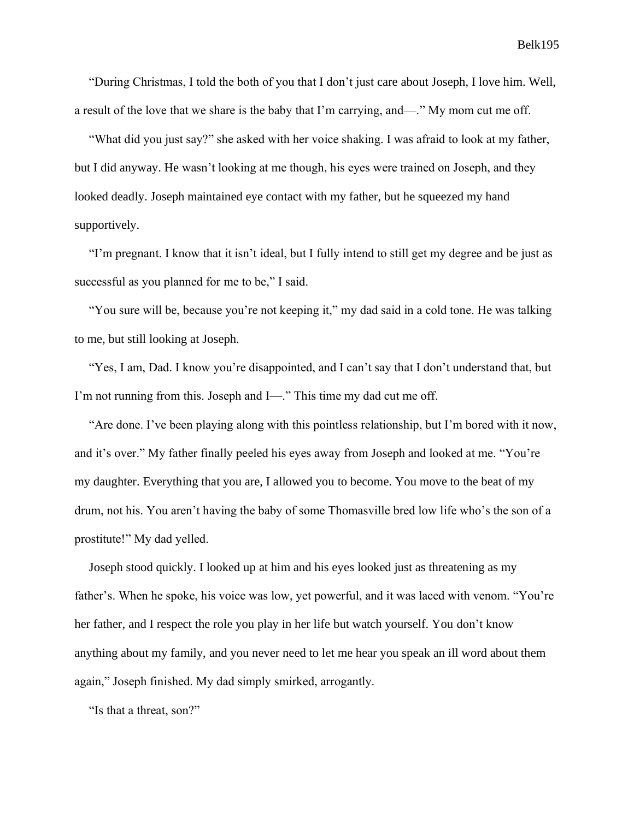"During Christmas, I told the both of you that I don't just care about Joseph, I love him. Well, a result of the love that we share is the baby that I'm carrying, and—." My mom cut me off.

"What did you just say?" she asked with her voice shaking. I was afraid to look at my father, but I did anyway. He wasn't looking at me though, his eyes were trained on Joseph, and they looked deadly. Joseph maintained eye contact with my father, but he squeezed my hand supportively.

"I'm pregnant. I know that it isn't ideal, but I fully intend to still get my degree and be just as successful as you planned for me to be," I said.

"You sure will be, because you're not keeping it," my dad said in a cold tone. He was talking to me, but still looking at Joseph.

"Yes, I am, Dad. I know you're disappointed, and I can't say that I don't understand that, but I'm not running from this. Joseph and I—." This time my dad cut me off.

"Are done. I've been playing along with this pointless relationship, but I'm bored with it now, and it's over." My father finally peeled his eyes away from Joseph and looked at me. "You're my daughter. Everything that you are, I allowed you to become. You move to the beat of my drum, not his. You aren't having the baby of some Thomasville bred low life who's the son of a prostitute!" My dad yelled.

Joseph stood quickly. I looked up at him and his eyes looked just as threatening as my father's. When he spoke, his voice was low, yet powerful, and it was laced with venom. "You're her father, and I respect the role you play in her life but watch yourself. You don't know anything about my family, and you never need to let me hear you speak an ill word about them again," Joseph finished. My dad simply smirked, arrogantly.

"Is that a threat, son?"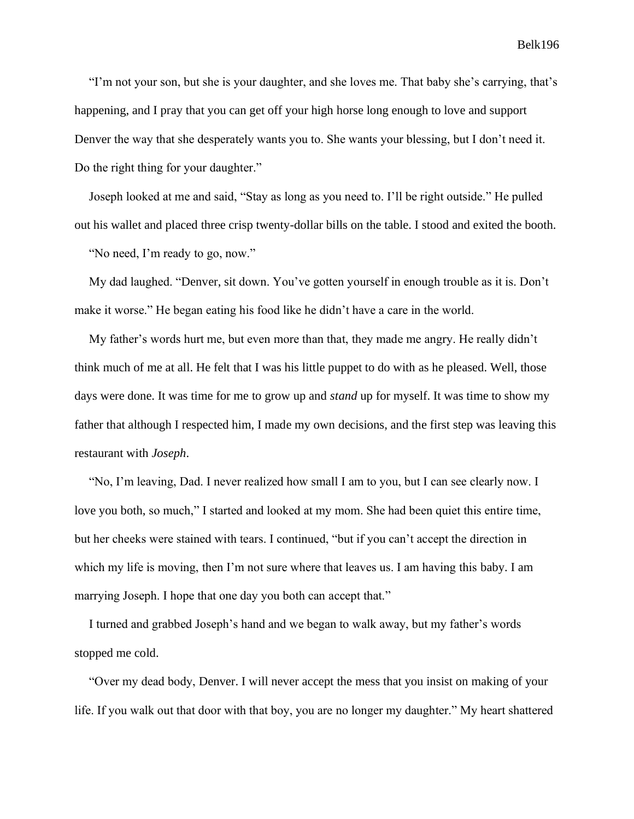"I'm not your son, but she is your daughter, and she loves me. That baby she's carrying, that's happening, and I pray that you can get off your high horse long enough to love and support Denver the way that she desperately wants you to. She wants your blessing, but I don't need it. Do the right thing for your daughter."

Joseph looked at me and said, "Stay as long as you need to. I'll be right outside." He pulled out his wallet and placed three crisp twenty-dollar bills on the table. I stood and exited the booth.

"No need, I'm ready to go, now."

My dad laughed. "Denver, sit down. You've gotten yourself in enough trouble as it is. Don't make it worse." He began eating his food like he didn't have a care in the world.

My father's words hurt me, but even more than that, they made me angry. He really didn't think much of me at all. He felt that I was his little puppet to do with as he pleased. Well, those days were done. It was time for me to grow up and *stand* up for myself. It was time to show my father that although I respected him, I made my own decisions, and the first step was leaving this restaurant with *Joseph*.

"No, I'm leaving, Dad. I never realized how small I am to you, but I can see clearly now. I love you both, so much," I started and looked at my mom. She had been quiet this entire time, but her cheeks were stained with tears. I continued, "but if you can't accept the direction in which my life is moving, then I'm not sure where that leaves us. I am having this baby. I am marrying Joseph. I hope that one day you both can accept that."

I turned and grabbed Joseph's hand and we began to walk away, but my father's words stopped me cold.

"Over my dead body, Denver. I will never accept the mess that you insist on making of your life. If you walk out that door with that boy, you are no longer my daughter." My heart shattered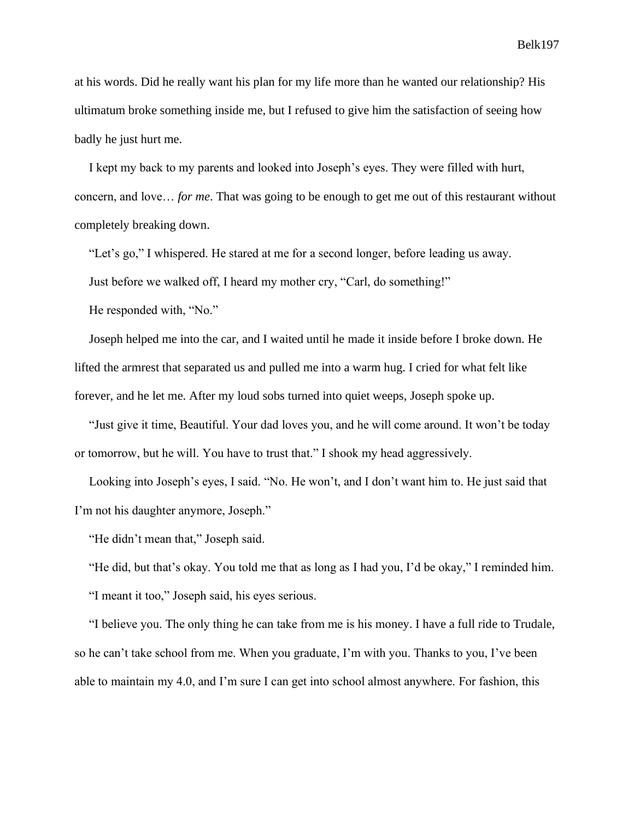at his words. Did he really want his plan for my life more than he wanted our relationship? His ultimatum broke something inside me, but I refused to give him the satisfaction of seeing how badly he just hurt me.

I kept my back to my parents and looked into Joseph's eyes. They were filled with hurt, concern, and love… *for me*. That was going to be enough to get me out of this restaurant without completely breaking down.

"Let's go," I whispered. He stared at me for a second longer, before leading us away.

Just before we walked off, I heard my mother cry, "Carl, do something!"

He responded with, "No."

Joseph helped me into the car, and I waited until he made it inside before I broke down. He lifted the armrest that separated us and pulled me into a warm hug. I cried for what felt like forever, and he let me. After my loud sobs turned into quiet weeps, Joseph spoke up.

"Just give it time, Beautiful. Your dad loves you, and he will come around. It won't be today or tomorrow, but he will. You have to trust that." I shook my head aggressively.

Looking into Joseph's eyes, I said. "No. He won't, and I don't want him to. He just said that I'm not his daughter anymore, Joseph."

"He didn't mean that," Joseph said.

"He did, but that's okay. You told me that as long as I had you, I'd be okay," I reminded him.

"I meant it too," Joseph said, his eyes serious.

"I believe you. The only thing he can take from me is his money. I have a full ride to Trudale, so he can't take school from me. When you graduate, I'm with you. Thanks to you, I've been able to maintain my 4.0, and I'm sure I can get into school almost anywhere. For fashion, this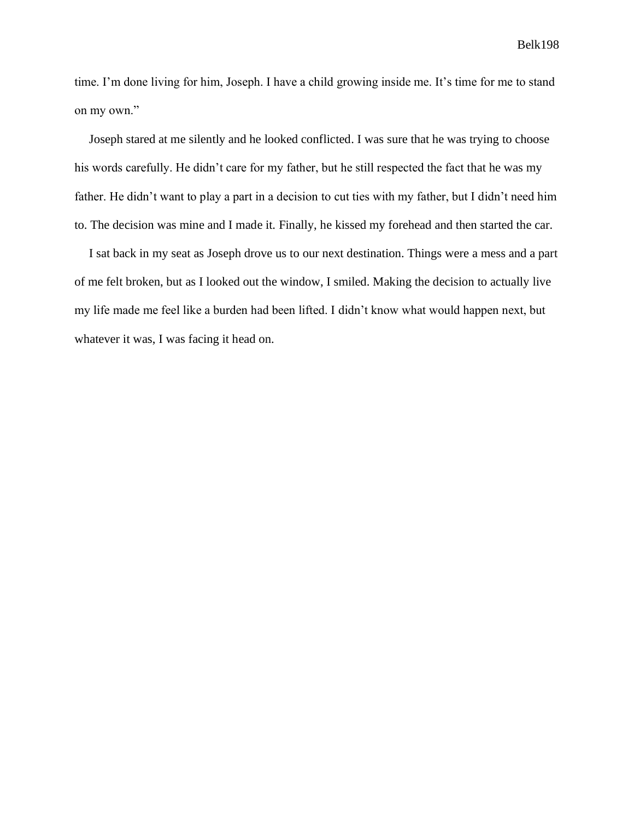time. I'm done living for him, Joseph. I have a child growing inside me. It's time for me to stand on my own."

Joseph stared at me silently and he looked conflicted. I was sure that he was trying to choose his words carefully. He didn't care for my father, but he still respected the fact that he was my father. He didn't want to play a part in a decision to cut ties with my father, but I didn't need him to. The decision was mine and I made it. Finally, he kissed my forehead and then started the car.

I sat back in my seat as Joseph drove us to our next destination. Things were a mess and a part of me felt broken, but as I looked out the window, I smiled. Making the decision to actually live my life made me feel like a burden had been lifted. I didn't know what would happen next, but whatever it was, I was facing it head on.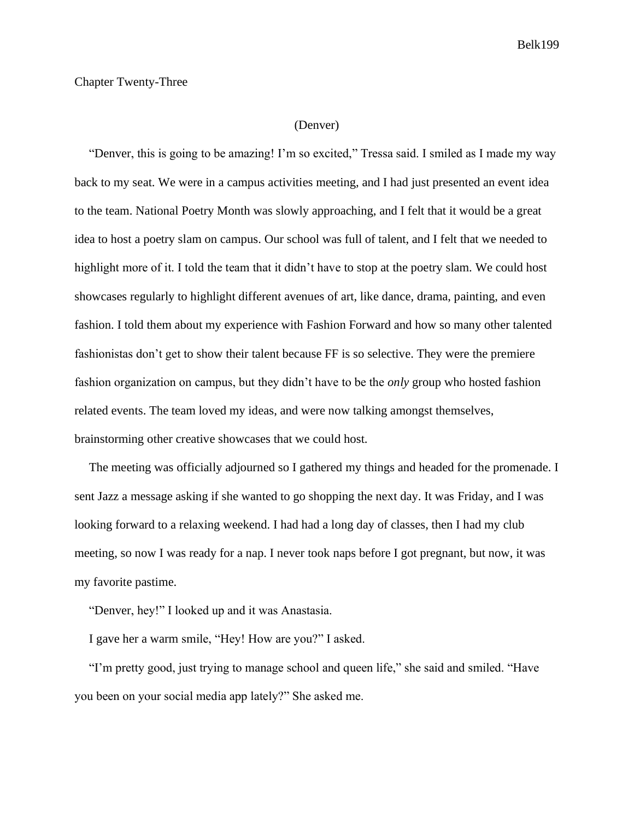#### Chapter Twenty-Three

#### (Denver)

"Denver, this is going to be amazing! I'm so excited," Tressa said. I smiled as I made my way back to my seat. We were in a campus activities meeting, and I had just presented an event idea to the team. National Poetry Month was slowly approaching, and I felt that it would be a great idea to host a poetry slam on campus. Our school was full of talent, and I felt that we needed to highlight more of it. I told the team that it didn't have to stop at the poetry slam. We could host showcases regularly to highlight different avenues of art, like dance, drama, painting, and even fashion. I told them about my experience with Fashion Forward and how so many other talented fashionistas don't get to show their talent because FF is so selective. They were the premiere fashion organization on campus, but they didn't have to be the *only* group who hosted fashion related events. The team loved my ideas, and were now talking amongst themselves, brainstorming other creative showcases that we could host.

The meeting was officially adjourned so I gathered my things and headed for the promenade. I sent Jazz a message asking if she wanted to go shopping the next day. It was Friday, and I was looking forward to a relaxing weekend. I had had a long day of classes, then I had my club meeting, so now I was ready for a nap. I never took naps before I got pregnant, but now, it was my favorite pastime.

"Denver, hey!" I looked up and it was Anastasia.

I gave her a warm smile, "Hey! How are you?" I asked.

"I'm pretty good, just trying to manage school and queen life," she said and smiled. "Have you been on your social media app lately?" She asked me.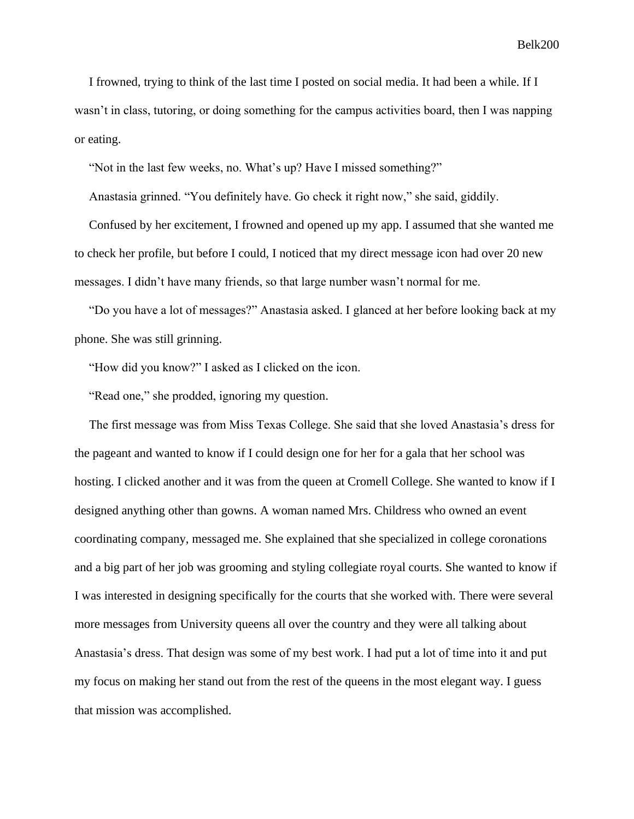I frowned, trying to think of the last time I posted on social media. It had been a while. If I wasn't in class, tutoring, or doing something for the campus activities board, then I was napping or eating.

"Not in the last few weeks, no. What's up? Have I missed something?"

Anastasia grinned. "You definitely have. Go check it right now," she said, giddily.

Confused by her excitement, I frowned and opened up my app. I assumed that she wanted me to check her profile, but before I could, I noticed that my direct message icon had over 20 new messages. I didn't have many friends, so that large number wasn't normal for me.

"Do you have a lot of messages?" Anastasia asked. I glanced at her before looking back at my phone. She was still grinning.

"How did you know?" I asked as I clicked on the icon.

"Read one," she prodded, ignoring my question.

The first message was from Miss Texas College. She said that she loved Anastasia's dress for the pageant and wanted to know if I could design one for her for a gala that her school was hosting. I clicked another and it was from the queen at Cromell College. She wanted to know if I designed anything other than gowns. A woman named Mrs. Childress who owned an event coordinating company, messaged me. She explained that she specialized in college coronations and a big part of her job was grooming and styling collegiate royal courts. She wanted to know if I was interested in designing specifically for the courts that she worked with. There were several more messages from University queens all over the country and they were all talking about Anastasia's dress. That design was some of my best work. I had put a lot of time into it and put my focus on making her stand out from the rest of the queens in the most elegant way. I guess that mission was accomplished.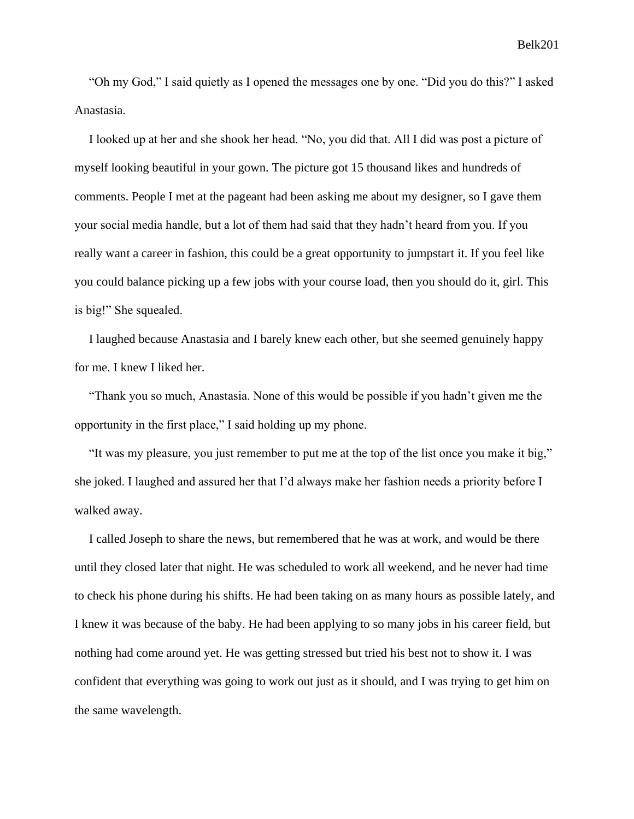"Oh my God," I said quietly as I opened the messages one by one. "Did you do this?" I asked Anastasia.

I looked up at her and she shook her head. "No, you did that. All I did was post a picture of myself looking beautiful in your gown. The picture got 15 thousand likes and hundreds of comments. People I met at the pageant had been asking me about my designer, so I gave them your social media handle, but a lot of them had said that they hadn't heard from you. If you really want a career in fashion, this could be a great opportunity to jumpstart it. If you feel like you could balance picking up a few jobs with your course load, then you should do it, girl. This is big!" She squealed.

I laughed because Anastasia and I barely knew each other, but she seemed genuinely happy for me. I knew I liked her.

"Thank you so much, Anastasia. None of this would be possible if you hadn't given me the opportunity in the first place," I said holding up my phone.

"It was my pleasure, you just remember to put me at the top of the list once you make it big," she joked. I laughed and assured her that I'd always make her fashion needs a priority before I walked away.

I called Joseph to share the news, but remembered that he was at work, and would be there until they closed later that night. He was scheduled to work all weekend, and he never had time to check his phone during his shifts. He had been taking on as many hours as possible lately, and I knew it was because of the baby. He had been applying to so many jobs in his career field, but nothing had come around yet. He was getting stressed but tried his best not to show it. I was confident that everything was going to work out just as it should, and I was trying to get him on the same wavelength.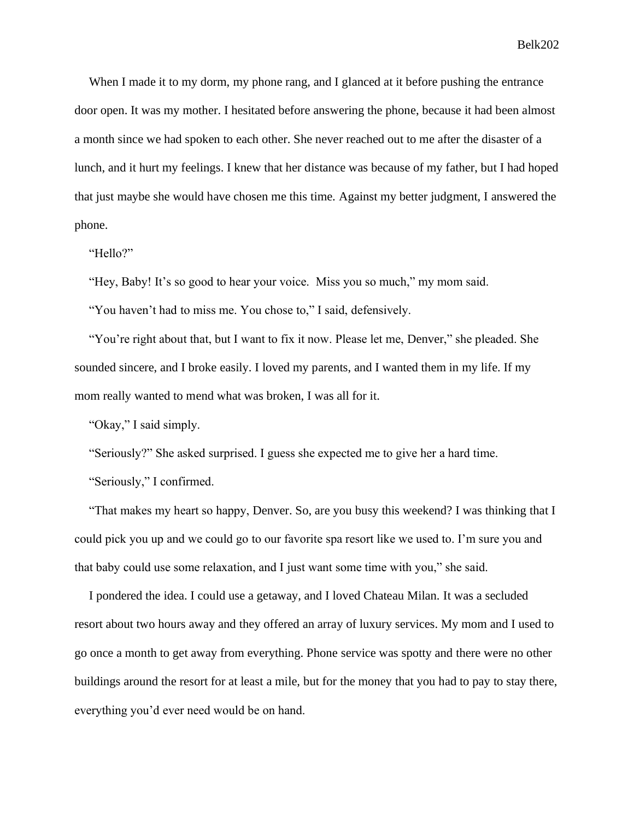When I made it to my dorm, my phone rang, and I glanced at it before pushing the entrance door open. It was my mother. I hesitated before answering the phone, because it had been almost a month since we had spoken to each other. She never reached out to me after the disaster of a lunch, and it hurt my feelings. I knew that her distance was because of my father, but I had hoped that just maybe she would have chosen me this time. Against my better judgment, I answered the phone.

"Hello?"

"Hey, Baby! It's so good to hear your voice. Miss you so much," my mom said.

"You haven't had to miss me. You chose to," I said, defensively.

"You're right about that, but I want to fix it now. Please let me, Denver," she pleaded. She sounded sincere, and I broke easily. I loved my parents, and I wanted them in my life. If my mom really wanted to mend what was broken, I was all for it.

"Okay," I said simply.

"Seriously?" She asked surprised. I guess she expected me to give her a hard time.

"Seriously," I confirmed.

"That makes my heart so happy, Denver. So, are you busy this weekend? I was thinking that I could pick you up and we could go to our favorite spa resort like we used to. I'm sure you and that baby could use some relaxation, and I just want some time with you," she said.

I pondered the idea. I could use a getaway, and I loved Chateau Milan. It was a secluded resort about two hours away and they offered an array of luxury services. My mom and I used to go once a month to get away from everything. Phone service was spotty and there were no other buildings around the resort for at least a mile, but for the money that you had to pay to stay there, everything you'd ever need would be on hand.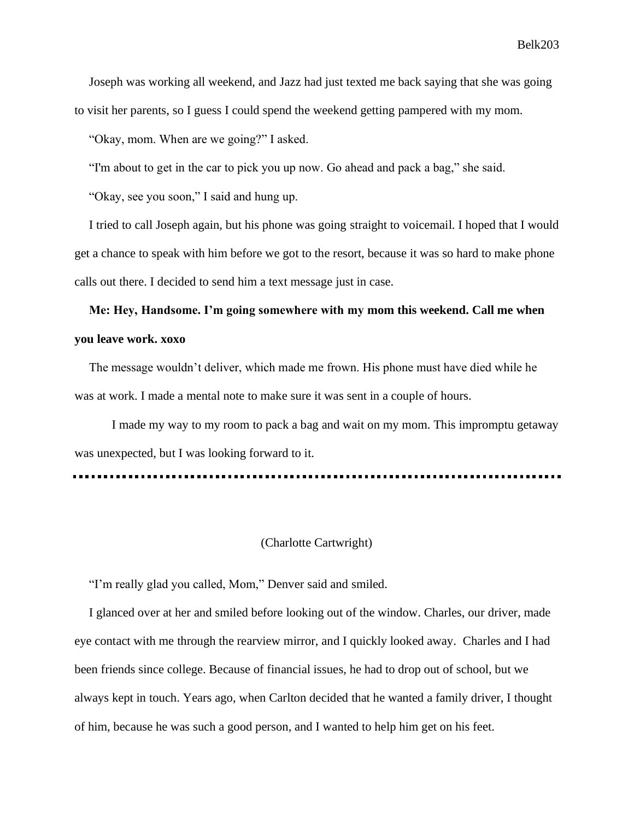Joseph was working all weekend, and Jazz had just texted me back saying that she was going to visit her parents, so I guess I could spend the weekend getting pampered with my mom.

"Okay, mom. When are we going?" I asked.

"I'm about to get in the car to pick you up now. Go ahead and pack a bag," she said.

"Okay, see you soon," I said and hung up.

I tried to call Joseph again, but his phone was going straight to voicemail. I hoped that I would get a chance to speak with him before we got to the resort, because it was so hard to make phone calls out there. I decided to send him a text message just in case.

# **Me: Hey, Handsome. I'm going somewhere with my mom this weekend. Call me when you leave work. xoxo**

The message wouldn't deliver, which made me frown. His phone must have died while he was at work. I made a mental note to make sure it was sent in a couple of hours.

I made my way to my room to pack a bag and wait on my mom. This impromptu getaway was unexpected, but I was looking forward to it.

#### (Charlotte Cartwright)

"I'm really glad you called, Mom," Denver said and smiled.

I glanced over at her and smiled before looking out of the window. Charles, our driver, made eye contact with me through the rearview mirror, and I quickly looked away. Charles and I had been friends since college. Because of financial issues, he had to drop out of school, but we always kept in touch. Years ago, when Carlton decided that he wanted a family driver, I thought of him, because he was such a good person, and I wanted to help him get on his feet.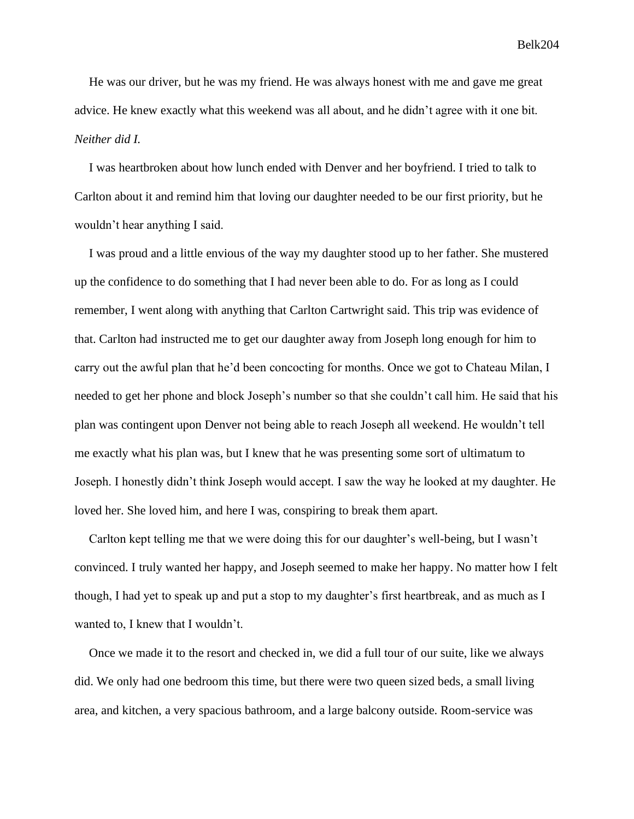He was our driver, but he was my friend. He was always honest with me and gave me great advice. He knew exactly what this weekend was all about, and he didn't agree with it one bit. *Neither did I.*

I was heartbroken about how lunch ended with Denver and her boyfriend. I tried to talk to Carlton about it and remind him that loving our daughter needed to be our first priority, but he wouldn't hear anything I said.

I was proud and a little envious of the way my daughter stood up to her father. She mustered up the confidence to do something that I had never been able to do. For as long as I could remember, I went along with anything that Carlton Cartwright said. This trip was evidence of that. Carlton had instructed me to get our daughter away from Joseph long enough for him to carry out the awful plan that he'd been concocting for months. Once we got to Chateau Milan, I needed to get her phone and block Joseph's number so that she couldn't call him. He said that his plan was contingent upon Denver not being able to reach Joseph all weekend. He wouldn't tell me exactly what his plan was, but I knew that he was presenting some sort of ultimatum to Joseph. I honestly didn't think Joseph would accept. I saw the way he looked at my daughter. He loved her. She loved him, and here I was, conspiring to break them apart.

Carlton kept telling me that we were doing this for our daughter's well-being, but I wasn't convinced. I truly wanted her happy, and Joseph seemed to make her happy. No matter how I felt though, I had yet to speak up and put a stop to my daughter's first heartbreak, and as much as I wanted to, I knew that I wouldn't.

Once we made it to the resort and checked in, we did a full tour of our suite, like we always did. We only had one bedroom this time, but there were two queen sized beds, a small living area, and kitchen, a very spacious bathroom, and a large balcony outside. Room-service was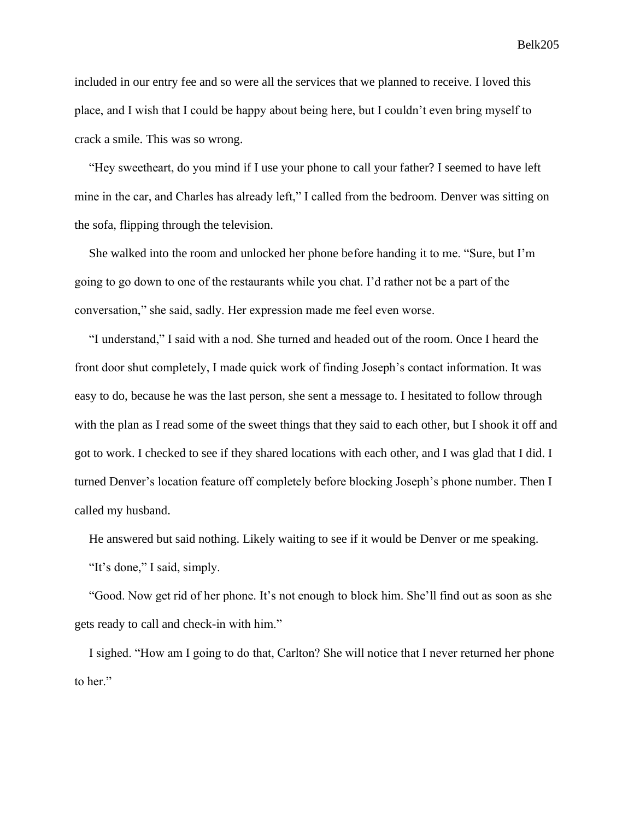included in our entry fee and so were all the services that we planned to receive. I loved this place, and I wish that I could be happy about being here, but I couldn't even bring myself to crack a smile. This was so wrong.

"Hey sweetheart, do you mind if I use your phone to call your father? I seemed to have left mine in the car, and Charles has already left," I called from the bedroom. Denver was sitting on the sofa, flipping through the television.

She walked into the room and unlocked her phone before handing it to me. "Sure, but I'm going to go down to one of the restaurants while you chat. I'd rather not be a part of the conversation," she said, sadly. Her expression made me feel even worse.

"I understand," I said with a nod. She turned and headed out of the room. Once I heard the front door shut completely, I made quick work of finding Joseph's contact information. It was easy to do, because he was the last person, she sent a message to. I hesitated to follow through with the plan as I read some of the sweet things that they said to each other, but I shook it off and got to work. I checked to see if they shared locations with each other, and I was glad that I did. I turned Denver's location feature off completely before blocking Joseph's phone number. Then I called my husband.

He answered but said nothing. Likely waiting to see if it would be Denver or me speaking.

"It's done," I said, simply.

"Good. Now get rid of her phone. It's not enough to block him. She'll find out as soon as she gets ready to call and check-in with him."

I sighed. "How am I going to do that, Carlton? She will notice that I never returned her phone to her."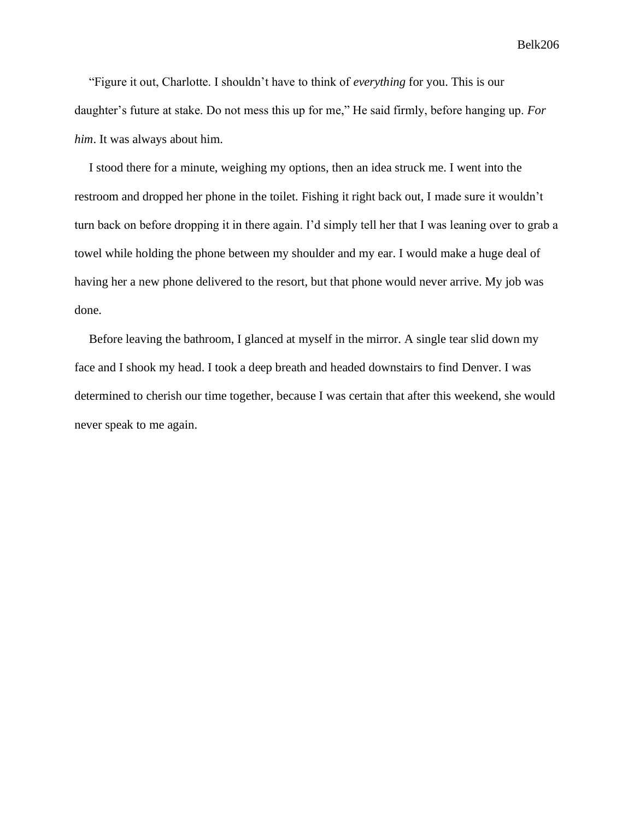"Figure it out, Charlotte. I shouldn't have to think of *everything* for you. This is our daughter's future at stake. Do not mess this up for me," He said firmly, before hanging up. *For him*. It was always about him.

I stood there for a minute, weighing my options, then an idea struck me. I went into the restroom and dropped her phone in the toilet. Fishing it right back out, I made sure it wouldn't turn back on before dropping it in there again. I'd simply tell her that I was leaning over to grab a towel while holding the phone between my shoulder and my ear. I would make a huge deal of having her a new phone delivered to the resort, but that phone would never arrive. My job was done.

Before leaving the bathroom, I glanced at myself in the mirror. A single tear slid down my face and I shook my head. I took a deep breath and headed downstairs to find Denver. I was determined to cherish our time together, because I was certain that after this weekend, she would never speak to me again.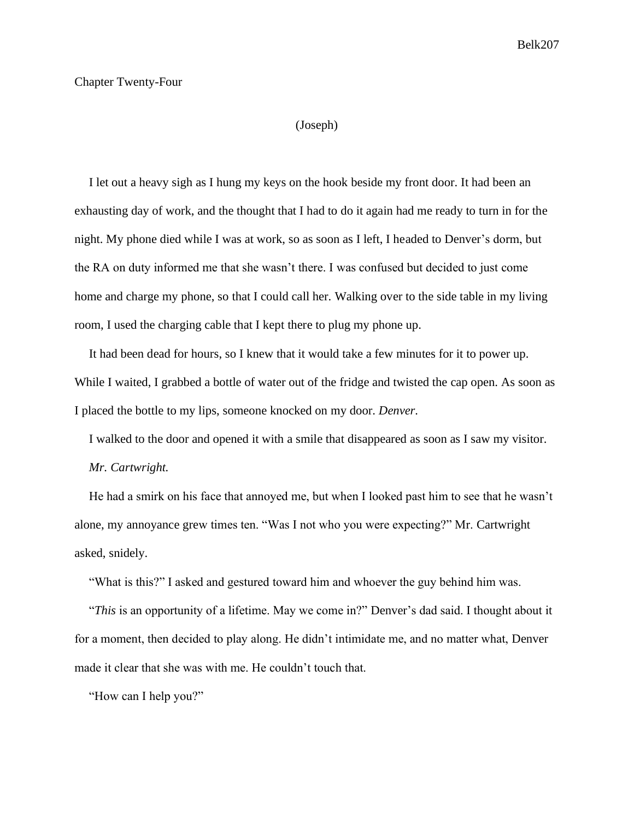#### Chapter Twenty-Four

## (Joseph)

I let out a heavy sigh as I hung my keys on the hook beside my front door. It had been an exhausting day of work, and the thought that I had to do it again had me ready to turn in for the night. My phone died while I was at work, so as soon as I left, I headed to Denver's dorm, but the RA on duty informed me that she wasn't there. I was confused but decided to just come home and charge my phone, so that I could call her. Walking over to the side table in my living room, I used the charging cable that I kept there to plug my phone up.

It had been dead for hours, so I knew that it would take a few minutes for it to power up. While I waited, I grabbed a bottle of water out of the fridge and twisted the cap open. As soon as I placed the bottle to my lips, someone knocked on my door. *Denver.*

I walked to the door and opened it with a smile that disappeared as soon as I saw my visitor.

*Mr. Cartwright.*

He had a smirk on his face that annoyed me, but when I looked past him to see that he wasn't alone, my annoyance grew times ten. "Was I not who you were expecting?" Mr. Cartwright asked, snidely.

"What is this?" I asked and gestured toward him and whoever the guy behind him was.

"*This* is an opportunity of a lifetime. May we come in?" Denver's dad said. I thought about it for a moment, then decided to play along. He didn't intimidate me, and no matter what, Denver made it clear that she was with me. He couldn't touch that.

"How can I help you?"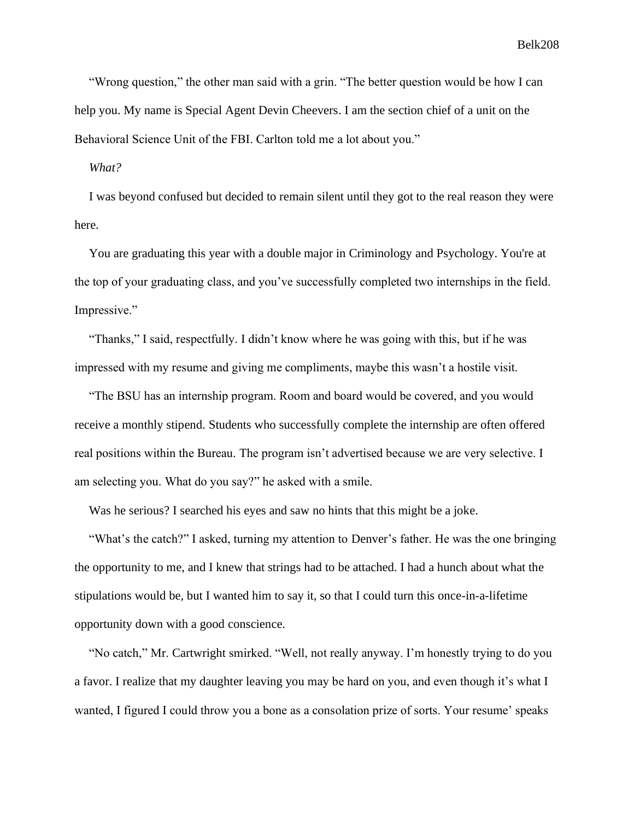"Wrong question," the other man said with a grin. "The better question would be how I can help you. My name is Special Agent Devin Cheevers. I am the section chief of a unit on the Behavioral Science Unit of the FBI. Carlton told me a lot about you."

*What?*

I was beyond confused but decided to remain silent until they got to the real reason they were here.

You are graduating this year with a double major in Criminology and Psychology. You're at the top of your graduating class, and you've successfully completed two internships in the field. Impressive."

"Thanks," I said, respectfully. I didn't know where he was going with this, but if he was impressed with my resume and giving me compliments, maybe this wasn't a hostile visit.

"The BSU has an internship program. Room and board would be covered, and you would receive a monthly stipend. Students who successfully complete the internship are often offered real positions within the Bureau. The program isn't advertised because we are very selective. I am selecting you. What do you say?" he asked with a smile.

Was he serious? I searched his eyes and saw no hints that this might be a joke.

"What's the catch?" I asked, turning my attention to Denver's father. He was the one bringing the opportunity to me, and I knew that strings had to be attached. I had a hunch about what the stipulations would be, but I wanted him to say it, so that I could turn this once-in-a-lifetime opportunity down with a good conscience.

"No catch," Mr. Cartwright smirked. "Well, not really anyway. I'm honestly trying to do you a favor. I realize that my daughter leaving you may be hard on you, and even though it's what I wanted, I figured I could throw you a bone as a consolation prize of sorts. Your resume' speaks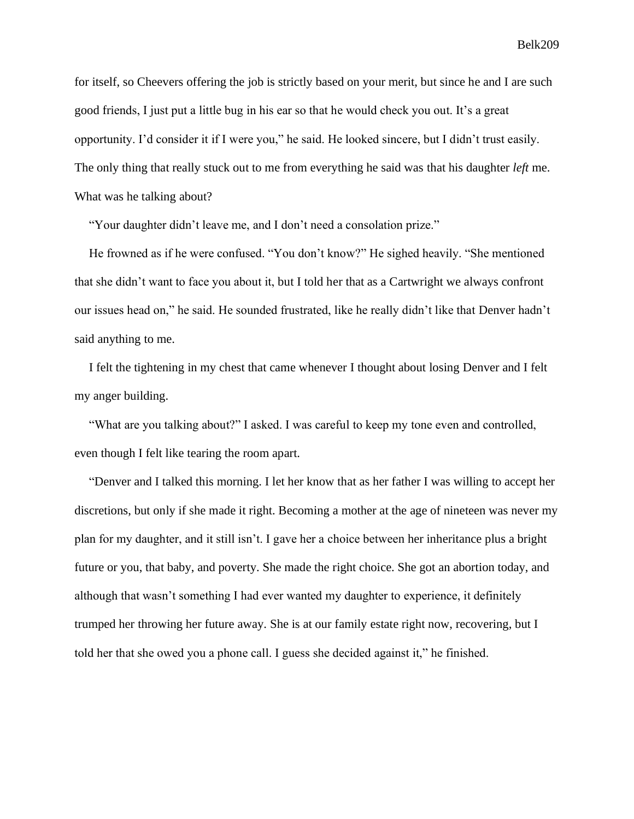for itself, so Cheevers offering the job is strictly based on your merit, but since he and I are such good friends, I just put a little bug in his ear so that he would check you out. It's a great opportunity. I'd consider it if I were you," he said. He looked sincere, but I didn't trust easily. The only thing that really stuck out to me from everything he said was that his daughter *left* me. What was he talking about?

"Your daughter didn't leave me, and I don't need a consolation prize."

He frowned as if he were confused. "You don't know?" He sighed heavily. "She mentioned that she didn't want to face you about it, but I told her that as a Cartwright we always confront our issues head on," he said. He sounded frustrated, like he really didn't like that Denver hadn't said anything to me.

I felt the tightening in my chest that came whenever I thought about losing Denver and I felt my anger building.

"What are you talking about?" I asked. I was careful to keep my tone even and controlled, even though I felt like tearing the room apart.

"Denver and I talked this morning. I let her know that as her father I was willing to accept her discretions, but only if she made it right. Becoming a mother at the age of nineteen was never my plan for my daughter, and it still isn't. I gave her a choice between her inheritance plus a bright future or you, that baby, and poverty. She made the right choice. She got an abortion today, and although that wasn't something I had ever wanted my daughter to experience, it definitely trumped her throwing her future away. She is at our family estate right now, recovering, but I told her that she owed you a phone call. I guess she decided against it," he finished.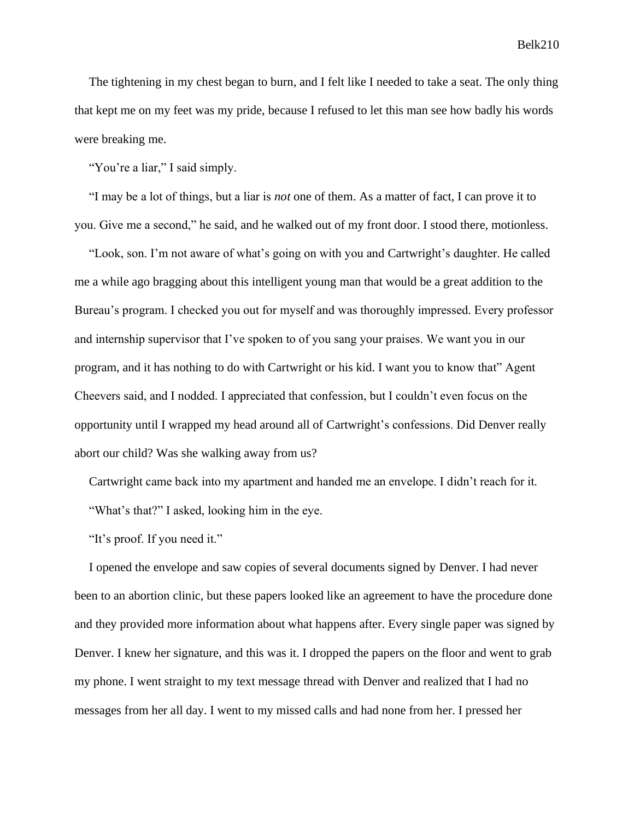The tightening in my chest began to burn, and I felt like I needed to take a seat. The only thing that kept me on my feet was my pride, because I refused to let this man see how badly his words were breaking me.

"You're a liar," I said simply.

"I may be a lot of things, but a liar is *not* one of them. As a matter of fact, I can prove it to you. Give me a second," he said, and he walked out of my front door. I stood there, motionless.

"Look, son. I'm not aware of what's going on with you and Cartwright's daughter. He called me a while ago bragging about this intelligent young man that would be a great addition to the Bureau's program. I checked you out for myself and was thoroughly impressed. Every professor and internship supervisor that I've spoken to of you sang your praises. We want you in our program, and it has nothing to do with Cartwright or his kid. I want you to know that" Agent Cheevers said, and I nodded. I appreciated that confession, but I couldn't even focus on the opportunity until I wrapped my head around all of Cartwright's confessions. Did Denver really abort our child? Was she walking away from us?

Cartwright came back into my apartment and handed me an envelope. I didn't reach for it. "What's that?" I asked, looking him in the eye.

"It's proof. If you need it."

I opened the envelope and saw copies of several documents signed by Denver. I had never been to an abortion clinic, but these papers looked like an agreement to have the procedure done and they provided more information about what happens after. Every single paper was signed by Denver. I knew her signature, and this was it. I dropped the papers on the floor and went to grab my phone. I went straight to my text message thread with Denver and realized that I had no messages from her all day. I went to my missed calls and had none from her. I pressed her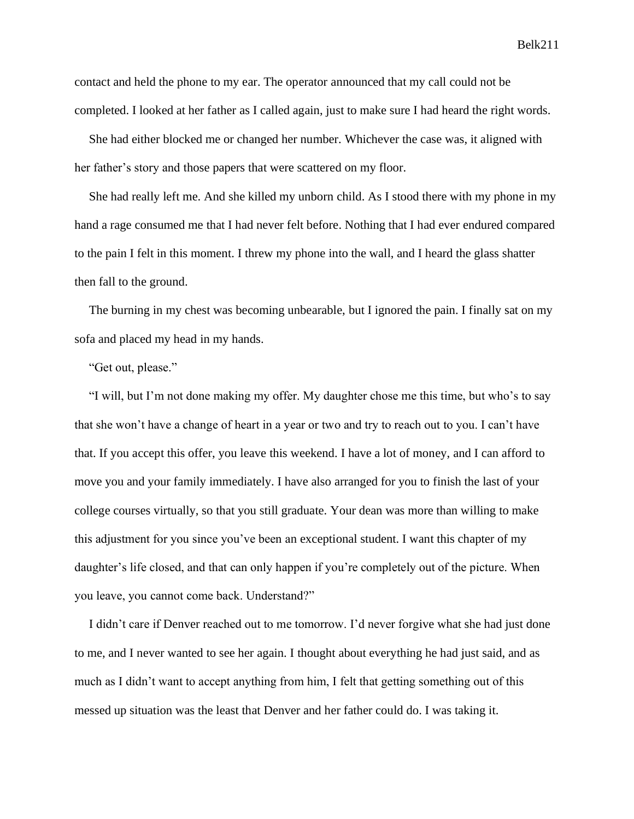contact and held the phone to my ear. The operator announced that my call could not be completed. I looked at her father as I called again, just to make sure I had heard the right words.

She had either blocked me or changed her number. Whichever the case was, it aligned with her father's story and those papers that were scattered on my floor.

She had really left me. And she killed my unborn child. As I stood there with my phone in my hand a rage consumed me that I had never felt before. Nothing that I had ever endured compared to the pain I felt in this moment. I threw my phone into the wall, and I heard the glass shatter then fall to the ground.

The burning in my chest was becoming unbearable, but I ignored the pain. I finally sat on my sofa and placed my head in my hands.

"Get out, please."

"I will, but I'm not done making my offer. My daughter chose me this time, but who's to say that she won't have a change of heart in a year or two and try to reach out to you. I can't have that. If you accept this offer, you leave this weekend. I have a lot of money, and I can afford to move you and your family immediately. I have also arranged for you to finish the last of your college courses virtually, so that you still graduate. Your dean was more than willing to make this adjustment for you since you've been an exceptional student. I want this chapter of my daughter's life closed, and that can only happen if you're completely out of the picture. When you leave, you cannot come back. Understand?"

I didn't care if Denver reached out to me tomorrow. I'd never forgive what she had just done to me, and I never wanted to see her again. I thought about everything he had just said, and as much as I didn't want to accept anything from him, I felt that getting something out of this messed up situation was the least that Denver and her father could do. I was taking it.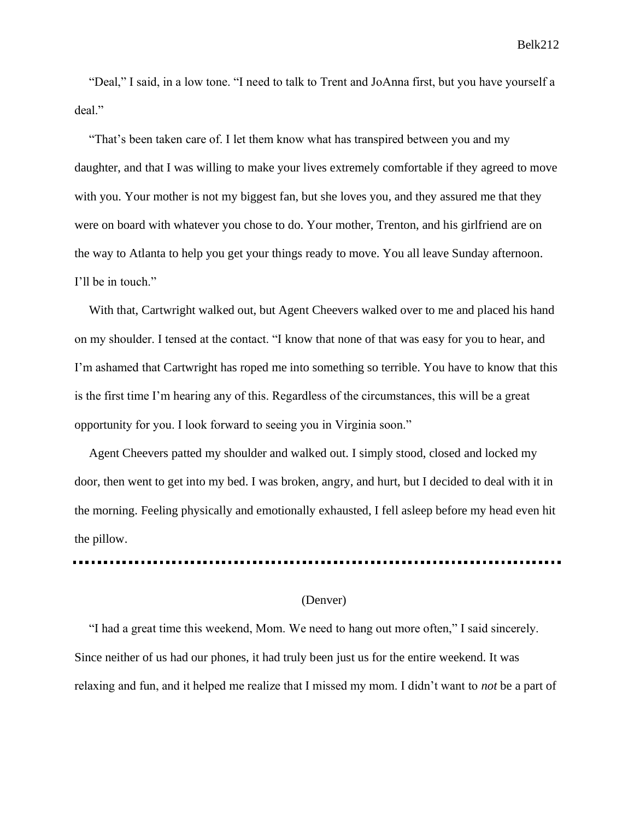"Deal," I said, in a low tone. "I need to talk to Trent and JoAnna first, but you have yourself a deal."

"That's been taken care of. I let them know what has transpired between you and my daughter, and that I was willing to make your lives extremely comfortable if they agreed to move with you. Your mother is not my biggest fan, but she loves you, and they assured me that they were on board with whatever you chose to do. Your mother, Trenton, and his girlfriend are on the way to Atlanta to help you get your things ready to move. You all leave Sunday afternoon. I'll be in touch."

With that, Cartwright walked out, but Agent Cheevers walked over to me and placed his hand on my shoulder. I tensed at the contact. "I know that none of that was easy for you to hear, and I'm ashamed that Cartwright has roped me into something so terrible. You have to know that this is the first time I'm hearing any of this. Regardless of the circumstances, this will be a great opportunity for you. I look forward to seeing you in Virginia soon."

Agent Cheevers patted my shoulder and walked out. I simply stood, closed and locked my door, then went to get into my bed. I was broken, angry, and hurt, but I decided to deal with it in the morning. Feeling physically and emotionally exhausted, I fell asleep before my head even hit the pillow.

#### (Denver)

"I had a great time this weekend, Mom. We need to hang out more often," I said sincerely. Since neither of us had our phones, it had truly been just us for the entire weekend. It was relaxing and fun, and it helped me realize that I missed my mom. I didn't want to *not* be a part of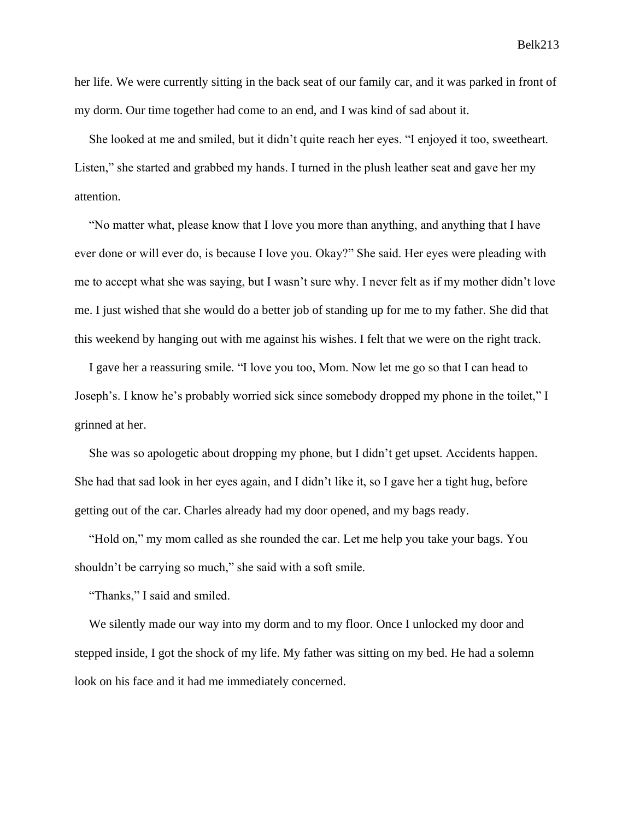her life. We were currently sitting in the back seat of our family car, and it was parked in front of my dorm. Our time together had come to an end, and I was kind of sad about it.

She looked at me and smiled, but it didn't quite reach her eyes. "I enjoyed it too, sweetheart. Listen," she started and grabbed my hands. I turned in the plush leather seat and gave her my attention.

"No matter what, please know that I love you more than anything, and anything that I have ever done or will ever do, is because I love you. Okay?" She said. Her eyes were pleading with me to accept what she was saying, but I wasn't sure why. I never felt as if my mother didn't love me. I just wished that she would do a better job of standing up for me to my father. She did that this weekend by hanging out with me against his wishes. I felt that we were on the right track.

I gave her a reassuring smile. "I love you too, Mom. Now let me go so that I can head to Joseph's. I know he's probably worried sick since somebody dropped my phone in the toilet," I grinned at her.

She was so apologetic about dropping my phone, but I didn't get upset. Accidents happen. She had that sad look in her eyes again, and I didn't like it, so I gave her a tight hug, before getting out of the car. Charles already had my door opened, and my bags ready.

"Hold on," my mom called as she rounded the car. Let me help you take your bags. You shouldn't be carrying so much," she said with a soft smile.

"Thanks," I said and smiled.

We silently made our way into my dorm and to my floor. Once I unlocked my door and stepped inside, I got the shock of my life. My father was sitting on my bed. He had a solemn look on his face and it had me immediately concerned.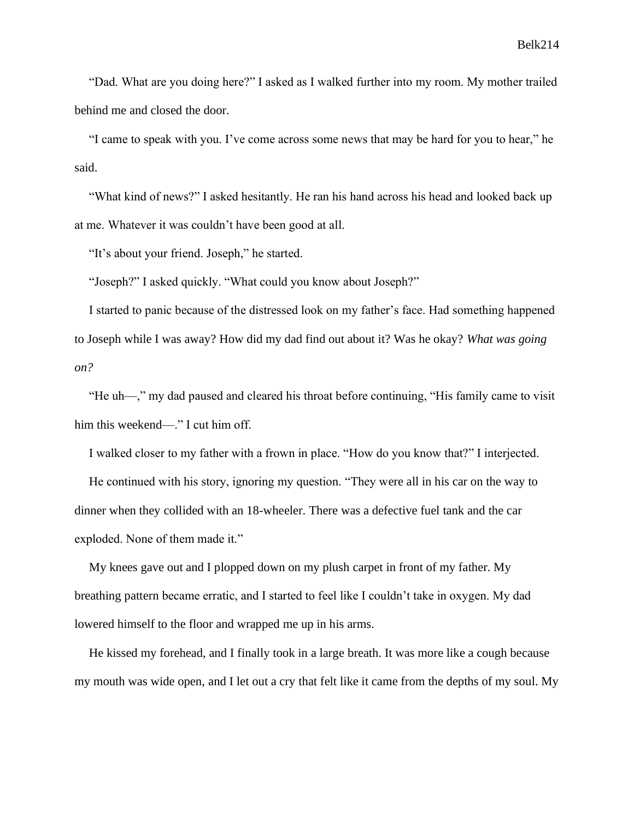"Dad. What are you doing here?" I asked as I walked further into my room. My mother trailed behind me and closed the door.

"I came to speak with you. I've come across some news that may be hard for you to hear," he said.

"What kind of news?" I asked hesitantly. He ran his hand across his head and looked back up at me. Whatever it was couldn't have been good at all.

"It's about your friend. Joseph," he started.

"Joseph?" I asked quickly. "What could you know about Joseph?"

I started to panic because of the distressed look on my father's face. Had something happened to Joseph while I was away? How did my dad find out about it? Was he okay? *What was going on?*

"He uh—," my dad paused and cleared his throat before continuing, "His family came to visit him this weekend—." I cut him off.

I walked closer to my father with a frown in place. "How do you know that?" I interjected.

He continued with his story, ignoring my question. "They were all in his car on the way to dinner when they collided with an 18-wheeler. There was a defective fuel tank and the car exploded. None of them made it."

My knees gave out and I plopped down on my plush carpet in front of my father. My breathing pattern became erratic, and I started to feel like I couldn't take in oxygen. My dad lowered himself to the floor and wrapped me up in his arms.

He kissed my forehead, and I finally took in a large breath. It was more like a cough because my mouth was wide open, and I let out a cry that felt like it came from the depths of my soul. My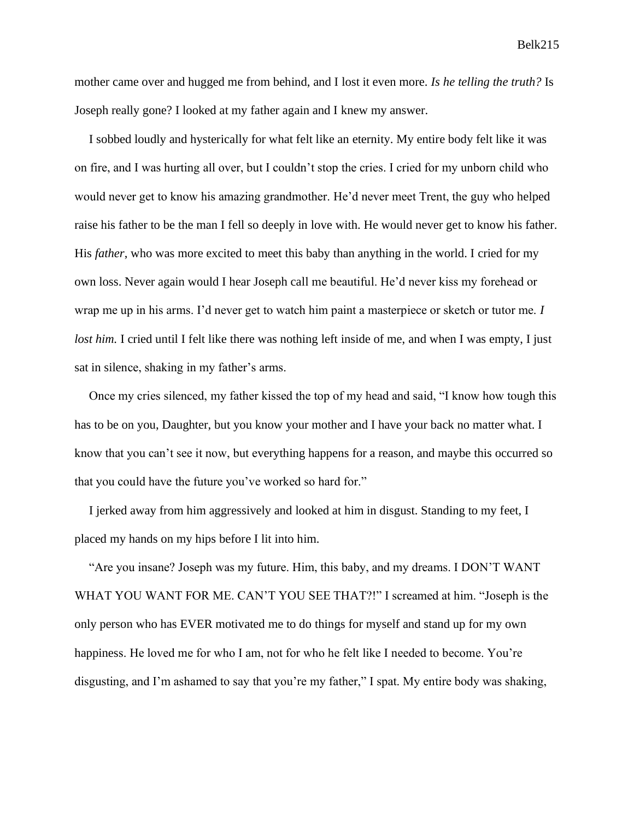mother came over and hugged me from behind, and I lost it even more. *Is he telling the truth?* Is Joseph really gone? I looked at my father again and I knew my answer.

I sobbed loudly and hysterically for what felt like an eternity. My entire body felt like it was on fire, and I was hurting all over, but I couldn't stop the cries. I cried for my unborn child who would never get to know his amazing grandmother. He'd never meet Trent, the guy who helped raise his father to be the man I fell so deeply in love with. He would never get to know his father. His *father*, who was more excited to meet this baby than anything in the world. I cried for my own loss. Never again would I hear Joseph call me beautiful. He'd never kiss my forehead or wrap me up in his arms. I'd never get to watch him paint a masterpiece or sketch or tutor me. *I lost him.* I cried until I felt like there was nothing left inside of me, and when I was empty, I just sat in silence, shaking in my father's arms.

Once my cries silenced, my father kissed the top of my head and said, "I know how tough this has to be on you, Daughter, but you know your mother and I have your back no matter what. I know that you can't see it now, but everything happens for a reason, and maybe this occurred so that you could have the future you've worked so hard for."

I jerked away from him aggressively and looked at him in disgust. Standing to my feet, I placed my hands on my hips before I lit into him.

"Are you insane? Joseph was my future. Him, this baby, and my dreams. I DON'T WANT WHAT YOU WANT FOR ME. CAN'T YOU SEE THAT?!" I screamed at him. "Joseph is the only person who has EVER motivated me to do things for myself and stand up for my own happiness. He loved me for who I am, not for who he felt like I needed to become. You're disgusting, and I'm ashamed to say that you're my father," I spat. My entire body was shaking,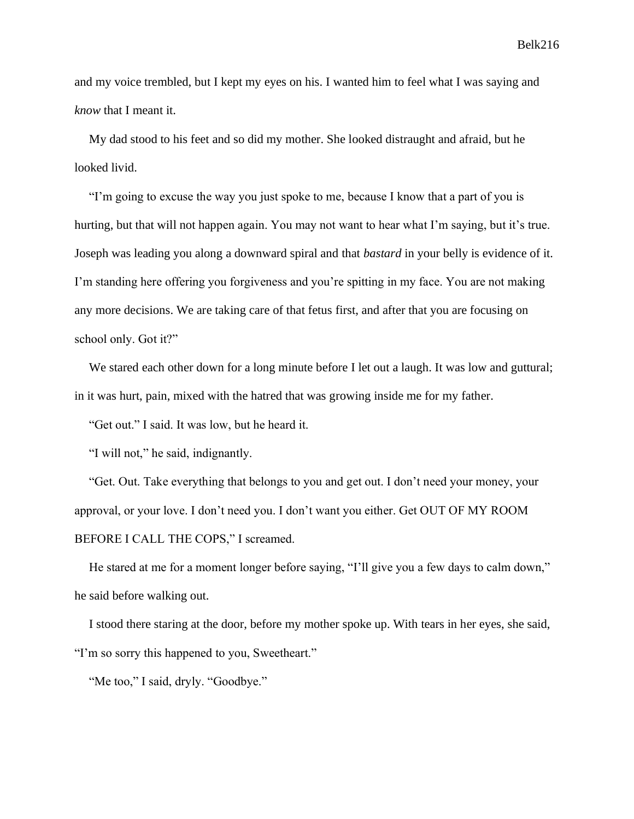and my voice trembled, but I kept my eyes on his. I wanted him to feel what I was saying and *know* that I meant it.

My dad stood to his feet and so did my mother. She looked distraught and afraid, but he looked livid.

"I'm going to excuse the way you just spoke to me, because I know that a part of you is hurting, but that will not happen again. You may not want to hear what I'm saying, but it's true. Joseph was leading you along a downward spiral and that *bastard* in your belly is evidence of it. I'm standing here offering you forgiveness and you're spitting in my face. You are not making any more decisions. We are taking care of that fetus first, and after that you are focusing on school only. Got it?"

We stared each other down for a long minute before I let out a laugh. It was low and guttural; in it was hurt, pain, mixed with the hatred that was growing inside me for my father.

"Get out." I said. It was low, but he heard it.

"I will not," he said, indignantly.

"Get. Out. Take everything that belongs to you and get out. I don't need your money, your approval, or your love. I don't need you. I don't want you either. Get OUT OF MY ROOM BEFORE I CALL THE COPS," I screamed.

He stared at me for a moment longer before saying, "I'll give you a few days to calm down," he said before walking out.

I stood there staring at the door, before my mother spoke up. With tears in her eyes, she said, "I'm so sorry this happened to you, Sweetheart."

"Me too," I said, dryly. "Goodbye."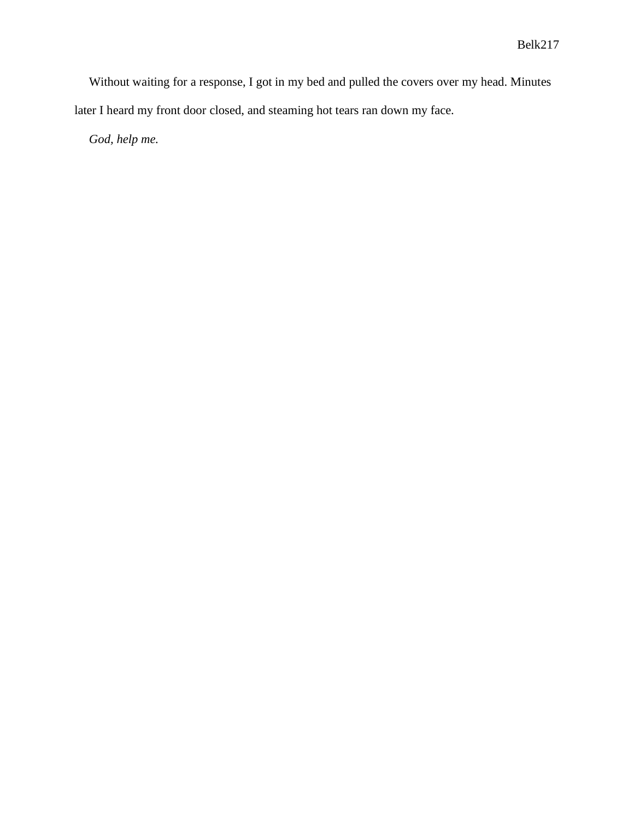Without waiting for a response, I got in my bed and pulled the covers over my head. Minutes later I heard my front door closed, and steaming hot tears ran down my face.

*God, help me.*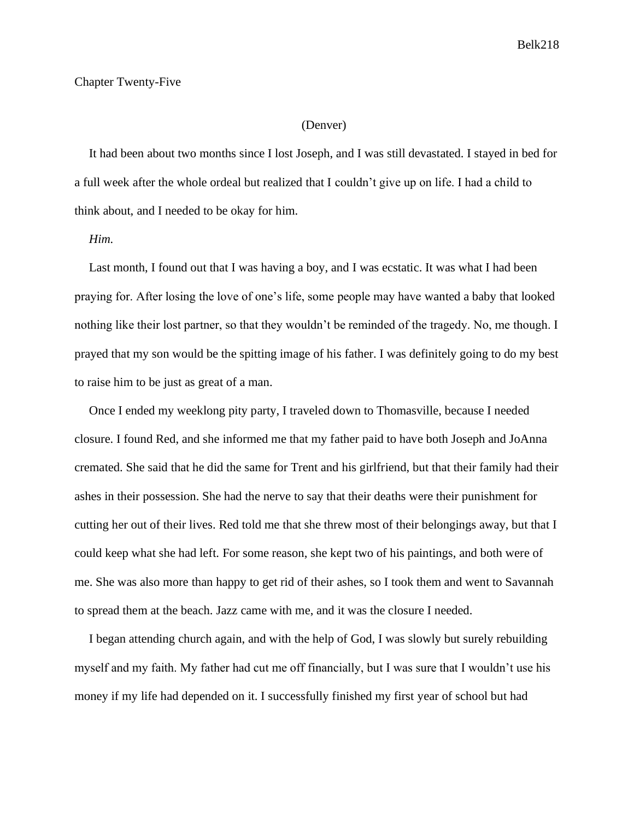### Chapter Twenty-Five

# (Denver)

It had been about two months since I lost Joseph, and I was still devastated. I stayed in bed for a full week after the whole ordeal but realized that I couldn't give up on life. I had a child to think about, and I needed to be okay for him.

## *Him.*

Last month, I found out that I was having a boy, and I was ecstatic. It was what I had been praying for. After losing the love of one's life, some people may have wanted a baby that looked nothing like their lost partner, so that they wouldn't be reminded of the tragedy. No, me though. I prayed that my son would be the spitting image of his father. I was definitely going to do my best to raise him to be just as great of a man.

Once I ended my weeklong pity party, I traveled down to Thomasville, because I needed closure. I found Red, and she informed me that my father paid to have both Joseph and JoAnna cremated. She said that he did the same for Trent and his girlfriend, but that their family had their ashes in their possession. She had the nerve to say that their deaths were their punishment for cutting her out of their lives. Red told me that she threw most of their belongings away, but that I could keep what she had left. For some reason, she kept two of his paintings, and both were of me. She was also more than happy to get rid of their ashes, so I took them and went to Savannah to spread them at the beach. Jazz came with me, and it was the closure I needed.

I began attending church again, and with the help of God, I was slowly but surely rebuilding myself and my faith. My father had cut me off financially, but I was sure that I wouldn't use his money if my life had depended on it. I successfully finished my first year of school but had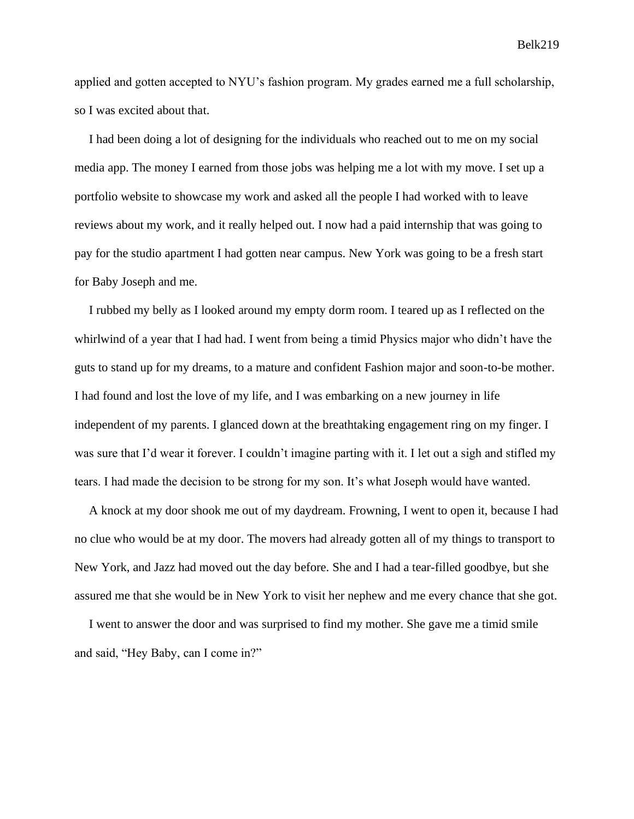Belk219

applied and gotten accepted to NYU's fashion program. My grades earned me a full scholarship, so I was excited about that.

I had been doing a lot of designing for the individuals who reached out to me on my social media app. The money I earned from those jobs was helping me a lot with my move. I set up a portfolio website to showcase my work and asked all the people I had worked with to leave reviews about my work, and it really helped out. I now had a paid internship that was going to pay for the studio apartment I had gotten near campus. New York was going to be a fresh start for Baby Joseph and me.

I rubbed my belly as I looked around my empty dorm room. I teared up as I reflected on the whirlwind of a year that I had had. I went from being a timid Physics major who didn't have the guts to stand up for my dreams, to a mature and confident Fashion major and soon-to-be mother. I had found and lost the love of my life, and I was embarking on a new journey in life independent of my parents. I glanced down at the breathtaking engagement ring on my finger. I was sure that I'd wear it forever. I couldn't imagine parting with it. I let out a sigh and stifled my tears. I had made the decision to be strong for my son. It's what Joseph would have wanted.

A knock at my door shook me out of my daydream. Frowning, I went to open it, because I had no clue who would be at my door. The movers had already gotten all of my things to transport to New York, and Jazz had moved out the day before. She and I had a tear-filled goodbye, but she assured me that she would be in New York to visit her nephew and me every chance that she got.

I went to answer the door and was surprised to find my mother. She gave me a timid smile and said, "Hey Baby, can I come in?"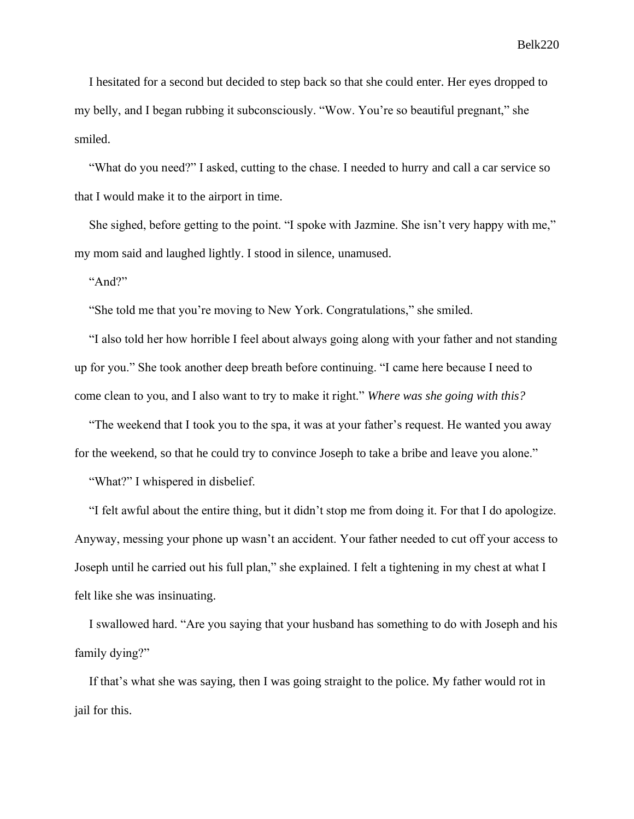I hesitated for a second but decided to step back so that she could enter. Her eyes dropped to my belly, and I began rubbing it subconsciously. "Wow. You're so beautiful pregnant," she smiled.

"What do you need?" I asked, cutting to the chase. I needed to hurry and call a car service so that I would make it to the airport in time.

She sighed, before getting to the point. "I spoke with Jazmine. She isn't very happy with me," my mom said and laughed lightly. I stood in silence, unamused.

"And?"

"She told me that you're moving to New York. Congratulations," she smiled.

"I also told her how horrible I feel about always going along with your father and not standing up for you." She took another deep breath before continuing. "I came here because I need to come clean to you, and I also want to try to make it right." *Where was she going with this?*

"The weekend that I took you to the spa, it was at your father's request. He wanted you away for the weekend, so that he could try to convince Joseph to take a bribe and leave you alone."

"What?" I whispered in disbelief.

"I felt awful about the entire thing, but it didn't stop me from doing it. For that I do apologize. Anyway, messing your phone up wasn't an accident. Your father needed to cut off your access to Joseph until he carried out his full plan," she explained. I felt a tightening in my chest at what I felt like she was insinuating.

I swallowed hard. "Are you saying that your husband has something to do with Joseph and his family dying?"

If that's what she was saying, then I was going straight to the police. My father would rot in jail for this.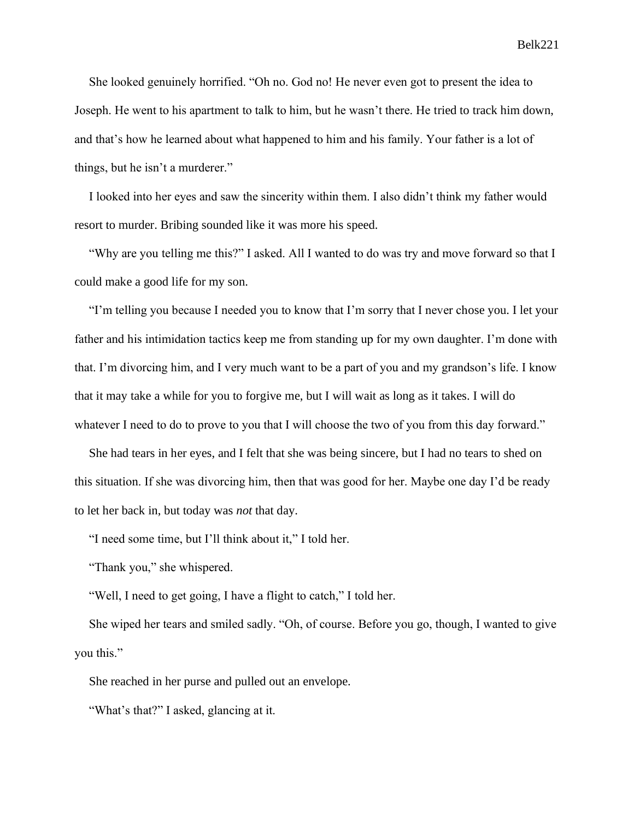She looked genuinely horrified. "Oh no. God no! He never even got to present the idea to Joseph. He went to his apartment to talk to him, but he wasn't there. He tried to track him down, and that's how he learned about what happened to him and his family. Your father is a lot of things, but he isn't a murderer."

I looked into her eyes and saw the sincerity within them. I also didn't think my father would resort to murder. Bribing sounded like it was more his speed.

"Why are you telling me this?" I asked. All I wanted to do was try and move forward so that I could make a good life for my son.

"I'm telling you because I needed you to know that I'm sorry that I never chose you. I let your father and his intimidation tactics keep me from standing up for my own daughter. I'm done with that. I'm divorcing him, and I very much want to be a part of you and my grandson's life. I know that it may take a while for you to forgive me, but I will wait as long as it takes. I will do whatever I need to do to prove to you that I will choose the two of you from this day forward."

She had tears in her eyes, and I felt that she was being sincere, but I had no tears to shed on this situation. If she was divorcing him, then that was good for her. Maybe one day I'd be ready to let her back in, but today was *not* that day.

"I need some time, but I'll think about it," I told her.

"Thank you," she whispered.

"Well, I need to get going, I have a flight to catch," I told her.

She wiped her tears and smiled sadly. "Oh, of course. Before you go, though, I wanted to give you this."

She reached in her purse and pulled out an envelope.

"What's that?" I asked, glancing at it.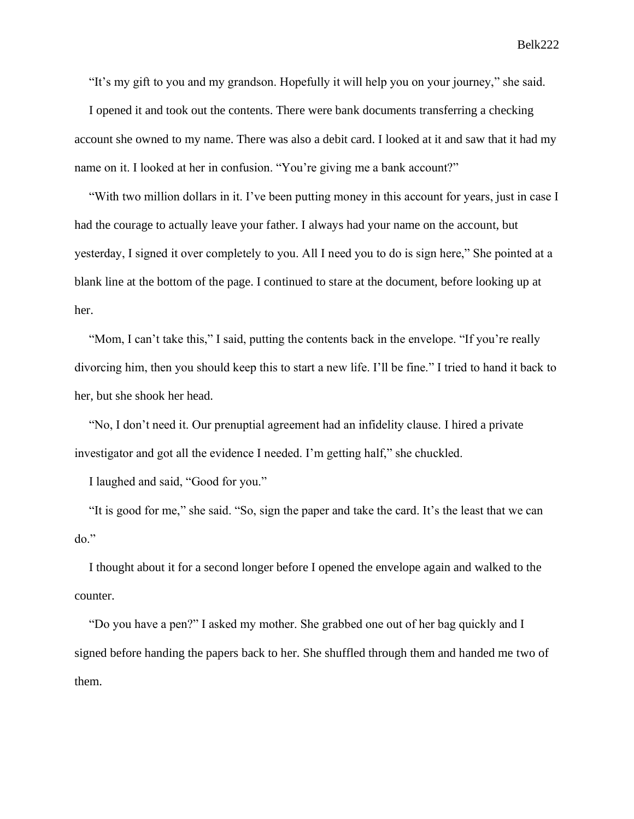"It's my gift to you and my grandson. Hopefully it will help you on your journey," she said.

I opened it and took out the contents. There were bank documents transferring a checking account she owned to my name. There was also a debit card. I looked at it and saw that it had my name on it. I looked at her in confusion. "You're giving me a bank account?"

"With two million dollars in it. I've been putting money in this account for years, just in case I had the courage to actually leave your father. I always had your name on the account, but yesterday, I signed it over completely to you. All I need you to do is sign here," She pointed at a blank line at the bottom of the page. I continued to stare at the document, before looking up at her.

"Mom, I can't take this," I said, putting the contents back in the envelope. "If you're really divorcing him, then you should keep this to start a new life. I'll be fine." I tried to hand it back to her, but she shook her head.

"No, I don't need it. Our prenuptial agreement had an infidelity clause. I hired a private investigator and got all the evidence I needed. I'm getting half," she chuckled.

I laughed and said, "Good for you."

"It is good for me," she said. "So, sign the paper and take the card. It's the least that we can do."

I thought about it for a second longer before I opened the envelope again and walked to the counter.

"Do you have a pen?" I asked my mother. She grabbed one out of her bag quickly and I signed before handing the papers back to her. She shuffled through them and handed me two of them.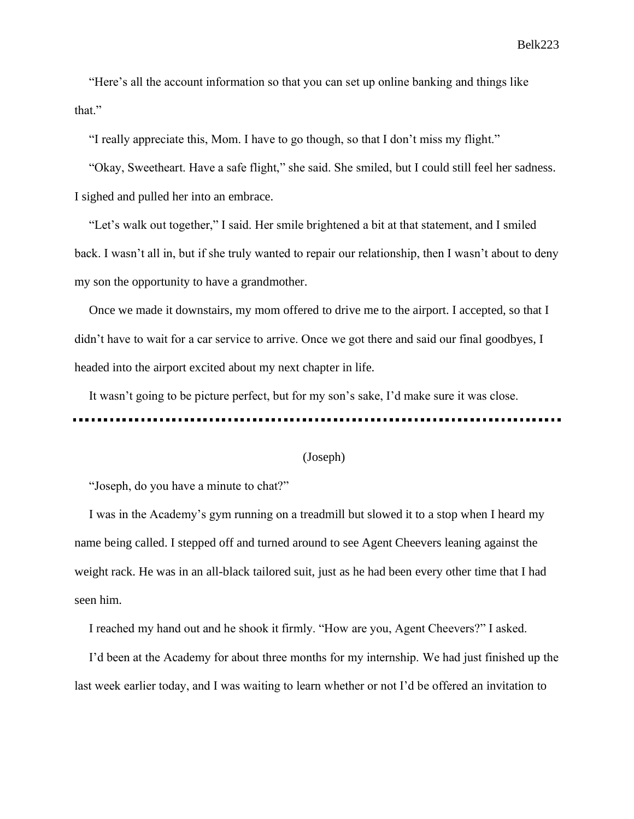"Here's all the account information so that you can set up online banking and things like that."

"I really appreciate this, Mom. I have to go though, so that I don't miss my flight."

"Okay, Sweetheart. Have a safe flight," she said. She smiled, but I could still feel her sadness. I sighed and pulled her into an embrace.

"Let's walk out together," I said. Her smile brightened a bit at that statement, and I smiled back. I wasn't all in, but if she truly wanted to repair our relationship, then I wasn't about to deny my son the opportunity to have a grandmother.

Once we made it downstairs, my mom offered to drive me to the airport. I accepted, so that I didn't have to wait for a car service to arrive. Once we got there and said our final goodbyes, I headed into the airport excited about my next chapter in life.

It wasn't going to be picture perfect, but for my son's sake, I'd make sure it was close.

## (Joseph)

"Joseph, do you have a minute to chat?"

I was in the Academy's gym running on a treadmill but slowed it to a stop when I heard my name being called. I stepped off and turned around to see Agent Cheevers leaning against the weight rack. He was in an all-black tailored suit, just as he had been every other time that I had seen him.

I reached my hand out and he shook it firmly. "How are you, Agent Cheevers?" I asked.

I'd been at the Academy for about three months for my internship. We had just finished up the last week earlier today, and I was waiting to learn whether or not I'd be offered an invitation to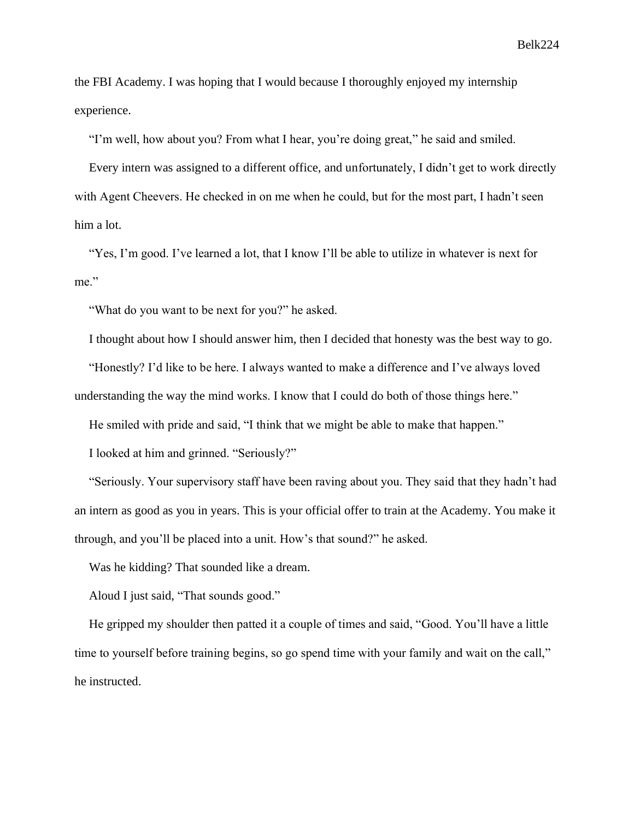Belk 224

the FBI Academy. I was hoping that I would because I thoroughly enjoyed my internship experience.

"I'm well, how about you? From what I hear, you're doing great," he said and smiled.

Every intern was assigned to a different office, and unfortunately, I didn't get to work directly with Agent Cheevers. He checked in on me when he could, but for the most part, I hadn't seen him a lot.

"Yes, I'm good. I've learned a lot, that I know I'll be able to utilize in whatever is next for me."

"What do you want to be next for you?" he asked.

I thought about how I should answer him, then I decided that honesty was the best way to go.

"Honestly? I'd like to be here. I always wanted to make a difference and I've always loved

understanding the way the mind works. I know that I could do both of those things here."

He smiled with pride and said, "I think that we might be able to make that happen."

I looked at him and grinned. "Seriously?"

"Seriously. Your supervisory staff have been raving about you. They said that they hadn't had an intern as good as you in years. This is your official offer to train at the Academy. You make it through, and you'll be placed into a unit. How's that sound?" he asked.

Was he kidding? That sounded like a dream.

Aloud I just said, "That sounds good."

He gripped my shoulder then patted it a couple of times and said, "Good. You'll have a little time to yourself before training begins, so go spend time with your family and wait on the call," he instructed.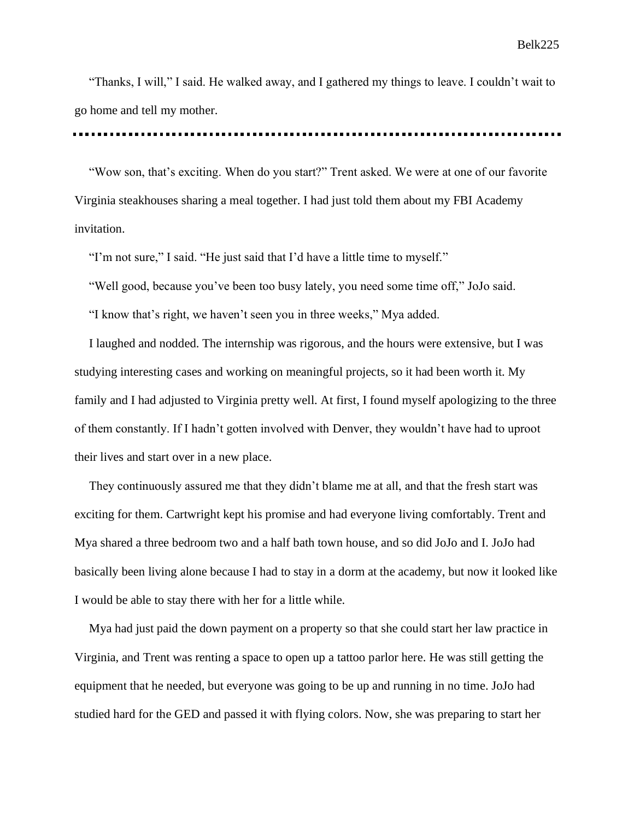"Thanks, I will," I said. He walked away, and I gathered my things to leave. I couldn't wait to go home and tell my mother.

"Wow son, that's exciting. When do you start?" Trent asked. We were at one of our favorite Virginia steakhouses sharing a meal together. I had just told them about my FBI Academy invitation.

"I'm not sure," I said. "He just said that I'd have a little time to myself."

"Well good, because you've been too busy lately, you need some time off," JoJo said.

"I know that's right, we haven't seen you in three weeks," Mya added.

I laughed and nodded. The internship was rigorous, and the hours were extensive, but I was studying interesting cases and working on meaningful projects, so it had been worth it. My family and I had adjusted to Virginia pretty well. At first, I found myself apologizing to the three of them constantly. If I hadn't gotten involved with Denver, they wouldn't have had to uproot their lives and start over in a new place.

They continuously assured me that they didn't blame me at all, and that the fresh start was exciting for them. Cartwright kept his promise and had everyone living comfortably. Trent and Mya shared a three bedroom two and a half bath town house, and so did JoJo and I. JoJo had basically been living alone because I had to stay in a dorm at the academy, but now it looked like I would be able to stay there with her for a little while.

Mya had just paid the down payment on a property so that she could start her law practice in Virginia, and Trent was renting a space to open up a tattoo parlor here. He was still getting the equipment that he needed, but everyone was going to be up and running in no time. JoJo had studied hard for the GED and passed it with flying colors. Now, she was preparing to start her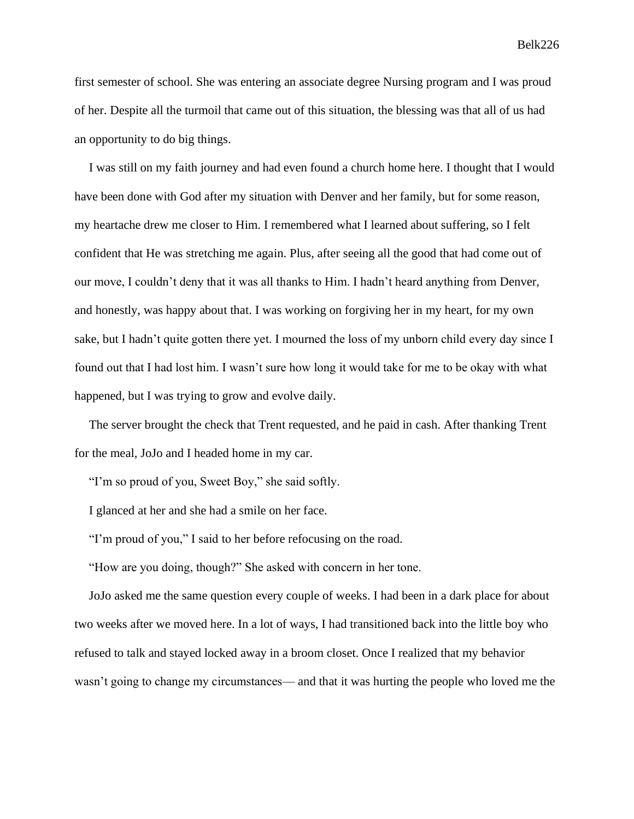first semester of school. She was entering an associate degree Nursing program and I was proud of her. Despite all the turmoil that came out of this situation, the blessing was that all of us had an opportunity to do big things.

I was still on my faith journey and had even found a church home here. I thought that I would have been done with God after my situation with Denver and her family, but for some reason, my heartache drew me closer to Him. I remembered what I learned about suffering, so I felt confident that He was stretching me again. Plus, after seeing all the good that had come out of our move, I couldn't deny that it was all thanks to Him. I hadn't heard anything from Denver, and honestly, was happy about that. I was working on forgiving her in my heart, for my own sake, but I hadn't quite gotten there yet. I mourned the loss of my unborn child every day since I found out that I had lost him. I wasn't sure how long it would take for me to be okay with what happened, but I was trying to grow and evolve daily.

The server brought the check that Trent requested, and he paid in cash. After thanking Trent for the meal, JoJo and I headed home in my car.

"I'm so proud of you, Sweet Boy," she said softly.

I glanced at her and she had a smile on her face.

"I'm proud of you," I said to her before refocusing on the road.

"How are you doing, though?" She asked with concern in her tone.

JoJo asked me the same question every couple of weeks. I had been in a dark place for about two weeks after we moved here. In a lot of ways, I had transitioned back into the little boy who refused to talk and stayed locked away in a broom closet. Once I realized that my behavior wasn't going to change my circumstances— and that it was hurting the people who loved me the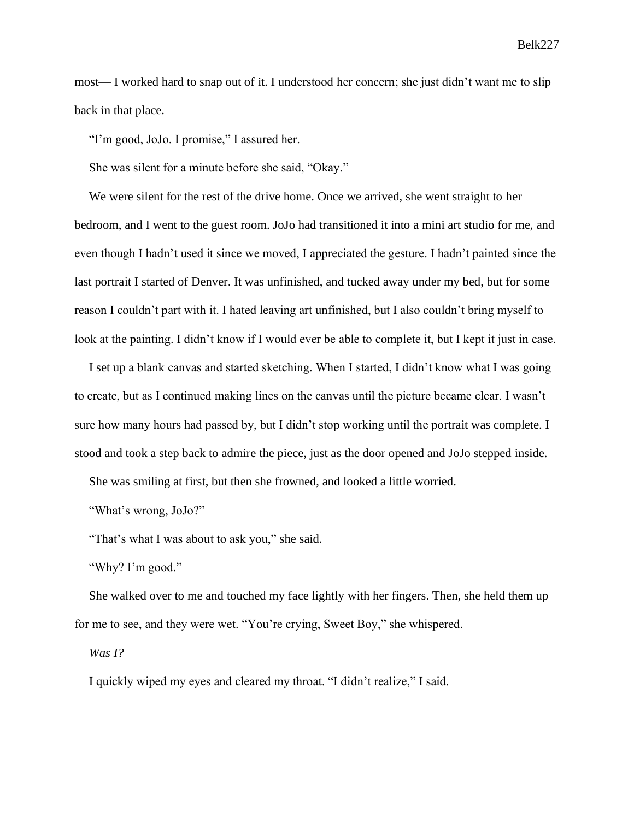most— I worked hard to snap out of it. I understood her concern; she just didn't want me to slip back in that place.

"I'm good, JoJo. I promise," I assured her.

She was silent for a minute before she said, "Okay."

We were silent for the rest of the drive home. Once we arrived, she went straight to her bedroom, and I went to the guest room. JoJo had transitioned it into a mini art studio for me, and even though I hadn't used it since we moved, I appreciated the gesture. I hadn't painted since the last portrait I started of Denver. It was unfinished, and tucked away under my bed, but for some reason I couldn't part with it. I hated leaving art unfinished, but I also couldn't bring myself to look at the painting. I didn't know if I would ever be able to complete it, but I kept it just in case.

I set up a blank canvas and started sketching. When I started, I didn't know what I was going to create, but as I continued making lines on the canvas until the picture became clear. I wasn't sure how many hours had passed by, but I didn't stop working until the portrait was complete. I stood and took a step back to admire the piece, just as the door opened and JoJo stepped inside.

She was smiling at first, but then she frowned, and looked a little worried.

"What's wrong, JoJo?"

"That's what I was about to ask you," she said.

"Why? I'm good."

She walked over to me and touched my face lightly with her fingers. Then, she held them up for me to see, and they were wet. "You're crying, Sweet Boy," she whispered.

*Was I?*

I quickly wiped my eyes and cleared my throat. "I didn't realize," I said.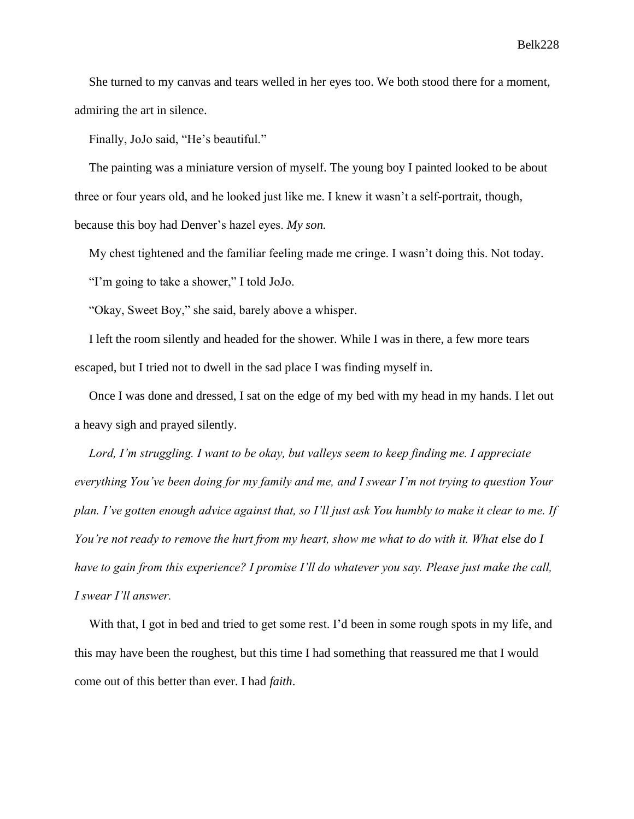She turned to my canvas and tears welled in her eyes too. We both stood there for a moment, admiring the art in silence.

Finally, JoJo said, "He's beautiful."

The painting was a miniature version of myself. The young boy I painted looked to be about three or four years old, and he looked just like me. I knew it wasn't a self-portrait, though, because this boy had Denver's hazel eyes. *My son.*

My chest tightened and the familiar feeling made me cringe. I wasn't doing this. Not today.

"I'm going to take a shower," I told JoJo.

"Okay, Sweet Boy," she said, barely above a whisper.

I left the room silently and headed for the shower. While I was in there, a few more tears escaped, but I tried not to dwell in the sad place I was finding myself in.

Once I was done and dressed, I sat on the edge of my bed with my head in my hands. I let out a heavy sigh and prayed silently.

*Lord, I'm struggling. I want to be okay, but valleys seem to keep finding me. I appreciate everything You've been doing for my family and me, and I swear I'm not trying to question Your plan. I've gotten enough advice against that, so I'll just ask You humbly to make it clear to me. If You're not ready to remove the hurt from my heart, show me what to do with it. What else do I have to gain from this experience? I promise I'll do whatever you say. Please just make the call, I swear I'll answer.*

With that, I got in bed and tried to get some rest. I'd been in some rough spots in my life, and this may have been the roughest, but this time I had something that reassured me that I would come out of this better than ever. I had *faith*.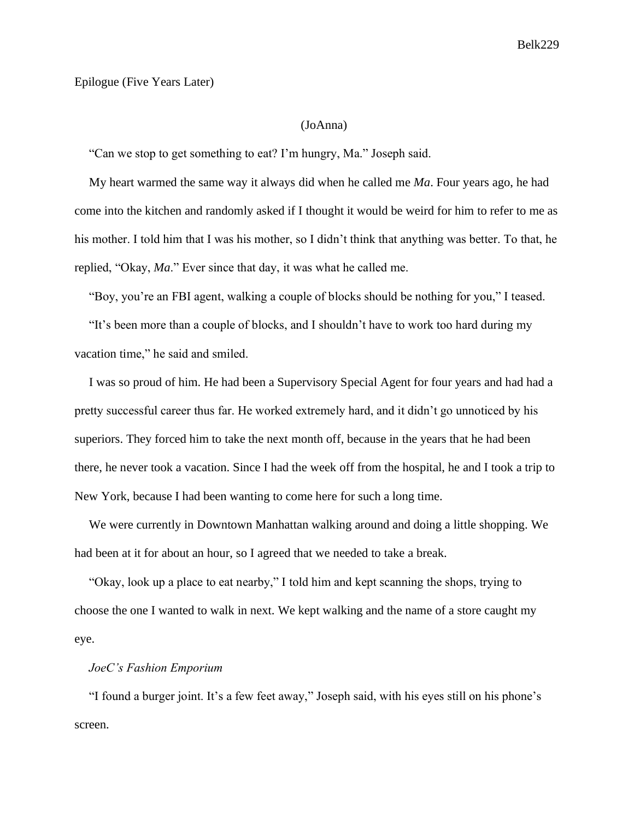## Epilogue (Five Years Later)

## (JoAnna)

"Can we stop to get something to eat? I'm hungry, Ma." Joseph said.

My heart warmed the same way it always did when he called me *Ma*. Four years ago, he had come into the kitchen and randomly asked if I thought it would be weird for him to refer to me as his mother. I told him that I was his mother, so I didn't think that anything was better. To that, he replied, "Okay, *Ma*." Ever since that day, it was what he called me.

"Boy, you're an FBI agent, walking a couple of blocks should be nothing for you," I teased.

"It's been more than a couple of blocks, and I shouldn't have to work too hard during my vacation time," he said and smiled.

I was so proud of him. He had been a Supervisory Special Agent for four years and had had a pretty successful career thus far. He worked extremely hard, and it didn't go unnoticed by his superiors. They forced him to take the next month off, because in the years that he had been there, he never took a vacation. Since I had the week off from the hospital, he and I took a trip to New York, because I had been wanting to come here for such a long time.

We were currently in Downtown Manhattan walking around and doing a little shopping. We had been at it for about an hour, so I agreed that we needed to take a break.

"Okay, look up a place to eat nearby," I told him and kept scanning the shops, trying to choose the one I wanted to walk in next. We kept walking and the name of a store caught my eye.

# *JoeC's Fashion Emporium*

"I found a burger joint. It's a few feet away," Joseph said, with his eyes still on his phone's screen.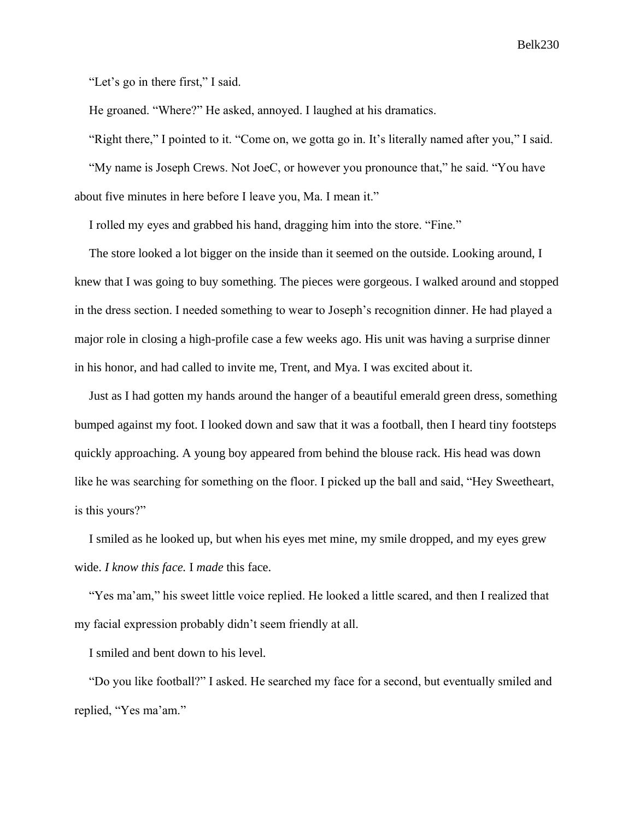"Let's go in there first," I said.

He groaned. "Where?" He asked, annoyed. I laughed at his dramatics.

"Right there," I pointed to it. "Come on, we gotta go in. It's literally named after you," I said.

"My name is Joseph Crews. Not JoeC, or however you pronounce that," he said. "You have

about five minutes in here before I leave you, Ma. I mean it."

I rolled my eyes and grabbed his hand, dragging him into the store. "Fine."

The store looked a lot bigger on the inside than it seemed on the outside. Looking around, I knew that I was going to buy something. The pieces were gorgeous. I walked around and stopped in the dress section. I needed something to wear to Joseph's recognition dinner. He had played a major role in closing a high-profile case a few weeks ago. His unit was having a surprise dinner in his honor, and had called to invite me, Trent, and Mya. I was excited about it.

Just as I had gotten my hands around the hanger of a beautiful emerald green dress, something bumped against my foot. I looked down and saw that it was a football, then I heard tiny footsteps quickly approaching. A young boy appeared from behind the blouse rack. His head was down like he was searching for something on the floor. I picked up the ball and said, "Hey Sweetheart, is this yours?"

I smiled as he looked up, but when his eyes met mine, my smile dropped, and my eyes grew wide. *I know this face.* I *made* this face.

"Yes ma'am," his sweet little voice replied. He looked a little scared, and then I realized that my facial expression probably didn't seem friendly at all.

I smiled and bent down to his level.

"Do you like football?" I asked. He searched my face for a second, but eventually smiled and replied, "Yes ma'am."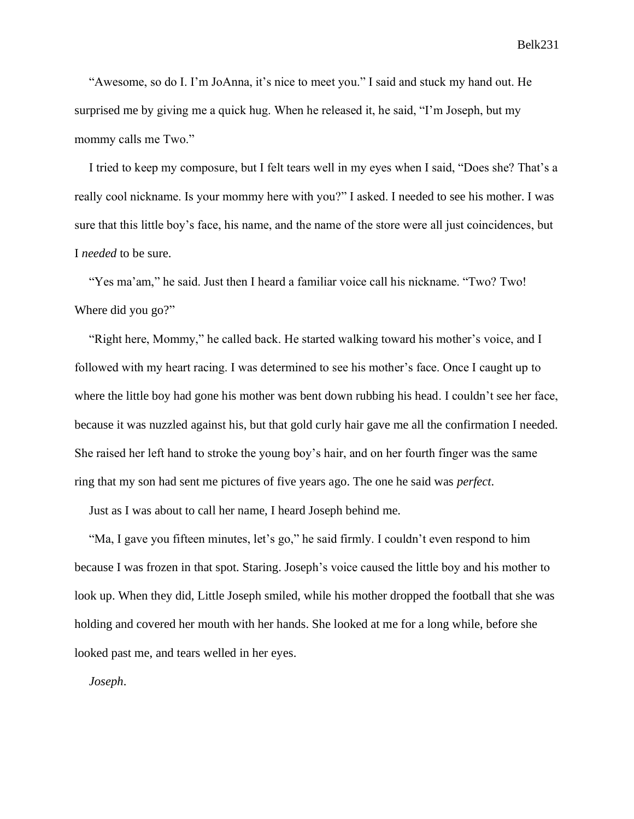"Awesome, so do I. I'm JoAnna, it's nice to meet you." I said and stuck my hand out. He surprised me by giving me a quick hug. When he released it, he said, "I'm Joseph, but my mommy calls me Two."

I tried to keep my composure, but I felt tears well in my eyes when I said, "Does she? That's a really cool nickname. Is your mommy here with you?" I asked. I needed to see his mother. I was sure that this little boy's face, his name, and the name of the store were all just coincidences, but I *needed* to be sure.

"Yes ma'am," he said. Just then I heard a familiar voice call his nickname. "Two? Two! Where did you go?"

"Right here, Mommy," he called back. He started walking toward his mother's voice, and I followed with my heart racing. I was determined to see his mother's face. Once I caught up to where the little boy had gone his mother was bent down rubbing his head. I couldn't see her face, because it was nuzzled against his, but that gold curly hair gave me all the confirmation I needed. She raised her left hand to stroke the young boy's hair, and on her fourth finger was the same ring that my son had sent me pictures of five years ago. The one he said was *perfect*.

Just as I was about to call her name, I heard Joseph behind me.

"Ma, I gave you fifteen minutes, let's go," he said firmly. I couldn't even respond to him because I was frozen in that spot. Staring. Joseph's voice caused the little boy and his mother to look up. When they did, Little Joseph smiled, while his mother dropped the football that she was holding and covered her mouth with her hands. She looked at me for a long while, before she looked past me, and tears welled in her eyes.

*Joseph*.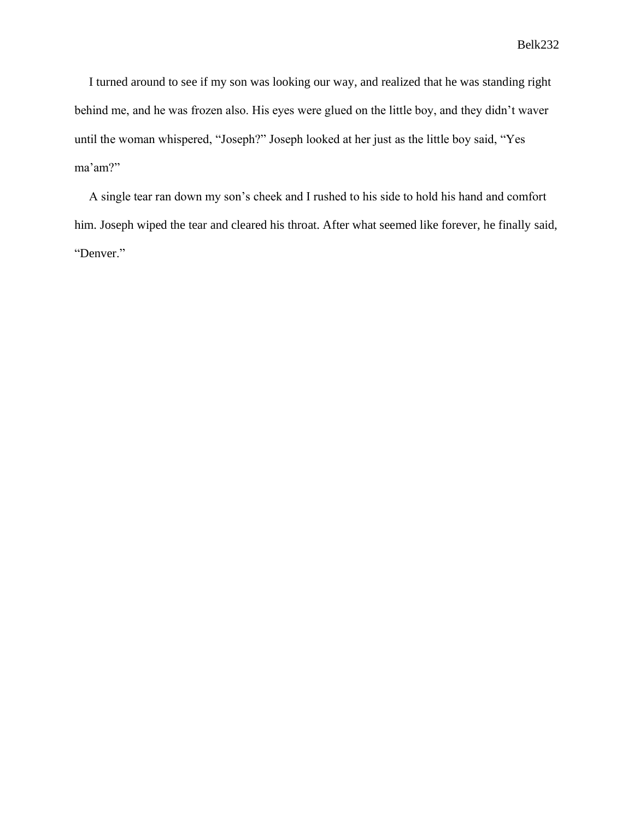I turned around to see if my son was looking our way, and realized that he was standing right behind me, and he was frozen also. His eyes were glued on the little boy, and they didn't waver until the woman whispered, "Joseph?" Joseph looked at her just as the little boy said, "Yes ma'am?"

A single tear ran down my son's cheek and I rushed to his side to hold his hand and comfort him. Joseph wiped the tear and cleared his throat. After what seemed like forever, he finally said, "Denver."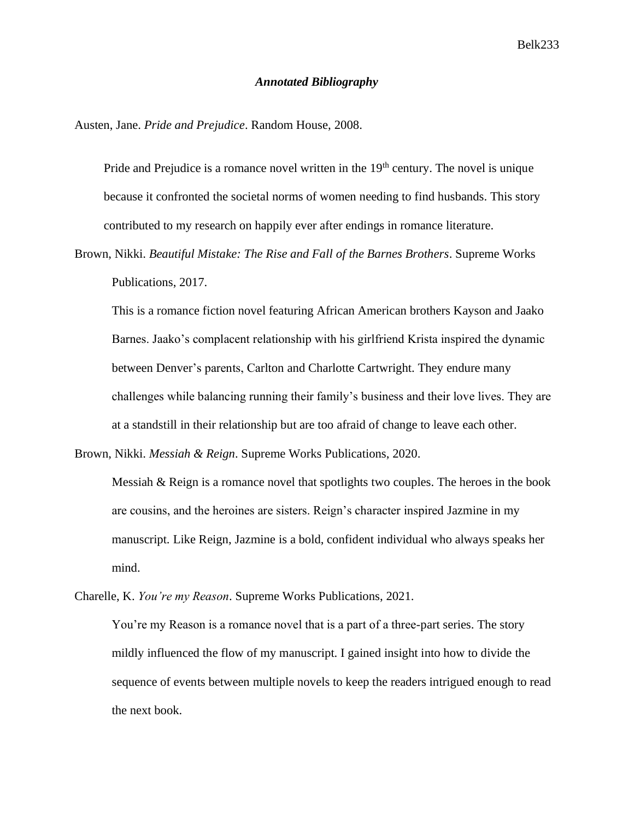### *Annotated Bibliography*

Austen, Jane. *Pride and Prejudice*. Random House, 2008.

Pride and Prejudice is a romance novel written in the  $19<sup>th</sup>$  century. The novel is unique because it confronted the societal norms of women needing to find husbands. This story contributed to my research on happily ever after endings in romance literature.

Brown, Nikki. *Beautiful Mistake: The Rise and Fall of the Barnes Brothers*. Supreme Works Publications, 2017.

This is a romance fiction novel featuring African American brothers Kayson and Jaako Barnes. Jaako's complacent relationship with his girlfriend Krista inspired the dynamic between Denver's parents, Carlton and Charlotte Cartwright. They endure many challenges while balancing running their family's business and their love lives. They are at a standstill in their relationship but are too afraid of change to leave each other.

Brown, Nikki. *Messiah & Reign*. Supreme Works Publications, 2020.

Messiah & Reign is a romance novel that spotlights two couples. The heroes in the book are cousins, and the heroines are sisters. Reign's character inspired Jazmine in my manuscript. Like Reign, Jazmine is a bold, confident individual who always speaks her mind.

Charelle, K. *You're my Reason*. Supreme Works Publications, 2021.

You're my Reason is a romance novel that is a part of a three-part series. The story mildly influenced the flow of my manuscript. I gained insight into how to divide the sequence of events between multiple novels to keep the readers intrigued enough to read the next book.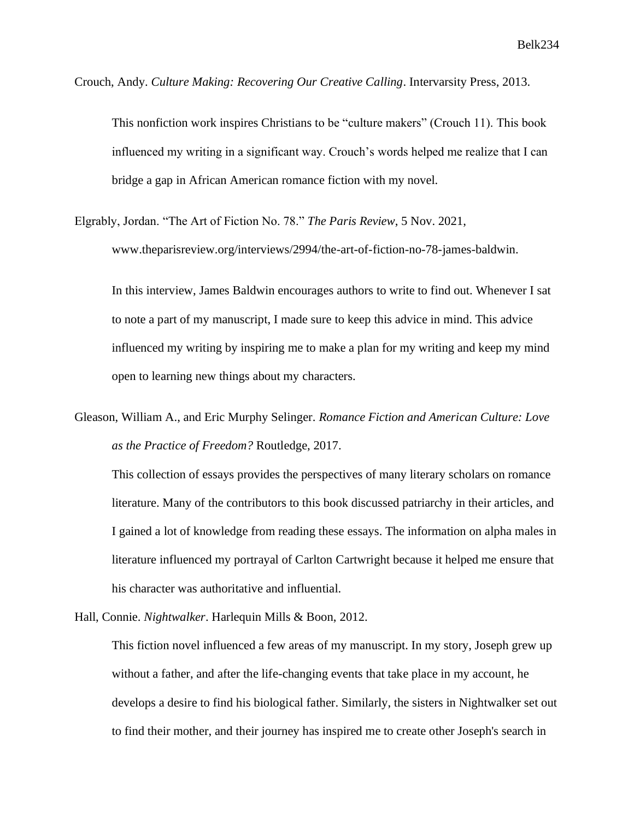Crouch, Andy. *Culture Making: Recovering Our Creative Calling*. Intervarsity Press, 2013.

This nonfiction work inspires Christians to be "culture makers" (Crouch 11). This book influenced my writing in a significant way. Crouch's words helped me realize that I can bridge a gap in African American romance fiction with my novel.

Elgrably, Jordan. "The Art of Fiction No. 78." *The Paris Review*, 5 Nov. 2021, www.theparisreview.org/interviews/2994/the-art-of-fiction-no-78-james-baldwin.

In this interview, James Baldwin encourages authors to write to find out. Whenever I sat to note a part of my manuscript, I made sure to keep this advice in mind. This advice influenced my writing by inspiring me to make a plan for my writing and keep my mind open to learning new things about my characters.

Gleason, William A., and Eric Murphy Selinger. *Romance Fiction and American Culture: Love as the Practice of Freedom?* Routledge, 2017.

This collection of essays provides the perspectives of many literary scholars on romance literature. Many of the contributors to this book discussed patriarchy in their articles, and I gained a lot of knowledge from reading these essays. The information on alpha males in literature influenced my portrayal of Carlton Cartwright because it helped me ensure that his character was authoritative and influential.

Hall, Connie. *Nightwalker*. Harlequin Mills & Boon, 2012.

This fiction novel influenced a few areas of my manuscript. In my story, Joseph grew up without a father, and after the life-changing events that take place in my account, he develops a desire to find his biological father. Similarly, the sisters in Nightwalker set out to find their mother, and their journey has inspired me to create other Joseph's search in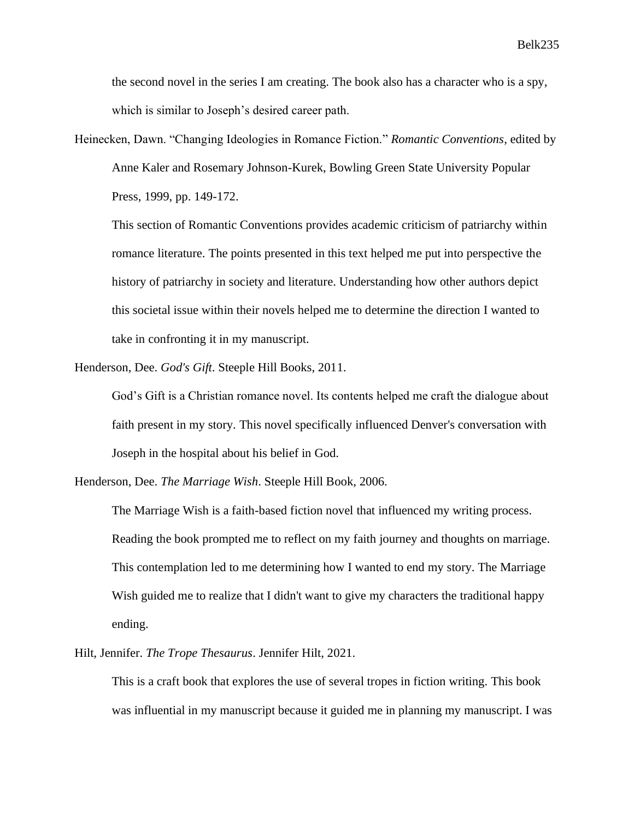the second novel in the series I am creating. The book also has a character who is a spy, which is similar to Joseph's desired career path.

Heinecken, Dawn. "Changing Ideologies in Romance Fiction." *Romantic Conventions*, edited by Anne Kaler and Rosemary Johnson-Kurek, Bowling Green State University Popular Press, 1999, pp. 149-172.

This section of Romantic Conventions provides academic criticism of patriarchy within romance literature. The points presented in this text helped me put into perspective the history of patriarchy in society and literature. Understanding how other authors depict this societal issue within their novels helped me to determine the direction I wanted to take in confronting it in my manuscript.

Henderson, Dee. *God's Gift*. Steeple Hill Books, 2011.

God's Gift is a Christian romance novel. Its contents helped me craft the dialogue about faith present in my story. This novel specifically influenced Denver's conversation with Joseph in the hospital about his belief in God.

Henderson, Dee. *The Marriage Wish*. Steeple Hill Book, 2006.

The Marriage Wish is a faith-based fiction novel that influenced my writing process. Reading the book prompted me to reflect on my faith journey and thoughts on marriage. This contemplation led to me determining how I wanted to end my story. The Marriage Wish guided me to realize that I didn't want to give my characters the traditional happy ending.

Hilt, Jennifer. *The Trope Thesaurus*. Jennifer Hilt, 2021.

This is a craft book that explores the use of several tropes in fiction writing. This book was influential in my manuscript because it guided me in planning my manuscript. I was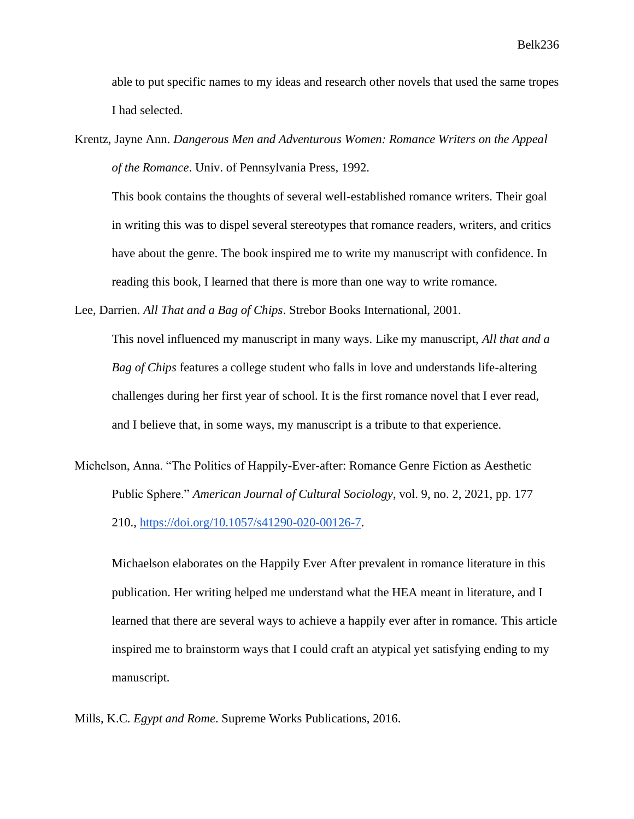able to put specific names to my ideas and research other novels that used the same tropes I had selected.

Krentz, Jayne Ann. *Dangerous Men and Adventurous Women: Romance Writers on the Appeal of the Romance*. Univ. of Pennsylvania Press, 1992.

This book contains the thoughts of several well-established romance writers. Their goal in writing this was to dispel several stereotypes that romance readers, writers, and critics have about the genre. The book inspired me to write my manuscript with confidence. In reading this book, I learned that there is more than one way to write romance.

Lee, Darrien. *All That and a Bag of Chips*. Strebor Books International, 2001.

This novel influenced my manuscript in many ways. Like my manuscript, *All that and a Bag of Chips* features a college student who falls in love and understands life-altering challenges during her first year of school. It is the first romance novel that I ever read, and I believe that, in some ways, my manuscript is a tribute to that experience.

Michelson, Anna. "The Politics of Happily-Ever-after: Romance Genre Fiction as Aesthetic Public Sphere." *American Journal of Cultural Sociology*, vol. 9, no. 2, 2021, pp. 177 210., [https://doi.org/10.1057/s41290-020-00126-7.](https://doi.org/10.1057/s41290-020-00126-7)

Michaelson elaborates on the Happily Ever After prevalent in romance literature in this publication. Her writing helped me understand what the HEA meant in literature, and I learned that there are several ways to achieve a happily ever after in romance. This article inspired me to brainstorm ways that I could craft an atypical yet satisfying ending to my manuscript.

Mills, K.C. *Egypt and Rome*. Supreme Works Publications, 2016.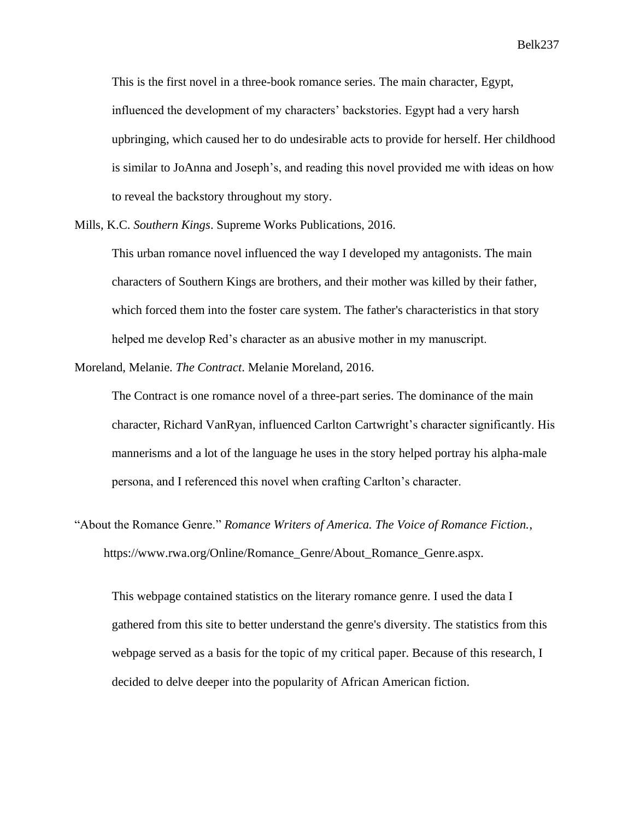This is the first novel in a three-book romance series. The main character, Egypt, influenced the development of my characters' backstories. Egypt had a very harsh upbringing, which caused her to do undesirable acts to provide for herself. Her childhood is similar to JoAnna and Joseph's, and reading this novel provided me with ideas on how to reveal the backstory throughout my story.

Mills, K.C. *Southern Kings*. Supreme Works Publications, 2016.

This urban romance novel influenced the way I developed my antagonists. The main characters of Southern Kings are brothers, and their mother was killed by their father, which forced them into the foster care system. The father's characteristics in that story helped me develop Red's character as an abusive mother in my manuscript.

Moreland, Melanie. *The Contract*. Melanie Moreland, 2016.

The Contract is one romance novel of a three-part series. The dominance of the main character, Richard VanRyan, influenced Carlton Cartwright's character significantly. His mannerisms and a lot of the language he uses in the story helped portray his alpha-male persona, and I referenced this novel when crafting Carlton's character.

"About the Romance Genre." *Romance Writers of America. The Voice of Romance Fiction.*, https://www.rwa.org/Online/Romance\_Genre/About\_Romance\_Genre.aspx.

This webpage contained statistics on the literary romance genre. I used the data I gathered from this site to better understand the genre's diversity. The statistics from this webpage served as a basis for the topic of my critical paper. Because of this research, I decided to delve deeper into the popularity of African American fiction.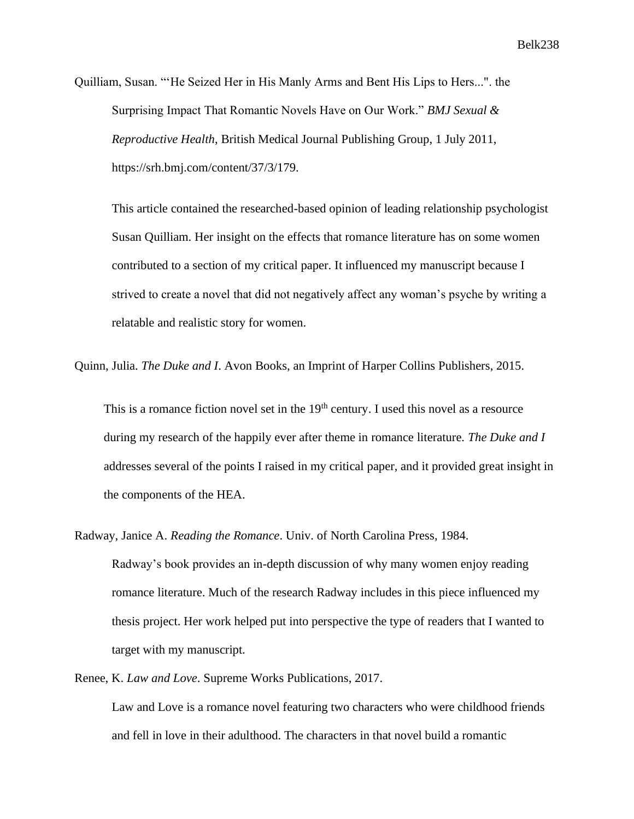Quilliam, Susan. "'He Seized Her in His Manly Arms and Bent His Lips to Hers...". the Surprising Impact That Romantic Novels Have on Our Work." *BMJ Sexual & Reproductive Health*, British Medical Journal Publishing Group, 1 July 2011, https://srh.bmj.com/content/37/3/179.

This article contained the researched-based opinion of leading relationship psychologist Susan Quilliam. Her insight on the effects that romance literature has on some women contributed to a section of my critical paper. It influenced my manuscript because I strived to create a novel that did not negatively affect any woman's psyche by writing a relatable and realistic story for women.

Quinn, Julia. *The Duke and I*. Avon Books, an Imprint of Harper Collins Publishers, 2015.

This is a romance fiction novel set in the  $19<sup>th</sup>$  century. I used this novel as a resource during my research of the happily ever after theme in romance literature. *The Duke and I* addresses several of the points I raised in my critical paper, and it provided great insight in the components of the HEA.

Radway, Janice A. *Reading the Romance*. Univ. of North Carolina Press, 1984. Radway's book provides an in-depth discussion of why many women enjoy reading romance literature. Much of the research Radway includes in this piece influenced my thesis project. Her work helped put into perspective the type of readers that I wanted to target with my manuscript.

Renee, K. *Law and Love*. Supreme Works Publications, 2017.

Law and Love is a romance novel featuring two characters who were childhood friends and fell in love in their adulthood. The characters in that novel build a romantic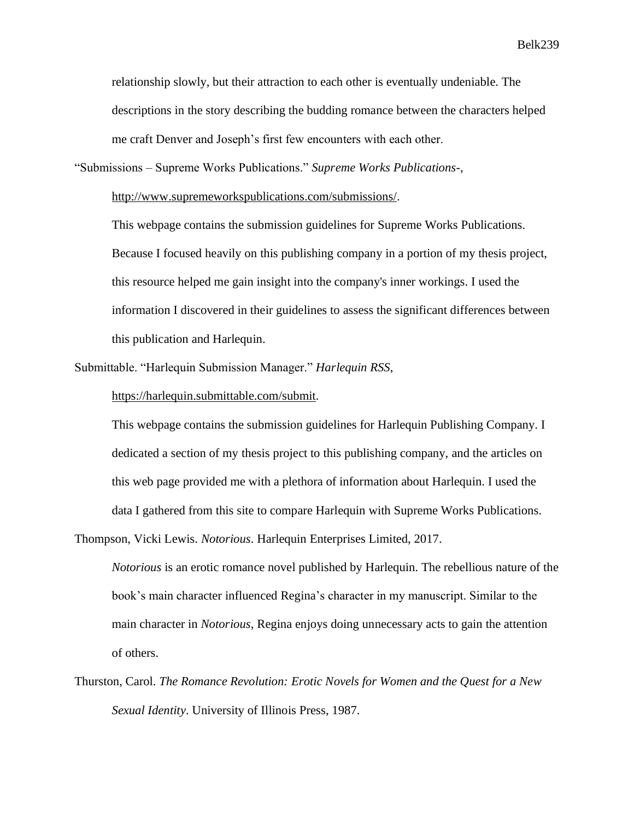Belk 239

relationship slowly, but their attraction to each other is eventually undeniable. The descriptions in the story describing the budding romance between the characters helped me craft Denver and Joseph's first few encounters with each other.

"Submissions – Supreme Works Publications." *Supreme Works Publications-*,

[http://www.supremeworkspublications.com/submissions/.](http://www.supremeworkspublications.com/submissions/)

This webpage contains the submission guidelines for Supreme Works Publications. Because I focused heavily on this publishing company in a portion of my thesis project, this resource helped me gain insight into the company's inner workings. I used the information I discovered in their guidelines to assess the significant differences between this publication and Harlequin.

Submittable. "Harlequin Submission Manager." *Harlequin RSS*,

[https://harlequin.submittable.com/submit.](https://harlequin.submittable.com/submit)

This webpage contains the submission guidelines for Harlequin Publishing Company. I dedicated a section of my thesis project to this publishing company, and the articles on this web page provided me with a plethora of information about Harlequin. I used the data I gathered from this site to compare Harlequin with Supreme Works Publications.

Thompson, Vicki Lewis. *Notorious*. Harlequin Enterprises Limited, 2017.

*Notorious* is an erotic romance novel published by Harlequin. The rebellious nature of the book's main character influenced Regina's character in my manuscript. Similar to the main character in *Notorious*, Regina enjoys doing unnecessary acts to gain the attention of others.

Thurston, Carol. *The Romance Revolution: Erotic Novels for Women and the Quest for a New Sexual Identity*. University of Illinois Press, 1987.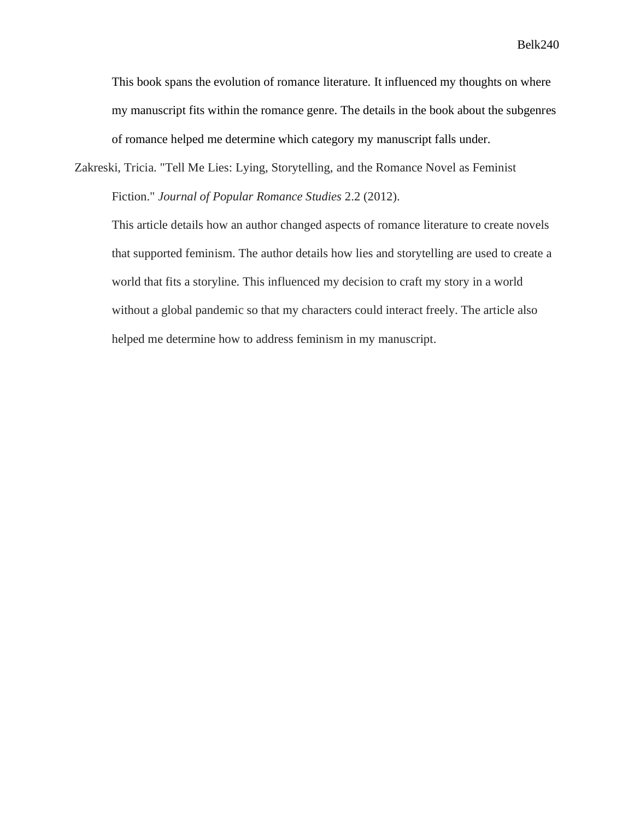Belk 240

This book spans the evolution of romance literature. It influenced my thoughts on where my manuscript fits within the romance genre. The details in the book about the subgenres of romance helped me determine which category my manuscript falls under.

Zakreski, Tricia. "Tell Me Lies: Lying, Storytelling, and the Romance Novel as Feminist Fiction." *Journal of Popular Romance Studies* 2.2 (2012).

This article details how an author changed aspects of romance literature to create novels that supported feminism. The author details how lies and storytelling are used to create a world that fits a storyline. This influenced my decision to craft my story in a world without a global pandemic so that my characters could interact freely. The article also helped me determine how to address feminism in my manuscript.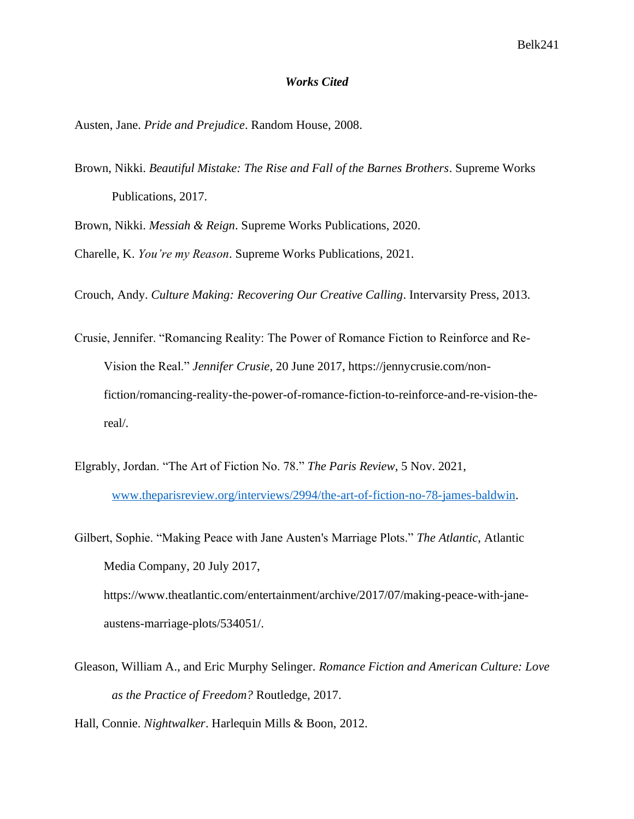### *Works Cited*

Austen, Jane. *Pride and Prejudice*. Random House, 2008.

Brown, Nikki. *Beautiful Mistake: The Rise and Fall of the Barnes Brothers*. Supreme Works Publications, 2017.

Brown, Nikki. *Messiah & Reign*. Supreme Works Publications, 2020.

Charelle, K. *You're my Reason*. Supreme Works Publications, 2021.

Crouch, Andy. *Culture Making: Recovering Our Creative Calling*. Intervarsity Press, 2013.

- Crusie, Jennifer. "Romancing Reality: The Power of Romance Fiction to Reinforce and Re-Vision the Real." *Jennifer Crusie*, 20 June 2017, https://jennycrusie.com/nonfiction/romancing-reality-the-power-of-romance-fiction-to-reinforce-and-re-vision-thereal/.
- Elgrably, Jordan. "The Art of Fiction No. 78." *The Paris Review*, 5 Nov. 2021, [www.theparisreview.org/interviews/2994/the-art-of-fiction-no-78-james-baldwin.](http://www.theparisreview.org/interviews/2994/the-art-of-fiction-no-78-james-baldwin)

Gilbert, Sophie. "Making Peace with Jane Austen's Marriage Plots." *The Atlantic*, Atlantic Media Company, 20 July 2017, https://www.theatlantic.com/entertainment/archive/2017/07/making-peace-with-janeaustens-marriage-plots/534051/.

- Gleason, William A., and Eric Murphy Selinger. *Romance Fiction and American Culture: Love as the Practice of Freedom?* Routledge, 2017.
- Hall, Connie. *Nightwalker*. Harlequin Mills & Boon, 2012.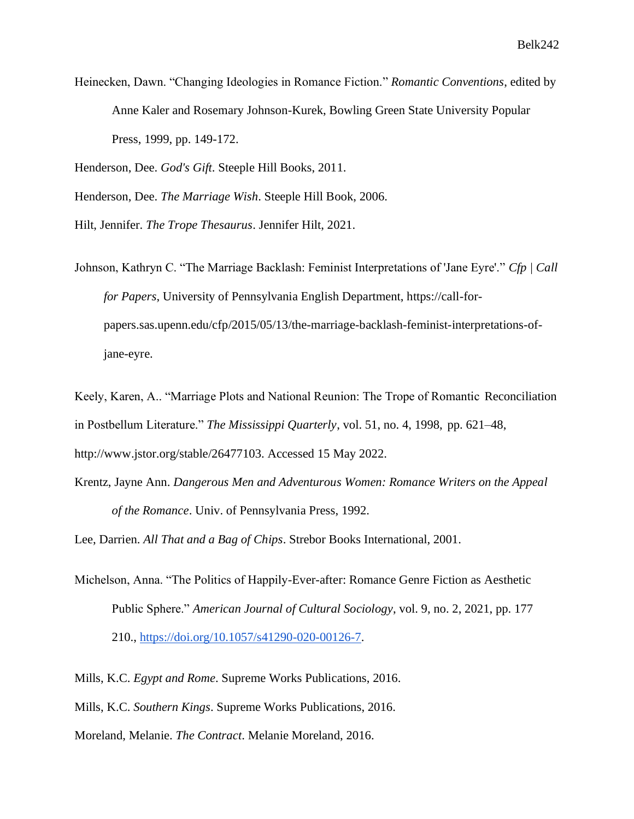Heinecken, Dawn. "Changing Ideologies in Romance Fiction." *Romantic Conventions*, edited by Anne Kaler and Rosemary Johnson-Kurek, Bowling Green State University Popular Press, 1999, pp. 149-172.

Henderson, Dee. *God's Gift*. Steeple Hill Books, 2011.

Henderson, Dee. *The Marriage Wish*. Steeple Hill Book, 2006.

Hilt, Jennifer. *The Trope Thesaurus*. Jennifer Hilt, 2021.

Johnson, Kathryn C. "The Marriage Backlash: Feminist Interpretations of 'Jane Eyre'." *Cfp | Call for Papers*, University of Pennsylvania English Department, https://call-forpapers.sas.upenn.edu/cfp/2015/05/13/the-marriage-backlash-feminist-interpretations-ofjane-eyre.

Keely, Karen, A.. "Marriage Plots and National Reunion: The Trope of Romantic Reconciliation in Postbellum Literature." *The Mississippi Quarterly*, vol. 51, no. 4, 1998, pp. 621–48, http://www.jstor.org/stable/26477103. Accessed 15 May 2022.

Krentz, Jayne Ann. *Dangerous Men and Adventurous Women: Romance Writers on the Appeal of the Romance*. Univ. of Pennsylvania Press, 1992.

Lee, Darrien. *All That and a Bag of Chips*. Strebor Books International, 2001.

Michelson, Anna. "The Politics of Happily-Ever-after: Romance Genre Fiction as Aesthetic Public Sphere." *American Journal of Cultural Sociology*, vol. 9, no. 2, 2021, pp. 177 210., [https://doi.org/10.1057/s41290-020-00126-7.](https://doi.org/10.1057/s41290-020-00126-7)

Mills, K.C. *Egypt and Rome*. Supreme Works Publications, 2016. Mills, K.C. *Southern Kings*. Supreme Works Publications, 2016. Moreland, Melanie. *The Contract*. Melanie Moreland, 2016.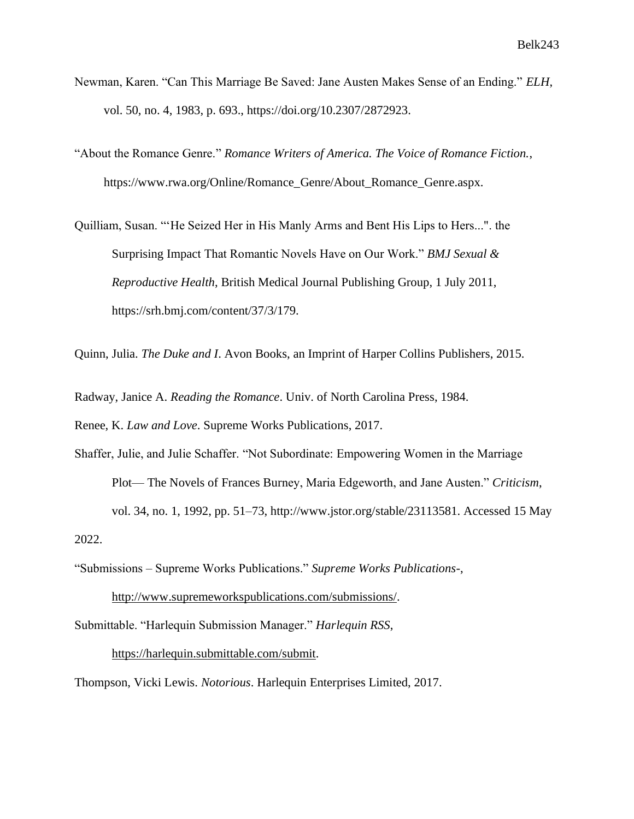- Newman, Karen. "Can This Marriage Be Saved: Jane Austen Makes Sense of an Ending." *ELH*, vol. 50, no. 4, 1983, p. 693., https://doi.org/10.2307/2872923.
- "About the Romance Genre." *Romance Writers of America. The Voice of Romance Fiction.*, https://www.rwa.org/Online/Romance\_Genre/About\_Romance\_Genre.aspx.
- Quilliam, Susan. "'He Seized Her in His Manly Arms and Bent His Lips to Hers...". the Surprising Impact That Romantic Novels Have on Our Work." *BMJ Sexual & Reproductive Health*, British Medical Journal Publishing Group, 1 July 2011, https://srh.bmj.com/content/37/3/179.

Quinn, Julia. *The Duke and I*. Avon Books, an Imprint of Harper Collins Publishers, 2015.

Radway, Janice A. *Reading the Romance*. Univ. of North Carolina Press, 1984.

Renee, K. *Law and Love*. Supreme Works Publications, 2017.

Shaffer, Julie, and Julie Schaffer. "Not Subordinate: Empowering Women in the Marriage Plot— The Novels of Frances Burney, Maria Edgeworth, and Jane Austen." *Criticism*, vol. 34, no. 1, 1992, pp. 51–73, http://www.jstor.org/stable/23113581. Accessed 15 May 2022.

"Submissions – Supreme Works Publications." *Supreme Works Publications-*,

[http://www.supremeworkspublications.com/submissions/.](http://www.supremeworkspublications.com/submissions/)

Submittable. "Harlequin Submission Manager." *Harlequin RSS*,

[https://harlequin.submittable.com/submit.](https://harlequin.submittable.com/submit)

Thompson, Vicki Lewis. *Notorious*. Harlequin Enterprises Limited, 2017.